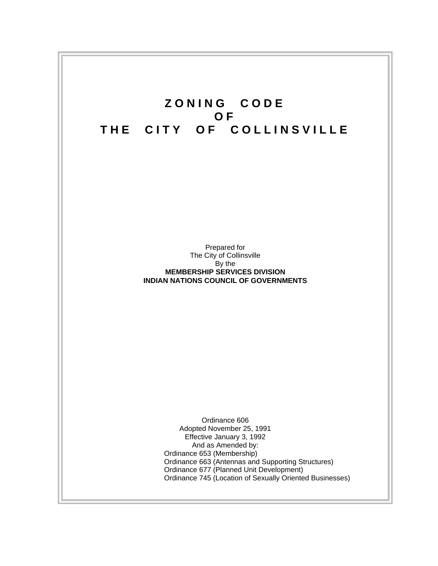# **ZONING CODE OF THE CITY OF COLLINSVILLE**

Prepared for The City of Collinsville By the **MEMBERSHIP SERVICES DIVISION INDIAN NATIONS COUNCIL OF GOVERNMENTS** 

> Ordinance 606 Adopted November 25, 1991 Effective January 3, 1992 And as Amended by: Ordinance 653 (Membership) Ordinance 663 (Antennas and Supporting Structures) Ordinance 677 (Planned Unit Development) Ordinance 745 (Location of Sexually Oriented Businesses)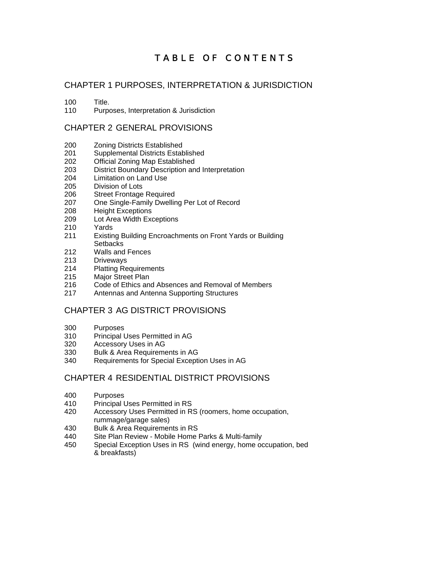# TABLE OF CONTENTS

# CHAPTER 1 PURPOSES, INTERPRETATION & JURISDICTION

100 Title.

110 Purposes, Interpretation & Jurisdiction

# CHAPTER 2 GENERAL PROVISIONS

- 200 Zoning Districts Established
- 201 Supplemental Districts Established<br>202 Official Zoning Map Established
- **Official Zoning Map Established**
- 203 District Boundary Description and Interpretation
- 204 Limitation on Land Use
- 205 Division of Lots
- 206 Street Frontage Required
- 207 One Single-Family Dwelling Per Lot of Record
- 208 Height Exceptions
- 209 Lot Area Width Exceptions
- 210 Yards
- 211 Existing Building Encroachments on Front Yards or Building **Setbacks**
- 212 Walls and Fences
- 213 Driveways
- 214 Platting Requirements
- 215 Major Street Plan
- 216 Code of Ethics and Absences and Removal of Members
- 217 Antennas and Antenna Supporting Structures

# CHAPTER 3 AG DISTRICT PROVISIONS

- 300 Purposes
- 310 Principal Uses Permitted in AG
- 320 Accessory Uses in AG
- 330 Bulk & Area Requirements in AG
- 340 Requirements for Special Exception Uses in AG

# CHAPTER 4 RESIDENTIAL DISTRICT PROVISIONS

- 400 Purposes
- 410 Principal Uses Permitted in RS
- 420 Accessory Uses Permitted in RS (roomers, home occupation, rummage/garage sales)
- 430 Bulk & Area Requirements in RS<br>440 Site Plan Review Mobile Home
- Site Plan Review Mobile Home Parks & Multi-family
- 450 Special Exception Uses in RS (wind energy, home occupation, bed & breakfasts)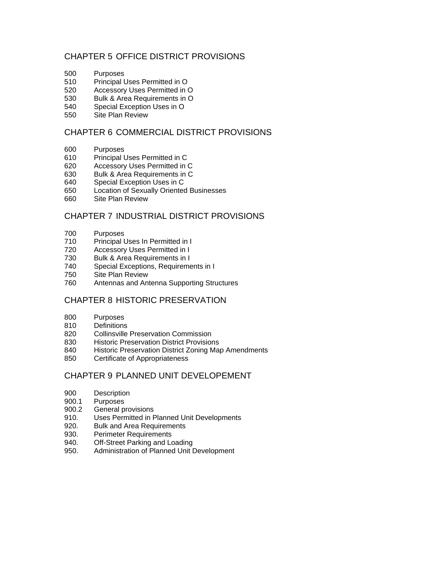# CHAPTER 5 OFFICE DISTRICT PROVISIONS

- 500 Purposes
- 510 Principal Uses Permitted in O
- 520 Accessory Uses Permitted in O
- 530 Bulk & Area Requirements in O
- 540 Special Exception Uses in O
- 550 Site Plan Review

# CHAPTER 6 COMMERCIAL DISTRICT PROVISIONS

- 600 Purposes
- 610 Principal Uses Permitted in C
- 620 Accessory Uses Permitted in C
- 630 Bulk & Area Requirements in C
- 640 Special Exception Uses in C
- 650 Location of Sexually Oriented Businesses
- 660 Site Plan Review

# CHAPTER 7 INDUSTRIAL DISTRICT PROVISIONS

- 700 Purposes
- 710 Principal Uses In Permitted in I
- 720 Accessory Uses Permitted in I
- 730 Bulk & Area Requirements in I
- 740 Special Exceptions, Requirements in I
- 750 Site Plan Review
- 760 Antennas and Antenna Supporting Structures

# CHAPTER 8 HISTORIC PRESERVATION

- 800 Purposes
- 810 Definitions
- 820 Collinsville Preservation Commission
- 830 Historic Preservation District Provisions<br>840 Historic Preservation District Zoning Ma
- Historic Preservation District Zoning Map Amendments
- 850 Certificate of Appropriateness

# CHAPTER 9 PLANNED UNIT DEVELOPEMENT

- 900 Description<br>900.1 Purposes
- Purposes
- 900.2 General provisions
- 910. Uses Permitted in Planned Unit Developments
- 920. Bulk and Area Requirements
- 930. Perimeter Requirements
- 940. Off-Street Parking and Loading
- 950. Administration of Planned Unit Development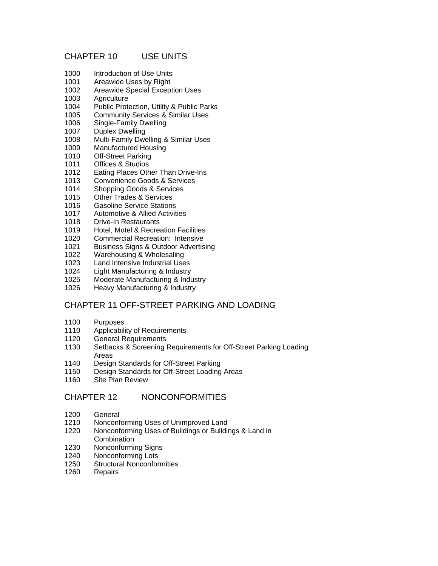# CHAPTER 10 USE UNITS

- 1000 Introduction of Use Units
- 1001 Areawide Uses by Right
- 1002 Areawide Special Exception Uses
- 1003 Agriculture
- 1004 Public Protection, Utility & Public Parks
- 1005 Community Services & Similar Uses
- 1006 Single-Family Dwelling
- 1007 Duplex Dwelling
- 1008 Multi-Family Dwelling & Similar Uses
- 1009 Manufactured Housing
- 1010 Off-Street Parking
- 1011 Offices & Studios
- 1012 Eating Places Other Than Drive-Ins<br>1013 Convenience Goods & Services
- Convenience Goods & Services
- 1014 Shopping Goods & Services
- 1015 Other Trades & Services
- 1016 Gasoline Service Stations
- 1017 Automotive & Allied Activities
- 1018 Drive-In Restaurants
- 1019 Hotel, Motel & Recreation Facilities
- 1020 Commercial Recreation: Intensive
- 1021 Business Signs & Outdoor Advertising
- 1022 Warehousing & Wholesaling
- 1023 Land Intensive Industrial Uses
- 1024 Light Manufacturing & Industry
- 1025 Moderate Manufacturing & Industry
- 1026 Heavy Manufacturing & Industry

# CHAPTER 11 OFF-STREET PARKING AND LOADING

- 1100 Purposes
- 1110 Applicability of Requirements
- 1120 General Requirements
- 1130 Setbacks & Screening Requirements for Off-Street Parking Loading Areas
- 1140 Design Standards for Off-Street Parking
- 1150 Design Standards for Off-Street Loading Areas
- 1160 Site Plan Review

# CHAPTER 12 NONCONFORMITIES

- 1200 General
- 1210 Nonconforming Uses of Unimproved Land
- 1220 Nonconforming Uses of Buildings or Buildings & Land in Combination
- 1230 Nonconforming Signs
- 1240 Nonconforming Lots
- 1250 Structural Nonconformities
- 1260 Repairs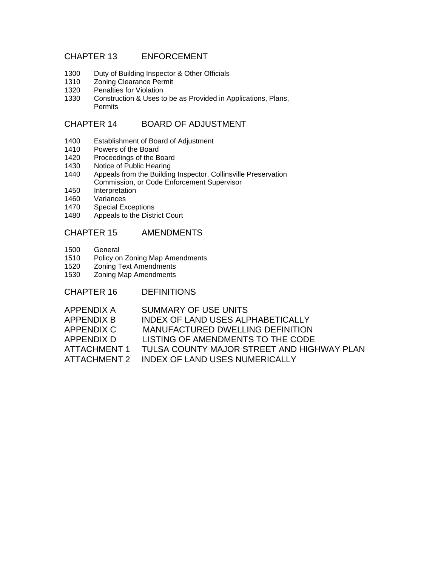# CHAPTER 13 ENFORCEMENT

- 1300 Duty of Building Inspector & Other Officials
- 1310 Zoning Clearance Permit<br>1320 Penalties for Violation
- Penalties for Violation
- 1330 Construction & Uses to be as Provided in Applications, Plans, Permits

# CHAPTER 14 BOARD OF ADJUSTMENT

- 1400 Establishment of Board of Adjustment
- 1410 Powers of the Board<br>1420 Proceedings of the B
- Proceedings of the Board
- 1430 Notice of Public Hearing
- 1440 Appeals from the Building Inspector, Collinsville Preservation Commission, or Code Enforcement Supervisor
- 1450 Interpretation
- 1460 Variances<br>1470 Special Ex
- Special Exceptions
- 1480 Appeals to the District Court

# CHAPTER 15 AMENDMENTS

- 1500 General
- 1510 Policy on Zoning Map Amendments
- 1520 Zoning Text Amendments
- 1530 Zoning Map Amendments

CHAPTER 16 DEFINITIONS

| APPENDIX A          | SUMMARY OF USE UNITS                       |
|---------------------|--------------------------------------------|
| APPENDIX B          | <b>INDEX OF LAND USES ALPHABETICALLY</b>   |
| APPENDIX C          | <b>MANUFACTURED DWELLING DEFINITION</b>    |
| APPENDIX D          | LISTING OF AMENDMENTS TO THE CODE          |
| <b>ATTACHMENT 1</b> | TULSA COUNTY MAJOR STREET AND HIGHWAY PLAN |
| ATTACHMENT 2        | <b>INDEX OF LAND USES NUMERICALLY</b>      |
|                     |                                            |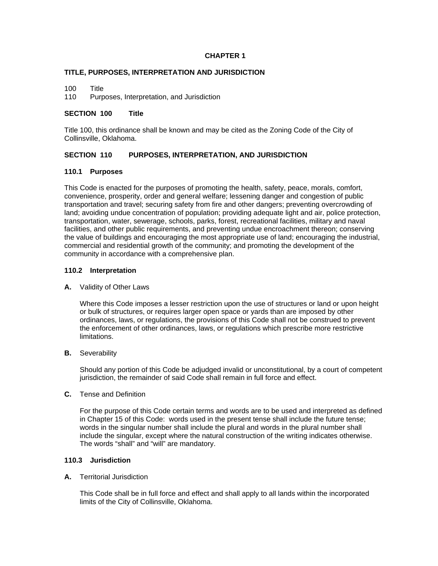#### **CHAPTER 1**

#### **TITLE, PURPOSES, INTERPRETATION AND JURISDICTION**

100 Title

110 Purposes, Interpretation, and Jurisdiction

#### **SECTION 100 Title**

Title 100, this ordinance shall be known and may be cited as the Zoning Code of the City of Collinsville, Oklahoma.

### **SECTION 110 PURPOSES, INTERPRETATION, AND JURISDICTION**

#### **110.1 Purposes**

This Code is enacted for the purposes of promoting the health, safety, peace, morals, comfort, convenience, prosperity, order and general welfare; lessening danger and congestion of public transportation and travel; securing safety from fire and other dangers; preventing overcrowding of land; avoiding undue concentration of population; providing adequate light and air, police protection, transportation, water, sewerage, schools, parks, forest, recreational facilities, military and naval facilities, and other public requirements, and preventing undue encroachment thereon; conserving the value of buildings and encouraging the most appropriate use of land; encouraging the industrial, commercial and residential growth of the community; and promoting the development of the community in accordance with a comprehensive plan.

#### **110.2 Interpretation**

#### **A.** Validity of Other Laws

 Where this Code imposes a lesser restriction upon the use of structures or land or upon height or bulk of structures, or requires larger open space or yards than are imposed by other ordinances, laws, or regulations, the provisions of this Code shall not be construed to prevent the enforcement of other ordinances, laws, or regulations which prescribe more restrictive limitations.

#### **B.** Severability

 Should any portion of this Code be adjudged invalid or unconstitutional, by a court of competent jurisdiction, the remainder of said Code shall remain in full force and effect.

#### **C.** Tense and Definition

 For the purpose of this Code certain terms and words are to be used and interpreted as defined in Chapter 15 of this Code: words used in the present tense shall include the future tense; words in the singular number shall include the plural and words in the plural number shall include the singular, except where the natural construction of the writing indicates otherwise. The words "shall" and "will" are mandatory.

#### **110.3 Jurisdiction**

#### **A.** Territorial Jurisdiction

 This Code shall be in full force and effect and shall apply to all lands within the incorporated limits of the City of Collinsville, Oklahoma.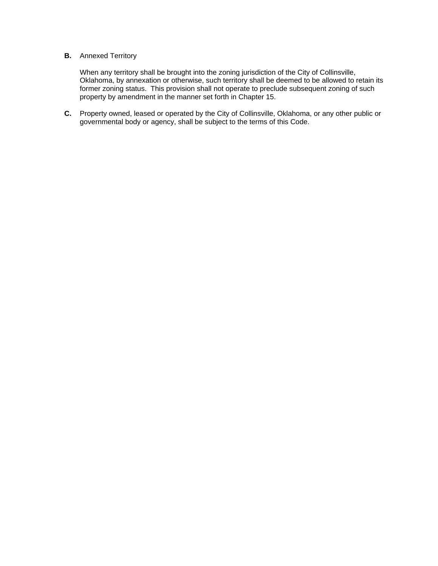# **B.** Annexed Territory

 When any territory shall be brought into the zoning jurisdiction of the City of Collinsville, Oklahoma, by annexation or otherwise, such territory shall be deemed to be allowed to retain its former zoning status. This provision shall not operate to preclude subsequent zoning of such property by amendment in the manner set forth in Chapter 15.

**C.** Property owned, leased or operated by the City of Collinsville, Oklahoma, or any other public or governmental body or agency, shall be subject to the terms of this Code.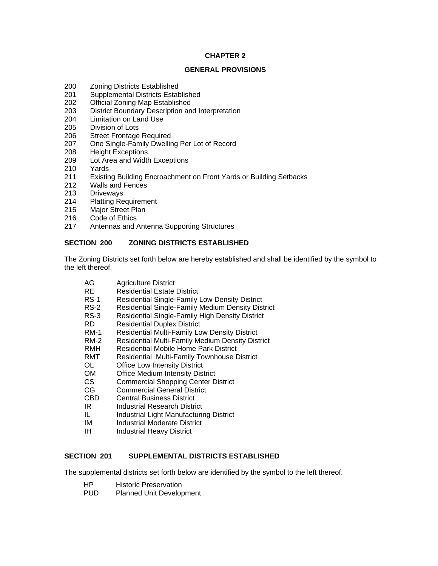# **CHAPTER 2**

#### **GENERAL PROVISIONS**

- 200 Zoning Districts Established
- 201 Supplemental Districts Established
- 202 Official Zoning Map Established
- 203 District Boundary Description and Interpretation
- 204 Limitation on Land Use
- 205 Division of Lots
- 206 Street Frontage Required
- 207 One Single-Family Dwelling Per Lot of Record
- 208 Height Exceptions
- 209 Lot Area and Width Exceptions
- 210 Yards
- 211 Existing Building Encroachment on Front Yards or Building Setbacks
- 212 Walls and Fences
- 213 Driveways
- 214 Platting Requirement
- 215 Major Street Plan
- 216 Code of Ethics
- 217 Antennas and Antenna Supporting Structures

### **SECTION 200 ZONING DISTRICTS ESTABLISHED**

The Zoning Districts set forth below are hereby established and shall be identified by the symbol to the left thereof.

- AG Agriculture District
- RE Residential Estate District<br>RS-1 Residential Single-Family
- Residential Single-Family Low Density District
- RS-2 Residential Single-Family Medium Density District
- RS-3 Residential Single-Family High Density District
- RD Residential Duplex District
- RM-1 Residential Multi-Family Low Density District
- RM-2 Residential Multi-Family Medium Density District
- RMH Residential Mobile Home Park District
- RMT Residential Multi-Family Townhouse District<br>OL Office Low Intensity District
- OL Office Low Intensity District<br>
OM Office Medium Intensity Dist
- Office Medium Intensity District
- CS Commercial Shopping Center District
- CG Commercial General District
- CBD Central Business District
- IR Industrial Research District
- IL Industrial Light Manufacturing District
- IM Industrial Moderate District
- IH Industrial Heavy District

# **SECTION 201 SUPPLEMENTAL DISTRICTS ESTABLISHED**

The supplemental districts set forth below are identified by the symbol to the left thereof.

- HP Historic Preservation
- PUD Planned Unit Development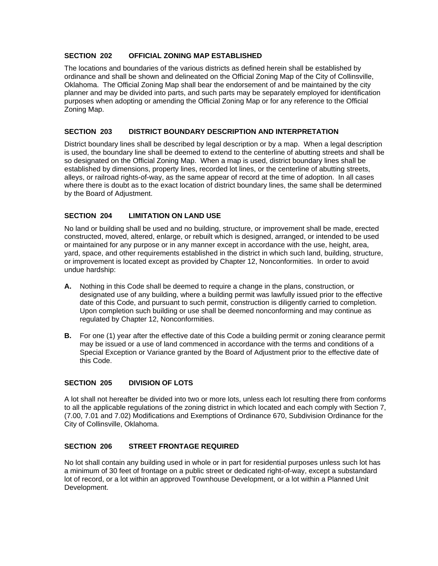### **SECTION 202 OFFICIAL ZONING MAP ESTABLISHED**

The locations and boundaries of the various districts as defined herein shall be established by ordinance and shall be shown and delineated on the Official Zoning Map of the City of Collinsville, Oklahoma. The Official Zoning Map shall bear the endorsement of and be maintained by the city planner and may be divided into parts, and such parts may be separately employed for identification purposes when adopting or amending the Official Zoning Map or for any reference to the Official Zoning Map.

### **SECTION 203 DISTRICT BOUNDARY DESCRIPTION AND INTERPRETATION**

District boundary lines shall be described by legal description or by a map. When a legal description is used, the boundary line shall be deemed to extend to the centerline of abutting streets and shall be so designated on the Official Zoning Map. When a map is used, district boundary lines shall be established by dimensions, property lines, recorded lot lines, or the centerline of abutting streets, alleys, or railroad rights-of-way, as the same appear of record at the time of adoption. In all cases where there is doubt as to the exact location of district boundary lines, the same shall be determined by the Board of Adjustment.

# **SECTION 204 LIMITATION ON LAND USE**

No land or building shall be used and no building, structure, or improvement shall be made, erected constructed, moved, altered, enlarge, or rebuilt which is designed, arranged, or intended to be used or maintained for any purpose or in any manner except in accordance with the use, height, area, yard, space, and other requirements established in the district in which such land, building, structure, or improvement is located except as provided by Chapter 12, Nonconformities. In order to avoid undue hardship:

- **A.** Nothing in this Code shall be deemed to require a change in the plans, construction, or designated use of any building, where a building permit was lawfully issued prior to the effective date of this Code, and pursuant to such permit, construction is diligently carried to completion. Upon completion such building or use shall be deemed nonconforming and may continue as regulated by Chapter 12, Nonconformities.
- **B.** For one (1) year after the effective date of this Code a building permit or zoning clearance permit may be issued or a use of land commenced in accordance with the terms and conditions of a Special Exception or Variance granted by the Board of Adjustment prior to the effective date of this Code.

# **SECTION 205 DIVISION OF LOTS**

A lot shall not hereafter be divided into two or more lots, unless each lot resulting there from conforms to all the applicable regulations of the zoning district in which located and each comply with Section 7, (7.00, 7.01 and 7.02) Modifications and Exemptions of Ordinance 670, Subdivision Ordinance for the City of Collinsville, Oklahoma.

# **SECTION 206 STREET FRONTAGE REQUIRED**

No lot shall contain any building used in whole or in part for residential purposes unless such lot has a minimum of 30 feet of frontage on a public street or dedicated right-of-way, except a substandard lot of record, or a lot within an approved Townhouse Development, or a lot within a Planned Unit Development.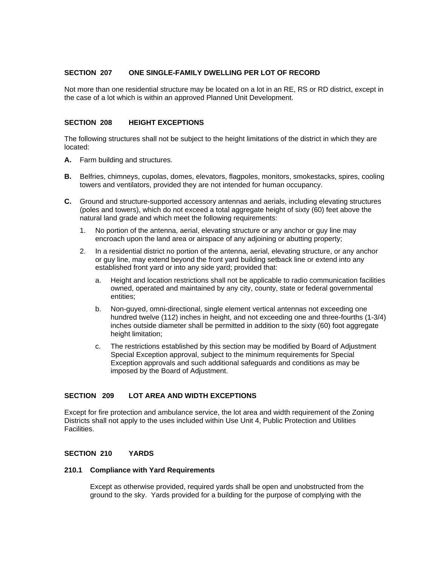### **SECTION 207 ONE SINGLE-FAMILY DWELLING PER LOT OF RECORD**

Not more than one residential structure may be located on a lot in an RE, RS or RD district, except in the case of a lot which is within an approved Planned Unit Development.

#### **SECTION 208 HEIGHT EXCEPTIONS**

The following structures shall not be subject to the height limitations of the district in which they are located:

- **A.** Farm building and structures.
- **B.** Belfries, chimneys, cupolas, domes, elevators, flagpoles, monitors, smokestacks, spires, cooling towers and ventilators, provided they are not intended for human occupancy.
- **C.** Ground and structure-supported accessory antennas and aerials, including elevating structures (poles and towers), which do not exceed a total aggregate height of sixty (60) feet above the natural land grade and which meet the following requirements:
	- 1. No portion of the antenna, aerial, elevating structure or any anchor or guy line may encroach upon the land area or airspace of any adjoining or abutting property;
	- 2. In a residential district no portion of the antenna, aerial, elevating structure, or any anchor or guy line, may extend beyond the front yard building setback line or extend into any established front yard or into any side yard; provided that:
		- a. Height and location restrictions shall not be applicable to radio communication facilities owned, operated and maintained by any city, county, state or federal governmental entities;
		- b. Non-guyed, omni-directional, single element vertical antennas not exceeding one hundred twelve (112) inches in height, and not exceeding one and three-fourths (1-3/4) inches outside diameter shall be permitted in addition to the sixty (60) foot aggregate height limitation;
		- c. The restrictions established by this section may be modified by Board of Adjustment Special Exception approval, subject to the minimum requirements for Special Exception approvals and such additional safeguards and conditions as may be imposed by the Board of Adjustment.

### **SECTION 209 LOT AREA AND WIDTH EXCEPTIONS**

Except for fire protection and ambulance service, the lot area and width requirement of the Zoning Districts shall not apply to the uses included within Use Unit 4, Public Protection and Utilities Facilities.

# **SECTION 210 YARDS**

#### **210.1 Compliance with Yard Requirements**

Except as otherwise provided, required yards shall be open and unobstructed from the ground to the sky. Yards provided for a building for the purpose of complying with the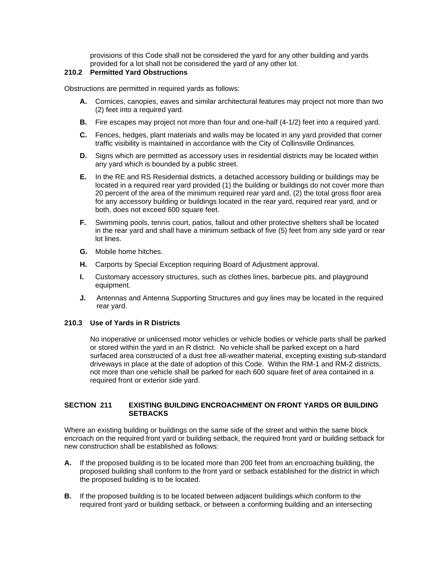provisions of this Code shall not be considered the yard for any other building and yards provided for a lot shall not be considered the yard of any other lot.

# **210.2 Permitted Yard Obstructions**

Obstructions are permitted in required yards as follows:

- **A.** Cornices, canopies, eaves and similar architectural features may project not more than two (2) feet into a required yard.
- **B.** Fire escapes may project not more than four and one-half (4-1/2) feet into a required yard.
- **C.** Fences, hedges, plant materials and walls may be located in any yard provided that corner traffic visibility is maintained in accordance with the City of Collinsville Ordinances.
- **D.** Signs which are permitted as accessory uses in residential districts may be located within any yard which is bounded by a public street.
- **E.** In the RE and RS Residential districts, a detached accessory building or buildings may be located in a required rear yard provided (1) the building or buildings do not cover more than 20 percent of the area of the minimum required rear yard and, (2) the total gross floor area for any accessory building or buildings located in the rear yard, required rear yard, and or both, does not exceed 600 square feet.
- **F.** Swimming pools, tennis court, patios, fallout and other protective shelters shall be located in the rear yard and shall have a minimum setback of five (5) feet from any side yard or rear lot lines.
- **G.** Mobile home hitches.
- **H.** Carports by Special Exception requiring Board of Adjustment approval.
- **I.** Customary accessory structures, such as clothes lines, barbecue pits, and playground equipment.
- **J.** Antennas and Antenna Supporting Structures and guy lines may be located in the required rear yard.

#### **210.3 Use of Yards in R Districts**

No inoperative or unlicensed motor vehicles or vehicle bodies or vehicle parts shall be parked or stored within the yard in an R district. No vehicle shall be parked except on a hard surfaced area constructed of a dust free all-weather material, excepting existing sub-standard driveways in place at the date of adoption of this Code. Within the RM-1 and RM-2 districts, not more than one vehicle shall be parked for each 600 square feet of area contained in a required front or exterior side yard.

### **SECTION 211 EXISTING BUILDING ENCROACHMENT ON FRONT YARDS OR BUILDING SETBACKS**

Where an existing building or buildings on the same side of the street and within the same block encroach on the required front yard or building setback, the required front yard or building setback for new construction shall be established as follows:

- **A.** If the proposed building is to be located more than 200 feet from an encroaching building, the proposed building shall conform to the front yard or setback established for the district in which the proposed building is to be located.
- **B.** If the proposed building is to be located between adjacent buildings which conform to the required front yard or building setback, or between a conforming building and an intersecting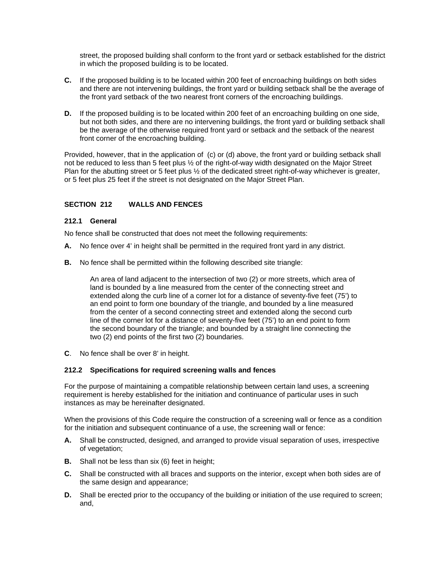street, the proposed building shall conform to the front yard or setback established for the district in which the proposed building is to be located.

- **C.** If the proposed building is to be located within 200 feet of encroaching buildings on both sides and there are not intervening buildings, the front yard or building setback shall be the average of the front yard setback of the two nearest front corners of the encroaching buildings.
- **D.** If the proposed building is to be located within 200 feet of an encroaching building on one side, but not both sides, and there are no intervening buildings, the front yard or building setback shall be the average of the otherwise required front yard or setback and the setback of the nearest front corner of the encroaching building.

Provided, however, that in the application of (c) or (d) above, the front yard or building setback shall not be reduced to less than 5 feet plus ½ of the right-of-way width designated on the Major Street Plan for the abutting street or 5 feet plus ½ of the dedicated street right-of-way whichever is greater, or 5 feet plus 25 feet if the street is not designated on the Major Street Plan.

# **SECTION 212 WALLS AND FENCES**

### **212.1 General**

No fence shall be constructed that does not meet the following requirements:

- **A.** No fence over 4' in height shall be permitted in the required front yard in any district.
- **B.** No fence shall be permitted within the following described site triangle:

An area of land adjacent to the intersection of two (2) or more streets, which area of land is bounded by a line measured from the center of the connecting street and extended along the curb line of a corner lot for a distance of seventy-five feet (75') to an end point to form one boundary of the triangle, and bounded by a line measured from the center of a second connecting street and extended along the second curb line of the corner lot for a distance of seventy-five feet (75') to an end point to form the second boundary of the triangle; and bounded by a straight line connecting the two (2) end points of the first two (2) boundaries.

**C**. No fence shall be over 8' in height.

# **212.2 Specifications for required screening walls and fences**

For the purpose of maintaining a compatible relationship between certain land uses, a screening requirement is hereby established for the initiation and continuance of particular uses in such instances as may be hereinafter designated.

When the provisions of this Code require the construction of a screening wall or fence as a condition for the initiation and subsequent continuance of a use, the screening wall or fence:

- **A.** Shall be constructed, designed, and arranged to provide visual separation of uses, irrespective of vegetation;
- **B.** Shall not be less than six (6) feet in height;
- **C.** Shall be constructed with all braces and supports on the interior, except when both sides are of the same design and appearance;
- **D.** Shall be erected prior to the occupancy of the building or initiation of the use required to screen; and,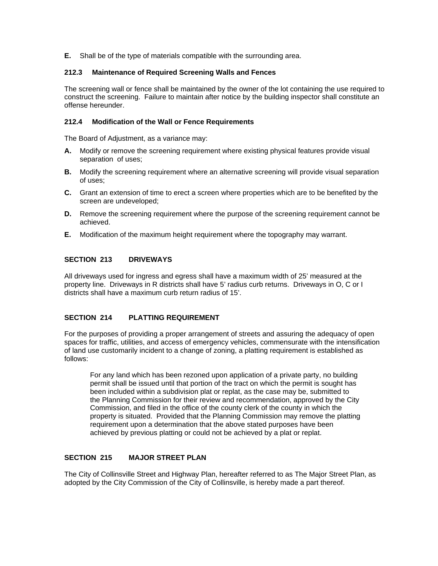**E.** Shall be of the type of materials compatible with the surrounding area.

### **212.3 Maintenance of Required Screening Walls and Fences**

The screening wall or fence shall be maintained by the owner of the lot containing the use required to construct the screening. Failure to maintain after notice by the building inspector shall constitute an offense hereunder.

#### **212.4 Modification of the Wall or Fence Requirements**

The Board of Adjustment, as a variance may:

- **A.** Modify or remove the screening requirement where existing physical features provide visual separation of uses;
- **B.** Modify the screening requirement where an alternative screening will provide visual separation of uses;
- **C.** Grant an extension of time to erect a screen where properties which are to be benefited by the screen are undeveloped;
- **D.** Remove the screening requirement where the purpose of the screening requirement cannot be achieved.
- **E.** Modification of the maximum height requirement where the topography may warrant.

# **SECTION 213 DRIVEWAYS**

All driveways used for ingress and egress shall have a maximum width of 25' measured at the property line. Driveways in R districts shall have 5' radius curb returns. Driveways in O, C or I districts shall have a maximum curb return radius of 15'.

# **SECTION 214 PLATTING REQUIREMENT**

For the purposes of providing a proper arrangement of streets and assuring the adequacy of open spaces for traffic, utilities, and access of emergency vehicles, commensurate with the intensification of land use customarily incident to a change of zoning, a platting requirement is established as follows:

For any land which has been rezoned upon application of a private party, no building permit shall be issued until that portion of the tract on which the permit is sought has been included within a subdivision plat or replat, as the case may be, submitted to the Planning Commission for their review and recommendation, approved by the City Commission, and filed in the office of the county clerk of the county in which the property is situated. Provided that the Planning Commission may remove the platting requirement upon a determination that the above stated purposes have been achieved by previous platting or could not be achieved by a plat or replat.

# **SECTION 215 MAJOR STREET PLAN**

The City of Collinsville Street and Highway Plan, hereafter referred to as The Major Street Plan, as adopted by the City Commission of the City of Collinsville, is hereby made a part thereof.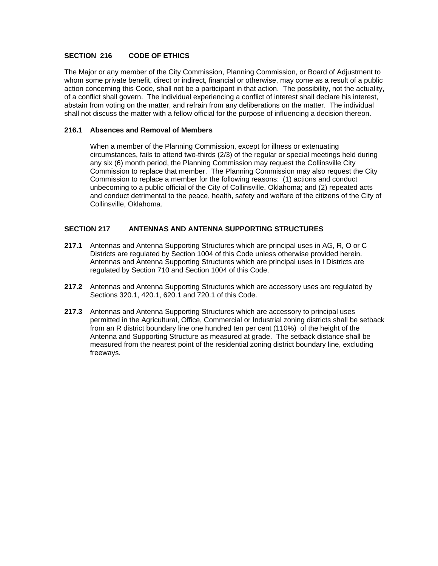### **SECTION 216 CODE OF ETHICS**

The Major or any member of the City Commission, Planning Commission, or Board of Adjustment to whom some private benefit, direct or indirect, financial or otherwise, may come as a result of a public action concerning this Code, shall not be a participant in that action. The possibility, not the actuality, of a conflict shall govern. The individual experiencing a conflict of interest shall declare his interest, abstain from voting on the matter, and refrain from any deliberations on the matter. The individual shall not discuss the matter with a fellow official for the purpose of influencing a decision thereon.

#### **216.1 Absences and Removal of Members**

When a member of the Planning Commission, except for illness or extenuating circumstances, fails to attend two-thirds (2/3) of the regular or special meetings held during any six (6) month period, the Planning Commission may request the Collinsville City Commission to replace that member. The Planning Commission may also request the City Commission to replace a member for the following reasons: (1) actions and conduct unbecoming to a public official of the City of Collinsville, Oklahoma; and (2) repeated acts and conduct detrimental to the peace, health, safety and welfare of the citizens of the City of Collinsville, Oklahoma.

### **SECTION 217 ANTENNAS AND ANTENNA SUPPORTING STRUCTURES**

- **217.1** Antennas and Antenna Supporting Structures which are principal uses in AG, R, O or C Districts are regulated by Section 1004 of this Code unless otherwise provided herein. Antennas and Antenna Supporting Structures which are principal uses in I Districts are regulated by Section 710 and Section 1004 of this Code.
- **217.2** Antennas and Antenna Supporting Structures which are accessory uses are regulated by Sections 320.1, 420.1, 620.1 and 720.1 of this Code.
- **217.3** Antennas and Antenna Supporting Structures which are accessory to principal uses permitted in the Agricultural, Office, Commercial or Industrial zoning districts shall be setback from an R district boundary line one hundred ten per cent (110%) of the height of the Antenna and Supporting Structure as measured at grade. The setback distance shall be measured from the nearest point of the residential zoning district boundary line, excluding freeways.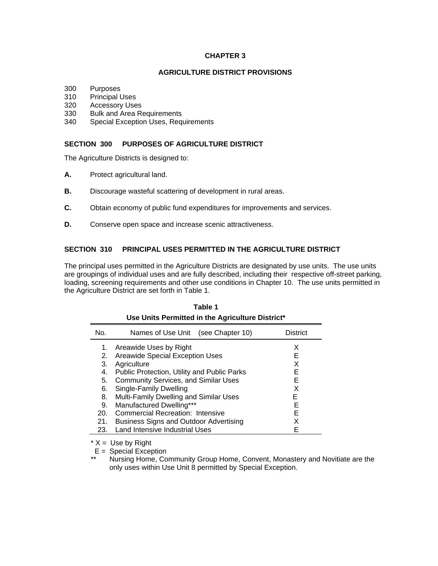#### **CHAPTER 3**

### **AGRICULTURE DISTRICT PROVISIONS**

- 300 Purposes
- 310 Principal Uses
- 320 Accessory Uses
- 330 Bulk and Area Requirements
- 340 Special Exception Uses, Requirements

### **SECTION 300 PURPOSES OF AGRICULTURE DISTRICT**

The Agriculture Districts is designed to:

- **A.** Protect agricultural land.
- **B.** Discourage wasteful scattering of development in rural areas.
- **C.** Obtain economy of public fund expenditures for improvements and services.
- **D.** Conserve open space and increase scenic attractiveness.

# **SECTION 310 PRINCIPAL USES PERMITTED IN THE AGRICULTURE DISTRICT**

The principal uses permitted in the Agriculture Districts are designated by use units. The use units are groupings of individual uses and are fully described, including their respective off-street parking, loading, screening requirements and other use conditions in Chapter 10. The use units permitted in the Agriculture District are set forth in Table 1.

| Use Units Permitted in the Agriculture District* |                                             |                 |  |  |  |
|--------------------------------------------------|---------------------------------------------|-----------------|--|--|--|
| No.                                              | Names of Use Unit (see Chapter 10)          | <b>District</b> |  |  |  |
| 1.                                               | Areawide Uses by Right                      | X               |  |  |  |
| 2.                                               | Areawide Special Exception Uses             | Е               |  |  |  |
| 3.                                               | Agriculture                                 | X               |  |  |  |
| 4.                                               | Public Protection, Utility and Public Parks | Е               |  |  |  |
| 5.                                               | <b>Community Services, and Similar Uses</b> | F               |  |  |  |
| 6.                                               | Single-Family Dwelling                      | X               |  |  |  |
| 8.                                               | Multi-Family Dwelling and Similar Uses      | E.              |  |  |  |
| 9.                                               | Manufactured Dwelling***                    | Е               |  |  |  |
| 20.                                              | Commercial Recreation: Intensive            | Е               |  |  |  |
| 21.                                              | Business Signs and Outdoor Advertising      |                 |  |  |  |
| 23.                                              | Land Intensive Industrial Uses              |                 |  |  |  |

| Table 1                                          |
|--------------------------------------------------|
| Use Units Permitted in the Agriculture District* |

 $* X = \text{Use by Right}$ 

 $E =$  Special Exception<br>\*\*  $N_{\text{F}}$  Home Co

Nursing Home, Community Group Home, Convent, Monastery and Novitiate are the only uses within Use Unit 8 permitted by Special Exception.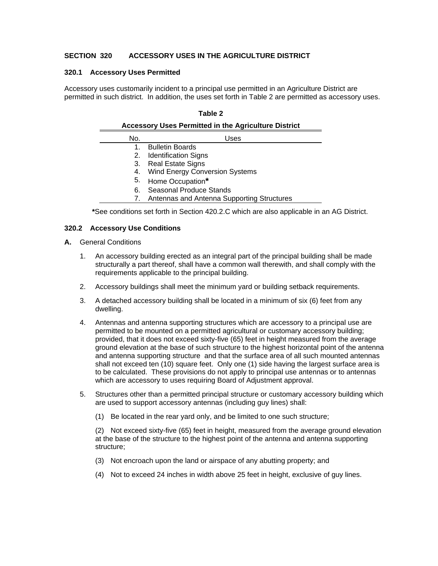## **SECTION 320 ACCESSORY USES IN THE AGRICULTURE DISTRICT**

#### **320.1 Accessory Uses Permitted**

Accessory uses customarily incident to a principal use permitted in an Agriculture District are permitted in such district. In addition, the uses set forth in Table 2 are permitted as accessory uses.

#### **Table 2**

| <b>Accessory Uses Permitted in the Agriculture District</b> |                                               |  |  |  |
|-------------------------------------------------------------|-----------------------------------------------|--|--|--|
| No.                                                         | Uses                                          |  |  |  |
|                                                             | <b>Bulletin Boards</b>                        |  |  |  |
|                                                             | 2. Identification Signs                       |  |  |  |
|                                                             | 3. Real Estate Signs                          |  |  |  |
|                                                             | 4. Wind Energy Conversion Systems             |  |  |  |
|                                                             | 5. Home Occupation*                           |  |  |  |
| 6.                                                          | Seasonal Produce Stands                       |  |  |  |
|                                                             | 7. Antennas and Antenna Supporting Structures |  |  |  |

**\***See conditions set forth in Section 420.2.C which are also applicable in an AG District.

#### **320.2 Accessory Use Conditions**

#### **A.** General Conditions

- 1. An accessory building erected as an integral part of the principal building shall be made structurally a part thereof, shall have a common wall therewith, and shall comply with the requirements applicable to the principal building.
- 2. Accessory buildings shall meet the minimum yard or building setback requirements.
- 3. A detached accessory building shall be located in a minimum of six (6) feet from any dwelling.
- 4. Antennas and antenna supporting structures which are accessory to a principal use are permitted to be mounted on a permitted agricultural or customary accessory building; provided, that it does not exceed sixty-five (65) feet in height measured from the average ground elevation at the base of such structure to the highest horizontal point of the antenna and antenna supporting structure and that the surface area of all such mounted antennas shall not exceed ten (10) square feet. Only one (1) side having the largest surface area is to be calculated. These provisions do not apply to principal use antennas or to antennas which are accessory to uses requiring Board of Adjustment approval.
- 5. Structures other than a permitted principal structure or customary accessory building which are used to support accessory antennas (including guy lines) shall:
	- (1) Be located in the rear yard only, and be limited to one such structure;

 (2) Not exceed sixty-five (65) feet in height, measured from the average ground elevation at the base of the structure to the highest point of the antenna and antenna supporting structure;

- (3) Not encroach upon the land or airspace of any abutting property; and
- (4) Not to exceed 24 inches in width above 25 feet in height, exclusive of guy lines.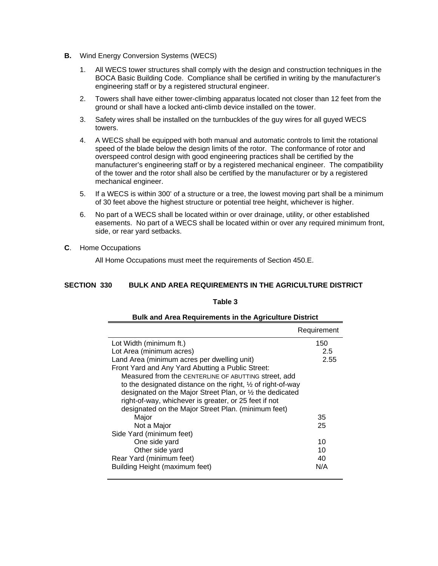- **B.** Wind Energy Conversion Systems (WECS)
	- 1. All WECS tower structures shall comply with the design and construction techniques in the BOCA Basic Building Code. Compliance shall be certified in writing by the manufacturer's engineering staff or by a registered structural engineer.
	- 2. Towers shall have either tower-climbing apparatus located not closer than 12 feet from the ground or shall have a locked anti-climb device installed on the tower.
	- 3. Safety wires shall be installed on the turnbuckles of the guy wires for all guyed WECS towers.
	- 4. A WECS shall be equipped with both manual and automatic controls to limit the rotational speed of the blade below the design limits of the rotor. The conformance of rotor and overspeed control design with good engineering practices shall be certified by the manufacturer's engineering staff or by a registered mechanical engineer. The compatibility of the tower and the rotor shall also be certified by the manufacturer or by a registered mechanical engineer.
	- 5. If a WECS is within 300' of a structure or a tree, the lowest moving part shall be a minimum of 30 feet above the highest structure or potential tree height, whichever is higher.
	- 6. No part of a WECS shall be located within or over drainage, utility, or other established easements. No part of a WECS shall be located within or over any required minimum front, side, or rear yard setbacks.

## **C**. Home Occupations

All Home Occupations must meet the requirements of Section 450.E.

#### **SECTION 330 BULK AND AREA REQUIREMENTS IN THE AGRICULTURE DISTRICT**

#### **Table 3**

| <b>Bulk and Area Requirements in the Agriculture District</b>          |             |  |  |  |
|------------------------------------------------------------------------|-------------|--|--|--|
|                                                                        | Requirement |  |  |  |
| Lot Width (minimum ft.)                                                | 150         |  |  |  |
| Lot Area (minimum acres)                                               | 2.5         |  |  |  |
| Land Area (minimum acres per dwelling unit)                            | 2.55        |  |  |  |
| Front Yard and Any Yard Abutting a Public Street:                      |             |  |  |  |
| Measured from the CENTERLINE OF ABUTTING street, add                   |             |  |  |  |
| to the designated distance on the right, $\frac{1}{2}$ of right-of-way |             |  |  |  |
| designated on the Major Street Plan, or 1/2 the dedicated              |             |  |  |  |
| right-of-way, whichever is greater, or 25 feet if not                  |             |  |  |  |
| designated on the Major Street Plan. (minimum feet)                    |             |  |  |  |
| Major                                                                  | 35          |  |  |  |
| Not a Major                                                            | 25          |  |  |  |
| Side Yard (minimum feet)                                               |             |  |  |  |
| One side yard                                                          | 10          |  |  |  |
| Other side yard                                                        | 10          |  |  |  |
| Rear Yard (minimum feet)                                               | 40          |  |  |  |
| Building Height (maximum feet)                                         | N/A         |  |  |  |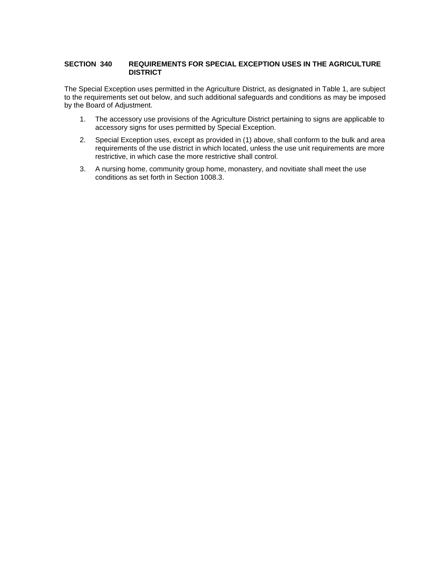# **SECTION 340 REQUIREMENTS FOR SPECIAL EXCEPTION USES IN THE AGRICULTURE DISTRICT**

The Special Exception uses permitted in the Agriculture District, as designated in Table 1, are subject to the requirements set out below, and such additional safeguards and conditions as may be imposed by the Board of Adjustment.

- 1. The accessory use provisions of the Agriculture District pertaining to signs are applicable to accessory signs for uses permitted by Special Exception.
- 2. Special Exception uses, except as provided in (1) above, shall conform to the bulk and area requirements of the use district in which located, unless the use unit requirements are more restrictive, in which case the more restrictive shall control.
- 3. A nursing home, community group home, monastery, and novitiate shall meet the use conditions as set forth in Section 1008.3.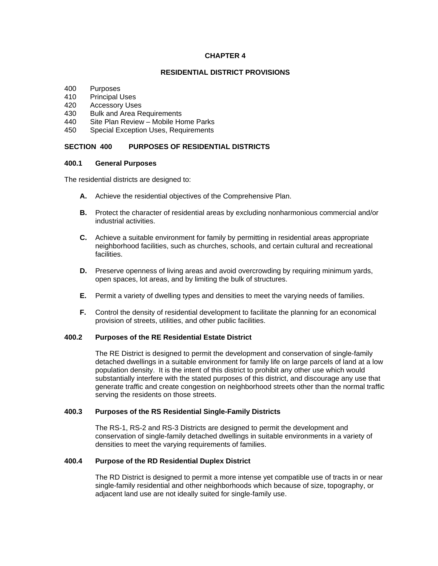#### **CHAPTER 4**

#### **RESIDENTIAL DISTRICT PROVISIONS**

- 400 Purposes
- 410 Principal Uses
- 420 Accessory Uses
- 430 Bulk and Area Requirements
- 440 Site Plan Review Mobile Home Parks
- 450 Special Exception Uses, Requirements

### **SECTION 400 PURPOSES OF RESIDENTIAL DISTRICTS**

#### **400.1 General Purposes**

The residential districts are designed to:

- **A.** Achieve the residential objectives of the Comprehensive Plan.
- **B.** Protect the character of residential areas by excluding nonharmonious commercial and/or industrial activities.
- **C.** Achieve a suitable environment for family by permitting in residential areas appropriate neighborhood facilities, such as churches, schools, and certain cultural and recreational facilities.
- **D.** Preserve openness of living areas and avoid overcrowding by requiring minimum yards, open spaces, lot areas, and by limiting the bulk of structures.
- **E.** Permit a variety of dwelling types and densities to meet the varying needs of families.
- **F.** Control the density of residential development to facilitate the planning for an economical provision of streets, utilities, and other public facilities.

#### **400.2 Purposes of the RE Residential Estate District**

 The RE District is designed to permit the development and conservation of single-family detached dwellings in a suitable environment for family life on large parcels of land at a low population density. It is the intent of this district to prohibit any other use which would substantially interfere with the stated purposes of this district, and discourage any use that generate traffic and create congestion on neighborhood streets other than the normal traffic serving the residents on those streets.

#### **400.3 Purposes of the RS Residential Single-Family Districts**

 The RS-1, RS-2 and RS-3 Districts are designed to permit the development and conservation of single-family detached dwellings in suitable environments in a variety of densities to meet the varying requirements of families.

#### **400.4 Purpose of the RD Residential Duplex District**

 The RD District is designed to permit a more intense yet compatible use of tracts in or near single-family residential and other neighborhoods which because of size, topography, or adjacent land use are not ideally suited for single-family use.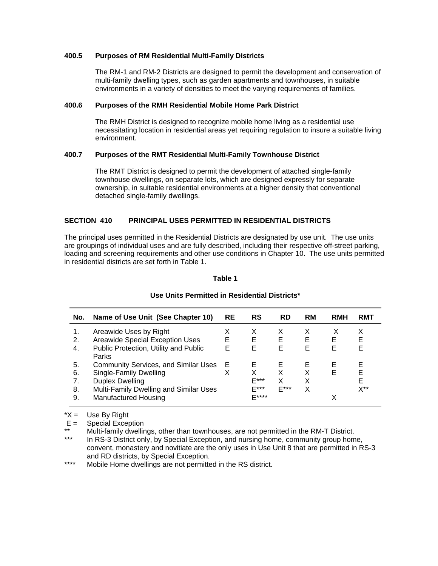#### **400.5 Purposes of RM Residential Multi-Family Districts**

 The RM-1 and RM-2 Districts are designed to permit the development and conservation of multi-family dwelling types, such as garden apartments and townhouses, in suitable environments in a variety of densities to meet the varying requirements of families.

#### **400.6 Purposes of the RMH Residential Mobile Home Park District**

 The RMH District is designed to recognize mobile home living as a residential use necessitating location in residential areas yet requiring regulation to insure a suitable living environment.

#### **400.7 Purposes of the RMT Residential Multi-Family Townhouse District**

 The RMT District is designed to permit the development of attached single-family townhouse dwellings, on separate lots, which are designed expressly for separate ownership, in suitable residential environments at a higher density that conventional detached single-family dwellings.

#### **SECTION 410 PRINCIPAL USES PERMITTED IN RESIDENTIAL DISTRICTS**

The principal uses permitted in the Residential Districts are designated by use unit. The use units are groupings of individual uses and are fully described, including their respective off-street parking, loading and screening requirements and other use conditions in Chapter 10. The use units permitted in residential districts are set forth in Table 1.

#### **Table 1**

| No.                        | Name of Use Unit (See Chapter 10)                                                                                                                                                 | <b>RE</b> | RS                               | <b>RD</b>             | <b>RM</b>   | <b>RMH</b>  | <b>RMT</b>                    |
|----------------------------|-----------------------------------------------------------------------------------------------------------------------------------------------------------------------------------|-----------|----------------------------------|-----------------------|-------------|-------------|-------------------------------|
| 2.<br>4.                   | Areawide Uses by Right<br>Areawide Special Exception Uses<br>Public Protection, Utility and Public                                                                                | E<br>E    | х<br>E<br>E                      | х<br>Е<br>Е           | Е<br>Е      | х<br>Е<br>Е | х<br>Е<br>Е                   |
| 5.<br>6.<br>7.<br>8.<br>9. | Parks<br><b>Community Services, and Similar Uses</b><br>Single-Family Dwelling<br><b>Duplex Dwelling</b><br>Multi-Family Dwelling and Similar Uses<br><b>Manufactured Housing</b> | Е         | Е<br>x<br>F***<br>F***<br>$F***$ | Е<br>x<br>x<br>$E***$ | F<br>Х<br>х | Е<br>Е      | F<br>Е<br>F<br>$X^{\ast\ast}$ |

#### **Use Units Permitted in Residential Districts\***

 $*X =$  Use By Right

 $E =$  Special Exception

\*\* Multi-family dwellings, other than townhouses, are not permitted in the RM-T District.<br>\*\*\* LD RS-3 District only by Special Exception, and pursing home community group home

In RS-3 District only, by Special Exception, and nursing home, community group home, convent, monastery and novitiate are the only uses in Use Unit 8 that are permitted in RS-3 and RD districts, by Special Exception.

\*\*\*\* Mobile Home dwellings are not permitted in the RS district.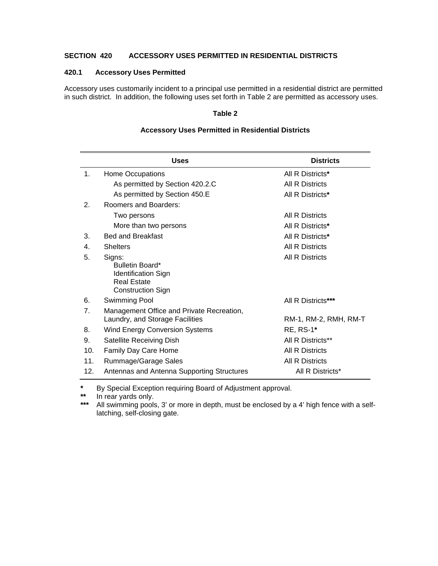# **SECTION 420 ACCESSORY USES PERMITTED IN RESIDENTIAL DISTRICTS**

#### **420.1 Accessory Uses Permitted**

Accessory uses customarily incident to a principal use permitted in a residential district are permitted in such district. In addition, the following uses set forth in Table 2 are permitted as accessory uses.

#### **Table 2**

|                 | <b>Uses</b>                                                                                               | <b>Districts</b>       |
|-----------------|-----------------------------------------------------------------------------------------------------------|------------------------|
| $\mathbf{1}$ .  | Home Occupations                                                                                          | All R Districts*       |
|                 | As permitted by Section 420.2.C                                                                           | <b>All R Districts</b> |
|                 | As permitted by Section 450.E                                                                             | All R Districts*       |
| 2.              | Roomers and Boarders:                                                                                     |                        |
|                 | Two persons                                                                                               | All R Districts        |
|                 | More than two persons                                                                                     | All R Districts*       |
| 3.              | <b>Bed and Breakfast</b>                                                                                  | All R Districts*       |
| 4.              | <b>Shelters</b>                                                                                           | <b>All R Districts</b> |
| 5.              | Signs:<br>Bulletin Board*<br><b>Identification Sign</b><br><b>Real Estate</b><br><b>Construction Sign</b> | <b>All R Districts</b> |
| 6.              | Swimming Pool                                                                                             | All R Districts***     |
| 7.              | Management Office and Private Recreation,<br>Laundry, and Storage Facilities                              | RM-1, RM-2, RMH, RM-T  |
| 8.              | <b>Wind Energy Conversion Systems</b>                                                                     | <b>RE, RS-1*</b>       |
| 9.              | Satellite Receiving Dish                                                                                  | All R Districts**      |
| 10 <sub>1</sub> | Family Day Care Home                                                                                      | <b>All R Districts</b> |
| 11.             | Rummage/Garage Sales                                                                                      | <b>All R Districts</b> |
| 12.             | Antennas and Antenna Supporting Structures                                                                | All R Districts*       |

### **Accessory Uses Permitted in Residential Districts**

**\*** By Special Exception requiring Board of Adjustment approval.

\*\* In rear yards only.<br>\*\*\* All swimming pools

All swimming pools, 3' or more in depth, must be enclosed by a 4' high fence with a selflatching, self-closing gate.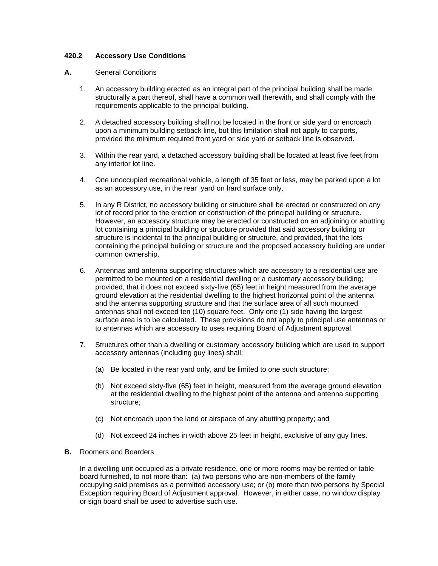### **420.2 Accessory Use Conditions**

#### **A.** General Conditions

- 1. An accessory building erected as an integral part of the principal building shall be made structurally a part thereof, shall have a common wall therewith, and shall comply with the requirements applicable to the principal building.
- 2. A detached accessory building shall not be located in the front or side yard or encroach upon a minimum building setback line, but this limitation shall not apply to carports, provided the minimum required front yard or side yard or setback line is observed.
- 3. Within the rear yard, a detached accessory building shall be located at least five feet from any interior lot line.
- 4. One unoccupied recreational vehicle, a length of 35 feet or less, may be parked upon a lot as an accessory use, in the rear yard on hard surface only.
- 5. In any R District, no accessory building or structure shall be erected or constructed on any lot of record prior to the erection or construction of the principal building or structure. However, an accessory structure may be erected or constructed on an adjoining or abutting lot containing a principal building or structure provided that said accessory building or structure is incidental to the principal building or structure, and provided, that the lots containing the principal building or structure and the proposed accessory building are under common ownership.
- 6. Antennas and antenna supporting structures which are accessory to a residential use are permitted to be mounted on a residential dwelling or a customary accessory building; provided, that it does not exceed sixty-five (65) feet in height measured from the average ground elevation at the residential dwelling to the highest horizontal point of the antenna and the antenna supporting structure and that the surface area of all such mounted antennas shall not exceed ten (10) square feet. Only one (1) side having the largest surface area is to be calculated. These provisions do not apply to principal use antennas or to antennas which are accessory to uses requiring Board of Adjustment approval.
- 7. Structures other than a dwelling or customary accessory building which are used to support accessory antennas (including guy lines) shall:
	- (a) Be located in the rear yard only, and be limited to one such structure;
	- (b) Not exceed sixty-five (65) feet in height, measured from the average ground elevation at the residential dwelling to the highest point of the antenna and antenna supporting structure;
	- (c) Not encroach upon the land or airspace of any abutting property; and
	- (d) Not exceed 24 inches in width above 25 feet in height, exclusive of any guy lines.
- **B.** Roomers and Boarders

 In a dwelling unit occupied as a private residence, one or more rooms may be rented or table board furnished, to not more than: (a) two persons who are non-members of the family occupying said premises as a permitted accessory use; or (b) more than two persons by Special Exception requiring Board of Adjustment approval. However, in either case, no window display or sign board shall be used to advertise such use.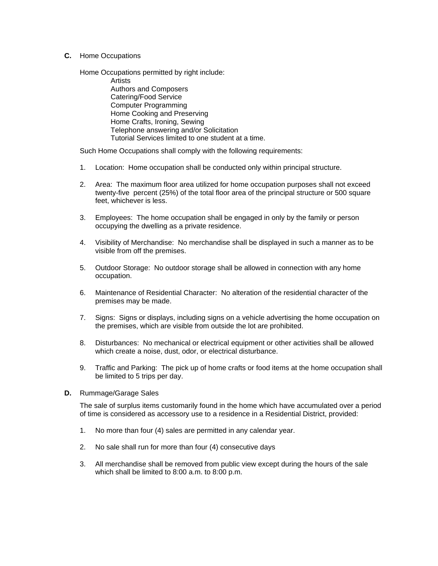**C.** Home Occupations

 Home Occupations permitted by right include: **Artists** 

 Authors and Composers Catering/Food Service Computer Programming Home Cooking and Preserving Home Crafts, Ironing, Sewing Telephone answering and/or Solicitation Tutorial Services limited to one student at a time.

Such Home Occupations shall comply with the following requirements:

- 1. Location: Home occupation shall be conducted only within principal structure.
- 2. Area: The maximum floor area utilized for home occupation purposes shall not exceed twenty-five percent (25%) of the total floor area of the principal structure or 500 square feet, whichever is less.
- 3. Employees: The home occupation shall be engaged in only by the family or person occupying the dwelling as a private residence.
- 4. Visibility of Merchandise: No merchandise shall be displayed in such a manner as to be visible from off the premises.
- 5. Outdoor Storage: No outdoor storage shall be allowed in connection with any home occupation.
- 6. Maintenance of Residential Character: No alteration of the residential character of the premises may be made.
- 7. Signs: Signs or displays, including signs on a vehicle advertising the home occupation on the premises, which are visible from outside the lot are prohibited.
- 8. Disturbances: No mechanical or electrical equipment or other activities shall be allowed which create a noise, dust, odor, or electrical disturbance.
- 9. Traffic and Parking: The pick up of home crafts or food items at the home occupation shall be limited to 5 trips per day.
- **D.** Rummage/Garage Sales

 The sale of surplus items customarily found in the home which have accumulated over a period of time is considered as accessory use to a residence in a Residential District, provided:

- 1. No more than four (4) sales are permitted in any calendar year.
- 2. No sale shall run for more than four (4) consecutive days
- 3. All merchandise shall be removed from public view except during the hours of the sale which shall be limited to 8:00 a.m. to 8:00 p.m.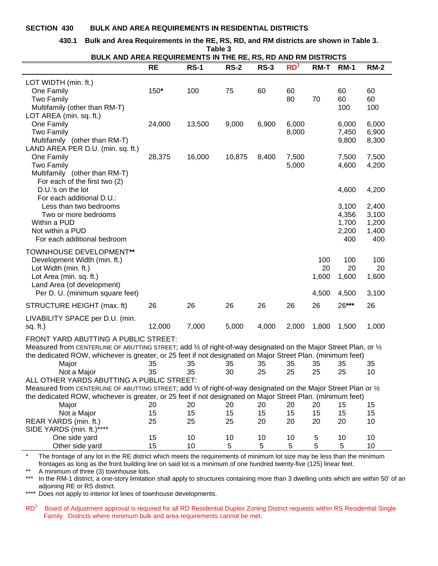#### **SECTION 430 BULK AND AREA REQUIREMENTS IN RESIDENTIAL DISTRICTS**

#### **430.1 Bulk and Area Requirements in the RE, RS, RD, and RM districts are shown in Table 3.**

**Table 3 BULK AND AREA REQUIREMENTS IN THE RE, RS, RD AND RM DISTRICTS** 

| BULN AND AREA REQUIREMENTS IN THE RE, RS, RD AND RM DISTRICTS                                                                       |        |             |             |             |                 |             |                |                |
|-------------------------------------------------------------------------------------------------------------------------------------|--------|-------------|-------------|-------------|-----------------|-------------|----------------|----------------|
|                                                                                                                                     | RE     | <b>RS-1</b> | <b>RS-2</b> | <b>RS-3</b> | RD <sup>1</sup> | <b>RM-T</b> | <b>RM-1</b>    | <b>RM-2</b>    |
| LOT WIDTH (min. ft.)                                                                                                                |        |             |             |             |                 |             |                |                |
| One Family                                                                                                                          | 150*   | 100         | 75          | 60          | 60              |             | 60             | 60             |
| <b>Two Family</b>                                                                                                                   |        |             |             |             | 80              | 70          | 60             | 60             |
| Multifamily (other than RM-T)                                                                                                       |        |             |             |             |                 |             | 100            | 100            |
| LOT AREA (min. sq. ft.)                                                                                                             |        |             |             |             |                 |             |                |                |
| One Family                                                                                                                          | 24,000 | 13,500      | 9,000       | 6,900       | 6,000           |             | 6,000          | 6,000          |
| <b>Two Family</b>                                                                                                                   |        |             |             |             | 8,000           |             | 7,450          | 6,900          |
| Multifamily (other than RM-T)                                                                                                       |        |             |             |             |                 |             | 9,800          | 8,300          |
| LAND AREA PER D.U. (min. sq. ft.)                                                                                                   |        |             |             |             |                 |             |                |                |
| One Family                                                                                                                          | 28,375 | 16,000      | 10,875      | 8,400       | 7,500           |             | 7,500          | 7,500          |
| <b>Two Family</b>                                                                                                                   |        |             |             |             | 5,000           |             | 4,600          | 4,200          |
| Multifamily (other than RM-T)                                                                                                       |        |             |             |             |                 |             |                |                |
| For each of the first two (2)                                                                                                       |        |             |             |             |                 |             |                |                |
| D.U.'s on the lot                                                                                                                   |        |             |             |             |                 |             | 4,600          | 4,200          |
| For each additional D.U.:                                                                                                           |        |             |             |             |                 |             |                |                |
| Less than two bedrooms<br>Two or more bedrooms                                                                                      |        |             |             |             |                 |             | 3,100          | 2,400          |
| Within a PUD                                                                                                                        |        |             |             |             |                 |             | 4,356<br>1,700 | 3,100<br>1,200 |
| Not within a PUD                                                                                                                    |        |             |             |             |                 |             | 2,200          | 1,400          |
| For each additional bedroom                                                                                                         |        |             |             |             |                 |             | 400            | 400            |
|                                                                                                                                     |        |             |             |             |                 |             |                |                |
| <b>TOWNHOUSE DEVELOPMENT**</b>                                                                                                      |        |             |             |             |                 |             |                |                |
| Development Width (min. ft.)                                                                                                        |        |             |             |             |                 | 100         | 100            | 100            |
| Lot Width (min. ft.)                                                                                                                |        |             |             |             |                 | 20          | 20             | 20             |
| Lot Area (min. sq. ft.)                                                                                                             |        |             |             |             |                 | 1,600       | 1,600          | 1,600          |
| Land Area (of development)<br>Per D. U. (minimum square feet)                                                                       |        |             |             |             |                 | 4,500       | 4,500          | 3,100          |
|                                                                                                                                     |        |             |             |             |                 |             |                |                |
| STRUCTURE HEIGHT (max. ft)                                                                                                          | 26     | 26          | 26          | 26          | 26              | 26          | 26***          | 26             |
| LIVABILITY SPACE per D.U. (min.                                                                                                     |        |             |             |             |                 |             |                |                |
| sq. $ft.$ )                                                                                                                         | 12,000 | 7,000       | 5,000       | 4,000       | 2,000           | 1,800       | 1,500          | 1,000          |
| FRONT YARD ABUTTING A PUBLIC STREET:                                                                                                |        |             |             |             |                 |             |                |                |
| Measured from CENTERLINE OF ABUTTING STREET; add 1/2 of right-of-way designated on the Major Street Plan, or 1/2                    |        |             |             |             |                 |             |                |                |
| the dedicated ROW, whichever is greater, or 25 feet if not designated on Major Street Plan. (minimum feet)                          |        |             |             |             |                 |             |                |                |
| Major                                                                                                                               | 35     | 35          | 35          | 35          | 35              | 35          | 35             | 35             |
| Not a Major                                                                                                                         | 35     | 35          | 30          | 25          | 25              | 25          | 25             | 10             |
| ALL OTHER YARDS ABUTTING A PUBLIC STREET:                                                                                           |        |             |             |             |                 |             |                |                |
| Measured from CENTERLINE OF ABUTTING STREET; add $\frac{1}{2}$ of right-of-way designated on the Major Street Plan or $\frac{1}{2}$ |        |             |             |             |                 |             |                |                |
| the dedicated ROW, whichever is greater, or 25 feet if not designated on Major Street Plan. (minimum feet)                          |        |             |             |             |                 |             |                |                |
| Major                                                                                                                               | 20     | 20          | 20          | 20          | 20              | 20          | 15             | 15             |
| Not a Major                                                                                                                         | 15     | 15          | 15          | 15          | 15              | 15          | 15             | 15             |
| REAR YARDS (min. ft.)                                                                                                               | 25     | 25          | 25          | 20          | 20              | 20          | 20             | 10             |
| SIDE YARDS (min. ft.)****                                                                                                           |        |             |             |             |                 |             |                |                |
| One side yard                                                                                                                       | 15     | 10          | 10          | 10          | 10              | 5           | 10             | 10             |
| Other side yard                                                                                                                     | 15     | 10          | 5           | 5           | 5               | 5           | 5              | 10             |

\* The frontage of any lot in the RE district which meets the requirements of minimum lot size may be less than the minimum frontages as long as the front building line on said lot is a minimum of one hundred twenty-five (125) linear feet.

\*\* A minimum of three (3) townhouse lots.

\*\*\* In the RM-1 district, a one-story limitation shall apply to structures containing more than 3 dwelling units which are within 50' of an adjoining RE or RS district.

\*\*\*\* Does not apply to interior lot lines of townhouse developments.

RD<sup>1</sup> Board of Adjustment approval is required for all RD Residential Duplex Zoning District requests within RS Residential Single Family Districts where minimum bulk and area requirements cannot be met.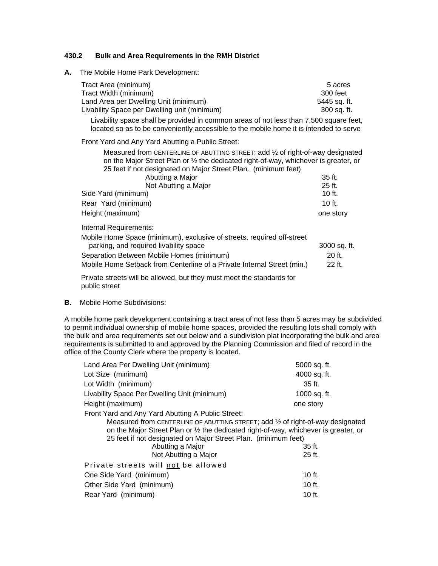#### **430.2 Bulk and Area Requirements in the RMH District**

**A.** The Mobile Home Park Development:

| Tract Area (minimum)                         | 5 acres      |
|----------------------------------------------|--------------|
| Tract Width (minimum)                        | 300 feet     |
| Land Area per Dwelling Unit (minimum)        | 5445 sa. ft. |
| Livability Space per Dwelling unit (minimum) | 300 sa. ft.  |

Livability space shall be provided in common areas of not less than 7,500 square feet, located so as to be conveniently accessible to the mobile home it is intended to serve

Front Yard and Any Yard Abutting a Public Street:

 Measured from CENTERLINE OF ABUTTING STREET; add ½ of right-of-way designated on the Major Street Plan or ½ the dedicated right-of-way, whichever is greater, or 25 feet if not designated on Major Street Plan. (minimum feet)

| Abutting a Major                                                       | $35$ ft.     |
|------------------------------------------------------------------------|--------------|
| Not Abutting a Major                                                   | 25 ft.       |
| Side Yard (minimum)                                                    | $10$ ft.     |
| Rear Yard (minimum)                                                    | $10$ ft.     |
| Height (maximum)                                                       | one story    |
| Internal Requirements:                                                 |              |
| Mobile Home Space (minimum), exclusive of streets, required off-street |              |
| parking, and required livability space                                 | 3000 sq. ft. |
| Separation Between Mobile Homes (minimum)                              | 20 ft.       |

Mobile Home Setback from Centerline of a Private Internal Street (min.) 22 ft. Private streets will be allowed, but they must meet the standards for

public street

**B.** Mobile Home Subdivisions:

A mobile home park development containing a tract area of not less than 5 acres may be subdivided to permit individual ownership of mobile home spaces, provided the resulting lots shall comply with the bulk and area requirements set out below and a subdivision plat incorporating the bulk and area requirements is submitted to and approved by the Planning Commission and filed of record in the office of the County Clerk where the property is located.

| Land Area Per Dwelling Unit (minimum)                                                                                                                                                                                                                                                                                                      | 5000 sq. ft.         |
|--------------------------------------------------------------------------------------------------------------------------------------------------------------------------------------------------------------------------------------------------------------------------------------------------------------------------------------------|----------------------|
| Lot Size (minimum)                                                                                                                                                                                                                                                                                                                         | 4000 sq. ft.         |
| Lot Width (minimum)                                                                                                                                                                                                                                                                                                                        | $35$ ft.             |
| Livability Space Per Dwelling Unit (minimum)                                                                                                                                                                                                                                                                                               | 1000 sq. ft.         |
| Height (maximum)                                                                                                                                                                                                                                                                                                                           | one story            |
| Front Yard and Any Yard Abutting A Public Street:<br>Measured from CENTERLINE OF ABUTTING STREET; add 1/2 of right-of-way designated<br>on the Major Street Plan or 1/2 the dedicated right-of-way, whichever is greater, or<br>25 feet if not designated on Major Street Plan. (minimum feet)<br>Abutting a Major<br>Not Abutting a Major | $35$ ft.<br>$25$ ft. |
| Private streets will not be allowed                                                                                                                                                                                                                                                                                                        |                      |
| One Side Yard (minimum)                                                                                                                                                                                                                                                                                                                    | $10$ ft.             |
| Other Side Yard (minimum)                                                                                                                                                                                                                                                                                                                  | 10 $ft.$             |
| Rear Yard (minimum)                                                                                                                                                                                                                                                                                                                        | $10$ ft.             |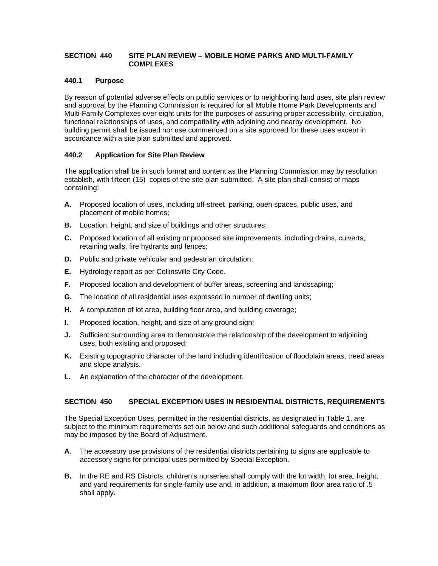#### **SECTION 440 SITE PLAN REVIEW – MOBILE HOME PARKS AND MULTI-FAMILY COMPLEXES**

# **440.1 Purpose**

By reason of potential adverse effects on public services or to neighboring land uses, site plan review and approval by the Planning Commission is required for all Mobile Home Park Developments and Multi-Family Complexes over eight units for the purposes of assuring proper accessibility, circulation, functional relationships of uses, and compatibility with adjoining and nearby development. No building permit shall be issued nor use commenced on a site approved for these uses except in accordance with a site plan submitted and approved.

# **440.2 Application for Site Plan Review**

The application shall be in such format and content as the Planning Commission may by resolution establish, with fifteen (15) copies of the site plan submitted. A site plan shall consist of maps containing:

- **A.** Proposed location of uses, including off-street parking, open spaces, public uses, and placement of mobile homes;
- **B.** Location, height, and size of buildings and other structures;
- **C.** Proposed location of all existing or proposed site improvements, including drains, culverts, retaining walls, fire hydrants and fences;
- **D.** Public and private vehicular and pedestrian circulation;
- **E.** Hydrology report as per Collinsville City Code.
- **F.** Proposed location and development of buffer areas, screening and landscaping;
- **G.** The location of all residential uses expressed in number of dwelling units;
- **H.** A computation of lot area, building floor area, and building coverage;
- **I.** Proposed location, height, and size of any ground sign;
- **J.** Sufficient surrounding area to demonstrate the relationship of the development to adjoining uses, both existing and proposed;
- **K.** Existing topographic character of the land including identification of floodplain areas, treed areas and slope analysis.
- **L.** An explanation of the character of the development.

# **SECTION 450 SPECIAL EXCEPTION USES IN RESIDENTIAL DISTRICTS, REQUIREMENTS**

The Special Exception Uses, permitted in the residential districts, as designated in Table 1, are subject to the minimum requirements set out below and such additional safeguards and conditions as may be imposed by the Board of Adjustment.

- **A**. The accessory use provisions of the residential districts pertaining to signs are applicable to accessory signs for principal uses permitted by Special Exception.
- **B.** In the RE and RS Districts, children's nurseries shall comply with the lot width, lot area, height, and yard requirements for single-family use and, in addition, a maximum floor area ratio of .5 shall apply.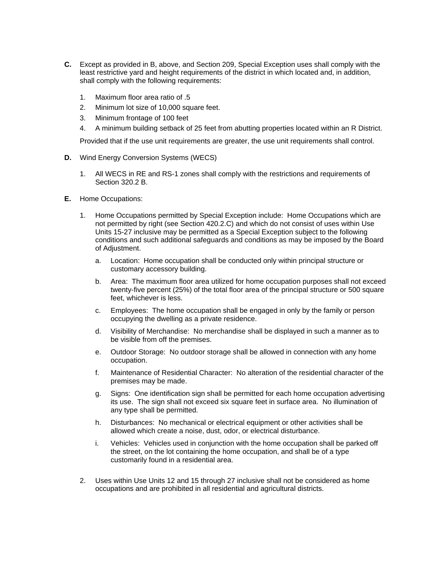- **C.** Except as provided in B, above, and Section 209, Special Exception uses shall comply with the least restrictive yard and height requirements of the district in which located and, in addition, shall comply with the following requirements:
	- 1. Maximum floor area ratio of .5
	- 2. Minimum lot size of 10,000 square feet.
	- 3. Minimum frontage of 100 feet
	- 4. A minimum building setback of 25 feet from abutting properties located within an R District.

Provided that if the use unit requirements are greater, the use unit requirements shall control.

- **D.** Wind Energy Conversion Systems (WECS)
	- 1. All WECS in RE and RS-1 zones shall comply with the restrictions and requirements of Section 320.2 B.
- **E.** Home Occupations:
	- 1. Home Occupations permitted by Special Exception include: Home Occupations which are not permitted by right (see Section 420.2.C) and which do not consist of uses within Use Units 15-27 inclusive may be permitted as a Special Exception subject to the following conditions and such additional safeguards and conditions as may be imposed by the Board of Adjustment.
		- a. Location: Home occupation shall be conducted only within principal structure or customary accessory building.
		- b. Area: The maximum floor area utilized for home occupation purposes shall not exceed twenty-five percent (25%) of the total floor area of the principal structure or 500 square feet, whichever is less.
		- c. Employees: The home occupation shall be engaged in only by the family or person occupying the dwelling as a private residence.
		- d. Visibility of Merchandise: No merchandise shall be displayed in such a manner as to be visible from off the premises.
		- e. Outdoor Storage: No outdoor storage shall be allowed in connection with any home occupation.
		- f. Maintenance of Residential Character: No alteration of the residential character of the premises may be made.
		- g. Signs: One identification sign shall be permitted for each home occupation advertising its use. The sign shall not exceed six square feet in surface area. No illumination of any type shall be permitted.
		- h. Disturbances: No mechanical or electrical equipment or other activities shall be allowed which create a noise, dust, odor, or electrical disturbance.
		- i. Vehicles: Vehicles used in conjunction with the home occupation shall be parked off the street, on the lot containing the home occupation, and shall be of a type customarily found in a residential area.
	- 2. Uses within Use Units 12 and 15 through 27 inclusive shall not be considered as home occupations and are prohibited in all residential and agricultural districts.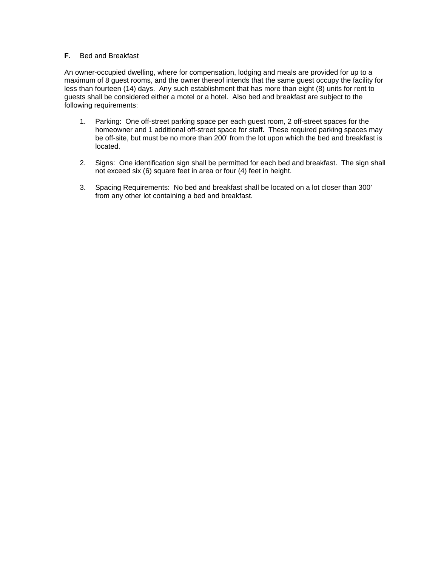#### **F.** Bed and Breakfast

An owner-occupied dwelling, where for compensation, lodging and meals are provided for up to a maximum of 8 guest rooms, and the owner thereof intends that the same guest occupy the facility for less than fourteen (14) days. Any such establishment that has more than eight (8) units for rent to guests shall be considered either a motel or a hotel. Also bed and breakfast are subject to the following requirements:

- 1. Parking: One off-street parking space per each guest room, 2 off-street spaces for the homeowner and 1 additional off-street space for staff. These required parking spaces may be off-site, but must be no more than 200' from the lot upon which the bed and breakfast is located.
- 2. Signs: One identification sign shall be permitted for each bed and breakfast. The sign shall not exceed six (6) square feet in area or four (4) feet in height.
- 3. Spacing Requirements: No bed and breakfast shall be located on a lot closer than 300' from any other lot containing a bed and breakfast.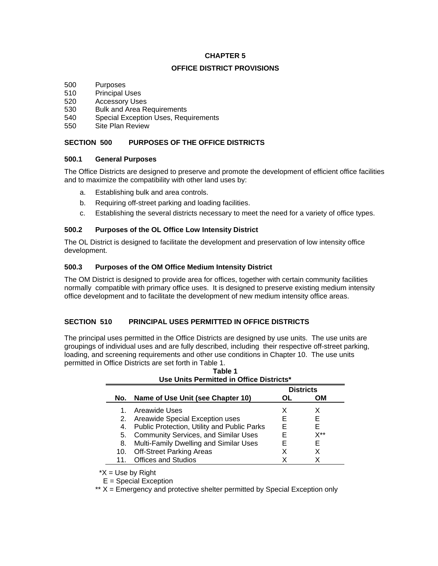### **CHAPTER 5**

#### **OFFICE DISTRICT PROVISIONS**

- 500 Purposes
- 510 Principal Uses
- 520 Accessory Uses
- 530 Bulk and Area Requirements
- 540 Special Exception Uses, Requirements
- 550 Site Plan Review

# **SECTION 500 PURPOSES OF THE OFFICE DISTRICTS**

#### **500.1 General Purposes**

The Office Districts are designed to preserve and promote the development of efficient office facilities and to maximize the compatibility with other land uses by:

- a. Establishing bulk and area controls.
- b. Requiring off-street parking and loading facilities.
- c. Establishing the several districts necessary to meet the need for a variety of office types.

### **500.2 Purposes of the OL Office Low Intensity District**

The OL District is designed to facilitate the development and preservation of low intensity office development.

# **500.3 Purposes of the OM Office Medium Intensity District**

The OM District is designed to provide area for offices, together with certain community facilities normally compatible with primary office uses. It is designed to preserve existing medium intensity office development and to facilitate the development of new medium intensity office areas.

# **SECTION 510 PRINCIPAL USES PERMITTED IN OFFICE DISTRICTS**

The principal uses permitted in the Office Districts are designed by use units. The use units are groupings of individual uses and are fully described, including their respective off-street parking, loading, and screening requirements and other use conditions in Chapter 10. The use units permitted in Office Districts are set forth in Table 1.

|     | USE UNIts Permitted in Office Districts"    |    |     |  |  |  |
|-----|---------------------------------------------|----|-----|--|--|--|
|     | <b>Districts</b>                            |    |     |  |  |  |
| No. | Name of Use Unit (see Chapter 10)           | ΟL | OМ  |  |  |  |
|     | Areawide Uses                               | х  | х   |  |  |  |
| 2.  | Areawide Special Exception uses             | F  | F   |  |  |  |
| 4.  | Public Protection, Utility and Public Parks | F  | F   |  |  |  |
| 5.  | <b>Community Services, and Similar Uses</b> | F  | X** |  |  |  |
| 8.  | Multi-Family Dwelling and Similar Uses      | F  | F   |  |  |  |
| 10. | <b>Off-Street Parking Areas</b>             | x  | X   |  |  |  |
| 11. | <b>Offices and Studios</b>                  |    |     |  |  |  |

| Table 1                                  |  |
|------------------------------------------|--|
| Use Units Permitted in Office Districts* |  |

 $*X =$  Use by Right

E = Special Exception

\*\*  $X =$  Emergency and protective shelter permitted by Special Exception only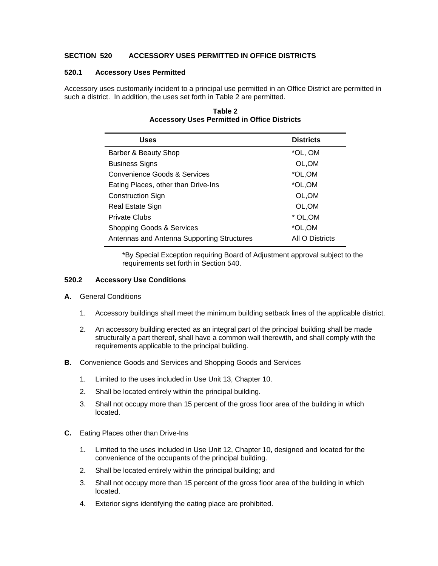### **SECTION 520 ACCESSORY USES PERMITTED IN OFFICE DISTRICTS**

#### **520.1 Accessory Uses Permitted**

Accessory uses customarily incident to a principal use permitted in an Office District are permitted in such a district. In addition, the uses set forth in Table 2 are permitted.

| <b>Uses</b>                                | <b>Districts</b> |
|--------------------------------------------|------------------|
| Barber & Beauty Shop                       | *OL, OM          |
| <b>Business Signs</b>                      | OL, OM           |
| Convenience Goods & Services               | *OL,OM           |
| Eating Places, other than Drive-Ins        | *OL,OM           |
| <b>Construction Sign</b>                   | OL,OM            |
| Real Estate Sign                           | OL, OM           |
| <b>Private Clubs</b>                       | * OL, OM         |
| Shopping Goods & Services                  | *OL,OM           |
| Antennas and Antenna Supporting Structures | All O Districts  |

# **Table 2 Accessory Uses Permitted in Office Districts**

 \*By Special Exception requiring Board of Adjustment approval subject to the requirements set forth in Section 540.

#### **520.2 Accessory Use Conditions**

- **A.** General Conditions
	- 1. Accessory buildings shall meet the minimum building setback lines of the applicable district.
	- 2. An accessory building erected as an integral part of the principal building shall be made structurally a part thereof, shall have a common wall therewith, and shall comply with the requirements applicable to the principal building.
- **B.** Convenience Goods and Services and Shopping Goods and Services
	- 1. Limited to the uses included in Use Unit 13, Chapter 10.
	- 2. Shall be located entirely within the principal building.
	- 3. Shall not occupy more than 15 percent of the gross floor area of the building in which located.
- **C.** Eating Places other than Drive-Ins
	- 1. Limited to the uses included in Use Unit 12, Chapter 10, designed and located for the convenience of the occupants of the principal building.
	- 2. Shall be located entirely within the principal building; and
	- 3. Shall not occupy more than 15 percent of the gross floor area of the building in which located.
	- 4. Exterior signs identifying the eating place are prohibited.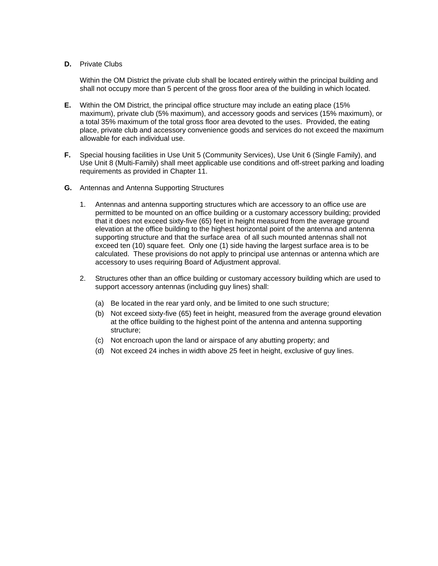#### **D.** Private Clubs

 Within the OM District the private club shall be located entirely within the principal building and shall not occupy more than 5 percent of the gross floor area of the building in which located.

- **E.** Within the OM District, the principal office structure may include an eating place (15% maximum), private club (5% maximum), and accessory goods and services (15% maximum), or a total 35% maximum of the total gross floor area devoted to the uses. Provided, the eating place, private club and accessory convenience goods and services do not exceed the maximum allowable for each individual use.
- **F.** Special housing facilities in Use Unit 5 (Community Services), Use Unit 6 (Single Family), and Use Unit 8 (Multi-Family) shall meet applicable use conditions and off-street parking and loading requirements as provided in Chapter 11.
- **G.** Antennas and Antenna Supporting Structures
	- 1. Antennas and antenna supporting structures which are accessory to an office use are permitted to be mounted on an office building or a customary accessory building; provided that it does not exceed sixty-five (65) feet in height measured from the average ground elevation at the office building to the highest horizontal point of the antenna and antenna supporting structure and that the surface area of all such mounted antennas shall not exceed ten (10) square feet. Only one (1) side having the largest surface area is to be calculated. These provisions do not apply to principal use antennas or antenna which are accessory to uses requiring Board of Adjustment approval.
	- 2. Structures other than an office building or customary accessory building which are used to support accessory antennas (including guy lines) shall:
		- (a) Be located in the rear yard only, and be limited to one such structure;
		- (b) Not exceed sixty-five (65) feet in height, measured from the average ground elevation at the office building to the highest point of the antenna and antenna supporting structure;
		- (c) Not encroach upon the land or airspace of any abutting property; and
		- (d) Not exceed 24 inches in width above 25 feet in height, exclusive of guy lines.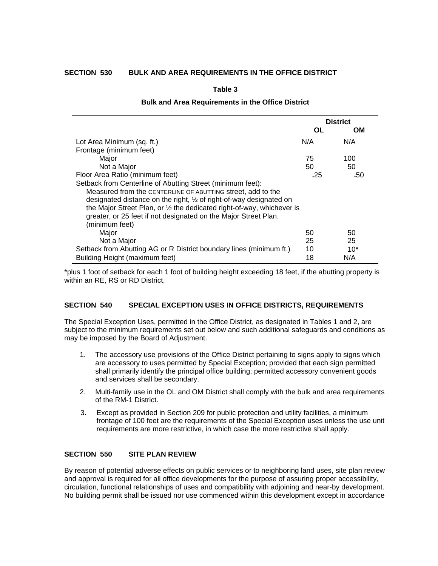# **SECTION 530 BULK AND AREA REQUIREMENTS IN THE OFFICE DISTRICT**

**Table 3** 

#### **Bulk and Area Requirements in the Office District**

|                                                                        | <b>District</b> |       |
|------------------------------------------------------------------------|-----------------|-------|
|                                                                        | ΟL              | OМ    |
| Lot Area Minimum (sq. ft.)                                             | N/A             | N/A   |
| Frontage (minimum feet)                                                |                 |       |
| Major                                                                  | 75              | 100   |
| Not a Major                                                            | 50              | 50    |
| Floor Area Ratio (minimum feet)                                        | .25             | .50   |
| Setback from Centerline of Abutting Street (minimum feet):             |                 |       |
| Measured from the CENTERLINE OF ABUTTING street, add to the            |                 |       |
| designated distance on the right, 1/2 of right-of-way designated on    |                 |       |
| the Major Street Plan, or 1/2 the dedicated right-of-way, whichever is |                 |       |
| greater, or 25 feet if not designated on the Major Street Plan.        |                 |       |
| (minimum feet)                                                         |                 |       |
| Major                                                                  | 50              | 50    |
| Not a Major                                                            | 25              | 25    |
| Setback from Abutting AG or R District boundary lines (minimum ft.)    | 10              | $10*$ |
| Building Height (maximum feet)                                         | 18              | N/A   |

\*plus 1 foot of setback for each 1 foot of building height exceeding 18 feet, if the abutting property is within an RE, RS or RD District.

#### **SECTION 540 SPECIAL EXCEPTION USES IN OFFICE DISTRICTS, REQUIREMENTS**

The Special Exception Uses, permitted in the Office District, as designated in Tables 1 and 2, are subject to the minimum requirements set out below and such additional safeguards and conditions as may be imposed by the Board of Adjustment.

- 1. The accessory use provisions of the Office District pertaining to signs apply to signs which are accessory to uses permitted by Special Exception; provided that each sign permitted shall primarily identify the principal office building; permitted accessory convenient goods and services shall be secondary.
- 2. Multi-family use in the OL and OM District shall comply with the bulk and area requirements of the RM-1 District.
- 3. Except as provided in Section 209 for public protection and utility facilities, a minimum frontage of 100 feet are the requirements of the Special Exception uses unless the use unit requirements are more restrictive, in which case the more restrictive shall apply.

#### **SECTION 550 SITE PLAN REVIEW**

By reason of potential adverse effects on public services or to neighboring land uses, site plan review and approval is required for all office developments for the purpose of assuring proper accessibility, circulation, functional relationships of uses and compatibility with adjoining and near-by development. No building permit shall be issued nor use commenced within this development except in accordance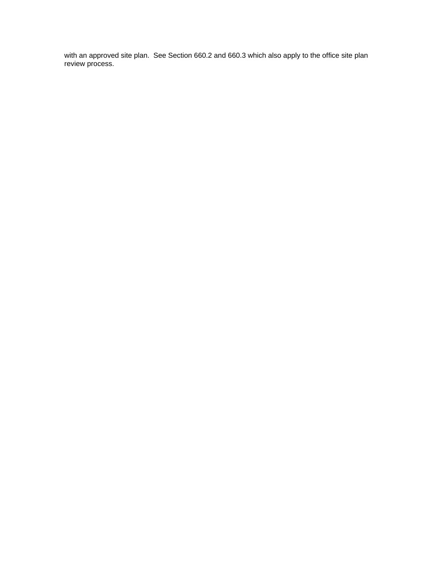with an approved site plan. See Section 660.2 and 660.3 which also apply to the office site plan review process.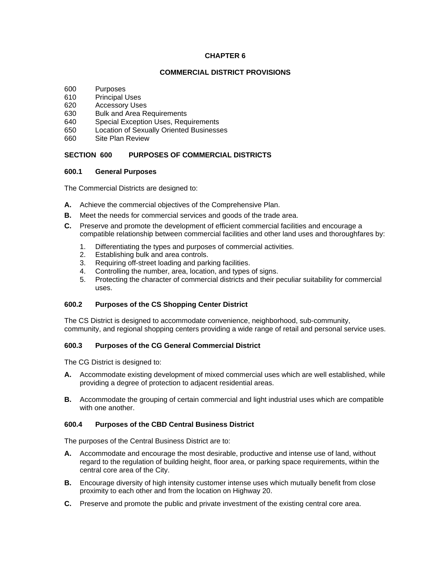#### **CHAPTER 6**

#### **COMMERCIAL DISTRICT PROVISIONS**

- 600 Purposes
- 610 Principal Uses
- 620 Accessory Uses
- 630 Bulk and Area Requirements
- 640 Special Exception Uses, Requirements
- 650 Location of Sexually Oriented Businesses
- 660 Site Plan Review

## **SECTION 600 PURPOSES OF COMMERCIAL DISTRICTS**

#### **600.1 General Purposes**

The Commercial Districts are designed to:

- **A.** Achieve the commercial objectives of the Comprehensive Plan.
- **B.** Meet the needs for commercial services and goods of the trade area.
- **C.** Preserve and promote the development of efficient commercial facilities and encourage a compatible relationship between commercial facilities and other land uses and thoroughfares by:
	- 1. Differentiating the types and purposes of commercial activities.
	- 2. Establishing bulk and area controls.
	- 3. Requiring off-street loading and parking facilities.
	- 4. Controlling the number, area, location, and types of signs.
	- 5. Protecting the character of commercial districts and their peculiar suitability for commercial uses.

# **600.2 Purposes of the CS Shopping Center District**

The CS District is designed to accommodate convenience, neighborhood, sub-community, community, and regional shopping centers providing a wide range of retail and personal service uses.

# **600.3 Purposes of the CG General Commercial District**

The CG District is designed to:

- **A.** Accommodate existing development of mixed commercial uses which are well established, while providing a degree of protection to adjacent residential areas.
- **B.** Accommodate the grouping of certain commercial and light industrial uses which are compatible with one another.

#### **600.4 Purposes of the CBD Central Business District**

The purposes of the Central Business District are to:

- **A.** Accommodate and encourage the most desirable, productive and intense use of land, without regard to the regulation of building height, floor area, or parking space requirements, within the central core area of the City.
- **B.** Encourage diversity of high intensity customer intense uses which mutually benefit from close proximity to each other and from the location on Highway 20.
- **C.** Preserve and promote the public and private investment of the existing central core area.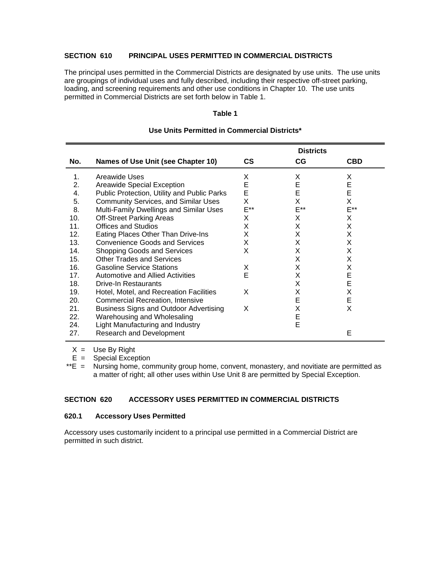# **SECTION 610 PRINCIPAL USES PERMITTED IN COMMERCIAL DISTRICTS**

The principal uses permitted in the Commercial Districts are designated by use units. The use units are groupings of individual uses and fully described, including their respective off-street parking, loading, and screening requirements and other use conditions in Chapter 10. The use units permitted in Commercial Districts are set forth below in Table 1.

#### **Table 1**

|     |                                             |           | <b>Districts</b> |            |
|-----|---------------------------------------------|-----------|------------------|------------|
| No. | Names of Use Unit (see Chapter 10)          | <b>CS</b> | CG               | <b>CBD</b> |
| 1.  | Areawide Uses                               | X         | Χ                | Χ          |
| 2.  | Areawide Special Exception                  | E         | E                | E          |
| 4.  | Public Protection, Utility and Public Parks | E         | E                | E          |
| 5.  | <b>Community Services, and Similar Uses</b> | Χ         | Χ                | Χ          |
| 8.  | Multi-Family Dwellings and Similar Uses     | E**       | E**              | E**        |
| 10. | <b>Off-Street Parking Areas</b>             | х         | Χ                | Χ          |
| 11. | Offices and Studios                         | Χ         | X                | X          |
| 12. | Eating Places Other Than Drive-Ins          | Χ         | х                | Χ          |
| 13. | <b>Convenience Goods and Services</b>       | Χ         | х                | Χ          |
| 14. | <b>Shopping Goods and Services</b>          | X         | Χ                | Χ          |
| 15. | <b>Other Trades and Services</b>            |           | X                | Χ          |
| 16. | <b>Gasoline Service Stations</b>            | Х         | X                | X          |
| 17. | Automotive and Allied Activities            | E         | X                | E          |
| 18. | <b>Drive-In Restaurants</b>                 |           | X                | E          |
| 19. | Hotel, Motel, and Recreation Facilities     | X         | X                | X          |
| 20. | <b>Commercial Recreation, Intensive</b>     |           | E                | E          |
| 21. | Business Signs and Outdoor Advertising      | X         | X                | X          |
| 22. | Warehousing and Wholesaling                 |           | E                |            |
| 24. | Light Manufacturing and Industry            |           | E                |            |
| 27. | <b>Research and Development</b>             |           |                  | Е          |

#### **Use Units Permitted in Commercial Districts\***

 $X =$  Use By Right

 $E =$  Special Exception<br>\*\*E = Nursing home, cor

Nursing home, community group home, convent, monastery, and novitiate are permitted as a matter of right; all other uses within Use Unit 8 are permitted by Special Exception.

#### **SECTION 620 ACCESSORY USES PERMITTED IN COMMERCIAL DISTRICTS**

#### **620.1 Accessory Uses Permitted**

Accessory uses customarily incident to a principal use permitted in a Commercial District are permitted in such district.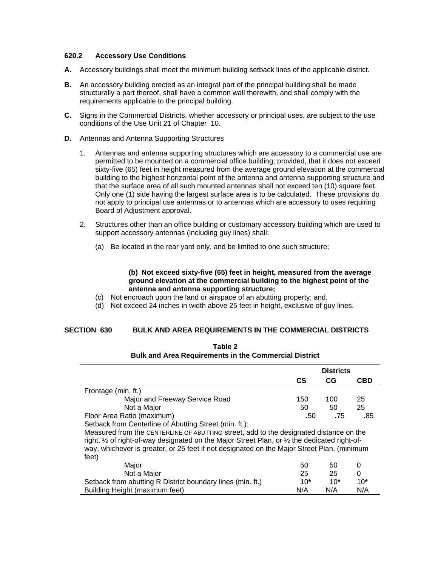### **620.2 Accessory Use Conditions**

- **A.** Accessory buildings shall meet the minimum building setback lines of the applicable district.
- **B.** An accessory building erected as an integral part of the principal building shall be made structurally a part thereof, shall have a common wall therewith, and shall comply with the requirements applicable to the principal building.
- **C.** Signs in the Commercial Districts, whether accessory or principal uses, are subject to the use conditions of the Use Unit 21 of Chapter 10.
- **D.** Antennas and Antenna Supporting Structures
	- 1. Antennas and antenna supporting structures which are accessory to a commercial use are permitted to be mounted on a commercial office building; provided, that it does not exceed sixty-five (65) feet in height measured from the average ground elevation at the commercial building to the highest horizontal point of the antenna and antenna supporting structure and that the surface area of all such mounted antennas shall not exceed ten (10) square feet. Only one (1) side having the largest surface area is to be calculated. These provisions do not apply to principal use antennas or to antennas which are accessory to uses requiring Board of Adjustment approval.
	- 2. Structures other than an office building or customary accessory building which are used to support accessory antennas (including guy lines) shall:
		- (a) Be located in the rear yard only, and be limited to one such structure;

#### **(b) Not exceed sixty-five (65) feet in height, measured from the average ground elevation at the commercial building to the highest point of the antenna and antenna supporting structure;**

- (c) Not encroach upon the land or airspace of an abutting property; and,
- (d) Not exceed 24 inches in width above 25 feet in height, exclusive of guy lines.

#### **SECTION 630 BULK AND AREA REQUIREMENTS IN THE COMMERCIAL DISTRICTS**

| <b>Bulk and Area Requirements in the Commercial District</b>                                                       |                  |       |            |
|--------------------------------------------------------------------------------------------------------------------|------------------|-------|------------|
|                                                                                                                    | <b>Districts</b> |       |            |
|                                                                                                                    | <b>CS</b>        | CG    | <b>CBD</b> |
| Frontage (min. ft.)                                                                                                |                  |       |            |
| Major and Freeway Service Road                                                                                     | 150              | 100   | 25         |
| Not a Major                                                                                                        | 50               | 50    | 25         |
| Floor Area Ratio (maximum)                                                                                         | .50              | .75   | .85        |
| Setback from Centerline of Abutting Street (min. ft.):                                                             |                  |       |            |
| Measured from the CENTERLINE OF ABUTTING street, add to the designated distance on the                             |                  |       |            |
| right, $\frac{1}{2}$ of right-of-way designated on the Major Street Plan, or $\frac{1}{2}$ the dedicated right-of- |                  |       |            |
| way, whichever is greater, or 25 feet if not designated on the Major Street Plan. (minimum                         |                  |       |            |
| feet)                                                                                                              |                  |       |            |
| Major                                                                                                              | 50               | 50    | 0          |
| Not a Major                                                                                                        | 25               | 25    | 0          |
| Setback from abutting R District boundary lines (min. ft.)                                                         | $10*$            | $10*$ | $10*$      |

Building Height (maximum feet) N N/A N/A N/A N/A

| Table 2                                                      |
|--------------------------------------------------------------|
| <b>Bulk and Area Requirements in the Commercial District</b> |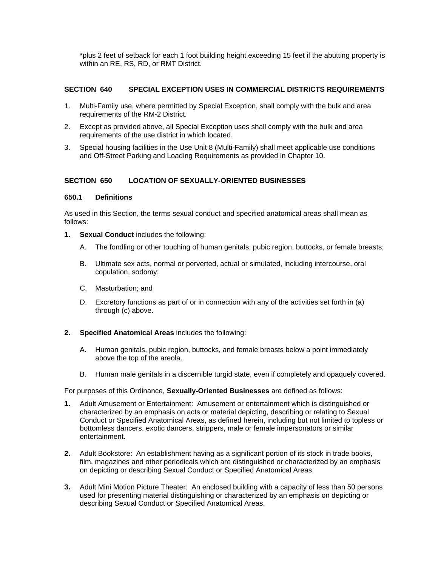\*plus 2 feet of setback for each 1 foot building height exceeding 15 feet if the abutting property is within an RE, RS, RD, or RMT District.

# **SECTION 640 SPECIAL EXCEPTION USES IN COMMERCIAL DISTRICTS REQUIREMENTS**

- 1. Multi-Family use, where permitted by Special Exception, shall comply with the bulk and area requirements of the RM-2 District.
- 2. Except as provided above, all Special Exception uses shall comply with the bulk and area requirements of the use district in which located.
- 3. Special housing facilities in the Use Unit 8 (Multi-Family) shall meet applicable use conditions and Off-Street Parking and Loading Requirements as provided in Chapter 10.

# **SECTION 650 LOCATION OF SEXUALLY-ORIENTED BUSINESSES**

#### **650.1 Definitions**

As used in this Section, the terms sexual conduct and specified anatomical areas shall mean as follows:

- **1. Sexual Conduct** includes the following:
	- A. The fondling or other touching of human genitals, pubic region, buttocks, or female breasts;
	- B. Ultimate sex acts, normal or perverted, actual or simulated, including intercourse, oral copulation, sodomy;
	- C. Masturbation; and
	- D. Excretory functions as part of or in connection with any of the activities set forth in (a) through (c) above.

#### **2. Specified Anatomical Areas** includes the following:

- A. Human genitals, pubic region, buttocks, and female breasts below a point immediately above the top of the areola.
- B. Human male genitals in a discernible turgid state, even if completely and opaquely covered.

For purposes of this Ordinance, **Sexually-Oriented Businesses** are defined as follows:

- **1.** Adult Amusement or Entertainment: Amusement or entertainment which is distinguished or characterized by an emphasis on acts or material depicting, describing or relating to Sexual Conduct or Specified Anatomical Areas, as defined herein, including but not limited to topless or bottomless dancers, exotic dancers, strippers, male or female impersonators or similar entertainment.
- **2.** Adult Bookstore: An establishment having as a significant portion of its stock in trade books, film, magazines and other periodicals which are distinguished or characterized by an emphasis on depicting or describing Sexual Conduct or Specified Anatomical Areas.
- **3.** Adult Mini Motion Picture Theater: An enclosed building with a capacity of less than 50 persons used for presenting material distinguishing or characterized by an emphasis on depicting or describing Sexual Conduct or Specified Anatomical Areas.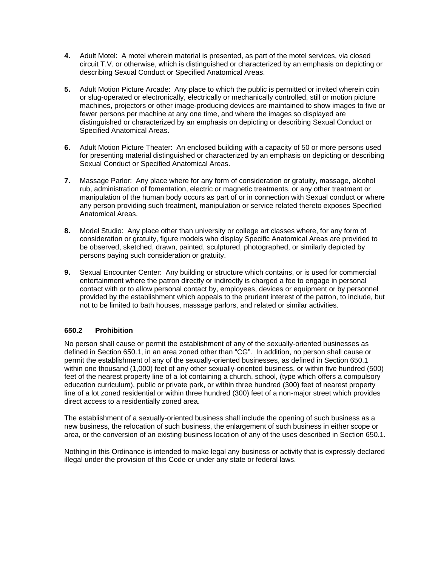- **4.** Adult Motel: A motel wherein material is presented, as part of the motel services, via closed circuit T.V. or otherwise, which is distinguished or characterized by an emphasis on depicting or describing Sexual Conduct or Specified Anatomical Areas.
- **5.** Adult Motion Picture Arcade: Any place to which the public is permitted or invited wherein coin or slug-operated or electronically, electrically or mechanically controlled, still or motion picture machines, projectors or other image-producing devices are maintained to show images to five or fewer persons per machine at any one time, and where the images so displayed are distinguished or characterized by an emphasis on depicting or describing Sexual Conduct or Specified Anatomical Areas.
- **6.** Adult Motion Picture Theater: An enclosed building with a capacity of 50 or more persons used for presenting material distinguished or characterized by an emphasis on depicting or describing Sexual Conduct or Specified Anatomical Areas.
- **7.** Massage Parlor: Any place where for any form of consideration or gratuity, massage, alcohol rub, administration of fomentation, electric or magnetic treatments, or any other treatment or manipulation of the human body occurs as part of or in connection with Sexual conduct or where any person providing such treatment, manipulation or service related thereto exposes Specified Anatomical Areas.
- **8.** Model Studio: Any place other than university or college art classes where, for any form of consideration or gratuity, figure models who display Specific Anatomical Areas are provided to be observed, sketched, drawn, painted, sculptured, photographed, or similarly depicted by persons paying such consideration or gratuity.
- **9.** Sexual Encounter Center: Any building or structure which contains, or is used for commercial entertainment where the patron directly or indirectly is charged a fee to engage in personal contact with or to allow personal contact by, employees, devices or equipment or by personnel provided by the establishment which appeals to the prurient interest of the patron, to include, but not to be limited to bath houses, massage parlors, and related or similar activities.

# **650.2 Prohibition**

No person shall cause or permit the establishment of any of the sexually-oriented businesses as defined in Section 650.1, in an area zoned other than "CG". In addition, no person shall cause or permit the establishment of any of the sexually-oriented businesses, as defined in Section 650.1 within one thousand (1,000) feet of any other sexually-oriented business, or within five hundred (500) feet of the nearest property line of a lot containing a church, school, (type which offers a compulsory education curriculum), public or private park, or within three hundred (300) feet of nearest property line of a lot zoned residential or within three hundred (300) feet of a non-major street which provides direct access to a residentially zoned area.

The establishment of a sexually-oriented business shall include the opening of such business as a new business, the relocation of such business, the enlargement of such business in either scope or area, or the conversion of an existing business location of any of the uses described in Section 650.1.

Nothing in this Ordinance is intended to make legal any business or activity that is expressly declared illegal under the provision of this Code or under any state or federal laws.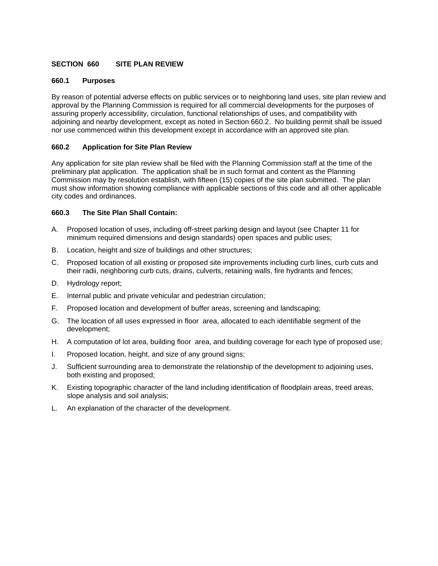# **SECTION 660 SITE PLAN REVIEW**

#### **660.1 Purposes**

By reason of potential adverse effects on public services or to neighboring land uses, site plan review and approval by the Planning Commission is required for all commercial developments for the purposes of assuring properly accessibility, circulation, functional relationships of uses, and compatibility with adjoining and nearby development, except as noted in Section 660.2. No building permit shall be issued nor use commenced within this development except in accordance with an approved site plan.

# **660.2 Application for Site Plan Review**

Any application for site plan review shall be filed with the Planning Commission staff at the time of the preliminary plat application. The application shall be in such format and content as the Planning Commission may by resolution establish, with fifteen (15) copies of the site plan submitted. The plan must show information showing compliance with applicable sections of this code and all other applicable city codes and ordinances.

# **660.3 The Site Plan Shall Contain:**

- A. Proposed location of uses, including off-street parking design and layout (see Chapter 11 for minimum required dimensions and design standards) open spaces and public uses;
- B. Location, height and size of buildings and other structures;
- C. Proposed location of all existing or proposed site improvements including curb lines, curb cuts and their radii, neighboring curb cuts, drains, culverts, retaining walls, fire hydrants and fences;
- D. Hydrology report;
- E. Internal public and private vehicular and pedestrian circulation;
- F. Proposed location and development of buffer areas, screening and landscaping;
- G. The location of all uses expressed in floor area, allocated to each identifiable segment of the development;
- H. A computation of lot area, building floor area, and building coverage for each type of proposed use;
- I. Proposed location, height, and size of any ground signs;
- J. Sufficient surrounding area to demonstrate the relationship of the development to adjoining uses, both existing and proposed;
- K. Existing topographic character of the land including identification of floodplain areas, treed areas, slope analysis and soil analysis;
- L. An explanation of the character of the development.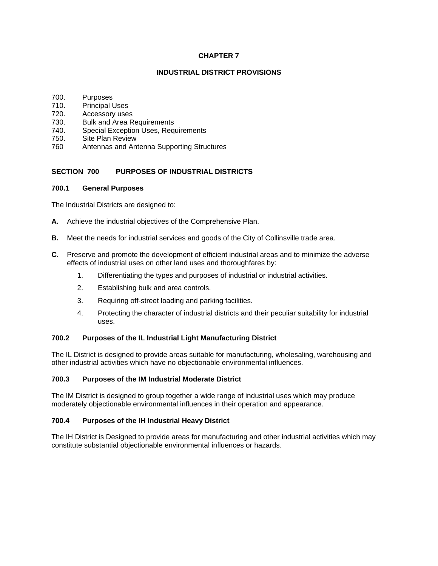### **CHAPTER 7**

### **INDUSTRIAL DISTRICT PROVISIONS**

- 700. Purposes
- 710. Principal Uses
- 720. Accessory uses
- 730. Bulk and Area Requirements
- 740. Special Exception Uses, Requirements
- 750. Site Plan Review
- 760 Antennas and Antenna Supporting Structures

# **SECTION 700 PURPOSES OF INDUSTRIAL DISTRICTS**

# **700.1 General Purposes**

The Industrial Districts are designed to:

- **A.** Achieve the industrial objectives of the Comprehensive Plan.
- **B.** Meet the needs for industrial services and goods of the City of Collinsville trade area.
- **C.** Preserve and promote the development of efficient industrial areas and to minimize the adverse effects of industrial uses on other land uses and thoroughfares by:
	- 1. Differentiating the types and purposes of industrial or industrial activities.
	- 2. Establishing bulk and area controls.
	- 3. Requiring off-street loading and parking facilities.
	- 4. Protecting the character of industrial districts and their peculiar suitability for industrial uses.

# **700.2 Purposes of the IL Industrial Light Manufacturing District**

The IL District is designed to provide areas suitable for manufacturing, wholesaling, warehousing and other industrial activities which have no objectionable environmental influences.

#### **700.3 Purposes of the IM Industrial Moderate District**

The IM District is designed to group together a wide range of industrial uses which may produce moderately objectionable environmental influences in their operation and appearance.

# **700.4 Purposes of the IH Industrial Heavy District**

The IH District is Designed to provide areas for manufacturing and other industrial activities which may constitute substantial objectionable environmental influences or hazards.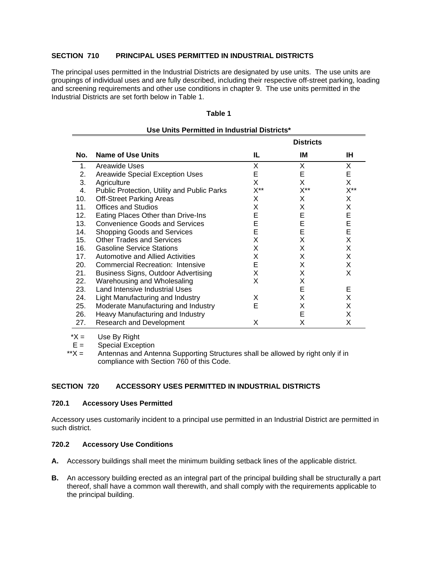# **SECTION 710 PRINCIPAL USES PERMITTED IN INDUSTRIAL DISTRICTS**

The principal uses permitted in the Industrial Districts are designated by use units. The use units are groupings of individual uses and are fully described, including their respective off-street parking, loading and screening requirements and other use conditions in chapter 9. The use units permitted in the Industrial Districts are set forth below in Table 1.

#### **Table 1**

|                |                                             |          | <b>Districts</b> |                |  |
|----------------|---------------------------------------------|----------|------------------|----------------|--|
| No.            | Name of Use Units                           | IL.      | IM               | IH.            |  |
| 1 <sub>1</sub> | Areawide Uses                               | X.       | X                | X              |  |
| 2.             | Areawide Special Exception Uses             | Е        | Е                | E.             |  |
| 3.             | Agriculture                                 | X        | X                | X.             |  |
| 4.             | Public Protection, Utility and Public Parks | $X^{**}$ | $X^{\ast\ast}$   | $X^{\ast\ast}$ |  |
| 10.            | <b>Off-Street Parking Areas</b>             | X        | X                | X              |  |
| 11.            | Offices and Studios                         | X        | X                | X              |  |
| 12.            | Eating Places Other than Drive-Ins          | E        | E                | Е              |  |
| 13.            | <b>Convenience Goods and Services</b>       | Е        | Е                | E              |  |
| 14.            | Shopping Goods and Services                 | Е        | E                | E              |  |
| 15.            | <b>Other Trades and Services</b>            | X        | X                | X              |  |
| 16.            | <b>Gasoline Service Stations</b>            | X        | X                | X              |  |
| 17.            | Automotive and Allied Activities            | X        | X                | X              |  |
| 20.            | <b>Commercial Recreation: Intensive</b>     | Е        | X                | X              |  |
| 21.            | <b>Business Signs, Outdoor Advertising</b>  | X        | X                | X              |  |
| 22.            | Warehousing and Wholesaling                 | X        | X                |                |  |
| 23.            | Land Intensive Industrial Uses              |          | E                | Е              |  |
| 24.            | Light Manufacturing and Industry            | X        | X                | X              |  |
| 25.            | Moderate Manufacturing and Industry         | Е        | X                | X              |  |
| 26.            | Heavy Manufacturing and Industry            |          | Е                | X              |  |
| 27.            | Research and Development                    | X        | x                | X              |  |

#### **Use Units Permitted in Industrial Districts\***

 $*X =$  Use By Right

 $E =$  Special Exception

\*\* $X =$  Antennas and Antenna Supporting Structures shall be allowed by right only if in compliance with Section 760 of this Code.

# **SECTION 720 ACCESSORY USES PERMITTED IN INDUSTRIAL DISTRICTS**

### **720.1 Accessory Uses Permitted**

Accessory uses customarily incident to a principal use permitted in an Industrial District are permitted in such district.

# **720.2 Accessory Use Conditions**

- **A.** Accessory buildings shall meet the minimum building setback lines of the applicable district.
- **B.** An accessory building erected as an integral part of the principal building shall be structurally a part thereof, shall have a common wall therewith, and shall comply with the requirements applicable to the principal building.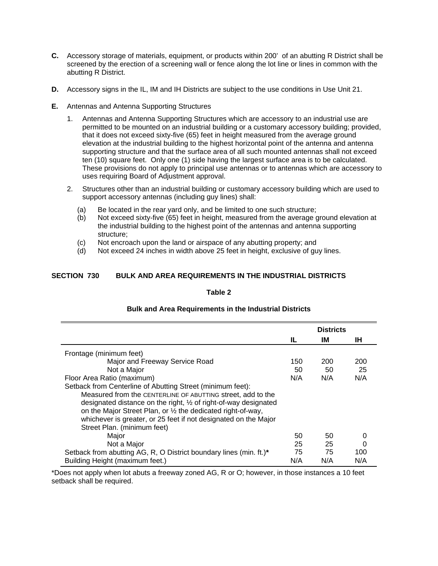- **C.** Accessory storage of materials, equipment, or products within 200' of an abutting R District shall be screened by the erection of a screening wall or fence along the lot line or lines in common with the abutting R District.
- **D.** Accessory signs in the IL, IM and IH Districts are subject to the use conditions in Use Unit 21.
- **E.** Antennas and Antenna Supporting Structures
	- 1. Antennas and Antenna Supporting Structures which are accessory to an industrial use are permitted to be mounted on an industrial building or a customary accessory building; provided, that it does not exceed sixty-five (65) feet in height measured from the average ground elevation at the industrial building to the highest horizontal point of the antenna and antenna supporting structure and that the surface area of all such mounted antennas shall not exceed ten (10) square feet. Only one (1) side having the largest surface area is to be calculated. These provisions do not apply to principal use antennas or to antennas which are accessory to uses requiring Board of Adjustment approval.
	- 2. Structures other than an industrial building or customary accessory building which are used to support accessory antennas (including guy lines) shall:
		- (a) Be located in the rear yard only, and be limited to one such structure;
		- (b) Not exceed sixty-five (65) feet in height, measured from the average ground elevation at the industrial building to the highest point of the antennas and antenna supporting structure;
		- (c) Not encroach upon the land or airspace of any abutting property; and
		- (d) Not exceed 24 inches in width above 25 feet in height, exclusive of guy lines.

# **SECTION 730 BULK AND AREA REQUIREMENTS IN THE INDUSTRIAL DISTRICTS**

#### **Table 2**

|                                                                            |     | <b>Districts</b> |     |
|----------------------------------------------------------------------------|-----|------------------|-----|
|                                                                            | IL  | ΙM               | ΙH. |
| Frontage (minimum feet)                                                    |     |                  |     |
| Major and Freeway Service Road                                             | 150 | 200              | 200 |
| Not a Major                                                                | 50  | 50               | 25  |
| Floor Area Ratio (maximum)                                                 | N/A | N/A              | N/A |
| Setback from Centerline of Abutting Street (minimum feet):                 |     |                  |     |
| Measured from the CENTERLINE OF ABUTTING street, add to the                |     |                  |     |
| designated distance on the right, $\frac{1}{2}$ of right-of-way designated |     |                  |     |
| on the Major Street Plan, or 1/2 the dedicated right-of-way,               |     |                  |     |
| whichever is greater, or 25 feet if not designated on the Major            |     |                  |     |
| Street Plan. (minimum feet)                                                |     |                  |     |
| Major                                                                      | 50  | 50               |     |
| Not a Major                                                                | 25  | 25               | 0   |
| Setback from abutting AG, R, O District boundary lines (min. ft.)*         | 75  | 75               | 100 |
| Building Height (maximum feet.)                                            | N/A | N/A              | N/A |

# **Bulk and Area Requirements in the Industrial Districts**

\*Does not apply when lot abuts a freeway zoned AG, R or O; however, in those instances a 10 feet setback shall be required.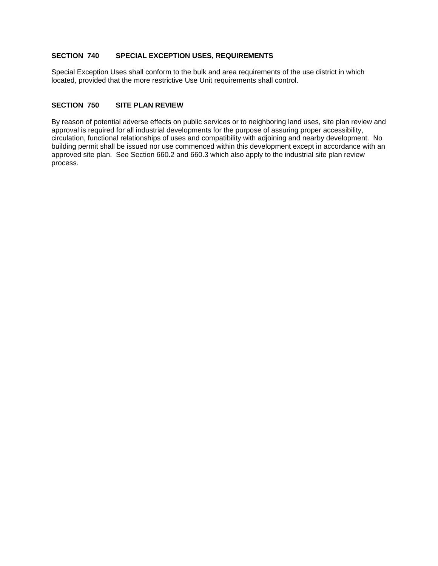# **SECTION 740 SPECIAL EXCEPTION USES, REQUIREMENTS**

Special Exception Uses shall conform to the bulk and area requirements of the use district in which located, provided that the more restrictive Use Unit requirements shall control.

### **SECTION 750 SITE PLAN REVIEW**

By reason of potential adverse effects on public services or to neighboring land uses, site plan review and approval is required for all industrial developments for the purpose of assuring proper accessibility, circulation, functional relationships of uses and compatibility with adjoining and nearby development. No building permit shall be issued nor use commenced within this development except in accordance with an approved site plan. See Section 660.2 and 660.3 which also apply to the industrial site plan review process.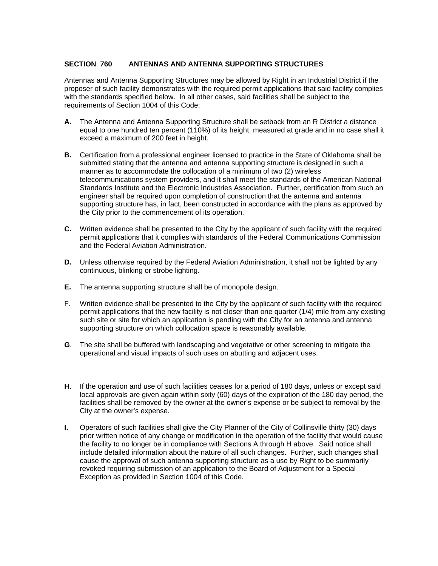### **SECTION 760 ANTENNAS AND ANTENNA SUPPORTING STRUCTURES**

Antennas and Antenna Supporting Structures may be allowed by Right in an Industrial District if the proposer of such facility demonstrates with the required permit applications that said facility complies with the standards specified below. In all other cases, said facilities shall be subject to the requirements of Section 1004 of this Code;

- **A.** The Antenna and Antenna Supporting Structure shall be setback from an R District a distance equal to one hundred ten percent (110%) of its height, measured at grade and in no case shall it exceed a maximum of 200 feet in height.
- **B.** Certification from a professional engineer licensed to practice in the State of Oklahoma shall be submitted stating that the antenna and antenna supporting structure is designed in such a manner as to accommodate the collocation of a minimum of two (2) wireless telecommunications system providers, and it shall meet the standards of the American National Standards Institute and the Electronic Industries Association. Further, certification from such an engineer shall be required upon completion of construction that the antenna and antenna supporting structure has, in fact, been constructed in accordance with the plans as approved by the City prior to the commencement of its operation.
- **C.** Written evidence shall be presented to the City by the applicant of such facility with the required permit applications that it complies with standards of the Federal Communications Commission and the Federal Aviation Administration.
- **D.** Unless otherwise required by the Federal Aviation Administration, it shall not be lighted by any continuous, blinking or strobe lighting.
- **E.** The antenna supporting structure shall be of monopole design.
- F. Written evidence shall be presented to the City by the applicant of such facility with the required permit applications that the new facility is not closer than one quarter (1/4) mile from any existing such site or site for which an application is pending with the City for an antenna and antenna supporting structure on which collocation space is reasonably available.
- **G**. The site shall be buffered with landscaping and vegetative or other screening to mitigate the operational and visual impacts of such uses on abutting and adjacent uses.
- **H**. If the operation and use of such facilities ceases for a period of 180 days, unless or except said local approvals are given again within sixty (60) days of the expiration of the 180 day period, the facilities shall be removed by the owner at the owner's expense or be subject to removal by the City at the owner's expense.
- **I.** Operators of such facilities shall give the City Planner of the City of Collinsville thirty (30) days prior written notice of any change or modification in the operation of the facility that would cause the facility to no longer be in compliance with Sections A through H above. Said notice shall include detailed information about the nature of all such changes. Further, such changes shall cause the approval of such antenna supporting structure as a use by Right to be summarily revoked requiring submission of an application to the Board of Adjustment for a Special Exception as provided in Section 1004 of this Code.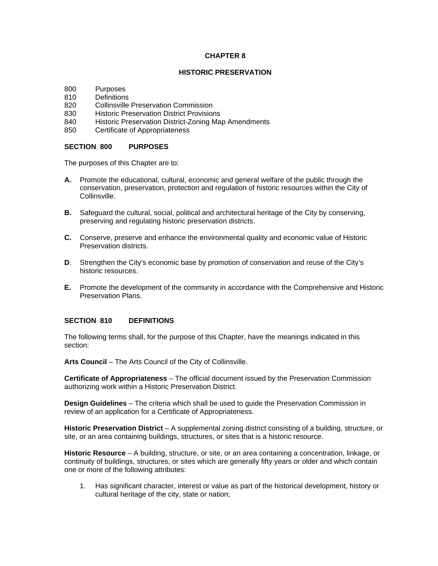### **CHAPTER 8**

# **HISTORIC PRESERVATION**

- 800 Purposes
- 810 Definitions
- 820 Collinsville Preservation Commission
- 830 Historic Preservation District Provisions
- 840 Historic Preservation District-Zoning Map Amendments
- 850 Certificate of Appropriateness

# **SECTION 800 PURPOSES**

The purposes of this Chapter are to:

- **A.** Promote the educational, cultural, economic and general welfare of the public through the conservation, preservation, protection and regulation of historic resources within the City of Collinsville.
- **B.** Safeguard the cultural, social, political and architectural heritage of the City by conserving, preserving and regulating historic preservation districts.
- **C.** Conserve, preserve and enhance the environmental quality and economic value of Historic Preservation districts.
- **D**. Strengthen the City's economic base by promotion of conservation and reuse of the City's historic resources.
- **E.** Promote the development of the community in accordance with the Comprehensive and Historic Preservation Plans.

# **SECTION 810 DEFINITIONS**

The following terms shall, for the purpose of this Chapter, have the meanings indicated in this section:

**Arts Council** – The Arts Council of the City of Collinsville.

**Certificate of Appropriateness** – The official document issued by the Preservation Commission authorizing work within a Historic Preservation District.

**Design Guidelines** – The criteria which shall be used to guide the Preservation Commission in review of an application for a Certificate of Appropriateness.

**Historic Preservation District** – A supplemental zoning district consisting of a building, structure, or site, or an area containing buildings, structures, or sites that is a historic resource.

**Historic Resource** – A building, structure, or site, or an area containing a concentration, linkage, or continuity of buildings, structures, or sites which are generally fifty years or older and which contain one or more of the following attributes:

 1. Has significant character, interest or value as part of the historical development, history or cultural heritage of the city, state or nation;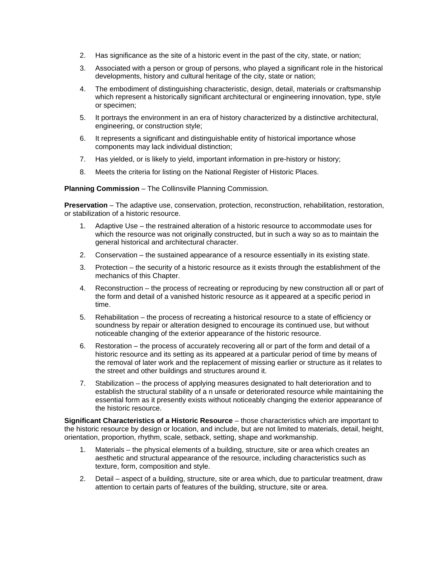- 2. Has significance as the site of a historic event in the past of the city, state, or nation;
- 3. Associated with a person or group of persons, who played a significant role in the historical developments, history and cultural heritage of the city, state or nation;
- 4. The embodiment of distinguishing characteristic, design, detail, materials or craftsmanship which represent a historically significant architectural or engineering innovation, type, style or specimen;
- 5. It portrays the environment in an era of history characterized by a distinctive architectural, engineering, or construction style;
- 6. It represents a significant and distinguishable entity of historical importance whose components may lack individual distinction;
- 7. Has yielded, or is likely to yield, important information in pre-history or history;
- 8. Meets the criteria for listing on the National Register of Historic Places.

**Planning Commission** – The Collinsville Planning Commission.

**Preservation** – The adaptive use, conservation, protection, reconstruction, rehabilitation, restoration, or stabilization of a historic resource.

- 1. Adaptive Use the restrained alteration of a historic resource to accommodate uses for which the resource was not originally constructed, but in such a way so as to maintain the general historical and architectural character.
- 2. Conservation the sustained appearance of a resource essentially in its existing state.
- 3. Protection the security of a historic resource as it exists through the establishment of the mechanics of this Chapter.
- 4. Reconstruction the process of recreating or reproducing by new construction all or part of the form and detail of a vanished historic resource as it appeared at a specific period in time.
- 5. Rehabilitation the process of recreating a historical resource to a state of efficiency or soundness by repair or alteration designed to encourage its continued use, but without noticeable changing of the exterior appearance of the historic resource.
- 6. Restoration the process of accurately recovering all or part of the form and detail of a historic resource and its setting as its appeared at a particular period of time by means of the removal of later work and the replacement of missing earlier or structure as it relates to the street and other buildings and structures around it.
- 7. Stabilization the process of applying measures designated to halt deterioration and to establish the structural stability of a n unsafe or deteriorated resource while maintaining the essential form as it presently exists without noticeably changing the exterior appearance of the historic resource.

**Significant Characteristics of a Historic Resource** – those characteristics which are important to the historic resource by design or location, and include, but are not limited to materials, detail, height, orientation, proportion, rhythm, scale, setback, setting, shape and workmanship.

- 1. Materials the physical elements of a building, structure, site or area which creates an aesthetic and structural appearance of the resource, including characteristics such as texture, form, composition and style.
- 2. Detail aspect of a building, structure, site or area which, due to particular treatment, draw attention to certain parts of features of the building, structure, site or area.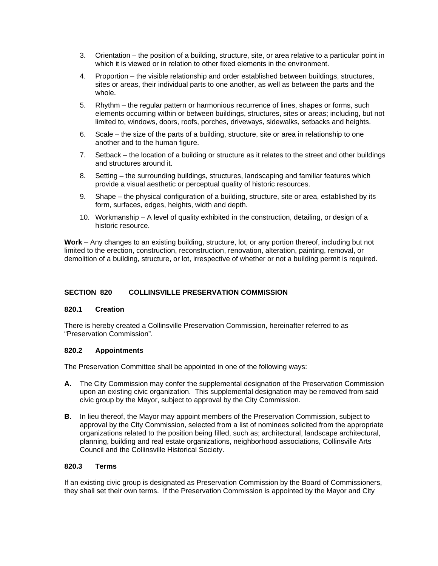- 3. Orientation the position of a building, structure, site, or area relative to a particular point in which it is viewed or in relation to other fixed elements in the environment.
- 4. Proportion the visible relationship and order established between buildings, structures, sites or areas, their individual parts to one another, as well as between the parts and the whole.
- 5. Rhythm the regular pattern or harmonious recurrence of lines, shapes or forms, such elements occurring within or between buildings, structures, sites or areas; including, but not limited to, windows, doors, roofs, porches, driveways, sidewalks, setbacks and heights.
- 6. Scale the size of the parts of a building, structure, site or area in relationship to one another and to the human figure.
- 7. Setback the location of a building or structure as it relates to the street and other buildings and structures around it.
- 8. Setting the surrounding buildings, structures, landscaping and familiar features which provide a visual aesthetic or perceptual quality of historic resources.
- 9. Shape the physical configuration of a building, structure, site or area, established by its form, surfaces, edges, heights, width and depth.
- 10. Workmanship A level of quality exhibited in the construction, detailing, or design of a historic resource.

**Work** – Any changes to an existing building, structure, lot, or any portion thereof, including but not limited to the erection, construction, reconstruction, renovation, alteration, painting, removal, or demolition of a building, structure, or lot, irrespective of whether or not a building permit is required.

# **SECTION 820 COLLINSVILLE PRESERVATION COMMISSION**

#### **820.1 Creation**

There is hereby created a Collinsville Preservation Commission, hereinafter referred to as "Preservation Commission".

#### **820.2 Appointments**

The Preservation Committee shall be appointed in one of the following ways:

- **A.** The City Commission may confer the supplemental designation of the Preservation Commission upon an existing civic organization. This supplemental designation may be removed from said civic group by the Mayor, subject to approval by the City Commission.
- **B.** In lieu thereof, the Mayor may appoint members of the Preservation Commission, subject to approval by the City Commission, selected from a list of nominees solicited from the appropriate organizations related to the position being filled, such as; architectural, landscape architectural, planning, building and real estate organizations, neighborhood associations, Collinsville Arts Council and the Collinsville Historical Society.

#### **820.3 Terms**

If an existing civic group is designated as Preservation Commission by the Board of Commissioners, they shall set their own terms. If the Preservation Commission is appointed by the Mayor and City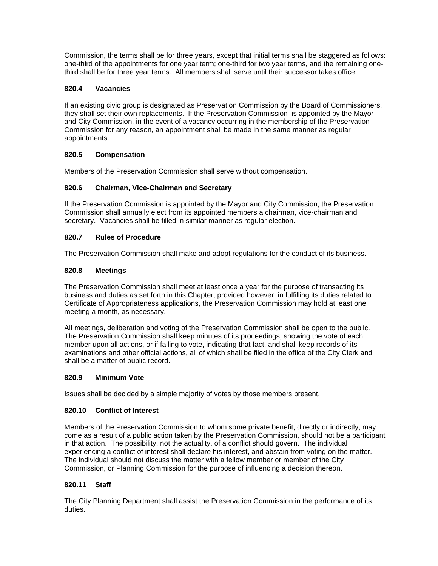Commission, the terms shall be for three years, except that initial terms shall be staggered as follows: one-third of the appointments for one year term; one-third for two year terms, and the remaining onethird shall be for three year terms. All members shall serve until their successor takes office.

# **820.4 Vacancies**

If an existing civic group is designated as Preservation Commission by the Board of Commissioners, they shall set their own replacements. If the Preservation Commission is appointed by the Mayor and City Commission, in the event of a vacancy occurring in the membership of the Preservation Commission for any reason, an appointment shall be made in the same manner as regular appointments.

# **820.5 Compensation**

Members of the Preservation Commission shall serve without compensation.

# **820.6 Chairman, Vice-Chairman and Secretary**

If the Preservation Commission is appointed by the Mayor and City Commission, the Preservation Commission shall annually elect from its appointed members a chairman, vice-chairman and secretary. Vacancies shall be filled in similar manner as regular election.

# **820.7 Rules of Procedure**

The Preservation Commission shall make and adopt regulations for the conduct of its business.

# **820.8 Meetings**

The Preservation Commission shall meet at least once a year for the purpose of transacting its business and duties as set forth in this Chapter; provided however, in fulfilling its duties related to Certificate of Appropriateness applications, the Preservation Commission may hold at least one meeting a month, as necessary.

All meetings, deliberation and voting of the Preservation Commission shall be open to the public. The Preservation Commission shall keep minutes of its proceedings, showing the vote of each member upon all actions, or if failing to vote, indicating that fact, and shall keep records of its examinations and other official actions, all of which shall be filed in the office of the City Clerk and shall be a matter of public record.

#### **820.9 Minimum Vote**

Issues shall be decided by a simple majority of votes by those members present.

# **820.10 Conflict of Interest**

Members of the Preservation Commission to whom some private benefit, directly or indirectly, may come as a result of a public action taken by the Preservation Commission, should not be a participant in that action. The possibility, not the actuality, of a conflict should govern. The individual experiencing a conflict of interest shall declare his interest, and abstain from voting on the matter. The individual should not discuss the matter with a fellow member or member of the City Commission, or Planning Commission for the purpose of influencing a decision thereon.

#### **820.11 Staff**

The City Planning Department shall assist the Preservation Commission in the performance of its duties.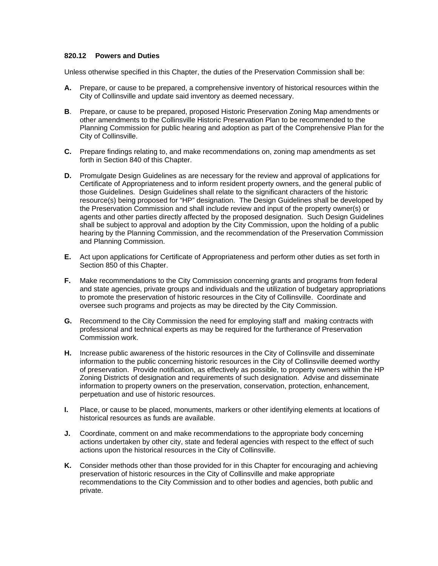### **820.12 Powers and Duties**

Unless otherwise specified in this Chapter, the duties of the Preservation Commission shall be:

- **A.** Prepare, or cause to be prepared, a comprehensive inventory of historical resources within the City of Collinsville and update said inventory as deemed necessary.
- **B**. Prepare, or cause to be prepared, proposed Historic Preservation Zoning Map amendments or other amendments to the Collinsville Historic Preservation Plan to be recommended to the Planning Commission for public hearing and adoption as part of the Comprehensive Plan for the City of Collinsville.
- **C.** Prepare findings relating to, and make recommendations on, zoning map amendments as set forth in Section 840 of this Chapter.
- **D.** Promulgate Design Guidelines as are necessary for the review and approval of applications for Certificate of Appropriateness and to inform resident property owners, and the general public of those Guidelines. Design Guidelines shall relate to the significant characters of the historic resource(s) being proposed for "HP" designation. The Design Guidelines shall be developed by the Preservation Commission and shall include review and input of the property owner(s) or agents and other parties directly affected by the proposed designation. Such Design Guidelines shall be subject to approval and adoption by the City Commission, upon the holding of a public hearing by the Planning Commission, and the recommendation of the Preservation Commission and Planning Commission.
- **E.** Act upon applications for Certificate of Appropriateness and perform other duties as set forth in Section 850 of this Chapter.
- **F.** Make recommendations to the City Commission concerning grants and programs from federal and state agencies, private groups and individuals and the utilization of budgetary appropriations to promote the preservation of historic resources in the City of Collinsville. Coordinate and oversee such programs and projects as may be directed by the City Commission.
- **G.** Recommend to the City Commission the need for employing staff and making contracts with professional and technical experts as may be required for the furtherance of Preservation Commission work.
- **H.** Increase public awareness of the historic resources in the City of Collinsville and disseminate information to the public concerning historic resources in the City of Collinsville deemed worthy of preservation. Provide notification, as effectively as possible, to property owners within the HP Zoning Districts of designation and requirements of such designation. Advise and disseminate information to property owners on the preservation, conservation, protection, enhancement, perpetuation and use of historic resources.
- **I.** Place, or cause to be placed, monuments, markers or other identifying elements at locations of historical resources as funds are available.
- **J.** Coordinate, comment on and make recommendations to the appropriate body concerning actions undertaken by other city, state and federal agencies with respect to the effect of such actions upon the historical resources in the City of Collinsville.
- **K.** Consider methods other than those provided for in this Chapter for encouraging and achieving preservation of historic resources in the City of Collinsville and make appropriate recommendations to the City Commission and to other bodies and agencies, both public and private.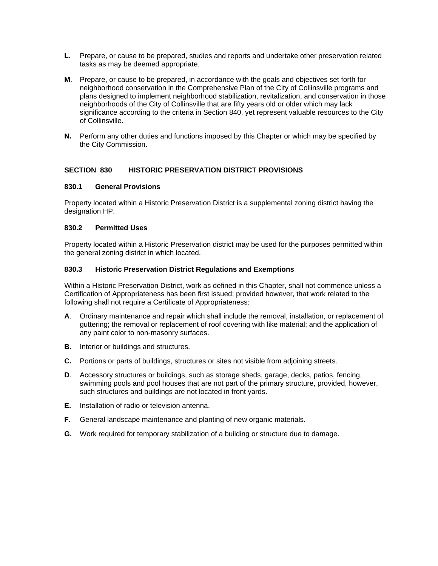- **L.** Prepare, or cause to be prepared, studies and reports and undertake other preservation related tasks as may be deemed appropriate.
- **M**. Prepare, or cause to be prepared, in accordance with the goals and objectives set forth for neighborhood conservation in the Comprehensive Plan of the City of Collinsville programs and plans designed to implement neighborhood stabilization, revitalization, and conservation in those neighborhoods of the City of Collinsville that are fifty years old or older which may lack significance according to the criteria in Section 840, yet represent valuable resources to the City of Collinsville.
- **N.** Perform any other duties and functions imposed by this Chapter or which may be specified by the City Commission.

#### **SECTION 830 HISTORIC PRESERVATION DISTRICT PROVISIONS**

#### **830.1 General Provisions**

Property located within a Historic Preservation District is a supplemental zoning district having the designation HP.

### **830.2 Permitted Uses**

Property located within a Historic Preservation district may be used for the purposes permitted within the general zoning district in which located.

#### **830.3 Historic Preservation District Regulations and Exemptions**

Within a Historic Preservation District, work as defined in this Chapter, shall not commence unless a Certification of Appropriateness has been first issued; provided however, that work related to the following shall not require a Certificate of Appropriateness:

- **A**. Ordinary maintenance and repair which shall include the removal, installation, or replacement of guttering; the removal or replacement of roof covering with like material; and the application of any paint color to non-masonry surfaces.
- **B.** Interior or buildings and structures.
- **C.** Portions or parts of buildings, structures or sites not visible from adjoining streets.
- **D**. Accessory structures or buildings, such as storage sheds, garage, decks, patios, fencing, swimming pools and pool houses that are not part of the primary structure, provided, however, such structures and buildings are not located in front yards.
- **E.** Installation of radio or television antenna.
- **F.** General landscape maintenance and planting of new organic materials.
- **G.** Work required for temporary stabilization of a building or structure due to damage.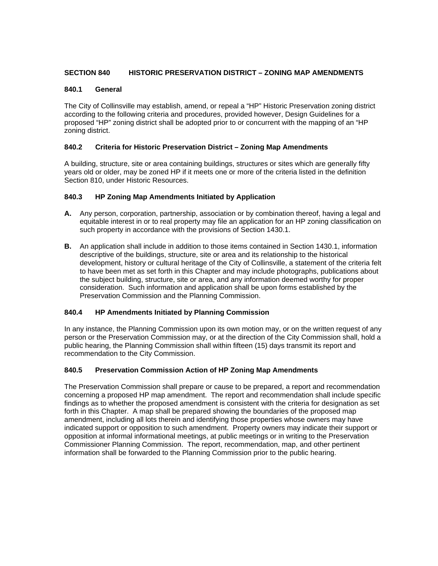# **SECTION 840 HISTORIC PRESERVATION DISTRICT – ZONING MAP AMENDMENTS**

#### **840.1 General**

The City of Collinsville may establish, amend, or repeal a "HP" Historic Preservation zoning district according to the following criteria and procedures, provided however, Design Guidelines for a proposed "HP" zoning district shall be adopted prior to or concurrent with the mapping of an "HP zoning district.

# **840.2 Criteria for Historic Preservation District – Zoning Map Amendments**

A building, structure, site or area containing buildings, structures or sites which are generally fifty years old or older, may be zoned HP if it meets one or more of the criteria listed in the definition Section 810, under Historic Resources.

# **840.3 HP Zoning Map Amendments Initiated by Application**

- **A.** Any person, corporation, partnership, association or by combination thereof, having a legal and equitable interest in or to real property may file an application for an HP zoning classification on such property in accordance with the provisions of Section 1430.1.
- **B.** An application shall include in addition to those items contained in Section 1430.1, information descriptive of the buildings, structure, site or area and its relationship to the historical development, history or cultural heritage of the City of Collinsville, a statement of the criteria felt to have been met as set forth in this Chapter and may include photographs, publications about the subject building, structure, site or area, and any information deemed worthy for proper consideration. Such information and application shall be upon forms established by the Preservation Commission and the Planning Commission.

#### **840.4 HP Amendments Initiated by Planning Commission**

In any instance, the Planning Commission upon its own motion may, or on the written request of any person or the Preservation Commission may, or at the direction of the City Commission shall, hold a public hearing, the Planning Commission shall within fifteen (15) days transmit its report and recommendation to the City Commission.

# **840.5 Preservation Commission Action of HP Zoning Map Amendments**

The Preservation Commission shall prepare or cause to be prepared, a report and recommendation concerning a proposed HP map amendment. The report and recommendation shall include specific findings as to whether the proposed amendment is consistent with the criteria for designation as set forth in this Chapter. A map shall be prepared showing the boundaries of the proposed map amendment, including all lots therein and identifying those properties whose owners may have indicated support or opposition to such amendment. Property owners may indicate their support or opposition at informal informational meetings, at public meetings or in writing to the Preservation Commissioner Planning Commission. The report, recommendation, map, and other pertinent information shall be forwarded to the Planning Commission prior to the public hearing.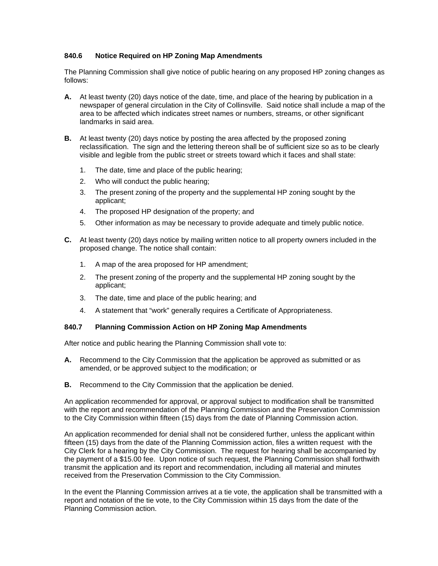# **840.6 Notice Required on HP Zoning Map Amendments**

The Planning Commission shall give notice of public hearing on any proposed HP zoning changes as follows:

- **A.** At least twenty (20) days notice of the date, time, and place of the hearing by publication in a newspaper of general circulation in the City of Collinsville. Said notice shall include a map of the area to be affected which indicates street names or numbers, streams, or other significant landmarks in said area.
- **B.** At least twenty (20) days notice by posting the area affected by the proposed zoning reclassification. The sign and the lettering thereon shall be of sufficient size so as to be clearly visible and legible from the public street or streets toward which it faces and shall state:
	- 1. The date, time and place of the public hearing;
	- 2. Who will conduct the public hearing;
	- 3. The present zoning of the property and the supplemental HP zoning sought by the applicant;
	- 4. The proposed HP designation of the property; and
	- 5. Other information as may be necessary to provide adequate and timely public notice.
- **C.** At least twenty (20) days notice by mailing written notice to all property owners included in the proposed change. The notice shall contain:
	- 1. A map of the area proposed for HP amendment;
	- 2. The present zoning of the property and the supplemental HP zoning sought by the applicant;
	- 3. The date, time and place of the public hearing; and
	- 4. A statement that "work" generally requires a Certificate of Appropriateness.

#### **840.7 Planning Commission Action on HP Zoning Map Amendments**

After notice and public hearing the Planning Commission shall vote to:

- **A.** Recommend to the City Commission that the application be approved as submitted or as amended, or be approved subject to the modification; or
- **B.** Recommend to the City Commission that the application be denied.

An application recommended for approval, or approval subject to modification shall be transmitted with the report and recommendation of the Planning Commission and the Preservation Commission to the City Commission within fifteen (15) days from the date of Planning Commission action.

An application recommended for denial shall not be considered further, unless the applicant within fifteen (15) days from the date of the Planning Commission action, files a written request with the City Clerk for a hearing by the City Commission. The request for hearing shall be accompanied by the payment of a \$15.00 fee. Upon notice of such request, the Planning Commission shall forthwith transmit the application and its report and recommendation, including all material and minutes received from the Preservation Commission to the City Commission.

In the event the Planning Commission arrives at a tie vote, the application shall be transmitted with a report and notation of the tie vote, to the City Commission within 15 days from the date of the Planning Commission action.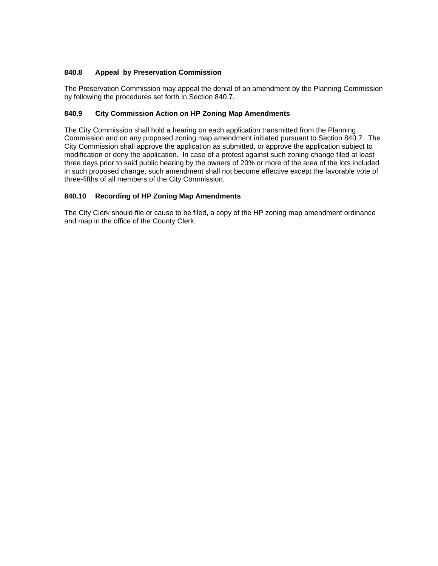# **840.8 Appeal by Preservation Commission**

The Preservation Commission may appeal the denial of an amendment by the Planning Commission by following the procedures set forth in Section 840.7.

# **840.9 City Commission Action on HP Zoning Map Amendments**

The City Commission shall hold a hearing on each application transmitted from the Planning Commission and on any proposed zoning map amendment initiated pursuant to Section 840.7. The City Commission shall approve the application as submitted, or approve the application subject to modification or deny the application. In case of a protest against such zoning change filed at least three days prior to said public hearing by the owners of 20% or more of the area of the lots included in such proposed change, such amendment shall not become effective except the favorable vote of three-fifths of all members of the City Commission.

# **840.10 Recording of HP Zoning Map Amendments**

The City Clerk should file or cause to be filed, a copy of the HP zoning map amendment ordinance and map in the office of the County Clerk.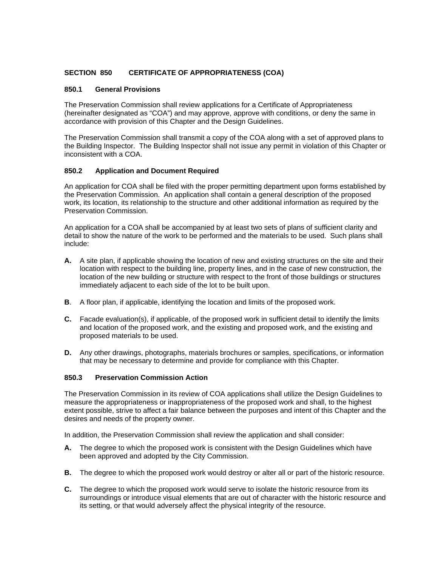# **SECTION 850 CERTIFICATE OF APPROPRIATENESS (COA)**

# **850.1 General Provisions**

The Preservation Commission shall review applications for a Certificate of Appropriateness (hereinafter designated as "COA") and may approve, approve with conditions, or deny the same in accordance with provision of this Chapter and the Design Guidelines.

The Preservation Commission shall transmit a copy of the COA along with a set of approved plans to the Building Inspector. The Building Inspector shall not issue any permit in violation of this Chapter or inconsistent with a COA.

# **850.2 Application and Document Required**

An application for COA shall be filed with the proper permitting department upon forms established by the Preservation Commission. An application shall contain a general description of the proposed work, its location, its relationship to the structure and other additional information as required by the Preservation Commission.

An application for a COA shall be accompanied by at least two sets of plans of sufficient clarity and detail to show the nature of the work to be performed and the materials to be used. Such plans shall include:

- **A.** A site plan, if applicable showing the location of new and existing structures on the site and their location with respect to the building line, property lines, and in the case of new construction, the location of the new building or structure with respect to the front of those buildings or structures immediately adjacent to each side of the lot to be built upon.
- **B**. A floor plan, if applicable, identifying the location and limits of the proposed work.
- **C.** Facade evaluation(s), if applicable, of the proposed work in sufficient detail to identify the limits and location of the proposed work, and the existing and proposed work, and the existing and proposed materials to be used.
- **D.** Any other drawings, photographs, materials brochures or samples, specifications, or information that may be necessary to determine and provide for compliance with this Chapter.

### **850.3 Preservation Commission Action**

The Preservation Commission in its review of COA applications shall utilize the Design Guidelines to measure the appropriateness or inappropriateness of the proposed work and shall, to the highest extent possible, strive to affect a fair balance between the purposes and intent of this Chapter and the desires and needs of the property owner.

In addition, the Preservation Commission shall review the application and shall consider:

- **A.** The degree to which the proposed work is consistent with the Design Guidelines which have been approved and adopted by the City Commission.
- **B.** The degree to which the proposed work would destroy or alter all or part of the historic resource.
- **C.** The degree to which the proposed work would serve to isolate the historic resource from its surroundings or introduce visual elements that are out of character with the historic resource and its setting, or that would adversely affect the physical integrity of the resource.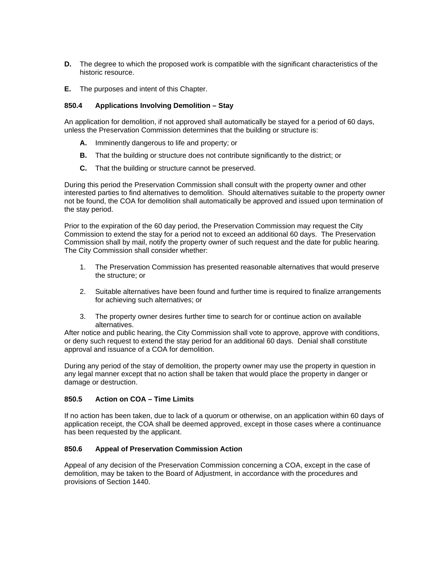- **D.** The degree to which the proposed work is compatible with the significant characteristics of the historic resource.
- **E.** The purposes and intent of this Chapter.

# **850.4 Applications Involving Demolition – Stay**

An application for demolition, if not approved shall automatically be stayed for a period of 60 days, unless the Preservation Commission determines that the building or structure is:

- **A.** Imminently dangerous to life and property; or
- **B.** That the building or structure does not contribute significantly to the district; or
- **C.** That the building or structure cannot be preserved.

During this period the Preservation Commission shall consult with the property owner and other interested parties to find alternatives to demolition. Should alternatives suitable to the property owner not be found, the COA for demolition shall automatically be approved and issued upon termination of the stay period.

Prior to the expiration of the 60 day period, the Preservation Commission may request the City Commission to extend the stay for a period not to exceed an additional 60 days. The Preservation Commission shall by mail, notify the property owner of such request and the date for public hearing. The City Commission shall consider whether:

- 1. The Preservation Commission has presented reasonable alternatives that would preserve the structure; or
- 2. Suitable alternatives have been found and further time is required to finalize arrangements for achieving such alternatives; or
- 3. The property owner desires further time to search for or continue action on available alternatives.

After notice and public hearing, the City Commission shall vote to approve, approve with conditions, or deny such request to extend the stay period for an additional 60 days. Denial shall constitute approval and issuance of a COA for demolition.

During any period of the stay of demolition, the property owner may use the property in question in any legal manner except that no action shall be taken that would place the property in danger or damage or destruction.

# **850.5 Action on COA – Time Limits**

If no action has been taken, due to lack of a quorum or otherwise, on an application within 60 days of application receipt, the COA shall be deemed approved, except in those cases where a continuance has been requested by the applicant.

#### **850.6 Appeal of Preservation Commission Action**

Appeal of any decision of the Preservation Commission concerning a COA, except in the case of demolition, may be taken to the Board of Adjustment, in accordance with the procedures and provisions of Section 1440.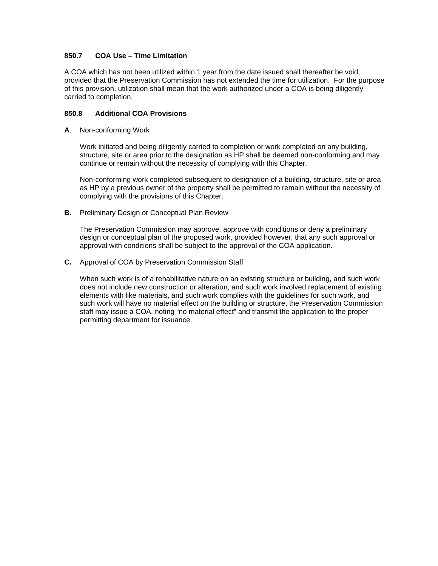### **850.7 COA Use – Time Limitation**

A COA which has not been utilized within 1 year from the date issued shall thereafter be void, provided that the Preservation Commission has not extended the time for utilization. For the purpose of this provision, utilization shall mean that the work authorized under a COA is being diligently carried to completion.

### **850.8 Additional COA Provisions**

**A**. Non-conforming Work

 Work initiated and being diligently carried to completion or work completed on any building, structure, site or area prior to the designation as HP shall be deemed non-conforming and may continue or remain without the necessity of complying with this Chapter.

 Non-conforming work completed subsequent to designation of a building, structure, site or area as HP by a previous owner of the property shall be permitted to remain without the necessity of complying with the provisions of this Chapter.

**B.** Preliminary Design or Conceptual Plan Review

 The Preservation Commission may approve, approve with conditions or deny a preliminary design or conceptual plan of the proposed work, provided however, that any such approval or approval with conditions shall be subject to the approval of the COA application.

**C.** Approval of COA by Preservation Commission Staff

 When such work is of a rehabilitative nature on an existing structure or building, and such work does not include new construction or alteration, and such work involved replacement of existing elements with like materials, and such work complies with the guidelines for such work, and such work will have no material effect on the building or structure, the Preservation Commission staff may issue a COA, noting "no material effect" and transmit the application to the proper permitting department for issuance.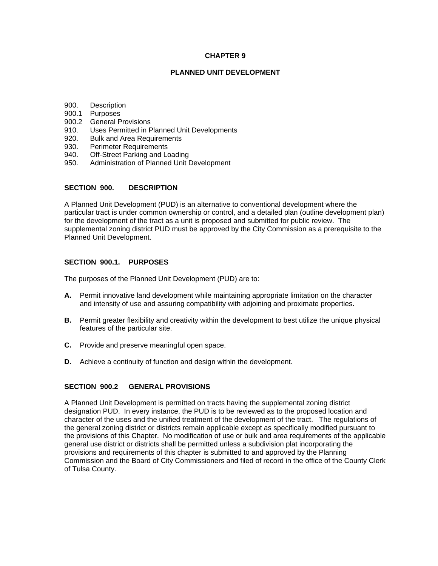#### **CHAPTER 9**

### **PLANNED UNIT DEVELOPMENT**

- 900. Description
- 900.1 Purposes
- 900.2 General Provisions
- 910. Uses Permitted in Planned Unit Developments
- 920. Bulk and Area Requirements
- 930. Perimeter Requirements
- 940. Off-Street Parking and Loading
- 950. Administration of Planned Unit Development

#### **SECTION 900. DESCRIPTION**

A Planned Unit Development (PUD) is an alternative to conventional development where the particular tract is under common ownership or control, and a detailed plan (outline development plan) for the development of the tract as a unit is proposed and submitted for public review. The supplemental zoning district PUD must be approved by the City Commission as a prerequisite to the Planned Unit Development.

### **SECTION 900.1. PURPOSES**

The purposes of the Planned Unit Development (PUD) are to:

- **A.** Permit innovative land development while maintaining appropriate limitation on the character and intensity of use and assuring compatibility with adjoining and proximate properties.
- **B.** Permit greater flexibility and creativity within the development to best utilize the unique physical features of the particular site.
- **C.** Provide and preserve meaningful open space.
- **D.** Achieve a continuity of function and design within the development.

#### **SECTION 900.2 GENERAL PROVISIONS**

A Planned Unit Development is permitted on tracts having the supplemental zoning district designation PUD. In every instance, the PUD is to be reviewed as to the proposed location and character of the uses and the unified treatment of the development of the tract. The regulations of the general zoning district or districts remain applicable except as specifically modified pursuant to the provisions of this Chapter. No modification of use or bulk and area requirements of the applicable general use district or districts shall be permitted unless a subdivision plat incorporating the provisions and requirements of this chapter is submitted to and approved by the Planning Commission and the Board of City Commissioners and filed of record in the office of the County Clerk of Tulsa County.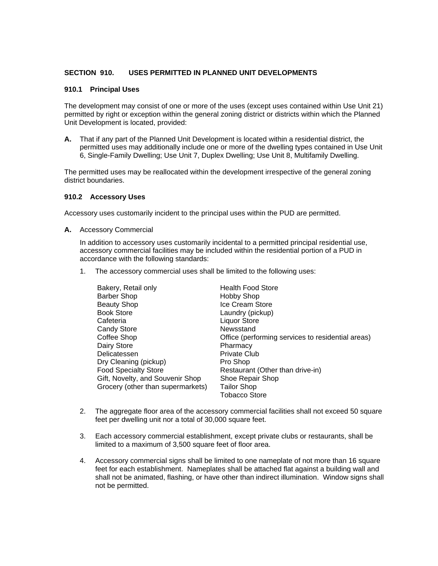### **SECTION 910. USES PERMITTED IN PLANNED UNIT DEVELOPMENTS**

#### **910.1 Principal Uses**

The development may consist of one or more of the uses (except uses contained within Use Unit 21) permitted by right or exception within the general zoning district or districts within which the Planned Unit Development is located, provided:

**A.** That if any part of the Planned Unit Development is located within a residential district, the permitted uses may additionally include one or more of the dwelling types contained in Use Unit 6, Single-Family Dwelling; Use Unit 7, Duplex Dwelling; Use Unit 8, Multifamily Dwelling.

The permitted uses may be reallocated within the development irrespective of the general zoning district boundaries.

#### **910.2 Accessory Uses**

Accessory uses customarily incident to the principal uses within the PUD are permitted.

**A.** Accessory Commercial

 In addition to accessory uses customarily incidental to a permitted principal residential use, accessory commercial facilities may be included within the residential portion of a PUD in accordance with the following standards:

1. The accessory commercial uses shall be limited to the following uses:

| Bakery, Retail only               | <b>Health Food Store</b>                          |
|-----------------------------------|---------------------------------------------------|
| <b>Barber Shop</b>                | <b>Hobby Shop</b>                                 |
| <b>Beauty Shop</b>                | Ice Cream Store                                   |
| <b>Book Store</b>                 | Laundry (pickup)                                  |
| Cafeteria                         | <b>Liquor Store</b>                               |
| <b>Candy Store</b>                | Newsstand                                         |
| Coffee Shop                       | Office (performing services to residential areas) |
| Dairy Store                       | Pharmacy                                          |
| Delicatessen                      | <b>Private Club</b>                               |
| Dry Cleaning (pickup)             | Pro Shop                                          |
| <b>Food Specialty Store</b>       | Restaurant (Other than drive-in)                  |
| Gift, Novelty, and Souvenir Shop  | Shoe Repair Shop                                  |
| Grocery (other than supermarkets) | <b>Tailor Shop</b>                                |
|                                   | <b>Tobacco Store</b>                              |

- 2. The aggregate floor area of the accessory commercial facilities shall not exceed 50 square feet per dwelling unit nor a total of 30,000 square feet.
- 3. Each accessory commercial establishment, except private clubs or restaurants, shall be limited to a maximum of 3,500 square feet of floor area.
- 4. Accessory commercial signs shall be limited to one nameplate of not more than 16 square feet for each establishment. Nameplates shall be attached flat against a building wall and shall not be animated, flashing, or have other than indirect illumination. Window signs shall not be permitted.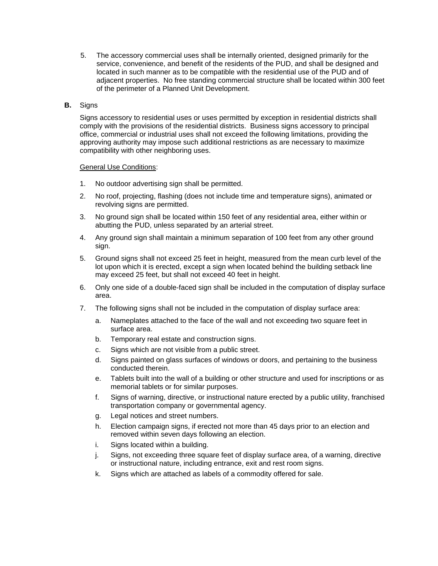5. The accessory commercial uses shall be internally oriented, designed primarily for the service, convenience, and benefit of the residents of the PUD, and shall be designed and located in such manner as to be compatible with the residential use of the PUD and of adjacent properties. No free standing commercial structure shall be located within 300 feet of the perimeter of a Planned Unit Development.

# **B.** Signs

 Signs accessory to residential uses or uses permitted by exception in residential districts shall comply with the provisions of the residential districts. Business signs accessory to principal office, commercial or industrial uses shall not exceed the following limitations, providing the approving authority may impose such additional restrictions as are necessary to maximize compatibility with other neighboring uses.

#### General Use Conditions:

- 1. No outdoor advertising sign shall be permitted.
- 2. No roof, projecting, flashing (does not include time and temperature signs), animated or revolving signs are permitted.
- 3. No ground sign shall be located within 150 feet of any residential area, either within or abutting the PUD, unless separated by an arterial street.
- 4. Any ground sign shall maintain a minimum separation of 100 feet from any other ground sign.
- 5. Ground signs shall not exceed 25 feet in height, measured from the mean curb level of the lot upon which it is erected, except a sign when located behind the building setback line may exceed 25 feet, but shall not exceed 40 feet in height.
- 6. Only one side of a double-faced sign shall be included in the computation of display surface area.
- 7. The following signs shall not be included in the computation of display surface area:
	- a. Nameplates attached to the face of the wall and not exceeding two square feet in surface area.
	- b. Temporary real estate and construction signs.
	- c. Signs which are not visible from a public street.
	- d. Signs painted on glass surfaces of windows or doors, and pertaining to the business conducted therein.
	- e. Tablets built into the wall of a building or other structure and used for inscriptions or as memorial tablets or for similar purposes.
	- f. Signs of warning, directive, or instructional nature erected by a public utility, franchised transportation company or governmental agency.
	- g. Legal notices and street numbers.
	- h. Election campaign signs, if erected not more than 45 days prior to an election and removed within seven days following an election.
	- i. Signs located within a building.
	- j. Signs, not exceeding three square feet of display surface area, of a warning, directive or instructional nature, including entrance, exit and rest room signs.
	- k. Signs which are attached as labels of a commodity offered for sale.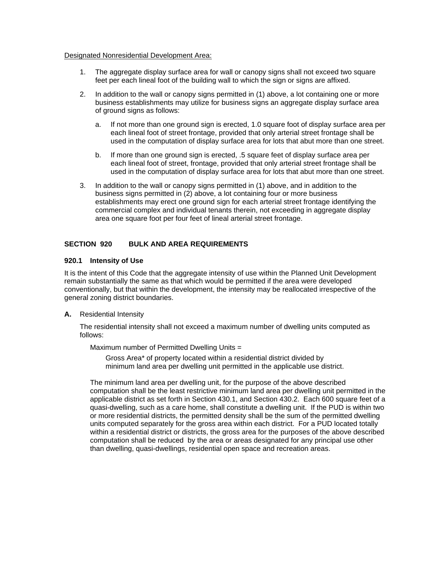#### Designated Nonresidential Development Area:

- 1. The aggregate display surface area for wall or canopy signs shall not exceed two square feet per each lineal foot of the building wall to which the sign or signs are affixed.
- 2. In addition to the wall or canopy signs permitted in (1) above, a lot containing one or more business establishments may utilize for business signs an aggregate display surface area of ground signs as follows:
	- a. If not more than one ground sign is erected, 1.0 square foot of display surface area per each lineal foot of street frontage, provided that only arterial street frontage shall be used in the computation of display surface area for lots that abut more than one street.
	- b. If more than one ground sign is erected, .5 square feet of display surface area per each lineal foot of street, frontage, provided that only arterial street frontage shall be used in the computation of display surface area for lots that abut more than one street.
- 3. In addition to the wall or canopy signs permitted in (1) above, and in addition to the business signs permitted in (2) above, a lot containing four or more business establishments may erect one ground sign for each arterial street frontage identifying the commercial complex and individual tenants therein, not exceeding in aggregate display area one square foot per four feet of lineal arterial street frontage.

# **SECTION 920 BULK AND AREA REQUIREMENTS**

#### **920.1 Intensity of Use**

It is the intent of this Code that the aggregate intensity of use within the Planned Unit Development remain substantially the same as that which would be permitted if the area were developed conventionally, but that within the development, the intensity may be reallocated irrespective of the general zoning district boundaries.

**A.** Residential Intensity

 The residential intensity shall not exceed a maximum number of dwelling units computed as follows:

Maximum number of Permitted Dwelling Units =

 Gross Area\* of property located within a residential district divided by minimum land area per dwelling unit permitted in the applicable use district.

 The minimum land area per dwelling unit, for the purpose of the above described computation shall be the least restrictive minimum land area per dwelling unit permitted in the applicable district as set forth in Section 430.1, and Section 430.2. Each 600 square feet of a quasi-dwelling, such as a care home, shall constitute a dwelling unit. If the PUD is within two or more residential districts, the permitted density shall be the sum of the permitted dwelling units computed separately for the gross area within each district. For a PUD located totally within a residential district or districts, the gross area for the purposes of the above described computation shall be reduced by the area or areas designated for any principal use other than dwelling, quasi-dwellings, residential open space and recreation areas.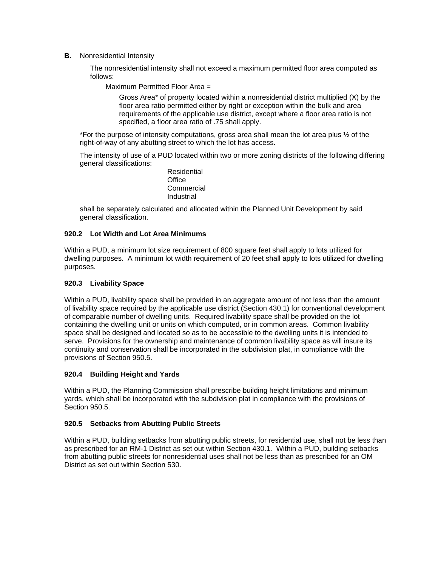**B.** Nonresidential Intensity

 The nonresidential intensity shall not exceed a maximum permitted floor area computed as follows:

Maximum Permitted Floor Area =

 Gross Area\* of property located within a nonresidential district multiplied (X) by the floor area ratio permitted either by right or exception within the bulk and area requirements of the applicable use district, except where a floor area ratio is not specified, a floor area ratio of .75 shall apply.

 \*For the purpose of intensity computations, gross area shall mean the lot area plus ½ of the right-of-way of any abutting street to which the lot has access.

 The intensity of use of a PUD located within two or more zoning districts of the following differing general classifications:

 Residential **Office Commercial** Industrial

 shall be separately calculated and allocated within the Planned Unit Development by said general classification.

# **920.2 Lot Width and Lot Area Minimums**

Within a PUD, a minimum lot size requirement of 800 square feet shall apply to lots utilized for dwelling purposes. A minimum lot width requirement of 20 feet shall apply to lots utilized for dwelling purposes.

### **920.3 Livability Space**

Within a PUD, livability space shall be provided in an aggregate amount of not less than the amount of livability space required by the applicable use district (Section 430.1) for conventional development of comparable number of dwelling units. Required livability space shall be provided on the lot containing the dwelling unit or units on which computed, or in common areas. Common livability space shall be designed and located so as to be accessible to the dwelling units it is intended to serve. Provisions for the ownership and maintenance of common livability space as will insure its continuity and conservation shall be incorporated in the subdivision plat, in compliance with the provisions of Section 950.5.

#### **920.4 Building Height and Yards**

Within a PUD, the Planning Commission shall prescribe building height limitations and minimum yards, which shall be incorporated with the subdivision plat in compliance with the provisions of Section 950.5.

#### **920.5 Setbacks from Abutting Public Streets**

Within a PUD, building setbacks from abutting public streets, for residential use, shall not be less than as prescribed for an RM-1 District as set out within Section 430.1. Within a PUD, building setbacks from abutting public streets for nonresidential uses shall not be less than as prescribed for an OM District as set out within Section 530.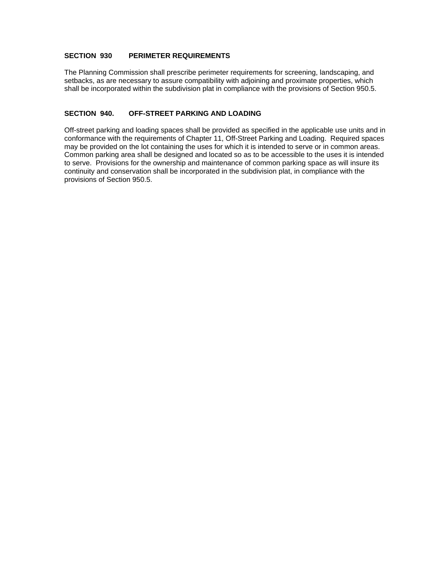# **SECTION 930 PERIMETER REQUIREMENTS**

The Planning Commission shall prescribe perimeter requirements for screening, landscaping, and setbacks, as are necessary to assure compatibility with adjoining and proximate properties, which shall be incorporated within the subdivision plat in compliance with the provisions of Section 950.5.

# **SECTION 940. OFF-STREET PARKING AND LOADING**

Off-street parking and loading spaces shall be provided as specified in the applicable use units and in conformance with the requirements of Chapter 11, Off-Street Parking and Loading. Required spaces may be provided on the lot containing the uses for which it is intended to serve or in common areas. Common parking area shall be designed and located so as to be accessible to the uses it is intended to serve. Provisions for the ownership and maintenance of common parking space as will insure its continuity and conservation shall be incorporated in the subdivision plat, in compliance with the provisions of Section 950.5.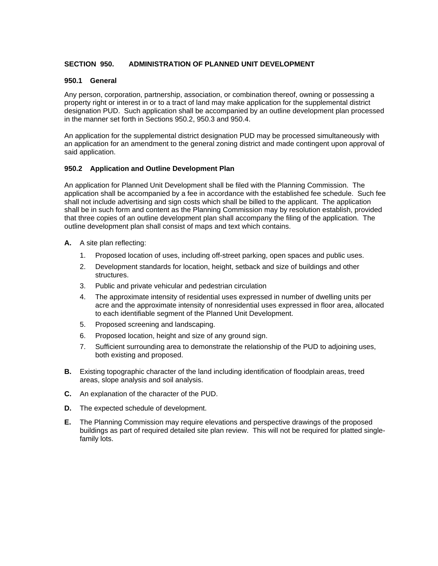### **SECTION 950. ADMINISTRATION OF PLANNED UNIT DEVELOPMENT**

### **950.1 General**

Any person, corporation, partnership, association, or combination thereof, owning or possessing a property right or interest in or to a tract of land may make application for the supplemental district designation PUD. Such application shall be accompanied by an outline development plan processed in the manner set forth in Sections 950.2, 950.3 and 950.4.

An application for the supplemental district designation PUD may be processed simultaneously with an application for an amendment to the general zoning district and made contingent upon approval of said application.

# **950.2 Application and Outline Development Plan**

An application for Planned Unit Development shall be filed with the Planning Commission. The application shall be accompanied by a fee in accordance with the established fee schedule. Such fee shall not include advertising and sign costs which shall be billed to the applicant. The application shall be in such form and content as the Planning Commission may by resolution establish, provided that three copies of an outline development plan shall accompany the filing of the application. The outline development plan shall consist of maps and text which contains.

- **A.** A site plan reflecting:
	- 1. Proposed location of uses, including off-street parking, open spaces and public uses.
	- 2. Development standards for location, height, setback and size of buildings and other structures.
	- 3. Public and private vehicular and pedestrian circulation
	- 4. The approximate intensity of residential uses expressed in number of dwelling units per acre and the approximate intensity of nonresidential uses expressed in floor area, allocated to each identifiable segment of the Planned Unit Development.
	- 5. Proposed screening and landscaping.
	- 6. Proposed location, height and size of any ground sign.
	- 7. Sufficient surrounding area to demonstrate the relationship of the PUD to adjoining uses, both existing and proposed.
- **B.** Existing topographic character of the land including identification of floodplain areas, treed areas, slope analysis and soil analysis.
- **C.** An explanation of the character of the PUD.
- **D.** The expected schedule of development.
- **E.** The Planning Commission may require elevations and perspective drawings of the proposed buildings as part of required detailed site plan review. This will not be required for platted singlefamily lots.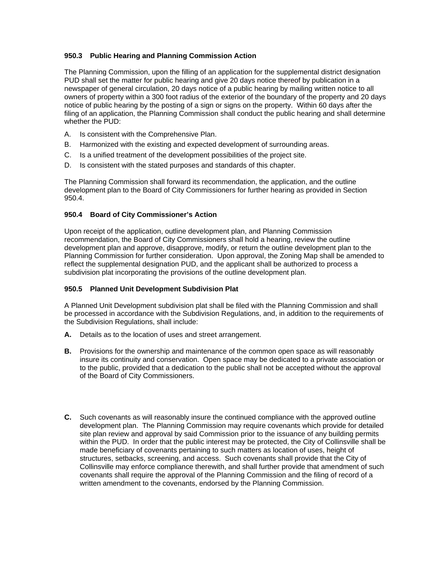# **950.3 Public Hearing and Planning Commission Action**

The Planning Commission, upon the filling of an application for the supplemental district designation PUD shall set the matter for public hearing and give 20 days notice thereof by publication in a newspaper of general circulation, 20 days notice of a public hearing by mailing written notice to all owners of property within a 300 foot radius of the exterior of the boundary of the property and 20 days notice of public hearing by the posting of a sign or signs on the property. Within 60 days after the filing of an application, the Planning Commission shall conduct the public hearing and shall determine whether the PUD:

- A. Is consistent with the Comprehensive Plan.
- B. Harmonized with the existing and expected development of surrounding areas.
- C. Is a unified treatment of the development possibilities of the project site.
- D. Is consistent with the stated purposes and standards of this chapter.

The Planning Commission shall forward its recommendation, the application, and the outline development plan to the Board of City Commissioners for further hearing as provided in Section 950.4.

# **950.4 Board of City Commissioner's Action**

Upon receipt of the application, outline development plan, and Planning Commission recommendation, the Board of City Commissioners shall hold a hearing, review the outline development plan and approve, disapprove, modify, or return the outline development plan to the Planning Commission for further consideration. Upon approval, the Zoning Map shall be amended to reflect the supplemental designation PUD, and the applicant shall be authorized to process a subdivision plat incorporating the provisions of the outline development plan.

#### **950.5 Planned Unit Development Subdivision Plat**

A Planned Unit Development subdivision plat shall be filed with the Planning Commission and shall be processed in accordance with the Subdivision Regulations, and, in addition to the requirements of the Subdivision Regulations, shall include:

- **A.** Details as to the location of uses and street arrangement.
- **B.** Provisions for the ownership and maintenance of the common open space as will reasonably insure its continuity and conservation. Open space may be dedicated to a private association or to the public, provided that a dedication to the public shall not be accepted without the approval of the Board of City Commissioners.
- **C.** Such covenants as will reasonably insure the continued compliance with the approved outline development plan. The Planning Commission may require covenants which provide for detailed site plan review and approval by said Commission prior to the issuance of any building permits within the PUD. In order that the public interest may be protected, the City of Collinsville shall be made beneficiary of covenants pertaining to such matters as location of uses, height of structures, setbacks, screening, and access. Such covenants shall provide that the City of Collinsville may enforce compliance therewith, and shall further provide that amendment of such covenants shall require the approval of the Planning Commission and the filing of record of a written amendment to the covenants, endorsed by the Planning Commission.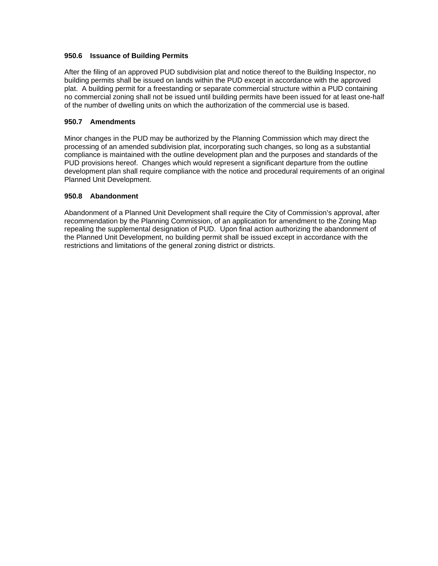### **950.6 Issuance of Building Permits**

After the filing of an approved PUD subdivision plat and notice thereof to the Building Inspector, no building permits shall be issued on lands within the PUD except in accordance with the approved plat. A building permit for a freestanding or separate commercial structure within a PUD containing no commercial zoning shall not be issued until building permits have been issued for at least one-half of the number of dwelling units on which the authorization of the commercial use is based.

# **950.7 Amendments**

Minor changes in the PUD may be authorized by the Planning Commission which may direct the processing of an amended subdivision plat, incorporating such changes, so long as a substantial compliance is maintained with the outline development plan and the purposes and standards of the PUD provisions hereof. Changes which would represent a significant departure from the outline development plan shall require compliance with the notice and procedural requirements of an original Planned Unit Development.

# **950.8 Abandonment**

Abandonment of a Planned Unit Development shall require the City of Commission's approval, after recommendation by the Planning Commission, of an application for amendment to the Zoning Map repealing the supplemental designation of PUD. Upon final action authorizing the abandonment of the Planned Unit Development, no building permit shall be issued except in accordance with the restrictions and limitations of the general zoning district or districts.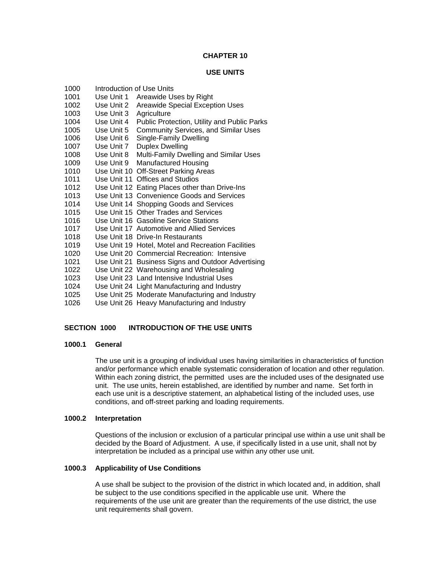### **CHAPTER 10**

### **USE UNITS**

| 1000 |            | Introduction of Use Units                          |
|------|------------|----------------------------------------------------|
| 1001 | Use Unit 1 | Areawide Uses by Right                             |
| 1002 | Use Unit 2 | Areawide Special Exception Uses                    |
| 1003 | Use Unit 3 | Agriculture                                        |
| 1004 | Use Unit 4 | Public Protection, Utility and Public Parks        |
| 1005 | Use Unit 5 | <b>Community Services, and Similar Uses</b>        |
| 1006 | Use Unit 6 | Single-Family Dwelling                             |
| 1007 | Use Unit 7 | <b>Duplex Dwelling</b>                             |
| 1008 | Use Unit 8 | Multi-Family Dwelling and Similar Uses             |
| 1009 | Use Unit 9 | <b>Manufactured Housing</b>                        |
| 1010 |            | Use Unit 10 Off-Street Parking Areas               |
| 1011 |            | Use Unit 11 Offices and Studios                    |
| 1012 |            | Use Unit 12 Eating Places other than Drive-Ins     |
| 1013 |            | Use Unit 13 Convenience Goods and Services         |
| 1014 |            | Use Unit 14 Shopping Goods and Services            |
| 1015 |            | Use Unit 15 Other Trades and Services              |
| 1016 |            | Use Unit 16 Gasoline Service Stations              |
| 1017 |            | Use Unit 17 Automotive and Allied Services         |
| 1018 |            | Use Unit 18 Drive-In Restaurants                   |
| 1019 |            | Use Unit 19 Hotel, Motel and Recreation Facilities |
| 1020 |            | Use Unit 20 Commercial Recreation: Intensive       |
| 1021 |            | Use Unit 21 Business Signs and Outdoor Advertising |
| 1022 |            | Use Unit 22 Warehousing and Wholesaling            |
| 1023 |            | Use Unit 23 Land Intensive Industrial Uses         |
| 1024 |            | Use Unit 24 Light Manufacturing and Industry       |
| 1025 |            | Use Unit 25 Moderate Manufacturing and Industry    |
| 1026 |            | Use Unit 26 Heavy Manufacturing and Industry       |

# **SECTION 1000 INTRODUCTION OF THE USE UNITS**

#### **1000.1 General**

The use unit is a grouping of individual uses having similarities in characteristics of function and/or performance which enable systematic consideration of location and other regulation. Within each zoning district, the permitted uses are the included uses of the designated use unit. The use units, herein established, are identified by number and name. Set forth in each use unit is a descriptive statement, an alphabetical listing of the included uses, use conditions, and off-street parking and loading requirements.

# **1000.2 Interpretation**

Questions of the inclusion or exclusion of a particular principal use within a use unit shall be decided by the Board of Adjustment. A use, if specifically listed in a use unit, shall not by interpretation be included as a principal use within any other use unit.

#### **1000.3 Applicability of Use Conditions**

A use shall be subject to the provision of the district in which located and, in addition, shall be subject to the use conditions specified in the applicable use unit. Where the requirements of the use unit are greater than the requirements of the use district, the use unit requirements shall govern.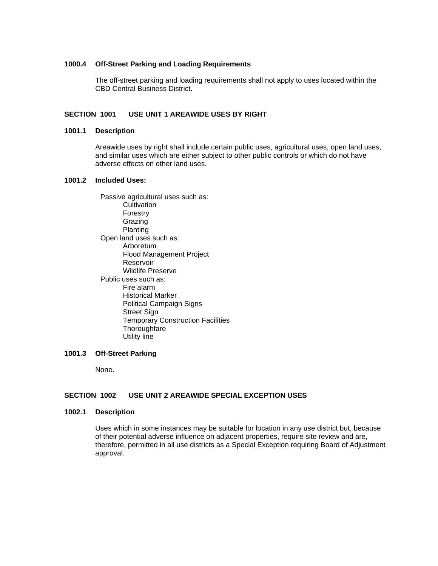#### **1000.4 Off-Street Parking and Loading Requirements**

The off-street parking and loading requirements shall not apply to uses located within the CBD Central Business District.

# **SECTION 1001 USE UNIT 1 AREAWIDE USES BY RIGHT**

#### **1001.1 Description**

Areawide uses by right shall include certain public uses, agricultural uses, open land uses, and similar uses which are either subject to other public controls or which do not have adverse effects on other land uses.

#### **1001.2 Included Uses:**

 Passive agricultural uses such as: **Cultivation**  Forestry Grazing Planting Open land uses such as: Arboretum Flood Management Project Reservoir Wildlife Preserve Public uses such as: Fire alarm Historical Marker Political Campaign Signs Street Sign Temporary Construction Facilities **Thoroughfare** Utility line

# **1001.3 Off-Street Parking**

None.

# **SECTION 1002 USE UNIT 2 AREAWIDE SPECIAL EXCEPTION USES**

#### **1002.1 Description**

Uses which in some instances may be suitable for location in any use district but, because of their potential adverse influence on adjacent properties, require site review and are, therefore, permitted in all use districts as a Special Exception requiring Board of Adjustment approval.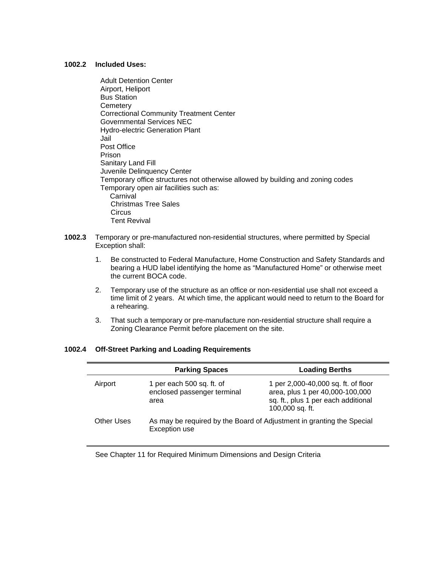### **1002.2 Included Uses:**

- Adult Detention Center Airport, Heliport Bus Station **Cemetery**  Correctional Community Treatment Center Governmental Services NEC Hydro-electric Generation Plant Jail Post Office Prison Sanitary Land Fill Juvenile Delinquency Center Temporary office structures not otherwise allowed by building and zoning codes Temporary open air facilities such as: **Carnival**  Christmas Tree Sales **Circus** Tent Revival
- **1002.3** Temporary or pre-manufactured non-residential structures, where permitted by Special Exception shall:
	- 1. Be constructed to Federal Manufacture, Home Construction and Safety Standards and bearing a HUD label identifying the home as "Manufactured Home" or otherwise meet the current BOCA code.
	- 2. Temporary use of the structure as an office or non-residential use shall not exceed a time limit of 2 years. At which time, the applicant would need to return to the Board for a rehearing.
	- 3. That such a temporary or pre-manufacture non-residential structure shall require a Zoning Clearance Permit before placement on the site.

# **1002.4 Off-Street Parking and Loading Requirements**

|            | <b>Parking Spaces</b>                                                                  | <b>Loading Berths</b>                                                                                                            |
|------------|----------------------------------------------------------------------------------------|----------------------------------------------------------------------------------------------------------------------------------|
| Airport    | 1 per each 500 sq. ft. of<br>enclosed passenger terminal<br>area                       | 1 per 2,000-40,000 sq. ft. of floor<br>area, plus 1 per 40,000-100,000<br>sq. ft., plus 1 per each additional<br>100,000 sq. ft. |
| Other Uses | As may be required by the Board of Adjustment in granting the Special<br>Exception use |                                                                                                                                  |

See Chapter 11 for Required Minimum Dimensions and Design Criteria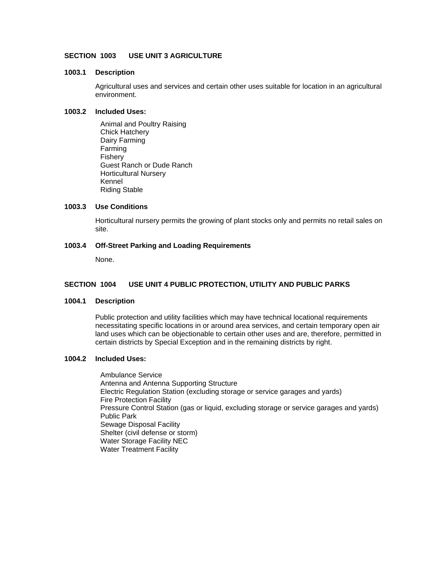# **SECTION 1003 USE UNIT 3 AGRICULTURE**

#### **1003.1 Description**

Agricultural uses and services and certain other uses suitable for location in an agricultural environment.

#### **1003.2 Included Uses:**

 Animal and Poultry Raising Chick Hatchery Dairy Farming Farming Fishery Guest Ranch or Dude Ranch Horticultural Nursery Kennel Riding Stable

# **1003.3 Use Conditions**

Horticultural nursery permits the growing of plant stocks only and permits no retail sales on site.

# **1003.4 Off-Street Parking and Loading Requirements**

None.

# **SECTION 1004 USE UNIT 4 PUBLIC PROTECTION, UTILITY AND PUBLIC PARKS**

#### **1004.1 Description**

Public protection and utility facilities which may have technical locational requirements necessitating specific locations in or around area services, and certain temporary open air land uses which can be objectionable to certain other uses and are, therefore, permitted in certain districts by Special Exception and in the remaining districts by right.

# **1004.2 Included Uses:**

 Ambulance Service Antenna and Antenna Supporting Structure Electric Regulation Station (excluding storage or service garages and yards) Fire Protection Facility Pressure Control Station (gas or liquid, excluding storage or service garages and yards) Public Park Sewage Disposal Facility Shelter (civil defense or storm) Water Storage Facility NEC Water Treatment Facility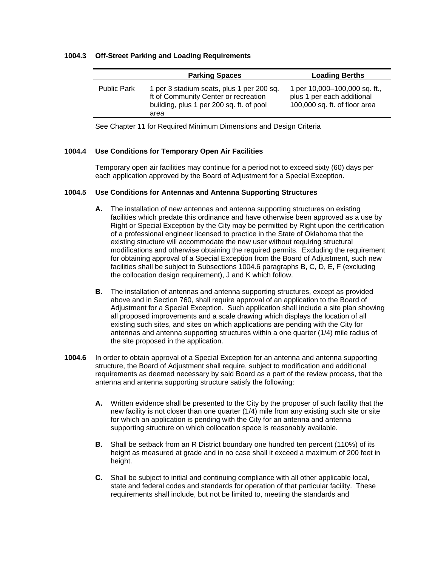#### **1004.3 Off-Street Parking and Loading Requirements**

|                    | <b>Parking Spaces</b>                                                                                                                 | <b>Loading Berths</b>                                                                        |
|--------------------|---------------------------------------------------------------------------------------------------------------------------------------|----------------------------------------------------------------------------------------------|
| <b>Public Park</b> | 1 per 3 stadium seats, plus 1 per 200 sq.<br>ft of Community Center or recreation<br>building, plus 1 per 200 sq. ft. of pool<br>area | 1 per 10,000-100,000 sq. ft.,<br>plus 1 per each additional<br>100,000 sq. ft. of floor area |

See Chapter 11 for Required Minimum Dimensions and Design Criteria

# **1004.4 Use Conditions for Temporary Open Air Facilities**

Temporary open air facilities may continue for a period not to exceed sixty (60) days per each application approved by the Board of Adjustment for a Special Exception.

#### **1004.5 Use Conditions for Antennas and Antenna Supporting Structures**

- **A.** The installation of new antennas and antenna supporting structures on existing facilities which predate this ordinance and have otherwise been approved as a use by Right or Special Exception by the City may be permitted by Right upon the certification of a professional engineer licensed to practice in the State of Oklahoma that the existing structure will accommodate the new user without requiring structural modifications and otherwise obtaining the required permits. Excluding the requirement for obtaining approval of a Special Exception from the Board of Adjustment, such new facilities shall be subject to Subsections 1004.6 paragraphs B, C, D, E, F (excluding the collocation design requirement), J and K which follow.
- **B.** The installation of antennas and antenna supporting structures, except as provided above and in Section 760, shall require approval of an application to the Board of Adjustment for a Special Exception. Such application shall include a site plan showing all proposed improvements and a scale drawing which displays the location of all existing such sites, and sites on which applications are pending with the City for antennas and antenna supporting structures within a one quarter (1/4) mile radius of the site proposed in the application.
- **1004.6** In order to obtain approval of a Special Exception for an antenna and antenna supporting structure, the Board of Adjustment shall require, subject to modification and additional requirements as deemed necessary by said Board as a part of the review process, that the antenna and antenna supporting structure satisfy the following:
	- **A.** Written evidence shall be presented to the City by the proposer of such facility that the new facility is not closer than one quarter (1/4) mile from any existing such site or site for which an application is pending with the City for an antenna and antenna supporting structure on which collocation space is reasonably available.
	- **B.** Shall be setback from an R District boundary one hundred ten percent (110%) of its height as measured at grade and in no case shall it exceed a maximum of 200 feet in height.
	- **C.** Shall be subject to initial and continuing compliance with all other applicable local, state and federal codes and standards for operation of that particular facility. These requirements shall include, but not be limited to, meeting the standards and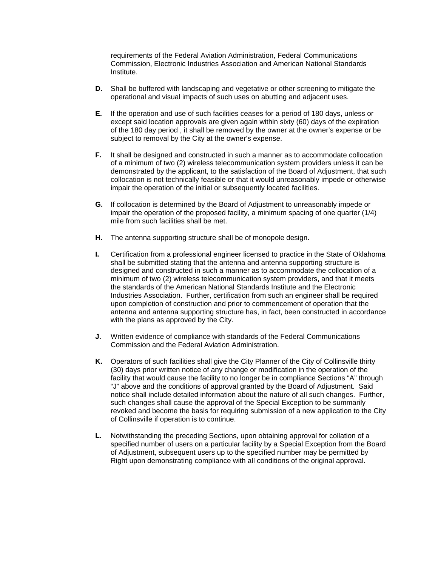requirements of the Federal Aviation Administration, Federal Communications Commission, Electronic Industries Association and American National Standards Institute.

- **D.** Shall be buffered with landscaping and vegetative or other screening to mitigate the operational and visual impacts of such uses on abutting and adjacent uses.
- **E.** If the operation and use of such facilities ceases for a period of 180 days, unless or except said location approvals are given again within sixty (60) days of the expiration of the 180 day period , it shall be removed by the owner at the owner's expense or be subject to removal by the City at the owner's expense.
- **F.** It shall be designed and constructed in such a manner as to accommodate collocation of a minimum of two (2) wireless telecommunication system providers unless it can be demonstrated by the applicant, to the satisfaction of the Board of Adjustment, that such collocation is not technically feasible or that it would unreasonably impede or otherwise impair the operation of the initial or subsequently located facilities.
- **G.** If collocation is determined by the Board of Adjustment to unreasonably impede or impair the operation of the proposed facility, a minimum spacing of one quarter (1/4) mile from such facilities shall be met.
- **H.** The antenna supporting structure shall be of monopole design.
- **I.** Certification from a professional engineer licensed to practice in the State of Oklahoma shall be submitted stating that the antenna and antenna supporting structure is designed and constructed in such a manner as to accommodate the collocation of a minimum of two (2) wireless telecommunication system providers, and that it meets the standards of the American National Standards Institute and the Electronic Industries Association. Further, certification from such an engineer shall be required upon completion of construction and prior to commencement of operation that the antenna and antenna supporting structure has, in fact, been constructed in accordance with the plans as approved by the City.
- **J.** Written evidence of compliance with standards of the Federal Communications Commission and the Federal Aviation Administration.
- **K.** Operators of such facilities shall give the City Planner of the City of Collinsville thirty (30) days prior written notice of any change or modification in the operation of the facility that would cause the facility to no longer be in compliance Sections "A" through "J" above and the conditions of approval granted by the Board of Adjustment. Said notice shall include detailed information about the nature of all such changes. Further, such changes shall cause the approval of the Special Exception to be summarily revoked and become the basis for requiring submission of a new application to the City of Collinsville if operation is to continue.
- **L.** Notwithstanding the preceding Sections, upon obtaining approval for collation of a specified number of users on a particular facility by a Special Exception from the Board of Adjustment, subsequent users up to the specified number may be permitted by Right upon demonstrating compliance with all conditions of the original approval.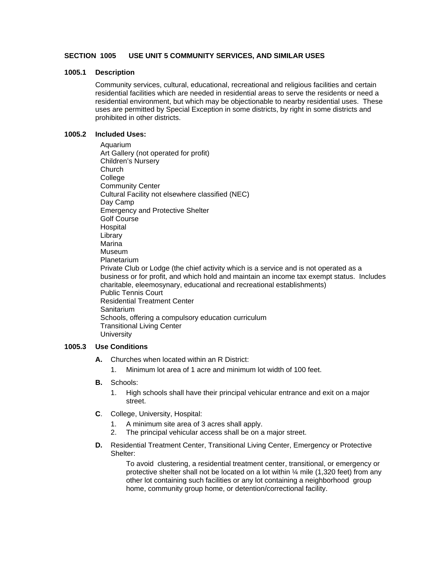## **SECTION 1005 USE UNIT 5 COMMUNITY SERVICES, AND SIMILAR USES**

#### **1005.1 Description**

Community services, cultural, educational, recreational and religious facilities and certain residential facilities which are needed in residential areas to serve the residents or need a residential environment, but which may be objectionable to nearby residential uses. These uses are permitted by Special Exception in some districts, by right in some districts and prohibited in other districts.

#### **1005.2 Included Uses:**

 Aquarium Art Gallery (not operated for profit) Children's Nursery **Church**  College Community Center Cultural Facility not elsewhere classified (NEC) Day Camp Emergency and Protective Shelter Golf Course Hospital Library Marina Museum Planetarium Private Club or Lodge (the chief activity which is a service and is not operated as a business or for profit, and which hold and maintain an income tax exempt status. Includes charitable, eleemosynary, educational and recreational establishments) Public Tennis Court Residential Treatment Center Sanitarium Schools, offering a compulsory education curriculum Transitional Living Center **University** 

### **1005.3 Use Conditions**

- **A.** Churches when located within an R District:
	- 1. Minimum lot area of 1 acre and minimum lot width of 100 feet.
- **B.** Schools:
	- 1. High schools shall have their principal vehicular entrance and exit on a major street.
- **C**. College, University, Hospital:
	- 1. A minimum site area of 3 acres shall apply.
	- 2. The principal vehicular access shall be on a major street.
- **D.** Residential Treatment Center, Transitional Living Center, Emergency or Protective Shelter:

 To avoid clustering, a residential treatment center, transitional, or emergency or protective shelter shall not be located on a lot within  $\frac{1}{4}$  mile (1,320 feet) from any other lot containing such facilities or any lot containing a neighborhood group home, community group home, or detention/correctional facility.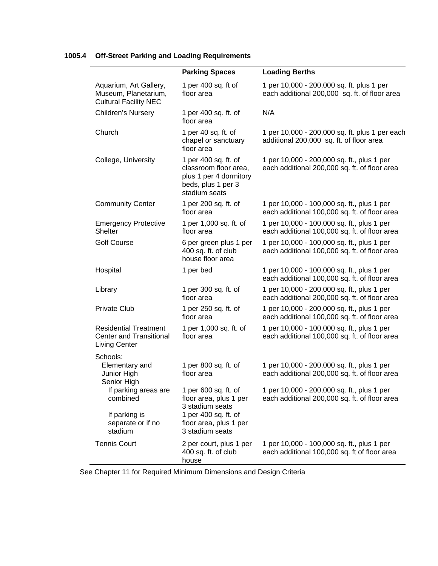|                                                                                        | <b>Parking Spaces</b>                                                                                          | <b>Loading Berths</b>                                                                       |
|----------------------------------------------------------------------------------------|----------------------------------------------------------------------------------------------------------------|---------------------------------------------------------------------------------------------|
| Aquarium, Art Gallery,<br>Museum, Planetarium,<br><b>Cultural Facility NEC</b>         | 1 per 400 sq. ft of<br>floor area                                                                              | 1 per 10,000 - 200,000 sq. ft. plus 1 per<br>each additional 200,000 sq. ft. of floor area  |
| Children's Nursery                                                                     | 1 per 400 sq. ft. of<br>floor area                                                                             | N/A                                                                                         |
| Church                                                                                 | 1 per 40 sq. ft. of<br>chapel or sanctuary<br>floor area                                                       | 1 per 10,000 - 200,000 sq. ft. plus 1 per each<br>additional 200,000 sq. ft. of floor area  |
| College, University                                                                    | 1 per 400 sq. ft. of<br>classroom floor area,<br>plus 1 per 4 dormitory<br>beds, plus 1 per 3<br>stadium seats | 1 per 10,000 - 200,000 sq. ft., plus 1 per<br>each additional 200,000 sq. ft. of floor area |
| <b>Community Center</b>                                                                | 1 per 200 sq. ft. of<br>floor area                                                                             | 1 per 10,000 - 100,000 sq. ft., plus 1 per<br>each additional 100,000 sq. ft. of floor area |
| <b>Emergency Protective</b><br>Shelter                                                 | 1 per 1,000 sq. ft. of<br>floor area                                                                           | 1 per 10,000 - 100,000 sq. ft., plus 1 per<br>each additional 100,000 sq. ft. of floor area |
| <b>Golf Course</b>                                                                     | 6 per green plus 1 per<br>400 sq. ft. of club<br>house floor area                                              | 1 per 10,000 - 100,000 sq. ft., plus 1 per<br>each additional 100,000 sq. ft. of floor area |
| Hospital                                                                               | 1 per bed                                                                                                      | 1 per 10,000 - 100,000 sq. ft., plus 1 per<br>each additional 100,000 sq. ft. of floor area |
| Library                                                                                | 1 per 300 sq. ft. of<br>floor area                                                                             | 1 per 10,000 - 200,000 sq. ft., plus 1 per<br>each additional 200,000 sq. ft. of floor area |
| <b>Private Club</b>                                                                    | 1 per 250 sq. ft. of<br>floor area                                                                             | 1 per 10,000 - 200,000 sq. ft., plus 1 per<br>each additional 100,000 sq. ft. of floor area |
| <b>Residential Treatment</b><br><b>Center and Transitional</b><br><b>Living Center</b> | 1 per 1,000 sq. ft. of<br>floor area                                                                           | 1 per 10,000 - 100,000 sq. ft., plus 1 per<br>each additional 100,000 sq. ft. of floor area |
| Schools:<br>Elementary and<br>Junior High<br>Senior High                               | 1 per 800 sq. ft. of<br>floor area                                                                             | 1 per 10,000 - 200,000 sq. ft., plus 1 per<br>each additional 200,000 sq. ft. of floor area |
| If parking areas are<br>combined                                                       | 1 per 600 sq. ft. of<br>floor area, plus 1 per<br>3 stadium seats                                              | 1 per 10,000 - 200,000 sq. ft., plus 1 per<br>each additional 200,000 sq. ft. of floor area |
| If parking is<br>separate or if no<br>stadium                                          | 1 per 400 sq. ft. of<br>floor area, plus 1 per<br>3 stadium seats                                              |                                                                                             |
| <b>Tennis Court</b>                                                                    | 2 per court, plus 1 per<br>400 sq. ft. of club<br>house                                                        | 1 per 10,000 - 100,000 sq. ft., plus 1 per<br>each additional 100,000 sq. ft of floor area  |

# **1005.4 Off-Street Parking and Loading Requirements**

See Chapter 11 for Required Minimum Dimensions and Design Criteria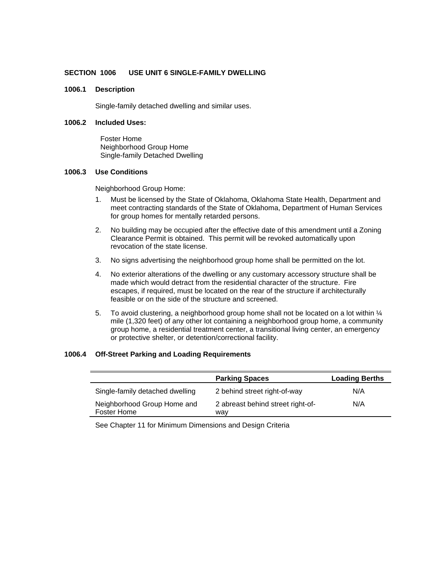### **SECTION 1006 USE UNIT 6 SINGLE-FAMILY DWELLING**

### **1006.1 Description**

Single-family detached dwelling and similar uses.

### **1006.2 Included Uses:**

 Foster Home Neighborhood Group Home Single-family Detached Dwelling

#### **1006.3 Use Conditions**

Neighborhood Group Home:

- 1. Must be licensed by the State of Oklahoma, Oklahoma State Health, Department and meet contracting standards of the State of Oklahoma, Department of Human Services for group homes for mentally retarded persons.
- 2. No building may be occupied after the effective date of this amendment until a Zoning Clearance Permit is obtained. This permit will be revoked automatically upon revocation of the state license.
- 3. No signs advertising the neighborhood group home shall be permitted on the lot.
- 4. No exterior alterations of the dwelling or any customary accessory structure shall be made which would detract from the residential character of the structure. Fire escapes, if required, must be located on the rear of the structure if architecturally feasible or on the side of the structure and screened.
- 5. To avoid clustering, a neighborhood group home shall not be located on a lot within  $\frac{1}{4}$ mile (1,320 feet) of any other lot containing a neighborhood group home, a community group home, a residential treatment center, a transitional living center, an emergency or protective shelter, or detention/correctional facility.

### **1006.4 Off-Street Parking and Loading Requirements**

|                                            | <b>Parking Spaces</b>                    | <b>Loading Berths</b> |
|--------------------------------------------|------------------------------------------|-----------------------|
| Single-family detached dwelling            | 2 behind street right-of-way             | N/A                   |
| Neighborhood Group Home and<br>Foster Home | 2 abreast behind street right-of-<br>wav | N/A                   |

See Chapter 11 for Minimum Dimensions and Design Criteria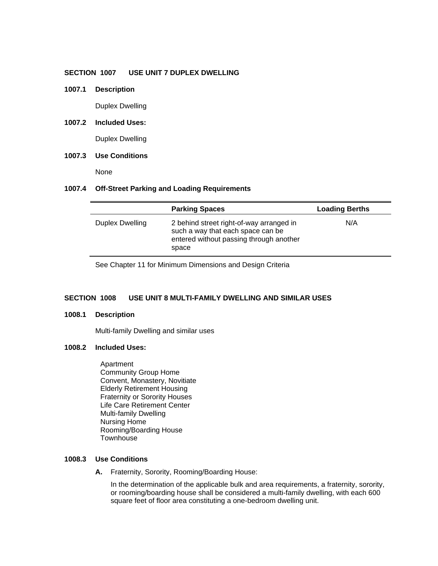### **SECTION 1007 USE UNIT 7 DUPLEX DWELLING**

**1007.1 Description** 

Duplex Dwelling

**1007.2 Included Uses:** 

Duplex Dwelling

## **1007.3 Use Conditions**

None

#### **1007.4 Off-Street Parking and Loading Requirements**

|                 | <b>Parking Spaces</b>                                                                                                             | <b>Loading Berths</b> |
|-----------------|-----------------------------------------------------------------------------------------------------------------------------------|-----------------------|
| Duplex Dwelling | 2 behind street right-of-way arranged in<br>such a way that each space can be<br>entered without passing through another<br>space | N/A                   |

See Chapter 11 for Minimum Dimensions and Design Criteria

### **SECTION 1008 USE UNIT 8 MULTI-FAMILY DWELLING AND SIMILAR USES**

#### **1008.1 Description**

Multi-family Dwelling and similar uses

#### **1008.2 Included Uses:**

 Apartment Community Group Home Convent, Monastery, Novitiate Elderly Retirement Housing Fraternity or Sorority Houses Life Care Retirement Center Multi-family Dwelling Nursing Home Rooming/Boarding House **Townhouse** 

#### **1008.3 Use Conditions**

 **A.** Fraternity, Sorority, Rooming/Boarding House:

 In the determination of the applicable bulk and area requirements, a fraternity, sorority, or rooming/boarding house shall be considered a multi-family dwelling, with each 600 square feet of floor area constituting a one-bedroom dwelling unit.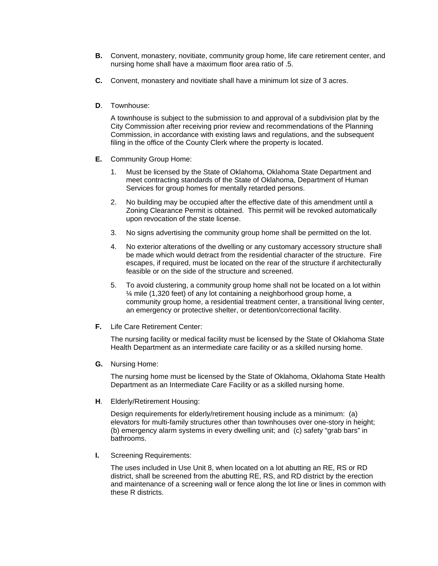- **B.** Convent, monastery, novitiate, community group home, life care retirement center, and nursing home shall have a maximum floor area ratio of .5.
- **C.** Convent, monastery and novitiate shall have a minimum lot size of 3 acres.
- **D**. Townhouse:

 A townhouse is subject to the submission to and approval of a subdivision plat by the City Commission after receiving prior review and recommendations of the Planning Commission, in accordance with existing laws and regulations, and the subsequent filing in the office of the County Clerk where the property is located.

- **E.** Community Group Home:
	- 1. Must be licensed by the State of Oklahoma, Oklahoma State Department and meet contracting standards of the State of Oklahoma, Department of Human Services for group homes for mentally retarded persons.
	- 2. No building may be occupied after the effective date of this amendment until a Zoning Clearance Permit is obtained. This permit will be revoked automatically upon revocation of the state license.
	- 3. No signs advertising the community group home shall be permitted on the lot.
	- 4. No exterior alterations of the dwelling or any customary accessory structure shall be made which would detract from the residential character of the structure. Fire escapes, if required, must be located on the rear of the structure if architecturally feasible or on the side of the structure and screened.
	- 5. To avoid clustering, a community group home shall not be located on a lot within ¼ mile (1,320 feet) of any lot containing a neighborhood group home, a community group home, a residential treatment center, a transitional living center, an emergency or protective shelter, or detention/correctional facility.
- **F.** Life Care Retirement Center:

 The nursing facility or medical facility must be licensed by the State of Oklahoma State Health Department as an intermediate care facility or as a skilled nursing home.

 **G.** Nursing Home:

 The nursing home must be licensed by the State of Oklahoma, Oklahoma State Health Department as an Intermediate Care Facility or as a skilled nursing home.

 **H**. Elderly/Retirement Housing:

 Design requirements for elderly/retirement housing include as a minimum: (a) elevators for multi-family structures other than townhouses over one-story in height; (b) emergency alarm systems in every dwelling unit; and (c) safety "grab bars" in bathrooms.

 **I.** Screening Requirements:

 The uses included in Use Unit 8, when located on a lot abutting an RE, RS or RD district, shall be screened from the abutting RE, RS, and RD district by the erection and maintenance of a screening wall or fence along the lot line or lines in common with these R districts.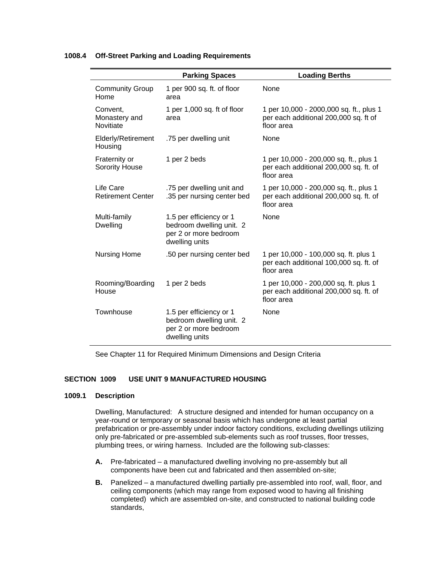### **1008.4 Off-Street Parking and Loading Requirements**

|                                        | <b>Parking Spaces</b>                                                                          | <b>Loading Berths</b>                                                                          |
|----------------------------------------|------------------------------------------------------------------------------------------------|------------------------------------------------------------------------------------------------|
| <b>Community Group</b><br>Home         | 1 per 900 sq. ft. of floor<br>area                                                             | None                                                                                           |
| Convent,<br>Monastery and<br>Novitiate | 1 per 1,000 sq. ft of floor<br>area                                                            | 1 per 10,000 - 2000,000 sq. ft., plus 1<br>per each additional 200,000 sq. ft of<br>floor area |
| <b>Elderly/Retirement</b><br>Housing   | .75 per dwelling unit                                                                          | None                                                                                           |
| Fraternity or<br><b>Sorority House</b> | 1 per 2 beds                                                                                   | 1 per 10,000 - 200,000 sq. ft., plus 1<br>per each additional 200,000 sq. ft. of<br>floor area |
| Life Care<br><b>Retirement Center</b>  | .75 per dwelling unit and<br>.35 per nursing center bed                                        | 1 per 10,000 - 200,000 sq. ft., plus 1<br>per each additional 200,000 sq. ft. of<br>floor area |
| Multi-family<br><b>Dwelling</b>        | 1.5 per efficiency or 1<br>bedroom dwelling unit. 2<br>per 2 or more bedroom<br>dwelling units | None                                                                                           |
| <b>Nursing Home</b>                    | .50 per nursing center bed                                                                     | 1 per 10,000 - 100,000 sq. ft. plus 1<br>per each additional 100,000 sq. ft. of<br>floor area  |
| Rooming/Boarding<br>House              | 1 per 2 beds                                                                                   | 1 per 10,000 - 200,000 sq. ft. plus 1<br>per each additional 200,000 sq. ft. of<br>floor area  |
| Townhouse                              | 1.5 per efficiency or 1<br>bedroom dwelling unit. 2<br>per 2 or more bedroom<br>dwelling units | <b>None</b>                                                                                    |

See Chapter 11 for Required Minimum Dimensions and Design Criteria

### **SECTION 1009 USE UNIT 9 MANUFACTURED HOUSING**

### **1009.1 Description**

Dwelling, Manufactured: A structure designed and intended for human occupancy on a year-round or temporary or seasonal basis which has undergone at least partial prefabrication or pre-assembly under indoor factory conditions, excluding dwellings utilizing only pre-fabricated or pre-assembled sub-elements such as roof trusses, floor tresses, plumbing trees, or wiring harness. Included are the following sub-classes:

- **A.** Pre-fabricated a manufactured dwelling involving no pre-assembly but all components have been cut and fabricated and then assembled on-site;
- **B.** Panelized a manufactured dwelling partially pre-assembled into roof, wall, floor, and ceiling components (which may range from exposed wood to having all finishing completed) which are assembled on-site, and constructed to national building code standards,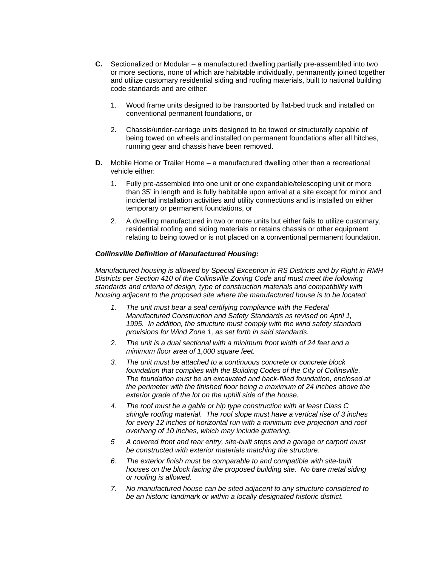- **C.** Sectionalized or Modular a manufactured dwelling partially pre-assembled into two or more sections, none of which are habitable individually, permanently joined together and utilize customary residential siding and roofing materials, built to national building code standards and are either:
	- 1. Wood frame units designed to be transported by flat-bed truck and installed on conventional permanent foundations, or
	- 2. Chassis/under-carriage units designed to be towed or structurally capable of being towed on wheels and installed on permanent foundations after all hitches, running gear and chassis have been removed.
- **D.** Mobile Home or Trailer Home a manufactured dwelling other than a recreational vehicle either:
	- 1. Fully pre-assembled into one unit or one expandable/telescoping unit or more than 35' in length and is fully habitable upon arrival at a site except for minor and incidental installation activities and utility connections and is installed on either temporary or permanent foundations, or
	- 2. A dwelling manufactured in two or more units but either fails to utilize customary, residential roofing and siding materials or retains chassis or other equipment relating to being towed or is not placed on a conventional permanent foundation.

### *Collinsville Definition of Manufactured Housing:*

*Manufactured housing is allowed by Special Exception in RS Districts and by Right in RMH Districts per Section 410 of the Collinsville Zoning Code and must meet the following standards and criteria of design, type of construction materials and compatibility with housing adjacent to the proposed site where the manufactured house is to be located:* 

- *1. The unit must bear a seal certifying compliance with the Federal Manufactured Construction and Safety Standards as revised on April 1, 1995. In addition, the structure must comply with the wind safety standard provisions for Wind Zone 1, as set forth in said standards.*
- *2. The unit is a dual sectional with a minimum front width of 24 feet and a minimum floor area of 1,000 square feet.*
- *3. The unit must be attached to a continuous concrete or concrete block foundation that complies with the Building Codes of the City of Collinsville. The foundation must be an excavated and back-filled foundation, enclosed at the perimeter with the finished floor being a maximum of 24 inches above the exterior grade of the lot on the uphill side of the house.*
- *4. The roof must be a gable or hip type construction with at least Class C shingle roofing material. The roof slope must have a vertical rise of 3 inches for every 12 inches of horizontal run with a minimum eve projection and roof overhang of 10 inches, which may include guttering.*
- *5 A covered front and rear entry, site-built steps and a garage or carport must be constructed with exterior materials matching the structure.*
- *6. The exterior finish must be comparable to and compatible with site-built houses on the block facing the proposed building site. No bare metal siding or roofing is allowed.*
- *7. No manufactured house can be sited adjacent to any structure considered to be an historic landmark or within a locally designated historic district.*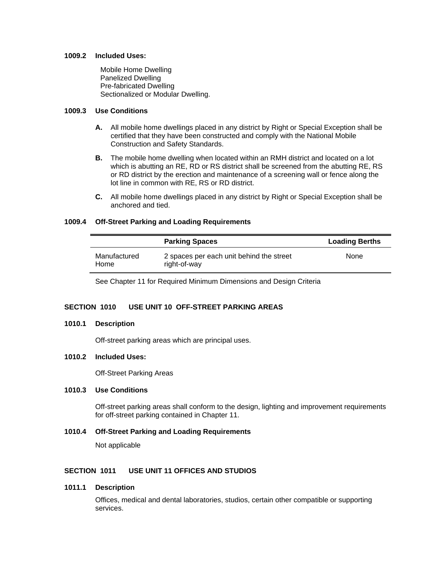#### **1009.2 Included Uses:**

 Mobile Home Dwelling Panelized Dwelling Pre-fabricated Dwelling Sectionalized or Modular Dwelling.

### **1009.3 Use Conditions**

- **A.** All mobile home dwellings placed in any district by Right or Special Exception shall be certified that they have been constructed and comply with the National Mobile Construction and Safety Standards.
- **B.** The mobile home dwelling when located within an RMH district and located on a lot which is abutting an RE, RD or RS district shall be screened from the abutting RE, RS or RD district by the erection and maintenance of a screening wall or fence along the lot line in common with RE, RS or RD district.
- **C.** All mobile home dwellings placed in any district by Right or Special Exception shall be anchored and tied.

### **1009.4 Off-Street Parking and Loading Requirements**

|                      | <b>Parking Spaces</b>                                    | <b>Loading Berths</b> |
|----------------------|----------------------------------------------------------|-----------------------|
| Manufactured<br>Home | 2 spaces per each unit behind the street<br>right-of-way | None                  |

See Chapter 11 for Required Minimum Dimensions and Design Criteria

## **SECTION 1010 USE UNIT 10 OFF-STREET PARKING AREAS**

#### **1010.1 Description**

Off-street parking areas which are principal uses.

### **1010.2 Included Uses:**

Off-Street Parking Areas

#### **1010.3 Use Conditions**

Off-street parking areas shall conform to the design, lighting and improvement requirements for off-street parking contained in Chapter 11.

#### **1010.4 Off-Street Parking and Loading Requirements**

Not applicable

### **SECTION 1011 USE UNIT 11 OFFICES AND STUDIOS**

### **1011.1 Description**

 Offices, medical and dental laboratories, studios, certain other compatible or supporting services.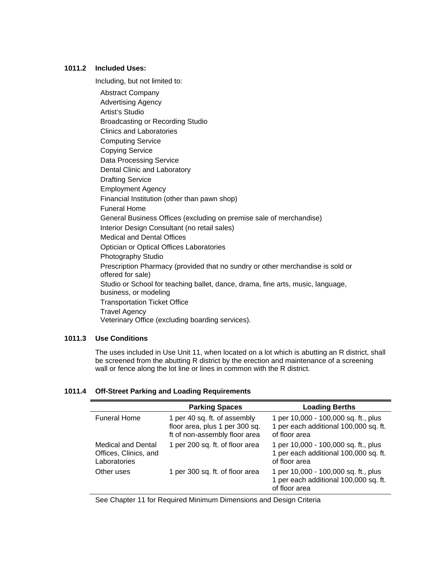### **1011.2 Included Uses:**

Including, but not limited to:

 Abstract Company Advertising Agency Artist's Studio Broadcasting or Recording Studio Clinics and Laboratories Computing Service Copying Service Data Processing Service Dental Clinic and Laboratory Drafting Service Employment Agency Financial Institution (other than pawn shop) Funeral Home General Business Offices (excluding on premise sale of merchandise) Interior Design Consultant (no retail sales) Medical and Dental Offices Optician or Optical Offices Laboratories Photography Studio Prescription Pharmacy (provided that no sundry or other merchandise is sold or offered for sale) Studio or School for teaching ballet, dance, drama, fine arts, music, language, business, or modeling Transportation Ticket Office Travel Agency Veterinary Office (excluding boarding services).

### **1011.3 Use Conditions**

The uses included in Use Unit 11, when located on a lot which is abutting an R district, shall be screened from the abutting R district by the erection and maintenance of a screening wall or fence along the lot line or lines in common with the R district.

### **1011.4 Off-Street Parking and Loading Requirements**

|                                                                    | <b>Parking Spaces</b>                                                                           | <b>Loading Berths</b>                                                                          |
|--------------------------------------------------------------------|-------------------------------------------------------------------------------------------------|------------------------------------------------------------------------------------------------|
| <b>Funeral Home</b>                                                | 1 per 40 sq. ft. of assembly<br>floor area, plus 1 per 300 sq.<br>ft of non-assembly floor area | 1 per 10,000 - 100,000 sq. ft., plus<br>1 per each additional 100,000 sq. ft.<br>of floor area |
| <b>Medical and Dental</b><br>Offices, Clinics, and<br>Laboratories | 1 per 200 sq. ft. of floor area                                                                 | 1 per 10,000 - 100,000 sq. ft., plus<br>1 per each additional 100,000 sq. ft.<br>of floor area |
| Other uses                                                         | 1 per 300 sq. ft. of floor area                                                                 | 1 per 10,000 - 100,000 sq. ft., plus<br>1 per each additional 100,000 sq. ft.<br>of floor area |

See Chapter 11 for Required Minimum Dimensions and Design Criteria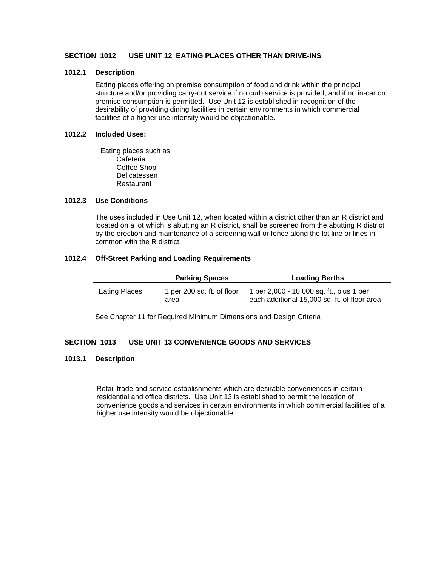### **SECTION 1012 USE UNIT 12 EATING PLACES OTHER THAN DRIVE-INS**

### **1012.1 Description**

Eating places offering on premise consumption of food and drink within the principal structure and/or providing carry-out service if no curb service is provided, and if no in-car on premise consumption is permitted. Use Unit 12 is established in recognition of the desirability of providing dining facilities in certain environments in which commercial facilities of a higher use intensity would be objectionable.

#### **1012.2 Included Uses:**

 Eating places such as: **Cafeteria**  Coffee Shop Delicatessen Restaurant

### **1012.3 Use Conditions**

The uses included in Use Unit 12, when located within a district other than an R district and located on a lot which is abutting an R district, shall be screened from the abutting R district by the erection and maintenance of a screening wall or fence along the lot line or lines in common with the R district.

#### **1012.4 Off-Street Parking and Loading Requirements**

|               | <b>Parking Spaces</b>              | <b>Loading Berths</b>                                                                    |
|---------------|------------------------------------|------------------------------------------------------------------------------------------|
| Eating Places | 1 per 200 sq. ft. of floor<br>area | 1 per 2,000 - 10,000 sq. ft., plus 1 per<br>each additional 15,000 sq. ft. of floor area |

See Chapter 11 for Required Minimum Dimensions and Design Criteria

### **SECTION 1013 USE UNIT 13 CONVENIENCE GOODS AND SERVICES**

### **1013.1 Description**

Retail trade and service establishments which are desirable conveniences in certain residential and office districts. Use Unit 13 is established to permit the location of convenience goods and services in certain environments in which commercial facilities of a higher use intensity would be objectionable.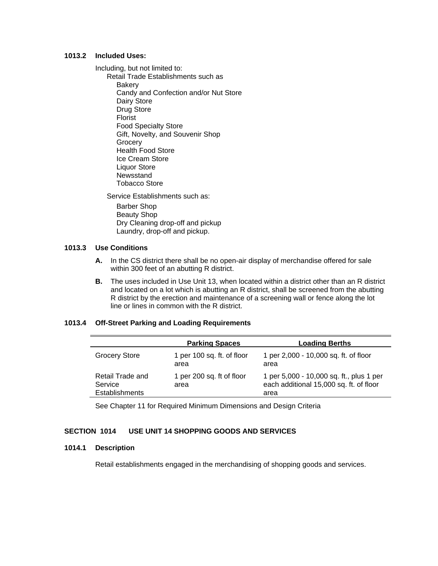### **1013.2 Included Uses:**

Including, but not limited to:

 Retail Trade Establishments such as **Bakery**  Candy and Confection and/or Nut Store Dairy Store Drug Store Florist Food Specialty Store Gift, Novelty, and Souvenir Shop **Grocery**  Health Food Store Ice Cream Store Liquor Store Newsstand Tobacco Store

Service Establishments such as:

 Barber Shop Beauty Shop Dry Cleaning drop-off and pickup Laundry, drop-off and pickup.

## **1013.3 Use Conditions**

- **A.** In the CS district there shall be no open-air display of merchandise offered for sale within 300 feet of an abutting R district.
- **B.** The uses included in Use Unit 13, when located within a district other than an R district and located on a lot which is abutting an R district, shall be screened from the abutting R district by the erection and maintenance of a screening wall or fence along the lot line or lines in common with the R district.

### **1013.4 Off-Street Parking and Loading Requirements**

|                                               | <b>Parking Spaces</b>              | <b>Loading Berths</b>                                                                       |
|-----------------------------------------------|------------------------------------|---------------------------------------------------------------------------------------------|
| <b>Grocery Store</b>                          | 1 per 100 sq. ft. of floor<br>area | 1 per 2,000 - 10,000 sq. ft. of floor<br>area                                               |
| Retail Trade and<br>Service<br>Establishments | 1 per 200 sq. ft of floor<br>area  | 1 per 5,000 - 10,000 sq. ft., plus 1 per<br>each additional 15,000 sq. ft. of floor<br>area |

See Chapter 11 for Required Minimum Dimensions and Design Criteria

## **SECTION 1014 USE UNIT 14 SHOPPING GOODS AND SERVICES**

### **1014.1 Description**

Retail establishments engaged in the merchandising of shopping goods and services.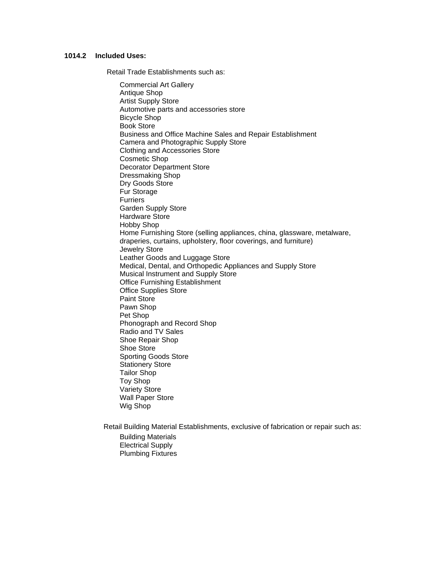### **1014.2 Included Uses:**

Retail Trade Establishments such as:

 Commercial Art Gallery Antique Shop Artist Supply Store Automotive parts and accessories store Bicycle Shop Book Store Business and Office Machine Sales and Repair Establishment Camera and Photographic Supply Store Clothing and Accessories Store Cosmetic Shop Decorator Department Store Dressmaking Shop Dry Goods Store Fur Storage Furriers Garden Supply Store Hardware Store Hobby Shop Home Furnishing Store (selling appliances, china, glassware, metalware, draperies, curtains, upholstery, floor coverings, and furniture) Jewelry Store Leather Goods and Luggage Store Medical, Dental, and Orthopedic Appliances and Supply Store Musical Instrument and Supply Store Office Furnishing Establishment Office Supplies Store Paint Store Pawn Shop Pet Shop Phonograph and Record Shop Radio and TV Sales Shoe Repair Shop Shoe Store Sporting Goods Store Stationery Store Tailor Shop Toy Shop Variety Store Wall Paper Store Wig Shop

Retail Building Material Establishments, exclusive of fabrication or repair such as:

 Building Materials Electrical Supply Plumbing Fixtures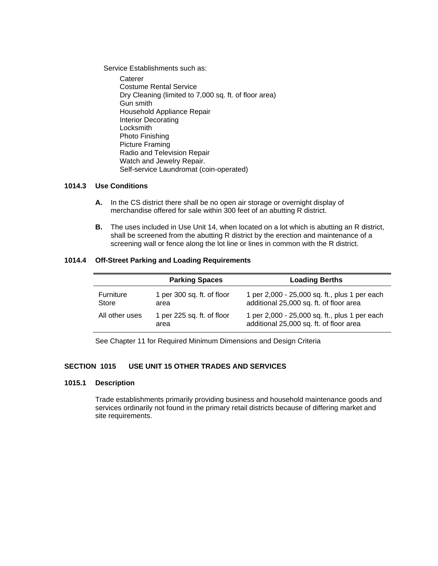Service Establishments such as:

**Caterer**  Costume Rental Service Dry Cleaning (limited to 7,000 sq. ft. of floor area) Gun smith Household Appliance Repair Interior Decorating Locksmith Photo Finishing Picture Framing Radio and Television Repair Watch and Jewelry Repair. Self-service Laundromat (coin-operated)

### **1014.3 Use Conditions**

- **A.** In the CS district there shall be no open air storage or overnight display of merchandise offered for sale within 300 feet of an abutting R district.
- **B.** The uses included in Use Unit 14, when located on a lot which is abutting an R district, shall be screened from the abutting R district by the erection and maintenance of a screening wall or fence along the lot line or lines in common with the R district.

### **1014.4 Off-Street Parking and Loading Requirements**

|                           | <b>Parking Spaces</b>              | <b>Loading Berths</b>                                                                    |
|---------------------------|------------------------------------|------------------------------------------------------------------------------------------|
| <b>Furniture</b><br>Store | 1 per 300 sq. ft. of floor<br>area | 1 per 2,000 - 25,000 sq. ft., plus 1 per each<br>additional 25,000 sq. ft. of floor area |
| All other uses            | 1 per 225 sq. ft. of floor<br>area | 1 per 2,000 - 25,000 sq. ft., plus 1 per each<br>additional 25,000 sq. ft. of floor area |

See Chapter 11 for Required Minimum Dimensions and Design Criteria

### **SECTION 1015 USE UNIT 15 OTHER TRADES AND SERVICES**

#### **1015.1 Description**

Trade establishments primarily providing business and household maintenance goods and services ordinarily not found in the primary retail districts because of differing market and site requirements.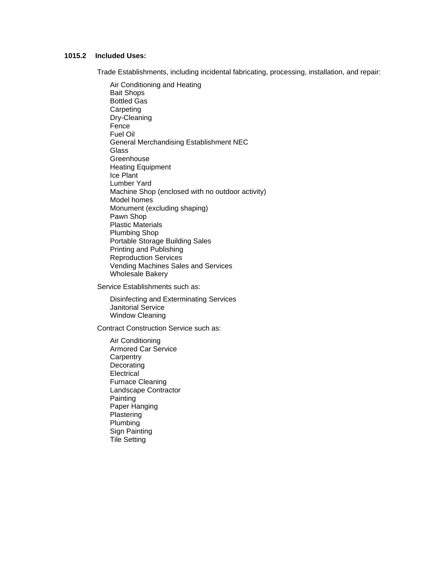### **1015.2 Included Uses:**

Trade Establishments, including incidental fabricating, processing, installation, and repair:

 Air Conditioning and Heating Bait Shops Bottled Gas **Carpeting**  Dry-Cleaning Fence Fuel Oil General Merchandising Establishment NEC Glass **Greenhouse**  Heating Equipment Ice Plant Lumber Yard Machine Shop (enclosed with no outdoor activity) Model homes Monument (excluding shaping) Pawn Shop Plastic Materials Plumbing Shop Portable Storage Building Sales Printing and Publishing Reproduction Services Vending Machines Sales and Services Wholesale Bakery

Service Establishments such as:

 Disinfecting and Exterminating Services Janitorial Service Window Cleaning

Contract Construction Service such as:

 Air Conditioning Armored Car Service **Carpentry Decorating**  Electrical Furnace Cleaning Landscape Contractor Painting Paper Hanging **Plastering**  Plumbing Sign Painting Tile Setting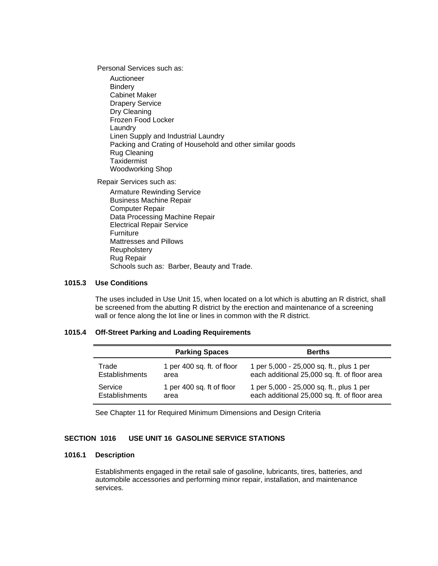Personal Services such as:

 Auctioneer Bindery Cabinet Maker Drapery Service Dry Cleaning Frozen Food Locker Laundry Linen Supply and Industrial Laundry Packing and Crating of Household and other similar goods Rug Cleaning **Taxidermist** Woodworking Shop

Repair Services such as:

 Armature Rewinding Service Business Machine Repair Computer Repair Data Processing Machine Repair Electrical Repair Service Furniture Mattresses and Pillows Reupholstery Rug Repair Schools such as: Barber, Beauty and Trade.

### **1015.3 Use Conditions**

The uses included in Use Unit 15, when located on a lot which is abutting an R district, shall be screened from the abutting R district by the erection and maintenance of a screening wall or fence along the lot line or lines in common with the R district.

### **1015.4 Off-Street Parking and Loading Requirements**

|                       | <b>Parking Spaces</b>      | <b>Berths</b>                                |
|-----------------------|----------------------------|----------------------------------------------|
| Trade                 | 1 per 400 sq. ft. of floor | 1 per 5,000 - 25,000 sq. ft., plus 1 per     |
| <b>Establishments</b> | area                       | each additional 25,000 sq. ft. of floor area |
| Service               | 1 per 400 sq. ft of floor  | 1 per 5,000 - 25,000 sq. ft., plus 1 per     |
| <b>Establishments</b> | area                       | each additional 25,000 sq. ft. of floor area |

See Chapter 11 for Required Minimum Dimensions and Design Criteria

## **SECTION 1016 USE UNIT 16 GASOLINE SERVICE STATIONS**

#### **1016.1 Description**

Establishments engaged in the retail sale of gasoline, lubricants, tires, batteries, and automobile accessories and performing minor repair, installation, and maintenance services.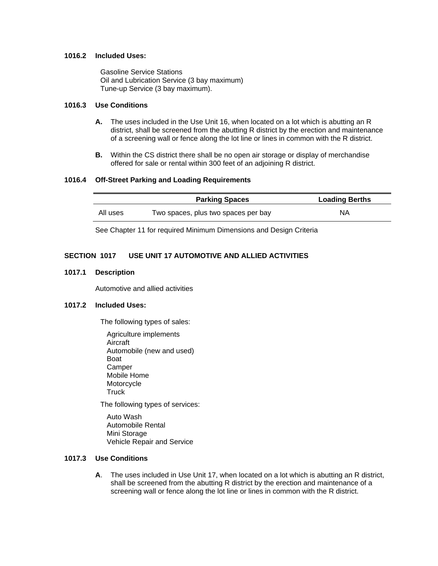### **1016.2 Included Uses:**

 Gasoline Service Stations Oil and Lubrication Service (3 bay maximum) Tune-up Service (3 bay maximum).

### **1016.3 Use Conditions**

- **A.** The uses included in the Use Unit 16, when located on a lot which is abutting an R district, shall be screened from the abutting R district by the erection and maintenance of a screening wall or fence along the lot line or lines in common with the R district.
- **B.** Within the CS district there shall be no open air storage or display of merchandise offered for sale or rental within 300 feet of an adjoining R district.

### **1016.4 Off-Street Parking and Loading Requirements**

|          | <b>Parking Spaces</b>               | <b>Loading Berths</b> |
|----------|-------------------------------------|-----------------------|
| All uses | Two spaces, plus two spaces per bay | ΝA                    |

See Chapter 11 for required Minimum Dimensions and Design Criteria

### **SECTION 1017 USE UNIT 17 AUTOMOTIVE AND ALLIED ACTIVITIES**

#### **1017.1 Description**

Automotive and allied activities

## **1017.2 Included Uses:**

The following types of sales:

 Agriculture implements Aircraft Automobile (new and used) Boat **Camper**  Mobile Home Motorcycle **Truck** 

The following types of services:

 Auto Wash Automobile Rental Mini Storage Vehicle Repair and Service

### **1017.3 Use Conditions**

 **A**. The uses included in Use Unit 17, when located on a lot which is abutting an R district, shall be screened from the abutting R district by the erection and maintenance of a screening wall or fence along the lot line or lines in common with the R district.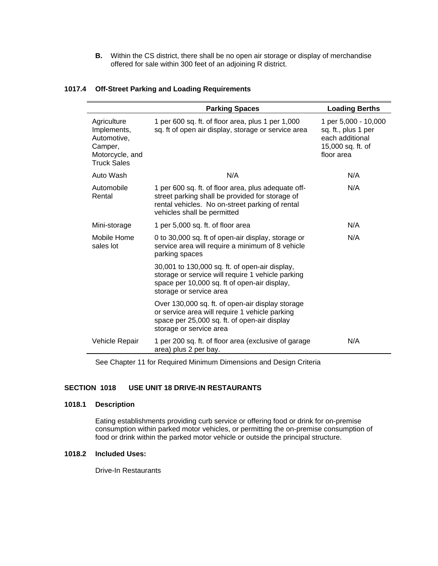**B.** Within the CS district, there shall be no open air storage or display of merchandise offered for sale within 300 feet of an adjoining R district.

|                                                                                               | <b>Parking Spaces</b>                                                                                                                                                                    | <b>Loading Berths</b>                                                                             |
|-----------------------------------------------------------------------------------------------|------------------------------------------------------------------------------------------------------------------------------------------------------------------------------------------|---------------------------------------------------------------------------------------------------|
| Agriculture<br>Implements,<br>Automotive,<br>Camper,<br>Motorcycle, and<br><b>Truck Sales</b> | 1 per 600 sq. ft. of floor area, plus 1 per 1,000<br>sq. ft of open air display, storage or service area                                                                                 | 1 per 5,000 - 10,000<br>sq. ft., plus 1 per<br>each additional<br>15,000 sq. ft. of<br>floor area |
| Auto Wash                                                                                     | N/A                                                                                                                                                                                      | N/A                                                                                               |
| Automobile<br>Rental                                                                          | 1 per 600 sq. ft. of floor area, plus adequate off-<br>street parking shall be provided for storage of<br>rental vehicles. No on-street parking of rental<br>vehicles shall be permitted | N/A                                                                                               |
| Mini-storage                                                                                  | 1 per 5,000 sq. ft. of floor area                                                                                                                                                        | N/A                                                                                               |
| Mobile Home<br>sales lot                                                                      | 0 to 30,000 sq. ft of open-air display, storage or<br>service area will require a minimum of 8 vehicle<br>parking spaces                                                                 | N/A                                                                                               |
|                                                                                               | 30,001 to 130,000 sq. ft. of open-air display,<br>storage or service will require 1 vehicle parking<br>space per 10,000 sq. ft of open-air display,<br>storage or service area           |                                                                                                   |
|                                                                                               | Over 130,000 sq. ft. of open-air display storage<br>or service area will require 1 vehicle parking<br>space per 25,000 sq. ft. of open-air display<br>storage or service area            |                                                                                                   |
| Vehicle Repair                                                                                | 1 per 200 sq. ft. of floor area (exclusive of garage<br>area) plus 2 per bay.                                                                                                            | N/A                                                                                               |

### **1017.4 Off-Street Parking and Loading Requirements**

See Chapter 11 for Required Minimum Dimensions and Design Criteria

## **SECTION 1018 USE UNIT 18 DRIVE-IN RESTAURANTS**

#### **1018.1 Description**

Eating establishments providing curb service or offering food or drink for on-premise consumption within parked motor vehicles, or permitting the on-premise consumption of food or drink within the parked motor vehicle or outside the principal structure.

### **1018.2 Included Uses:**

Drive-In Restaurants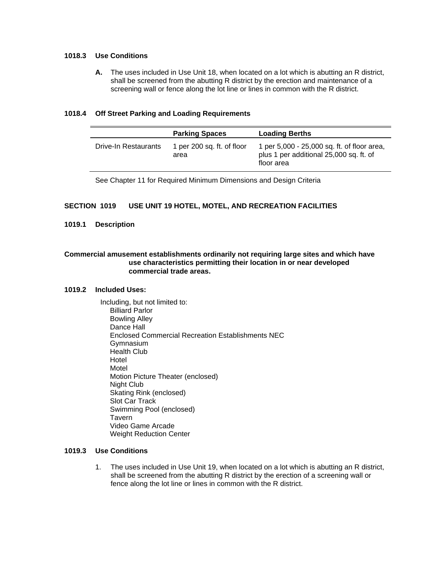### **1018.3 Use Conditions**

 **A.** The uses included in Use Unit 18, when located on a lot which is abutting an R district, shall be screened from the abutting R district by the erection and maintenance of a screening wall or fence along the lot line or lines in common with the R district.

### **1018.4 Off Street Parking and Loading Requirements**

|                      | <b>Parking Spaces</b>              | <b>Loading Berths</b>                                                                                |  |
|----------------------|------------------------------------|------------------------------------------------------------------------------------------------------|--|
| Drive-In Restaurants | 1 per 200 sq. ft. of floor<br>area | 1 per 5,000 - 25,000 sq. ft. of floor area,<br>plus 1 per additional 25,000 sq. ft. of<br>floor area |  |

See Chapter 11 for Required Minimum Dimensions and Design Criteria

## **SECTION 1019 USE UNIT 19 HOTEL, MOTEL, AND RECREATION FACILITIES**

### **1019.1 Description**

### **Commercial amusement establishments ordinarily not requiring large sites and which have use characteristics permitting their location in or near developed commercial trade areas.**

#### **1019.2 Included Uses:**

 Including, but not limited to: Billiard Parlor Bowling Alley Dance Hall Enclosed Commercial Recreation Establishments NEC Gymnasium Health Club Hotel Motel Motion Picture Theater (enclosed) Night Club Skating Rink (enclosed) Slot Car Track Swimming Pool (enclosed) Tavern Video Game Arcade Weight Reduction Center

### **1019.3 Use Conditions**

 1. The uses included in Use Unit 19, when located on a lot which is abutting an R district, shall be screened from the abutting R district by the erection of a screening wall or fence along the lot line or lines in common with the R district.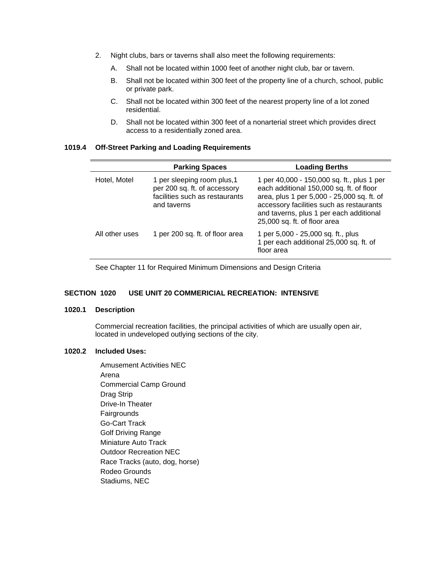- 2. Night clubs, bars or taverns shall also meet the following requirements:
	- A. Shall not be located within 1000 feet of another night club, bar or tavern.
	- B. Shall not be located within 300 feet of the property line of a church, school, public or private park.
	- C. Shall not be located within 300 feet of the nearest property line of a lot zoned residential.
	- D. Shall not be located within 300 feet of a nonarterial street which provides direct access to a residentially zoned area.

#### **1019.4 Off-Street Parking and Loading Requirements**

|                | <b>Parking Spaces</b>                                                                                        | <b>Loading Berths</b>                                                                                                                                                                                                                                       |
|----------------|--------------------------------------------------------------------------------------------------------------|-------------------------------------------------------------------------------------------------------------------------------------------------------------------------------------------------------------------------------------------------------------|
| Hotel, Motel   | 1 per sleeping room plus, 1<br>per 200 sq. ft. of accessory<br>facilities such as restaurants<br>and taverns | 1 per 40,000 - 150,000 sq. ft., plus 1 per<br>each additional 150,000 sq. ft. of floor<br>area, plus 1 per 5,000 - 25,000 sq. ft. of<br>accessory facilities such as restaurants<br>and taverns, plus 1 per each additional<br>25,000 sq. ft. of floor area |
| All other uses | 1 per 200 sq. ft. of floor area                                                                              | 1 per 5,000 - 25,000 sq. ft., plus<br>1 per each additional 25,000 sq. ft. of<br>floor area                                                                                                                                                                 |

See Chapter 11 for Required Minimum Dimensions and Design Criteria

## **SECTION 1020 USE UNIT 20 COMMERICIAL RECREATION: INTENSIVE**

## **1020.1 Description**

Commercial recreation facilities, the principal activities of which are usually open air, located in undeveloped outlying sections of the city.

### **1020.2 Included Uses:**

 Amusement Activities NEC Arena Commercial Camp Ground Drag Strip Drive-In Theater **Fairgrounds**  Go-Cart Track Golf Driving Range Miniature Auto Track Outdoor Recreation NEC Race Tracks (auto, dog, horse) Rodeo Grounds Stadiums, NEC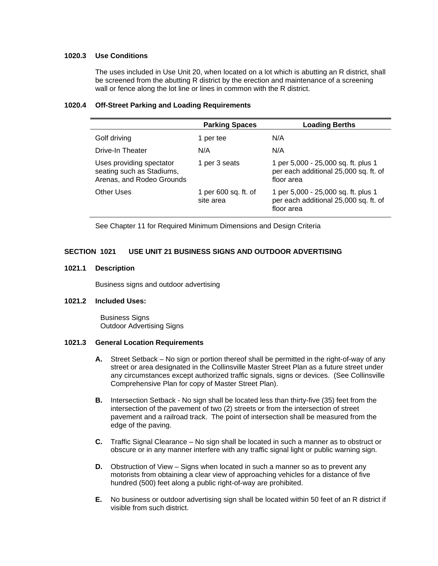### **1020.3 Use Conditions**

The uses included in Use Unit 20, when located on a lot which is abutting an R district, shall be screened from the abutting R district by the erection and maintenance of a screening wall or fence along the lot line or lines in common with the R district.

#### **1020.4 Off-Street Parking and Loading Requirements**

|                                                                                    | <b>Parking Spaces</b>             | <b>Loading Berths</b>                                                                      |
|------------------------------------------------------------------------------------|-----------------------------------|--------------------------------------------------------------------------------------------|
| Golf driving                                                                       | 1 per tee                         | N/A                                                                                        |
| Drive-In Theater                                                                   | N/A                               | N/A                                                                                        |
| Uses providing spectator<br>seating such as Stadiums,<br>Arenas, and Rodeo Grounds | 1 per 3 seats                     | 1 per 5,000 - 25,000 sq. ft. plus 1<br>per each additional 25,000 sq. ft. of<br>floor area |
| Other Uses                                                                         | 1 per 600 sq. ft. of<br>site area | 1 per 5,000 - 25,000 sq. ft. plus 1<br>per each additional 25,000 sq. ft. of<br>floor area |

See Chapter 11 for Required Minimum Dimensions and Design Criteria

## **SECTION 1021 USE UNIT 21 BUSINESS SIGNS AND OUTDOOR ADVERTISING**

#### **1021.1 Description**

Business signs and outdoor advertising

#### **1021.2 Included Uses:**

 Business Signs Outdoor Advertising Signs

#### **1021.3 General Location Requirements**

- **A.** Street Setback No sign or portion thereof shall be permitted in the right-of-way of any street or area designated in the Collinsville Master Street Plan as a future street under any circumstances except authorized traffic signals, signs or devices. (See Collinsville Comprehensive Plan for copy of Master Street Plan).
- **B.** Intersection Setback No sign shall be located less than thirty-five (35) feet from the intersection of the pavement of two (2) streets or from the intersection of street pavement and a railroad track. The point of intersection shall be measured from the edge of the paving.
- **C.** Traffic Signal Clearance No sign shall be located in such a manner as to obstruct or obscure or in any manner interfere with any traffic signal light or public warning sign.
- **D.** Obstruction of View Signs when located in such a manner so as to prevent any motorists from obtaining a clear view of approaching vehicles for a distance of five hundred (500) feet along a public right-of-way are prohibited.
- **E.** No business or outdoor advertising sign shall be located within 50 feet of an R district if visible from such district.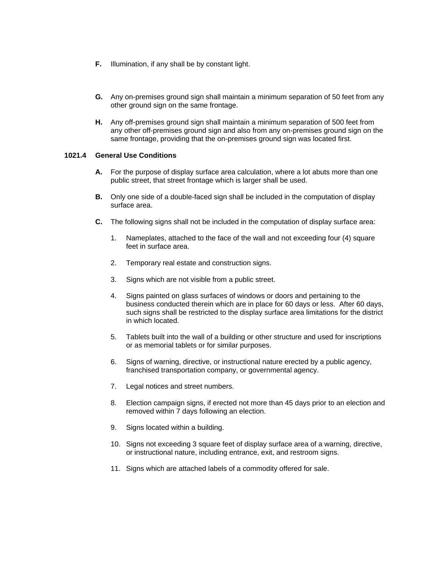- **F.** Illumination, if any shall be by constant light.
- **G.** Any on-premises ground sign shall maintain a minimum separation of 50 feet from any other ground sign on the same frontage.
- **H.** Any off-premises ground sign shall maintain a minimum separation of 500 feet from any other off-premises ground sign and also from any on-premises ground sign on the same frontage, providing that the on-premises ground sign was located first.

## **1021.4 General Use Conditions**

- **A.** For the purpose of display surface area calculation, where a lot abuts more than one public street, that street frontage which is larger shall be used.
- **B.** Only one side of a double-faced sign shall be included in the computation of display surface area.
- **C.** The following signs shall not be included in the computation of display surface area:
	- 1. Nameplates, attached to the face of the wall and not exceeding four (4) square feet in surface area.
	- 2. Temporary real estate and construction signs.
	- 3. Signs which are not visible from a public street.
	- 4. Signs painted on glass surfaces of windows or doors and pertaining to the business conducted therein which are in place for 60 days or less. After 60 days, such signs shall be restricted to the display surface area limitations for the district in which located.
	- 5. Tablets built into the wall of a building or other structure and used for inscriptions or as memorial tablets or for similar purposes.
	- 6. Signs of warning, directive, or instructional nature erected by a public agency, franchised transportation company, or governmental agency.
	- 7. Legal notices and street numbers.
	- 8. Election campaign signs, if erected not more than 45 days prior to an election and removed within 7 days following an election.
	- 9. Signs located within a building.
	- 10. Signs not exceeding 3 square feet of display surface area of a warning, directive, or instructional nature, including entrance, exit, and restroom signs.
	- 11. Signs which are attached labels of a commodity offered for sale.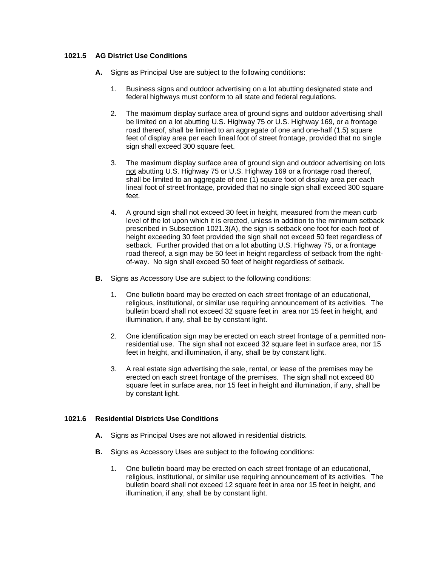## **1021.5 AG District Use Conditions**

- **A.** Signs as Principal Use are subject to the following conditions:
	- 1. Business signs and outdoor advertising on a lot abutting designated state and federal highways must conform to all state and federal regulations.
	- 2. The maximum display surface area of ground signs and outdoor advertising shall be limited on a lot abutting U.S. Highway 75 or U.S. Highway 169, or a frontage road thereof, shall be limited to an aggregate of one and one-half (1.5) square feet of display area per each lineal foot of street frontage, provided that no single sign shall exceed 300 square feet.
	- 3. The maximum display surface area of ground sign and outdoor advertising on lots not abutting U.S. Highway 75 or U.S. Highway 169 or a frontage road thereof, shall be limited to an aggregate of one (1) square foot of display area per each lineal foot of street frontage, provided that no single sign shall exceed 300 square feet.
	- 4. A ground sign shall not exceed 30 feet in height, measured from the mean curb level of the lot upon which it is erected, unless in addition to the minimum setback prescribed in Subsection 1021.3(A), the sign is setback one foot for each foot of height exceeding 30 feet provided the sign shall not exceed 50 feet regardless of setback. Further provided that on a lot abutting U.S. Highway 75, or a frontage road thereof, a sign may be 50 feet in height regardless of setback from the rightof-way. No sign shall exceed 50 feet of height regardless of setback.
- **B.** Signs as Accessory Use are subject to the following conditions:
	- 1. One bulletin board may be erected on each street frontage of an educational, religious, institutional, or similar use requiring announcement of its activities. The bulletin board shall not exceed 32 square feet in area nor 15 feet in height, and illumination, if any, shall be by constant light.
	- 2. One identification sign may be erected on each street frontage of a permitted nonresidential use. The sign shall not exceed 32 square feet in surface area, nor 15 feet in height, and illumination, if any, shall be by constant light.
	- 3. A real estate sign advertising the sale, rental, or lease of the premises may be erected on each street frontage of the premises. The sign shall not exceed 80 square feet in surface area, nor 15 feet in height and illumination, if any, shall be by constant light.

### **1021.6 Residential Districts Use Conditions**

- **A.** Signs as Principal Uses are not allowed in residential districts.
- **B.** Signs as Accessory Uses are subject to the following conditions:
	- 1. One bulletin board may be erected on each street frontage of an educational, religious, institutional, or similar use requiring announcement of its activities. The bulletin board shall not exceed 12 square feet in area nor 15 feet in height, and illumination, if any, shall be by constant light.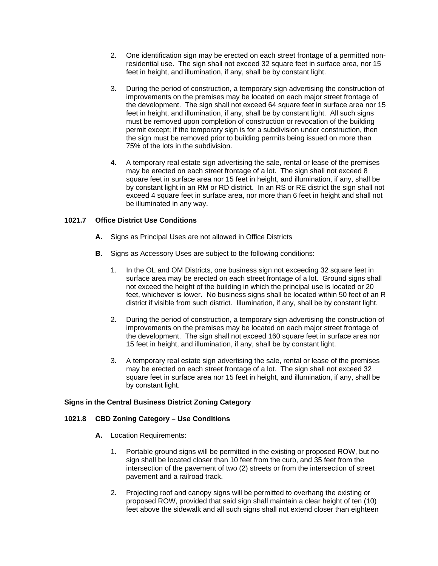- 2. One identification sign may be erected on each street frontage of a permitted nonresidential use. The sign shall not exceed 32 square feet in surface area, nor 15 feet in height, and illumination, if any, shall be by constant light.
- 3. During the period of construction, a temporary sign advertising the construction of improvements on the premises may be located on each major street frontage of the development. The sign shall not exceed 64 square feet in surface area nor 15 feet in height, and illumination, if any, shall be by constant light. All such signs must be removed upon completion of construction or revocation of the building permit except; if the temporary sign is for a subdivision under construction, then the sign must be removed prior to building permits being issued on more than 75% of the lots in the subdivision.
- 4. A temporary real estate sign advertising the sale, rental or lease of the premises may be erected on each street frontage of a lot. The sign shall not exceed 8 square feet in surface area nor 15 feet in height, and illumination, if any, shall be by constant light in an RM or RD district. In an RS or RE district the sign shall not exceed 4 square feet in surface area, nor more than 6 feet in height and shall not be illuminated in any way.

## **1021.7 Office District Use Conditions**

- **A.** Signs as Principal Uses are not allowed in Office Districts
- **B.** Signs as Accessory Uses are subject to the following conditions:
	- 1. In the OL and OM Districts, one business sign not exceeding 32 square feet in surface area may be erected on each street frontage of a lot. Ground signs shall not exceed the height of the building in which the principal use is located or 20 feet, whichever is lower. No business signs shall be located within 50 feet of an R district if visible from such district. Illumination, if any, shall be by constant light.
	- 2. During the period of construction, a temporary sign advertising the construction of improvements on the premises may be located on each major street frontage of the development. The sign shall not exceed 160 square feet in surface area nor 15 feet in height, and illumination, if any, shall be by constant light.
	- 3. A temporary real estate sign advertising the sale, rental or lease of the premises may be erected on each street frontage of a lot. The sign shall not exceed 32 square feet in surface area nor 15 feet in height, and illumination, if any, shall be by constant light.

### **Signs in the Central Business District Zoning Category**

### **1021.8 CBD Zoning Category – Use Conditions**

- **A.** Location Requirements:
	- 1. Portable ground signs will be permitted in the existing or proposed ROW, but no sign shall be located closer than 10 feet from the curb, and 35 feet from the intersection of the pavement of two (2) streets or from the intersection of street pavement and a railroad track.
	- 2. Projecting roof and canopy signs will be permitted to overhang the existing or proposed ROW, provided that said sign shall maintain a clear height of ten (10) feet above the sidewalk and all such signs shall not extend closer than eighteen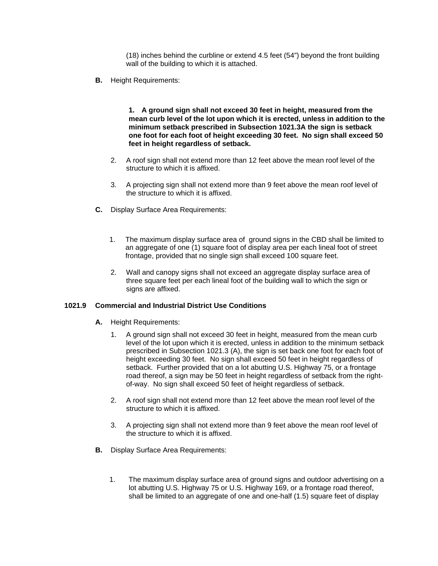(18) inches behind the curbline or extend 4.5 feet (54") beyond the front building wall of the building to which it is attached.

 **B.** Height Requirements:

 **1. A ground sign shall not exceed 30 feet in height, measured from the mean curb level of the lot upon which it is erected, unless in addition to the minimum setback prescribed in Subsection 1021.3A the sign is setback one foot for each foot of height exceeding 30 feet. No sign shall exceed 50 feet in height regardless of setback.** 

- 2. A roof sign shall not extend more than 12 feet above the mean roof level of the structure to which it is affixed.
- 3. A projecting sign shall not extend more than 9 feet above the mean roof level of the structure to which it is affixed.
- **C.** Display Surface Area Requirements:
	- 1. The maximum display surface area of ground signs in the CBD shall be limited to an aggregate of one (1) square foot of display area per each lineal foot of street frontage, provided that no single sign shall exceed 100 square feet.
	- 2. Wall and canopy signs shall not exceed an aggregate display surface area of three square feet per each lineal foot of the building wall to which the sign or signs are affixed.

### **1021.9 Commercial and Industrial District Use Conditions**

- **A.** Height Requirements:
	- 1. A ground sign shall not exceed 30 feet in height, measured from the mean curb level of the lot upon which it is erected, unless in addition to the minimum setback prescribed in Subsection 1021.3 (A), the sign is set back one foot for each foot of height exceeding 30 feet. No sign shall exceed 50 feet in height regardless of setback. Further provided that on a lot abutting U.S. Highway 75, or a frontage road thereof, a sign may be 50 feet in height regardless of setback from the rightof-way. No sign shall exceed 50 feet of height regardless of setback.
	- 2. A roof sign shall not extend more than 12 feet above the mean roof level of the structure to which it is affixed.
	- 3. A projecting sign shall not extend more than 9 feet above the mean roof level of the structure to which it is affixed.
- **B.** Display Surface Area Requirements:
	- 1. The maximum display surface area of ground signs and outdoor advertising on a lot abutting U.S. Highway 75 or U.S. Highway 169, or a frontage road thereof, shall be limited to an aggregate of one and one-half (1.5) square feet of display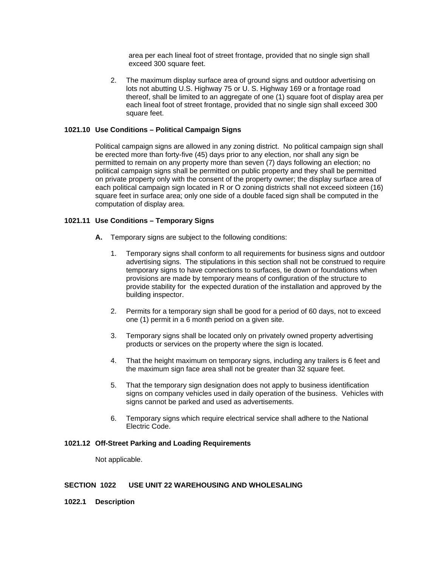area per each lineal foot of street frontage, provided that no single sign shall exceed 300 square feet.

 2. The maximum display surface area of ground signs and outdoor advertising on lots not abutting U.S. Highway 75 or U. S. Highway 169 or a frontage road thereof, shall be limited to an aggregate of one (1) square foot of display area per each lineal foot of street frontage, provided that no single sign shall exceed 300 square feet.

## **1021.10 Use Conditions – Political Campaign Signs**

Political campaign signs are allowed in any zoning district. No political campaign sign shall be erected more than forty-five (45) days prior to any election, nor shall any sign be permitted to remain on any property more than seven (7) days following an election; no political campaign signs shall be permitted on public property and they shall be permitted on private property only with the consent of the property owner; the display surface area of each political campaign sign located in R or O zoning districts shall not exceed sixteen (16) square feet in surface area; only one side of a double faced sign shall be computed in the computation of display area.

## **1021.11 Use Conditions – Temporary Signs**

- **A.** Temporary signs are subject to the following conditions:
	- 1. Temporary signs shall conform to all requirements for business signs and outdoor advertising signs. The stipulations in this section shall not be construed to require temporary signs to have connections to surfaces, tie down or foundations when provisions are made by temporary means of configuration of the structure to provide stability for the expected duration of the installation and approved by the building inspector.
	- 2. Permits for a temporary sign shall be good for a period of 60 days, not to exceed one (1) permit in a 6 month period on a given site.
	- 3. Temporary signs shall be located only on privately owned property advertising products or services on the property where the sign is located.
	- 4. That the height maximum on temporary signs, including any trailers is 6 feet and the maximum sign face area shall not be greater than 32 square feet.
	- 5. That the temporary sign designation does not apply to business identification signs on company vehicles used in daily operation of the business. Vehicles with signs cannot be parked and used as advertisements.
	- 6. Temporary signs which require electrical service shall adhere to the National Electric Code.

### **1021.12 Off-Street Parking and Loading Requirements**

Not applicable.

### **SECTION 1022 USE UNIT 22 WAREHOUSING AND WHOLESALING**

**1022.1 Description**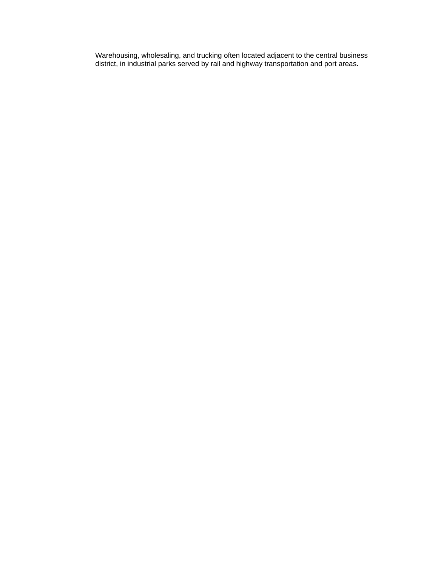Warehousing, wholesaling, and trucking often located adjacent to the central business district, in industrial parks served by rail and highway transportation and port areas.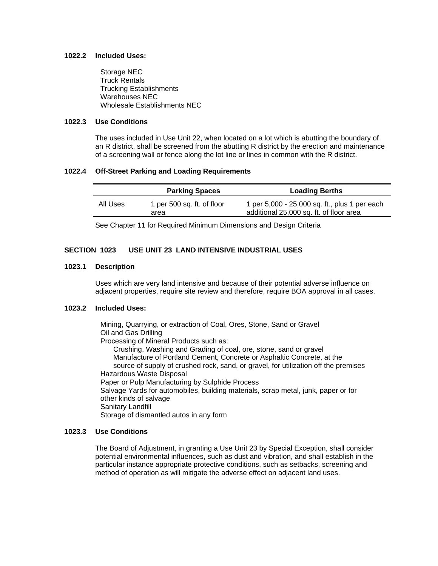#### **1022.2 Included Uses:**

 Storage NEC Truck Rentals Trucking Establishments Warehouses NEC Wholesale Establishments NEC

## **1022.3 Use Conditions**

The uses included in Use Unit 22, when located on a lot which is abutting the boundary of an R district, shall be screened from the abutting R district by the erection and maintenance of a screening wall or fence along the lot line or lines in common with the R district.

#### **1022.4 Off-Street Parking and Loading Requirements**

|          | <b>Parking Spaces</b>              | <b>Loading Berths</b>                                                                    |
|----------|------------------------------------|------------------------------------------------------------------------------------------|
| All Uses | 1 per 500 sq. ft. of floor<br>area | 1 per 5,000 - 25,000 sq. ft., plus 1 per each<br>additional 25,000 sq. ft. of floor area |

See Chapter 11 for Required Minimum Dimensions and Design Criteria

## **SECTION 1023 USE UNIT 23 LAND INTENSIVE INDUSTRIAL USES**

#### **1023.1 Description**

Uses which are very land intensive and because of their potential adverse influence on adjacent properties, require site review and therefore, require BOA approval in all cases.

#### **1023.2 Included Uses:**

 Mining, Quarrying, or extraction of Coal, Ores, Stone, Sand or Gravel Oil and Gas Drilling Processing of Mineral Products such as: Crushing, Washing and Grading of coal, ore, stone, sand or gravel Manufacture of Portland Cement, Concrete or Asphaltic Concrete, at the source of supply of crushed rock, sand, or gravel, for utilization off the premises Hazardous Waste Disposal Paper or Pulp Manufacturing by Sulphide Process Salvage Yards for automobiles, building materials, scrap metal, junk, paper or for other kinds of salvage Sanitary Landfill Storage of dismantled autos in any form

#### **1023.3 Use Conditions**

The Board of Adjustment, in granting a Use Unit 23 by Special Exception, shall consider potential environmental influences, such as dust and vibration, and shall establish in the particular instance appropriate protective conditions, such as setbacks, screening and method of operation as will mitigate the adverse effect on adjacent land uses.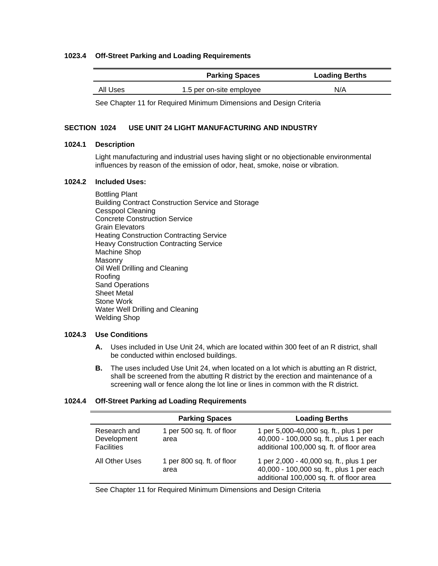### **1023.4 Off-Street Parking and Loading Requirements**

|          | <b>Parking Spaces</b>    | <b>Loading Berths</b> |
|----------|--------------------------|-----------------------|
| All Uses | 1.5 per on-site employee | N/A                   |

See Chapter 11 for Required Minimum Dimensions and Design Criteria

### **SECTION 1024 USE UNIT 24 LIGHT MANUFACTURING AND INDUSTRY**

### **1024.1 Description**

Light manufacturing and industrial uses having slight or no objectionable environmental influences by reason of the emission of odor, heat, smoke, noise or vibration.

## **1024.2 Included Uses:**

 Bottling Plant Building Contract Construction Service and Storage Cesspool Cleaning Concrete Construction Service Grain Elevators Heating Construction Contracting Service Heavy Construction Contracting Service Machine Shop Masonry Oil Well Drilling and Cleaning Roofing Sand Operations Sheet Metal Stone Work Water Well Drilling and Cleaning Welding Shop

## **1024.3 Use Conditions**

- **A.** Uses included in Use Unit 24, which are located within 300 feet of an R district, shall be conducted within enclosed buildings.
- **B.** The uses included Use Unit 24, when located on a lot which is abutting an R district, shall be screened from the abutting R district by the erection and maintenance of a screening wall or fence along the lot line or lines in common with the R district.

### **1024.4 Off-Street Parking ad Loading Requirements**

|                                                  | <b>Parking Spaces</b>              | <b>Loading Berths</b>                                                                                                             |
|--------------------------------------------------|------------------------------------|-----------------------------------------------------------------------------------------------------------------------------------|
| Research and<br>Development<br><b>Facilities</b> | 1 per 500 sq. ft. of floor<br>area | 1 per 5,000-40,000 sq. ft., plus 1 per<br>40,000 - 100,000 sq. ft., plus 1 per each<br>additional 100,000 sq. ft. of floor area   |
| All Other Uses                                   | 1 per 800 sq. ft. of floor<br>area | 1 per 2,000 - 40,000 sq. ft., plus 1 per<br>40,000 - 100,000 sq. ft., plus 1 per each<br>additional 100,000 sq. ft. of floor area |

See Chapter 11 for Required Minimum Dimensions and Design Criteria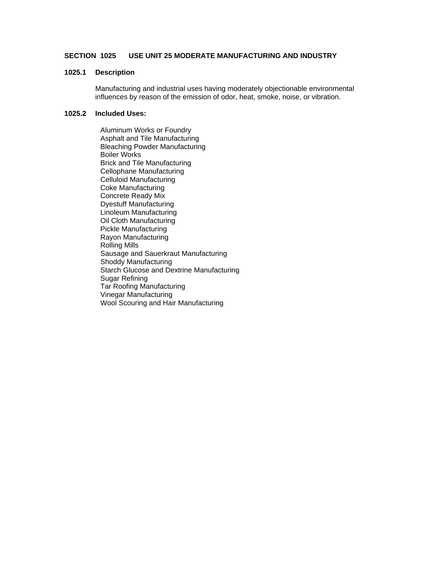## **SECTION 1025 USE UNIT 25 MODERATE MANUFACTURING AND INDUSTRY**

### **1025.1 Description**

Manufacturing and industrial uses having moderately objectionable environmental influences by reason of the emission of odor, heat, smoke, noise, or vibration.

### **1025.2 Included Uses:**

 Aluminum Works or Foundry Asphalt and Tile Manufacturing Bleaching Powder Manufacturing Boiler Works Brick and Tile Manufacturing Cellophane Manufacturing Celluloid Manufacturing Coke Manufacturing Concrete Ready Mix Dyestuff Manufacturing Linoleum Manufacturing Oil Cloth Manufacturing Pickle Manufacturing Rayon Manufacturing Rolling Mills Sausage and Sauerkraut Manufacturing Shoddy Manufacturing Starch Glucose and Dextrine Manufacturing Sugar Refining Tar Roofing Manufacturing Vinegar Manufacturing Wool Scouring and Hair Manufacturing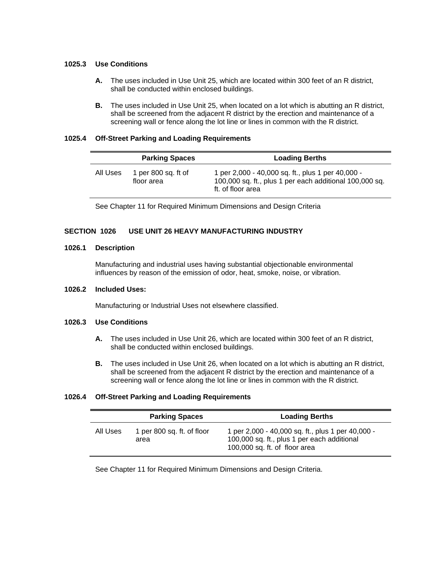### **1025.3 Use Conditions**

- **A.** The uses included in Use Unit 25, which are located within 300 feet of an R district, shall be conducted within enclosed buildings.
- **B.** The uses included in Use Unit 25, when located on a lot which is abutting an R district, shall be screened from the adjacent R district by the erection and maintenance of a screening wall or fence along the lot line or lines in common with the R district.

#### **1025.4 Off-Street Parking and Loading Requirements**

|          | <b>Parking Spaces</b>             | <b>Loading Berths</b>                                                                                                             |
|----------|-----------------------------------|-----------------------------------------------------------------------------------------------------------------------------------|
| All Uses | 1 per 800 sq. ft of<br>floor area | 1 per 2,000 - 40,000 sq. ft., plus 1 per 40,000 -<br>100,000 sq. ft., plus 1 per each additional 100,000 sq.<br>ft. of floor area |

See Chapter 11 for Required Minimum Dimensions and Design Criteria

### **SECTION 1026 USE UNIT 26 HEAVY MANUFACTURING INDUSTRY**

#### **1026.1 Description**

Manufacturing and industrial uses having substantial objectionable environmental influences by reason of the emission of odor, heat, smoke, noise, or vibration.

#### **1026.2 Included Uses:**

Manufacturing or Industrial Uses not elsewhere classified.

## **1026.3 Use Conditions**

- **A.** The uses included in Use Unit 26, which are located within 300 feet of an R district, shall be conducted within enclosed buildings.
- **B.** The uses included in Use Unit 26, when located on a lot which is abutting an R district, shall be screened from the adjacent R district by the erection and maintenance of a screening wall or fence along the lot line or lines in common with the R district.

### **1026.4 Off-Street Parking and Loading Requirements**

|          | <b>Parking Spaces</b>              | <b>Loading Berths</b>                                                                                                             |
|----------|------------------------------------|-----------------------------------------------------------------------------------------------------------------------------------|
| All Uses | 1 per 800 sq. ft. of floor<br>area | 1 per 2,000 - 40,000 sq. ft., plus 1 per 40,000 -<br>100,000 sq. ft., plus 1 per each additional<br>100,000 sq. ft. of floor area |

See Chapter 11 for Required Minimum Dimensions and Design Criteria.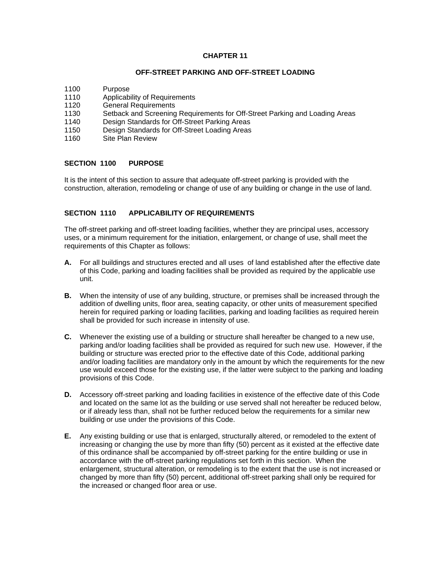### **CHAPTER 11**

#### **OFF-STREET PARKING AND OFF-STREET LOADING**

- 1100 Purpose
- 1110 Applicability of Requirements
- 1120 General Requirements
- 1130 Setback and Screening Requirements for Off-Street Parking and Loading Areas<br>1140 Design Standards for Off-Street Parking Areas
- Design Standards for Off-Street Parking Areas
- 1150 Design Standards for Off-Street Loading Areas
- 1160 Site Plan Review

#### **SECTION 1100 PURPOSE**

It is the intent of this section to assure that adequate off-street parking is provided with the construction, alteration, remodeling or change of use of any building or change in the use of land.

## **SECTION 1110 APPLICABILITY OF REQUIREMENTS**

The off-street parking and off-street loading facilities, whether they are principal uses, accessory uses, or a minimum requirement for the initiation, enlargement, or change of use, shall meet the requirements of this Chapter as follows:

- **A.** For all buildings and structures erected and all uses of land established after the effective date of this Code, parking and loading facilities shall be provided as required by the applicable use unit.
- **B.** When the intensity of use of any building, structure, or premises shall be increased through the addition of dwelling units, floor area, seating capacity, or other units of measurement specified herein for required parking or loading facilities, parking and loading facilities as required herein shall be provided for such increase in intensity of use.
- **C.** Whenever the existing use of a building or structure shall hereafter be changed to a new use, parking and/or loading facilities shall be provided as required for such new use. However, if the building or structure was erected prior to the effective date of this Code, additional parking and/or loading facilities are mandatory only in the amount by which the requirements for the new use would exceed those for the existing use, if the latter were subject to the parking and loading provisions of this Code.
- **D.** Accessory off-street parking and loading facilities in existence of the effective date of this Code and located on the same lot as the building or use served shall not hereafter be reduced below, or if already less than, shall not be further reduced below the requirements for a similar new building or use under the provisions of this Code.
- **E.** Any existing building or use that is enlarged, structurally altered, or remodeled to the extent of increasing or changing the use by more than fifty (50) percent as it existed at the effective date of this ordinance shall be accompanied by off-street parking for the entire building or use in accordance with the off-street parking regulations set forth in this section. When the enlargement, structural alteration, or remodeling is to the extent that the use is not increased or changed by more than fifty (50) percent, additional off-street parking shall only be required for the increased or changed floor area or use.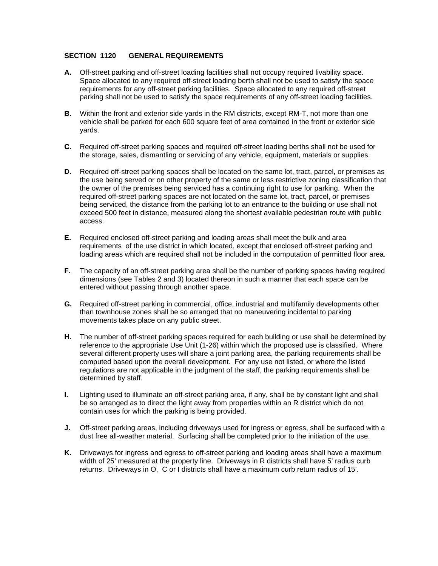### **SECTION 1120 GENERAL REQUIREMENTS**

- **A.** Off-street parking and off-street loading facilities shall not occupy required livability space. Space allocated to any required off-street loading berth shall not be used to satisfy the space requirements for any off-street parking facilities. Space allocated to any required off-street parking shall not be used to satisfy the space requirements of any off-street loading facilities.
- **B.** Within the front and exterior side yards in the RM districts, except RM-T, not more than one vehicle shall be parked for each 600 square feet of area contained in the front or exterior side yards.
- **C.** Required off-street parking spaces and required off-street loading berths shall not be used for the storage, sales, dismantling or servicing of any vehicle, equipment, materials or supplies.
- **D.** Required off-street parking spaces shall be located on the same lot, tract, parcel, or premises as the use being served or on other property of the same or less restrictive zoning classification that the owner of the premises being serviced has a continuing right to use for parking. When the required off-street parking spaces are not located on the same lot, tract, parcel, or premises being serviced, the distance from the parking lot to an entrance to the building or use shall not exceed 500 feet in distance, measured along the shortest available pedestrian route with public access.
- **E.** Required enclosed off-street parking and loading areas shall meet the bulk and area requirements of the use district in which located, except that enclosed off-street parking and loading areas which are required shall not be included in the computation of permitted floor area.
- **F.** The capacity of an off-street parking area shall be the number of parking spaces having required dimensions (see Tables 2 and 3) located thereon in such a manner that each space can be entered without passing through another space.
- **G.** Required off-street parking in commercial, office, industrial and multifamily developments other than townhouse zones shall be so arranged that no maneuvering incidental to parking movements takes place on any public street.
- **H.** The number of off-street parking spaces required for each building or use shall be determined by reference to the appropriate Use Unit (1-26) within which the proposed use is classified. Where several different property uses will share a joint parking area, the parking requirements shall be computed based upon the overall development. For any use not listed, or where the listed regulations are not applicable in the judgment of the staff, the parking requirements shall be determined by staff.
- **I.** Lighting used to illuminate an off-street parking area, if any, shall be by constant light and shall be so arranged as to direct the light away from properties within an R district which do not contain uses for which the parking is being provided.
- **J.** Off-street parking areas, including driveways used for ingress or egress, shall be surfaced with a dust free all-weather material. Surfacing shall be completed prior to the initiation of the use.
- **K.** Driveways for ingress and egress to off-street parking and loading areas shall have a maximum width of 25' measured at the property line. Driveways in R districts shall have 5' radius curb returns. Driveways in O, C or I districts shall have a maximum curb return radius of 15'.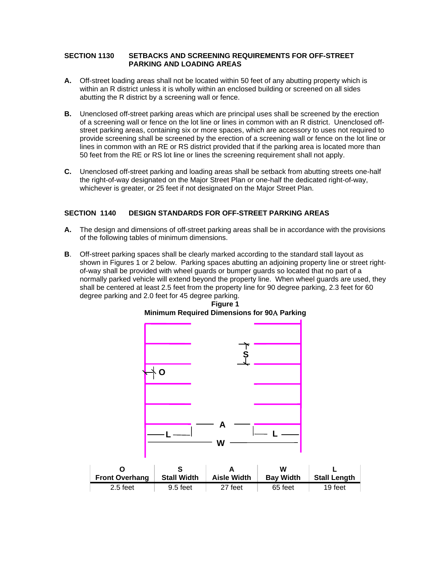### **SECTION 1130 SETBACKS AND SCREENING REQUIREMENTS FOR OFF-STREET PARKING AND LOADING AREAS**

- **A.** Off-street loading areas shall not be located within 50 feet of any abutting property which is within an R district unless it is wholly within an enclosed building or screened on all sides abutting the R district by a screening wall or fence.
- **B.** Unenclosed off-street parking areas which are principal uses shall be screened by the erection of a screening wall or fence on the lot line or lines in common with an R district. Unenclosed offstreet parking areas, containing six or more spaces, which are accessory to uses not required to provide screening shall be screened by the erection of a screening wall or fence on the lot line or lines in common with an RE or RS district provided that if the parking area is located more than 50 feet from the RE or RS lot line or lines the screening requirement shall not apply.
- **C.** Unenclosed off-street parking and loading areas shall be setback from abutting streets one-half the right-of-way designated on the Major Street Plan or one-half the dedicated right-of-way, whichever is greater, or 25 feet if not designated on the Major Street Plan.

## **SECTION 1140 DESIGN STANDARDS FOR OFF-STREET PARKING AREAS**

- **A.** The design and dimensions of off-street parking areas shall be in accordance with the provisions of the following tables of minimum dimensions.
- **B**. Off-street parking spaces shall be clearly marked according to the standard stall layout as shown in Figures 1 or 2 below. Parking spaces abutting an adjoining property line or street rightof-way shall be provided with wheel guards or bumper guards so located that no part of a normally parked vehicle will extend beyond the property line. When wheel guards are used, they shall be centered at least 2.5 feet from the property line for 90 degree parking, 2.3 feet for 60 degree parking and 2.0 feet for 45 degree parking.



## **Figure 1 Minimum Required Dimensions for 90 Parking**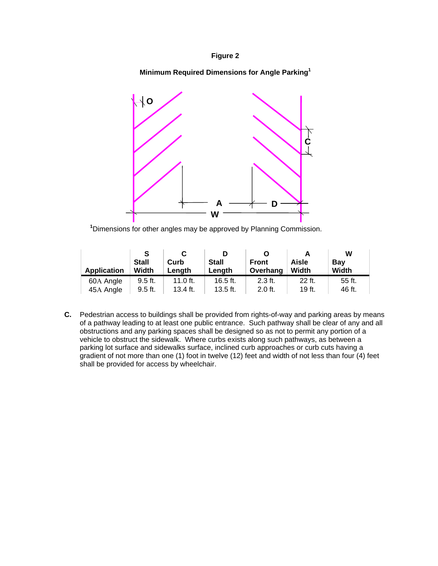## **Figure 2**

## **Minimum Required Dimensions for Angle Parking<sup>1</sup>**



**1** Dimensions for other angles may be approved by Planning Commission.

| <b>Application</b> | S<br><b>Stall</b><br>Width | Curb<br>Length | <b>Stall</b><br>Length | O<br><b>Front</b><br>Overhang | Aisle<br>Width | W<br>Bay<br>Width |
|--------------------|----------------------------|----------------|------------------------|-------------------------------|----------------|-------------------|
| 60A Angle          | $9.5$ ft.                  | 11.0 ft.       | 16.5 $ft.$             | $2.3$ ft.                     | 22 ft.         | 55 ft.            |
| 45A Angle          | 9.5 ft.                    | 13.4 ft.       | $13.5$ ft.             | $2.0$ ft.                     | 19 ft.         | 46 ft.            |

**C.** Pedestrian access to buildings shall be provided from rights-of-way and parking areas by means of a pathway leading to at least one public entrance. Such pathway shall be clear of any and all obstructions and any parking spaces shall be designed so as not to permit any portion of a vehicle to obstruct the sidewalk. Where curbs exists along such pathways, as between a parking lot surface and sidewalks surface, inclined curb approaches or curb cuts having a gradient of not more than one (1) foot in twelve (12) feet and width of not less than four (4) feet shall be provided for access by wheelchair.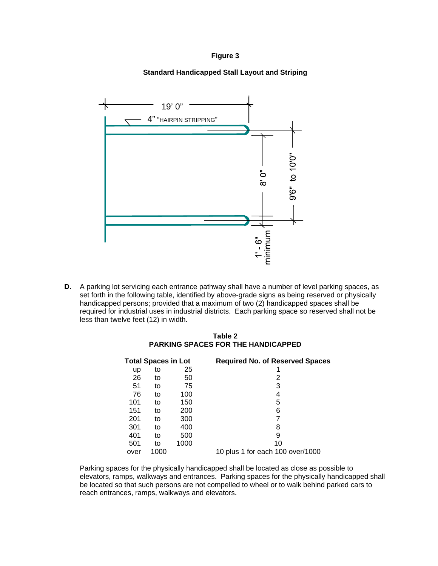### **Figure 3**

## **Standard Handicapped Stall Layout and Striping**



**D.** A parking lot servicing each entrance pathway shall have a number of level parking spaces, as set forth in the following table, identified by above-grade signs as being reserved or physically handicapped persons; provided that a maximum of two (2) handicapped spaces shall be required for industrial uses in industrial districts. Each parking space so reserved shall not be less than twelve feet (12) in width.

### **Table 2 PARKING SPACES FOR THE HANDICAPPED**

|      | <b>Total Spaces in Lot</b> |      | <b>Required No. of Reserved Spaces</b> |
|------|----------------------------|------|----------------------------------------|
| up   | to                         | 25   |                                        |
| 26   | to                         | 50   | 2                                      |
| 51   | to                         | 75   | 3                                      |
| 76   | to                         | 100  | 4                                      |
| 101  | to                         | 150  | 5                                      |
| 151  | to                         | 200  | 6                                      |
| 201  | to                         | 300  |                                        |
| 301  | to                         | 400  | 8                                      |
| 401  | to                         | 500  | 9                                      |
| 501  | to                         | 1000 | 10                                     |
| over | 1000                       |      | 10 plus 1 for each 100 over/1000       |

 Parking spaces for the physically handicapped shall be located as close as possible to elevators, ramps, walkways and entrances. Parking spaces for the physically handicapped shall be located so that such persons are not compelled to wheel or to walk behind parked cars to reach entrances, ramps, walkways and elevators.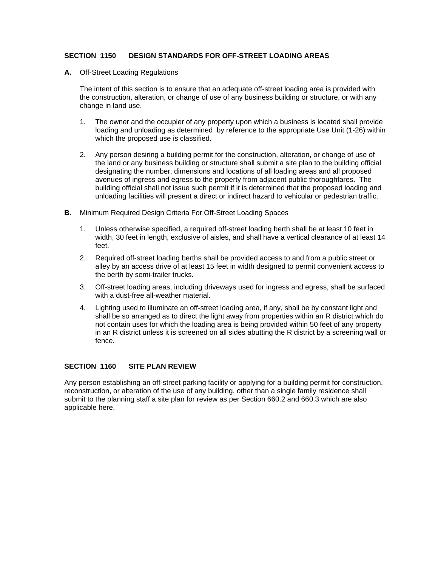## **SECTION 1150 DESIGN STANDARDS FOR OFF-STREET LOADING AREAS**

**A.** Off-Street Loading Regulations

 The intent of this section is to ensure that an adequate off-street loading area is provided with the construction, alteration, or change of use of any business building or structure, or with any change in land use.

- 1. The owner and the occupier of any property upon which a business is located shall provide loading and unloading as determined by reference to the appropriate Use Unit (1-26) within which the proposed use is classified.
- 2. Any person desiring a building permit for the construction, alteration, or change of use of the land or any business building or structure shall submit a site plan to the building official designating the number, dimensions and locations of all loading areas and all proposed avenues of ingress and egress to the property from adjacent public thoroughfares. The building official shall not issue such permit if it is determined that the proposed loading and unloading facilities will present a direct or indirect hazard to vehicular or pedestrian traffic.
- **B.** Minimum Required Design Criteria For Off-Street Loading Spaces
	- 1. Unless otherwise specified, a required off-street loading berth shall be at least 10 feet in width, 30 feet in length, exclusive of aisles, and shall have a vertical clearance of at least 14 feet.
	- 2. Required off-street loading berths shall be provided access to and from a public street or alley by an access drive of at least 15 feet in width designed to permit convenient access to the berth by semi-trailer trucks.
	- 3. Off-street loading areas, including driveways used for ingress and egress, shall be surfaced with a dust-free all-weather material.
	- 4. Lighting used to illuminate an off-street loading area, if any, shall be by constant light and shall be so arranged as to direct the light away from properties within an R district which do not contain uses for which the loading area is being provided within 50 feet of any property in an R district unless it is screened on all sides abutting the R district by a screening wall or fence.

## **SECTION 1160 SITE PLAN REVIEW**

Any person establishing an off-street parking facility or applying for a building permit for construction, reconstruction, or alteration of the use of any building, other than a single family residence shall submit to the planning staff a site plan for review as per Section 660.2 and 660.3 which are also applicable here.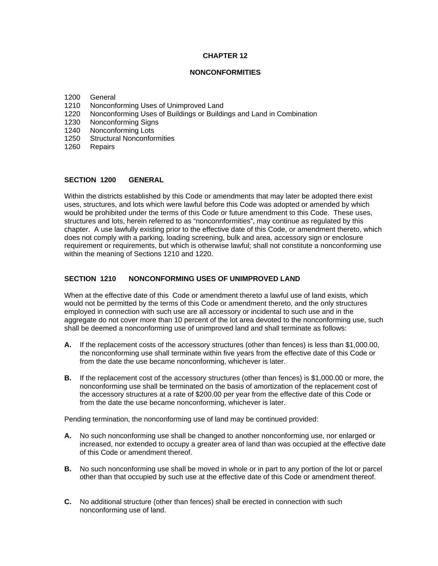## **CHAPTER 12**

# **NONCONFORMITIES**

- 1200 General
- 1210 Nonconforming Uses of Unimproved Land
- 1220 Nonconforming Uses of Buildings or Buildings and Land in Combination
- 1230 Nonconforming Signs
- 1240 Nonconforming Lots
- 1250 Structural Nonconformities
- 1260 Repairs

#### **SECTION 1200 GENERAL**

Within the districts established by this Code or amendments that may later be adopted there exist uses, structures, and lots which were lawful before this Code was adopted or amended by which would be prohibited under the terms of this Code or future amendment to this Code. These uses, structures and lots, herein referred to as "nonconnformities", may continue as regulated by this chapter. A use lawfully existing prior to the effective date of this Code, or amendment thereto, which does not comply with a parking, loading screening, bulk and area, accessory sign or enclosure requirement or requirements, but which is otherwise lawful; shall not constitute a nonconforming use within the meaning of Sections 1210 and 1220.

## **SECTION 1210 NONCONFORMING USES OF UNIMPROVED LAND**

When at the effective date of this Code or amendment thereto a lawful use of land exists, which would not be permitted by the terms of this Code or amendment thereto, and the only structures employed in connection with such use are all accessory or incidental to such use and in the aggregate do not cover more than 10 percent of the lot area devoted to the nonconforming use, such shall be deemed a nonconforming use of unimproved land and shall terminate as follows:

- **A.** If the replacement costs of the accessory structures (other than fences) is less than \$1,000.00, the nonconforming use shall terminate within five years from the effective date of this Code or from the date the use became nonconforming, whichever is later.
- **B.** If the replacement cost of the accessory structures (other than fences) is \$1,000.00 or more, the nonconforming use shall be terminated on the basis of amortization of the replacement cost of the accessory structures at a rate of \$200.00 per year from the effective date of this Code or from the date the use became nonconforming, whichever is later.

Pending termination, the nonconforming use of land may be continued provided:

- **A.** No such nonconforming use shall be changed to another nonconforming use, nor enlarged or increased, nor extended to occupy a greater area of land than was occupied at the effective date of this Code or amendment thereof.
- **B.** No such nonconforming use shall be moved in whole or in part to any portion of the lot or parcel other than that occupied by such use at the effective date of this Code or amendment thereof.
- **C.** No additional structure (other than fences) shall be erected in connection with such nonconforming use of land.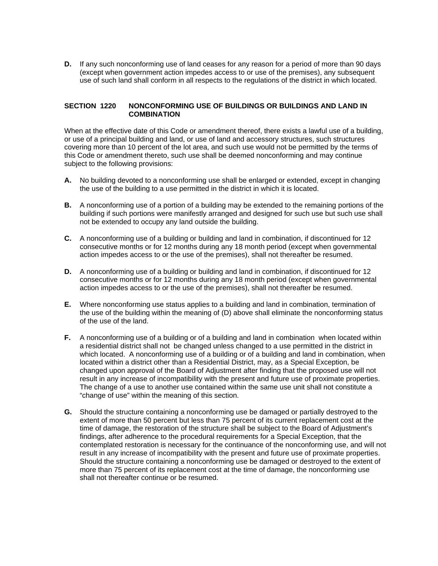**D.** If any such nonconforming use of land ceases for any reason for a period of more than 90 days (except when government action impedes access to or use of the premises), any subsequent use of such land shall conform in all respects to the regulations of the district in which located.

# **SECTION 1220 NONCONFORMING USE OF BUILDINGS OR BUILDINGS AND LAND IN COMBINATION**

When at the effective date of this Code or amendment thereof, there exists a lawful use of a building, or use of a principal building and land, or use of land and accessory structures, such structures covering more than 10 percent of the lot area, and such use would not be permitted by the terms of this Code or amendment thereto, such use shall be deemed nonconforming and may continue subject to the following provisions:

- **A.** No building devoted to a nonconforming use shall be enlarged or extended, except in changing the use of the building to a use permitted in the district in which it is located.
- **B.** A nonconforming use of a portion of a building may be extended to the remaining portions of the building if such portions were manifestly arranged and designed for such use but such use shall not be extended to occupy any land outside the building.
- **C.** A nonconforming use of a building or building and land in combination, if discontinued for 12 consecutive months or for 12 months during any 18 month period (except when governmental action impedes access to or the use of the premises), shall not thereafter be resumed.
- **D.** A nonconforming use of a building or building and land in combination, if discontinued for 12 consecutive months or for 12 months during any 18 month period (except when governmental action impedes access to or the use of the premises), shall not thereafter be resumed.
- **E.** Where nonconforming use status applies to a building and land in combination, termination of the use of the building within the meaning of (D) above shall eliminate the nonconforming status of the use of the land.
- **F.** A nonconforming use of a building or of a building and land in combination when located within a residential district shall not be changed unless changed to a use permitted in the district in which located. A nonconforming use of a building or of a building and land in combination, when located within a district other than a Residential District, may, as a Special Exception, be changed upon approval of the Board of Adjustment after finding that the proposed use will not result in any increase of incompatibility with the present and future use of proximate properties. The change of a use to another use contained within the same use unit shall not constitute a "change of use" within the meaning of this section.
- **G.** Should the structure containing a nonconforming use be damaged or partially destroyed to the extent of more than 50 percent but less than 75 percent of its current replacement cost at the time of damage, the restoration of the structure shall be subject to the Board of Adjustment's findings, after adherence to the procedural requirements for a Special Exception, that the contemplated restoration is necessary for the continuance of the nonconforming use, and will not result in any increase of incompatibility with the present and future use of proximate properties. Should the structure containing a nonconforming use be damaged or destroyed to the extent of more than 75 percent of its replacement cost at the time of damage, the nonconforming use shall not thereafter continue or be resumed.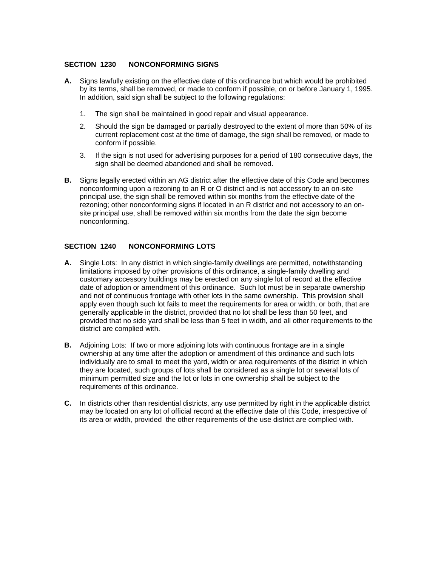# **SECTION 1230 NONCONFORMING SIGNS**

- **A.** Signs lawfully existing on the effective date of this ordinance but which would be prohibited by its terms, shall be removed, or made to conform if possible, on or before January 1, 1995. In addition, said sign shall be subject to the following regulations:
	- 1. The sign shall be maintained in good repair and visual appearance.
	- 2. Should the sign be damaged or partially destroyed to the extent of more than 50% of its current replacement cost at the time of damage, the sign shall be removed, or made to conform if possible.
	- 3. If the sign is not used for advertising purposes for a period of 180 consecutive days, the sign shall be deemed abandoned and shall be removed.
- **B.** Signs legally erected within an AG district after the effective date of this Code and becomes nonconforming upon a rezoning to an R or O district and is not accessory to an on-site principal use, the sign shall be removed within six months from the effective date of the rezoning; other nonconforming signs if located in an R district and not accessory to an onsite principal use, shall be removed within six months from the date the sign become nonconforming.

# **SECTION 1240 NONCONFORMING LOTS**

- **A.** Single Lots: In any district in which single-family dwellings are permitted, notwithstanding limitations imposed by other provisions of this ordinance, a single-family dwelling and customary accessory buildings may be erected on any single lot of record at the effective date of adoption or amendment of this ordinance. Such lot must be in separate ownership and not of continuous frontage with other lots in the same ownership. This provision shall apply even though such lot fails to meet the requirements for area or width, or both, that are generally applicable in the district, provided that no lot shall be less than 50 feet, and provided that no side yard shall be less than 5 feet in width, and all other requirements to the district are complied with.
- **B.** Adjoining Lots: If two or more adjoining lots with continuous frontage are in a single ownership at any time after the adoption or amendment of this ordinance and such lots individually are to small to meet the yard, width or area requirements of the district in which they are located, such groups of lots shall be considered as a single lot or several lots of minimum permitted size and the lot or lots in one ownership shall be subject to the requirements of this ordinance.
- **C.** In districts other than residential districts, any use permitted by right in the applicable district may be located on any lot of official record at the effective date of this Code, irrespective of its area or width, provided the other requirements of the use district are complied with.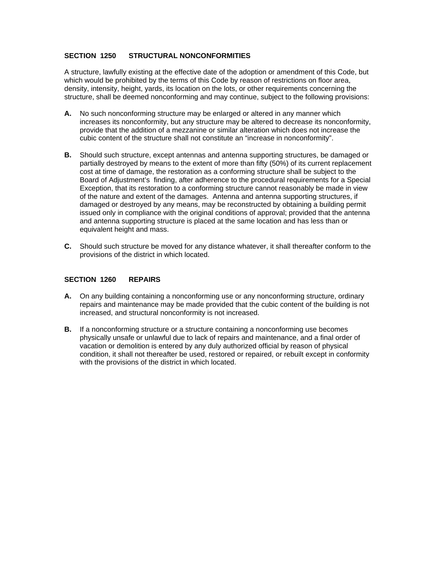# **SECTION 1250 STRUCTURAL NONCONFORMITIES**

A structure, lawfully existing at the effective date of the adoption or amendment of this Code, but which would be prohibited by the terms of this Code by reason of restrictions on floor area, density, intensity, height, yards, its location on the lots, or other requirements concerning the structure, shall be deemed nonconforming and may continue, subject to the following provisions:

- **A.** No such nonconforming structure may be enlarged or altered in any manner which increases its nonconformity, but any structure may be altered to decrease its nonconformity, provide that the addition of a mezzanine or similar alteration which does not increase the cubic content of the structure shall not constitute an "increase in nonconformity".
- **B.** Should such structure, except antennas and antenna supporting structures, be damaged or partially destroyed by means to the extent of more than fifty (50%) of its current replacement cost at time of damage, the restoration as a conforming structure shall be subject to the Board of Adjustment's finding, after adherence to the procedural requirements for a Special Exception, that its restoration to a conforming structure cannot reasonably be made in view of the nature and extent of the damages. Antenna and antenna supporting structures, if damaged or destroyed by any means, may be reconstructed by obtaining a building permit issued only in compliance with the original conditions of approval; provided that the antenna and antenna supporting structure is placed at the same location and has less than or equivalent height and mass.
- **C.** Should such structure be moved for any distance whatever, it shall thereafter conform to the provisions of the district in which located.

# **SECTION 1260 REPAIRS**

- **A.** On any building containing a nonconforming use or any nonconforming structure, ordinary repairs and maintenance may be made provided that the cubic content of the building is not increased, and structural nonconformity is not increased.
- **B.** If a nonconforming structure or a structure containing a nonconforming use becomes physically unsafe or unlawful due to lack of repairs and maintenance, and a final order of vacation or demolition is entered by any duly authorized official by reason of physical condition, it shall not thereafter be used, restored or repaired, or rebuilt except in conformity with the provisions of the district in which located.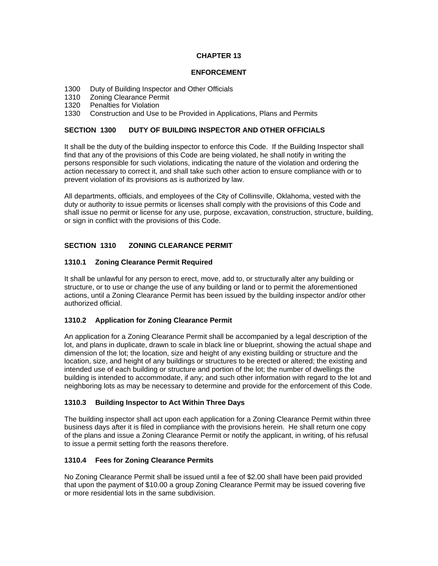# **CHAPTER 13**

## **ENFORCEMENT**

- 1300 Duty of Building Inspector and Other Officials
- 1310 Zoning Clearance Permit
- 1320 Penalties for Violation

1330 Construction and Use to be Provided in Applications, Plans and Permits

# **SECTION 1300 DUTY OF BUILDING INSPECTOR AND OTHER OFFICIALS**

It shall be the duty of the building inspector to enforce this Code. If the Building Inspector shall find that any of the provisions of this Code are being violated, he shall notify in writing the persons responsible for such violations, indicating the nature of the violation and ordering the action necessary to correct it, and shall take such other action to ensure compliance with or to prevent violation of its provisions as is authorized by law.

All departments, officials, and employees of the City of Collinsville, Oklahoma, vested with the duty or authority to issue permits or licenses shall comply with the provisions of this Code and shall issue no permit or license for any use, purpose, excavation, construction, structure, building, or sign in conflict with the provisions of this Code.

# **SECTION 1310 ZONING CLEARANCE PERMIT**

# **1310.1 Zoning Clearance Permit Required**

It shall be unlawful for any person to erect, move, add to, or structurally alter any building or structure, or to use or change the use of any building or land or to permit the aforementioned actions, until a Zoning Clearance Permit has been issued by the building inspector and/or other authorized official.

# **1310.2 Application for Zoning Clearance Permit**

An application for a Zoning Clearance Permit shall be accompanied by a legal description of the lot, and plans in duplicate, drawn to scale in black line or blueprint, showing the actual shape and dimension of the lot; the location, size and height of any existing building or structure and the location, size, and height of any buildings or structures to be erected or altered; the existing and intended use of each building or structure and portion of the lot; the number of dwellings the building is intended to accommodate, if any; and such other information with regard to the lot and neighboring lots as may be necessary to determine and provide for the enforcement of this Code.

# **1310.3 Building Inspector to Act Within Three Days**

The building inspector shall act upon each application for a Zoning Clearance Permit within three business days after it is filed in compliance with the provisions herein. He shall return one copy of the plans and issue a Zoning Clearance Permit or notify the applicant, in writing, of his refusal to issue a permit setting forth the reasons therefore.

## **1310.4 Fees for Zoning Clearance Permits**

No Zoning Clearance Permit shall be issued until a fee of \$2.00 shall have been paid provided that upon the payment of \$10.00 a group Zoning Clearance Permit may be issued covering five or more residential lots in the same subdivision.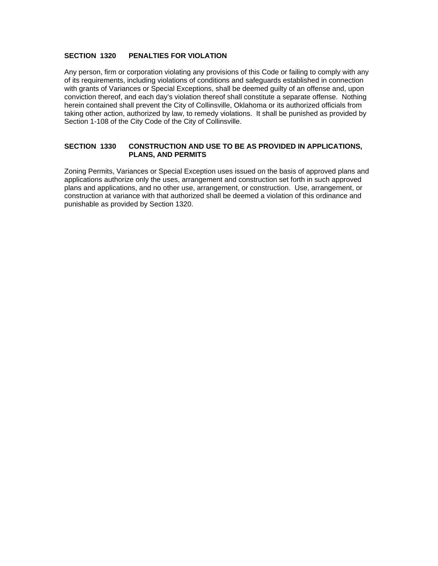# **SECTION 1320 PENALTIES FOR VIOLATION**

Any person, firm or corporation violating any provisions of this Code or failing to comply with any of its requirements, including violations of conditions and safeguards established in connection with grants of Variances or Special Exceptions, shall be deemed guilty of an offense and, upon conviction thereof, and each day's violation thereof shall constitute a separate offense. Nothing herein contained shall prevent the City of Collinsville, Oklahoma or its authorized officials from taking other action, authorized by law, to remedy violations. It shall be punished as provided by Section 1-108 of the City Code of the City of Collinsville.

# **SECTION 1330 CONSTRUCTION AND USE TO BE AS PROVIDED IN APPLICATIONS, PLANS, AND PERMITS**

Zoning Permits, Variances or Special Exception uses issued on the basis of approved plans and applications authorize only the uses, arrangement and construction set forth in such approved plans and applications, and no other use, arrangement, or construction. Use, arrangement, or construction at variance with that authorized shall be deemed a violation of this ordinance and punishable as provided by Section 1320.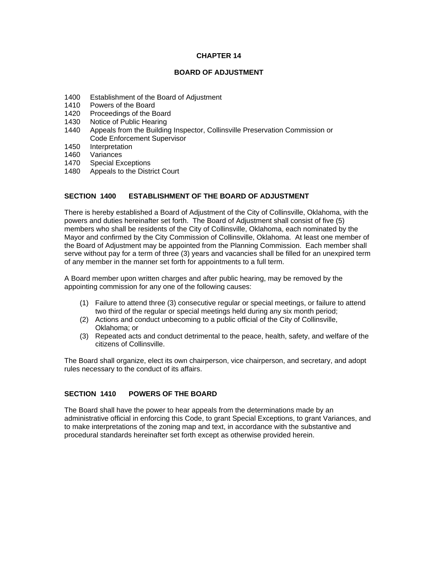## **CHAPTER 14**

#### **BOARD OF ADJUSTMENT**

- 1400 Establishment of the Board of Adjustment
- 1410 Powers of the Board
- 1420 Proceedings of the Board<br>1430 Notice of Public Hearing
- Notice of Public Hearing
- 1440 Appeals from the Building Inspector, Collinsville Preservation Commission or Code Enforcement Supervisor
- 1450 Interpretation
- 1460 Variances
- 1470 Special Exceptions
- 1480 Appeals to the District Court

## **SECTION 1400 ESTABLISHMENT OF THE BOARD OF ADJUSTMENT**

There is hereby established a Board of Adjustment of the City of Collinsville, Oklahoma, with the powers and duties hereinafter set forth. The Board of Adjustment shall consist of five (5) members who shall be residents of the City of Collinsville, Oklahoma, each nominated by the Mayor and confirmed by the City Commission of Collinsville, Oklahoma. At least one member of the Board of Adjustment may be appointed from the Planning Commission. Each member shall serve without pay for a term of three (3) years and vacancies shall be filled for an unexpired term of any member in the manner set forth for appointments to a full term.

A Board member upon written charges and after public hearing, may be removed by the appointing commission for any one of the following causes:

- (1) Failure to attend three (3) consecutive regular or special meetings, or failure to attend two third of the regular or special meetings held during any six month period;
- (2) Actions and conduct unbecoming to a public official of the City of Collinsville, Oklahoma; or
- (3) Repeated acts and conduct detrimental to the peace, health, safety, and welfare of the citizens of Collinsville.

The Board shall organize, elect its own chairperson, vice chairperson, and secretary, and adopt rules necessary to the conduct of its affairs.

# **SECTION 1410 POWERS OF THE BOARD**

The Board shall have the power to hear appeals from the determinations made by an administrative official in enforcing this Code, to grant Special Exceptions, to grant Variances, and to make interpretations of the zoning map and text, in accordance with the substantive and procedural standards hereinafter set forth except as otherwise provided herein.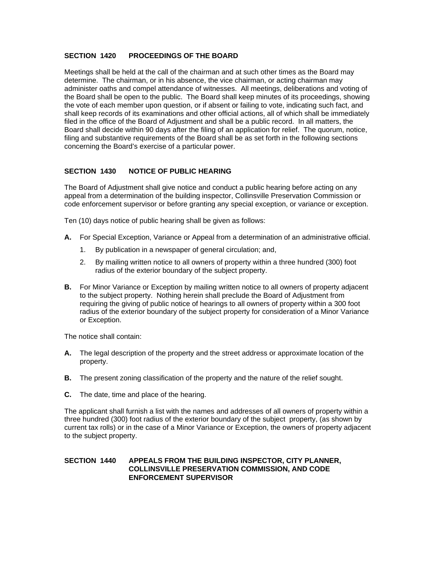# **SECTION 1420 PROCEEDINGS OF THE BOARD**

Meetings shall be held at the call of the chairman and at such other times as the Board may determine. The chairman, or in his absence, the vice chairman, or acting chairman may administer oaths and compel attendance of witnesses. All meetings, deliberations and voting of the Board shall be open to the public. The Board shall keep minutes of its proceedings, showing the vote of each member upon question, or if absent or failing to vote, indicating such fact, and shall keep records of its examinations and other official actions, all of which shall be immediately filed in the office of the Board of Adjustment and shall be a public record. In all matters, the Board shall decide within 90 days after the filing of an application for relief. The quorum, notice, filing and substantive requirements of the Board shall be as set forth in the following sections concerning the Board's exercise of a particular power.

# **SECTION 1430 NOTICE OF PUBLIC HEARING**

The Board of Adjustment shall give notice and conduct a public hearing before acting on any appeal from a determination of the building inspector, Collinsville Preservation Commission or code enforcement supervisor or before granting any special exception, or variance or exception.

Ten (10) days notice of public hearing shall be given as follows:

- **A.** For Special Exception, Variance or Appeal from a determination of an administrative official.
	- 1. By publication in a newspaper of general circulation; and,
	- 2. By mailing written notice to all owners of property within a three hundred (300) foot radius of the exterior boundary of the subject property.
- **B.** For Minor Variance or Exception by mailing written notice to all owners of property adjacent to the subject property. Nothing herein shall preclude the Board of Adjustment from requiring the giving of public notice of hearings to all owners of property within a 300 foot radius of the exterior boundary of the subject property for consideration of a Minor Variance or Exception.

The notice shall contain:

- **A.** The legal description of the property and the street address or approximate location of the property.
- **B.** The present zoning classification of the property and the nature of the relief sought.
- **C.** The date, time and place of the hearing.

The applicant shall furnish a list with the names and addresses of all owners of property within a three hundred (300) foot radius of the exterior boundary of the subject property, (as shown by current tax rolls) or in the case of a Minor Variance or Exception, the owners of property adjacent to the subject property.

## **SECTION 1440 APPEALS FROM THE BUILDING INSPECTOR, CITY PLANNER, COLLINSVILLE PRESERVATION COMMISSION, AND CODE ENFORCEMENT SUPERVISOR**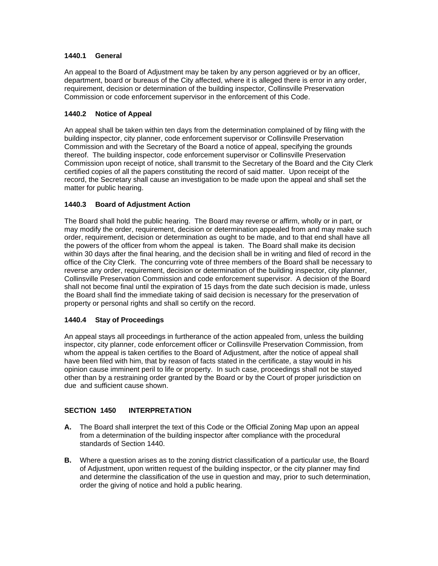# **1440.1 General**

An appeal to the Board of Adjustment may be taken by any person aggrieved or by an officer, department, board or bureaus of the City affected, where it is alleged there is error in any order, requirement, decision or determination of the building inspector, Collinsville Preservation Commission or code enforcement supervisor in the enforcement of this Code.

# **1440.2 Notice of Appeal**

An appeal shall be taken within ten days from the determination complained of by filing with the building inspector, city planner, code enforcement supervisor or Collinsville Preservation Commission and with the Secretary of the Board a notice of appeal, specifying the grounds thereof. The building inspector, code enforcement supervisor or Collinsville Preservation Commission upon receipt of notice, shall transmit to the Secretary of the Board and the City Clerk certified copies of all the papers constituting the record of said matter. Upon receipt of the record, the Secretary shall cause an investigation to be made upon the appeal and shall set the matter for public hearing.

# **1440.3 Board of Adjustment Action**

The Board shall hold the public hearing. The Board may reverse or affirm, wholly or in part, or may modify the order, requirement, decision or determination appealed from and may make such order, requirement, decision or determination as ought to be made, and to that end shall have all the powers of the officer from whom the appeal is taken. The Board shall make its decision within 30 days after the final hearing, and the decision shall be in writing and filed of record in the office of the City Clerk. The concurring vote of three members of the Board shall be necessary to reverse any order, requirement, decision or determination of the building inspector, city planner, Collinsville Preservation Commission and code enforcement supervisor. A decision of the Board shall not become final until the expiration of 15 days from the date such decision is made, unless the Board shall find the immediate taking of said decision is necessary for the preservation of property or personal rights and shall so certify on the record.

# **1440.4 Stay of Proceedings**

An appeal stays all proceedings in furtherance of the action appealed from, unless the building inspector, city planner, code enforcement officer or Collinsville Preservation Commission, from whom the appeal is taken certifies to the Board of Adjustment, after the notice of appeal shall have been filed with him, that by reason of facts stated in the certificate, a stay would in his opinion cause imminent peril to life or property. In such case, proceedings shall not be stayed other than by a restraining order granted by the Board or by the Court of proper jurisdiction on due and sufficient cause shown.

# **SECTION 1450 INTERPRETATION**

- **A.** The Board shall interpret the text of this Code or the Official Zoning Map upon an appeal from a determination of the building inspector after compliance with the procedural standards of Section 1440.
- **B.** Where a question arises as to the zoning district classification of a particular use, the Board of Adjustment, upon written request of the building inspector, or the city planner may find and determine the classification of the use in question and may, prior to such determination, order the giving of notice and hold a public hearing.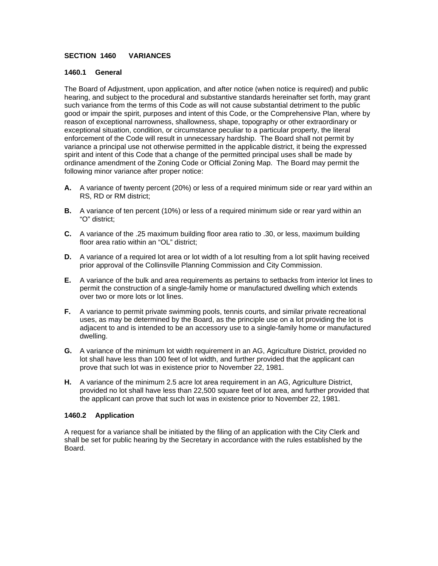# **SECTION 1460 VARIANCES**

## **1460.1 General**

The Board of Adjustment, upon application, and after notice (when notice is required) and public hearing, and subject to the procedural and substantive standards hereinafter set forth, may grant such variance from the terms of this Code as will not cause substantial detriment to the public good or impair the spirit, purposes and intent of this Code, or the Comprehensive Plan, where by reason of exceptional narrowness, shallowness, shape, topography or other extraordinary or exceptional situation, condition, or circumstance peculiar to a particular property, the literal enforcement of the Code will result in unnecessary hardship. The Board shall not permit by variance a principal use not otherwise permitted in the applicable district, it being the expressed spirit and intent of this Code that a change of the permitted principal uses shall be made by ordinance amendment of the Zoning Code or Official Zoning Map. The Board may permit the following minor variance after proper notice:

- **A.** A variance of twenty percent (20%) or less of a required minimum side or rear yard within an RS, RD or RM district;
- **B.** A variance of ten percent (10%) or less of a required minimum side or rear yard within an "O" district;
- **C.** A variance of the .25 maximum building floor area ratio to .30, or less, maximum building floor area ratio within an "OL" district;
- **D.** A variance of a required lot area or lot width of a lot resulting from a lot split having received prior approval of the Collinsville Planning Commission and City Commission.
- **E.** A variance of the bulk and area requirements as pertains to setbacks from interior lot lines to permit the construction of a single-family home or manufactured dwelling which extends over two or more lots or lot lines.
- **F.** A variance to permit private swimming pools, tennis courts, and similar private recreational uses, as may be determined by the Board, as the principle use on a lot providing the lot is adjacent to and is intended to be an accessory use to a single-family home or manufactured dwelling.
- **G.** A variance of the minimum lot width requirement in an AG, Agriculture District, provided no lot shall have less than 100 feet of lot width, and further provided that the applicant can prove that such lot was in existence prior to November 22, 1981.
- **H.** A variance of the minimum 2.5 acre lot area requirement in an AG, Agriculture District, provided no lot shall have less than 22,500 square feet of lot area, and further provided that the applicant can prove that such lot was in existence prior to November 22, 1981.

## **1460.2 Application**

A request for a variance shall be initiated by the filing of an application with the City Clerk and shall be set for public hearing by the Secretary in accordance with the rules established by the Board.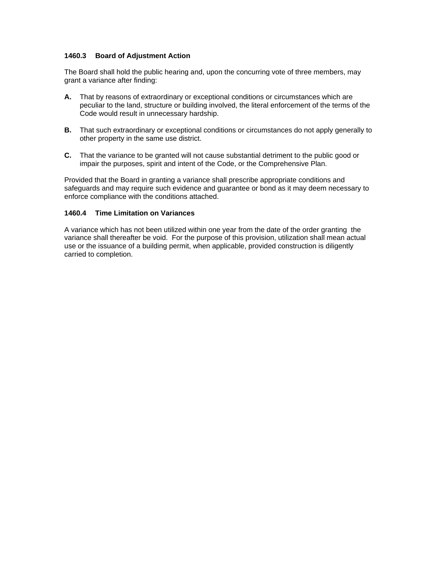## **1460.3 Board of Adjustment Action**

The Board shall hold the public hearing and, upon the concurring vote of three members, may grant a variance after finding:

- **A.** That by reasons of extraordinary or exceptional conditions or circumstances which are peculiar to the land, structure or building involved, the literal enforcement of the terms of the Code would result in unnecessary hardship.
- **B.** That such extraordinary or exceptional conditions or circumstances do not apply generally to other property in the same use district.
- **C.** That the variance to be granted will not cause substantial detriment to the public good or impair the purposes, spirit and intent of the Code, or the Comprehensive Plan.

Provided that the Board in granting a variance shall prescribe appropriate conditions and safeguards and may require such evidence and guarantee or bond as it may deem necessary to enforce compliance with the conditions attached.

## **1460.4 Time Limitation on Variances**

A variance which has not been utilized within one year from the date of the order granting the variance shall thereafter be void. For the purpose of this provision, utilization shall mean actual use or the issuance of a building permit, when applicable, provided construction is diligently carried to completion.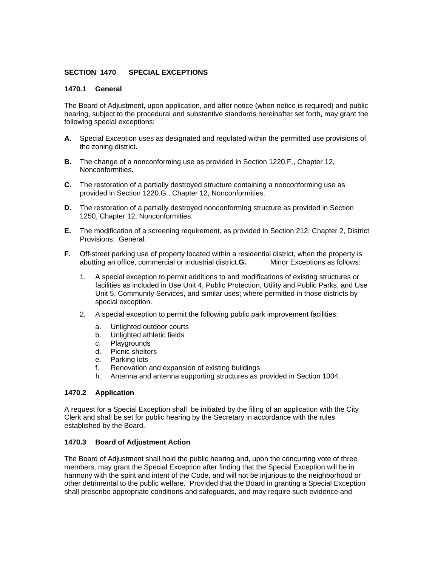# **SECTION 1470 SPECIAL EXCEPTIONS**

### **1470.1 General**

The Board of Adjustment, upon application, and after notice (when notice is required) and public hearing, subject to the procedural and substantive standards hereinafter set forth, may grant the following special exceptions:

- **A.** Special Exception uses as designated and regulated within the permitted use provisions of the zoning district.
- **B.** The change of a nonconforming use as provided in Section 1220.F., Chapter 12, Nonconformities.
- **C.** The restoration of a partially destroyed structure containing a nonconforming use as provided in Section 1220.G., Chapter 12, Nonconformities.
- **D.** The restoration of a partially destroyed nonconforming structure as provided in Section 1250, Chapter 12, Nonconformities.
- **E.** The modification of a screening requirement, as provided in Section 212, Chapter 2, District Provisions: General.
- **F.** Off-street parking use of property located within a residential district, when the property is abutting an office, commercial or industrial district.**G.** Minor Exceptions as follows:
	- 1. A special exception to permit additions to and modifications of existing structures or facilities as included in Use Unit 4, Public Protection, Utility and Public Parks, and Use Unit 5, Community Services, and similar uses; where permitted in those districts by special exception.
	- 2. A special exception to permit the following public park improvement facilities:
		- a. Unlighted outdoor courts
		- b. Unlighted athletic fields
		- c. Playgrounds
		- d. Picnic shelters
		- e. Parking lots
		- f. Renovation and expansion of existing buildings
		- h. Antenna and antenna supporting structures as provided in Section 1004.

# **1470.2 Application**

A request for a Special Exception shall be initiated by the filing of an application with the City Clerk and shall be set for public hearing by the Secretary in accordance with the rules established by the Board.

## **1470.3 Board of Adjustment Action**

The Board of Adjustment shall hold the public hearing and, upon the concurring vote of three members, may grant the Special Exception after finding that the Special Exception will be in harmony with the spirit and intent of the Code, and will not be injurious to the neighborhood or other detrimental to the public welfare. Provided that the Board in granting a Special Exception shall prescribe appropriate conditions and safeguards, and may require such evidence and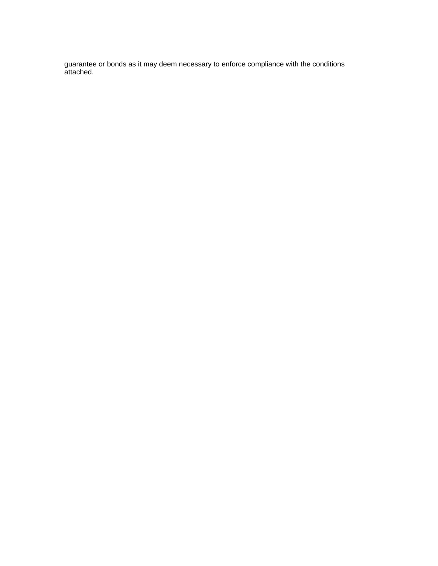guarantee or bonds as it may deem necessary to enforce compliance with the conditions attached.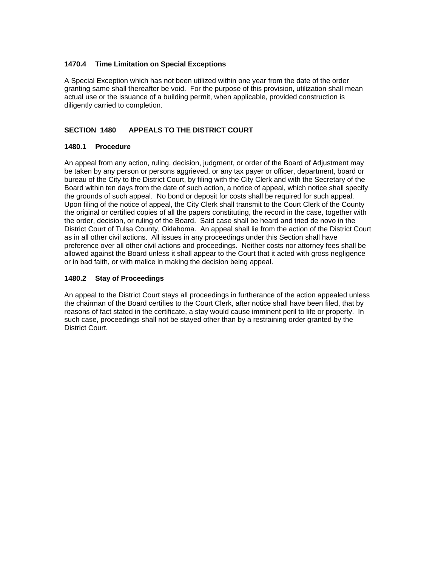# **1470.4 Time Limitation on Special Exceptions**

A Special Exception which has not been utilized within one year from the date of the order granting same shall thereafter be void. For the purpose of this provision, utilization shall mean actual use or the issuance of a building permit, when applicable, provided construction is diligently carried to completion.

# **SECTION 1480 APPEALS TO THE DISTRICT COURT**

# **1480.1 Procedure**

An appeal from any action, ruling, decision, judgment, or order of the Board of Adjustment may be taken by any person or persons aggrieved, or any tax payer or officer, department, board or bureau of the City to the District Court, by filing with the City Clerk and with the Secretary of the Board within ten days from the date of such action, a notice of appeal, which notice shall specify the grounds of such appeal. No bond or deposit for costs shall be required for such appeal. Upon filing of the notice of appeal, the City Clerk shall transmit to the Court Clerk of the County the original or certified copies of all the papers constituting, the record in the case, together with the order, decision, or ruling of the Board. Said case shall be heard and tried de novo in the District Court of Tulsa County, Oklahoma. An appeal shall lie from the action of the District Court as in all other civil actions. All issues in any proceedings under this Section shall have preference over all other civil actions and proceedings. Neither costs nor attorney fees shall be allowed against the Board unless it shall appear to the Court that it acted with gross negligence or in bad faith, or with malice in making the decision being appeal.

# **1480.2 Stay of Proceedings**

An appeal to the District Court stays all proceedings in furtherance of the action appealed unless the chairman of the Board certifies to the Court Clerk, after notice shall have been filed, that by reasons of fact stated in the certificate, a stay would cause imminent peril to life or property. In such case, proceedings shall not be stayed other than by a restraining order granted by the District Court.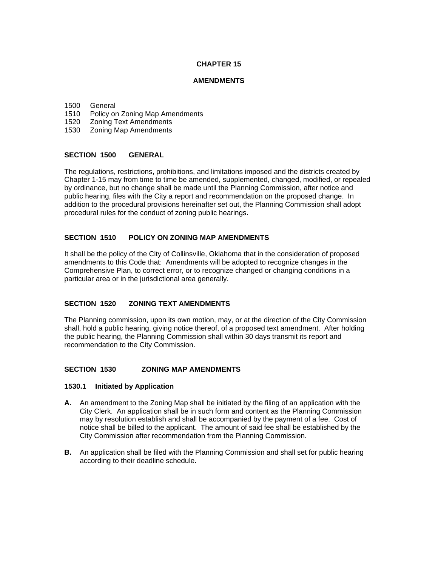# **CHAPTER 15**

### **AMENDMENTS**

#### 1500 General

- 1510 Policy on Zoning Map Amendments
- 1520 Zoning Text Amendments
- 1530 Zoning Map Amendments

#### **SECTION 1500 GENERAL**

The regulations, restrictions, prohibitions, and limitations imposed and the districts created by Chapter 1-15 may from time to time be amended, supplemented, changed, modified, or repealed by ordinance, but no change shall be made until the Planning Commission, after notice and public hearing, files with the City a report and recommendation on the proposed change. In addition to the procedural provisions hereinafter set out, the Planning Commission shall adopt procedural rules for the conduct of zoning public hearings.

## **SECTION 1510 POLICY ON ZONING MAP AMENDMENTS**

It shall be the policy of the City of Collinsville, Oklahoma that in the consideration of proposed amendments to this Code that: Amendments will be adopted to recognize changes in the Comprehensive Plan, to correct error, or to recognize changed or changing conditions in a particular area or in the jurisdictional area generally.

## **SECTION 1520 ZONING TEXT AMENDMENTS**

The Planning commission, upon its own motion, may, or at the direction of the City Commission shall, hold a public hearing, giving notice thereof, of a proposed text amendment. After holding the public hearing, the Planning Commission shall within 30 days transmit its report and recommendation to the City Commission.

## **SECTION 1530 ZONING MAP AMENDMENTS**

#### **1530.1 Initiated by Application**

- **A.** An amendment to the Zoning Map shall be initiated by the filing of an application with the City Clerk. An application shall be in such form and content as the Planning Commission may by resolution establish and shall be accompanied by the payment of a fee. Cost of notice shall be billed to the applicant. The amount of said fee shall be established by the City Commission after recommendation from the Planning Commission.
- **B.** An application shall be filed with the Planning Commission and shall set for public hearing according to their deadline schedule.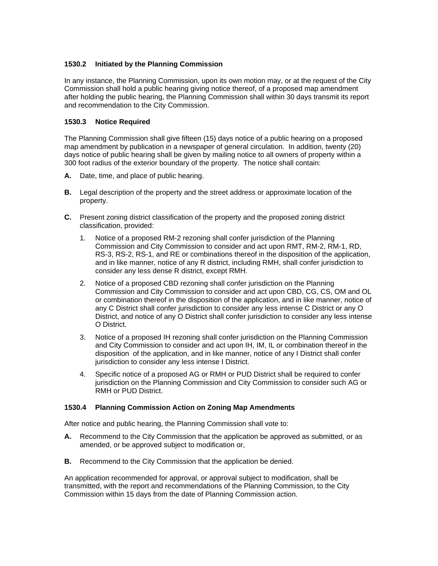# **1530.2 Initiated by the Planning Commission**

In any instance, the Planning Commission, upon its own motion may, or at the request of the City Commission shall hold a public hearing giving notice thereof, of a proposed map amendment after holding the public hearing, the Planning Commission shall within 30 days transmit its report and recommendation to the City Commission.

# **1530.3 Notice Required**

The Planning Commission shall give fifteen (15) days notice of a public hearing on a proposed map amendment by publication in a newspaper of general circulation. In addition, twenty (20) days notice of public hearing shall be given by mailing notice to all owners of property within a 300 foot radius of the exterior boundary of the property. The notice shall contain:

- **A.** Date, time, and place of public hearing.
- **B.** Legal description of the property and the street address or approximate location of the property.
- **C.** Present zoning district classification of the property and the proposed zoning district classification, provided:
	- 1. Notice of a proposed RM-2 rezoning shall confer jurisdiction of the Planning Commission and City Commission to consider and act upon RMT, RM-2, RM-1, RD, RS-3, RS-2, RS-1, and RE or combinations thereof in the disposition of the application, and in like manner, notice of any R district, including RMH, shall confer jurisdiction to consider any less dense R district, except RMH.
	- 2. Notice of a proposed CBD rezoning shall confer jurisdiction on the Planning Commission and City Commission to consider and act upon CBD, CG, CS, OM and OL or combination thereof in the disposition of the application, and in like manner, notice of any C District shall confer jurisdiction to consider any less intense C District or any O District, and notice of any O District shall confer jurisdiction to consider any less intense O District.
	- 3. Notice of a proposed IH rezoning shall confer jurisdiction on the Planning Commission and City Commission to consider and act upon IH, IM, IL or combination thereof in the disposition of the application, and in like manner, notice of any I District shall confer jurisdiction to consider any less intense I District.
	- 4. Specific notice of a proposed AG or RMH or PUD District shall be required to confer jurisdiction on the Planning Commission and City Commission to consider such AG or RMH or PUD District.

## **1530.4 Planning Commission Action on Zoning Map Amendments**

After notice and public hearing, the Planning Commission shall vote to:

- **A.** Recommend to the City Commission that the application be approved as submitted, or as amended, or be approved subject to modification or,
- **B.** Recommend to the City Commission that the application be denied.

An application recommended for approval, or approval subject to modification, shall be transmitted, with the report and recommendations of the Planning Commission, to the City Commission within 15 days from the date of Planning Commission action.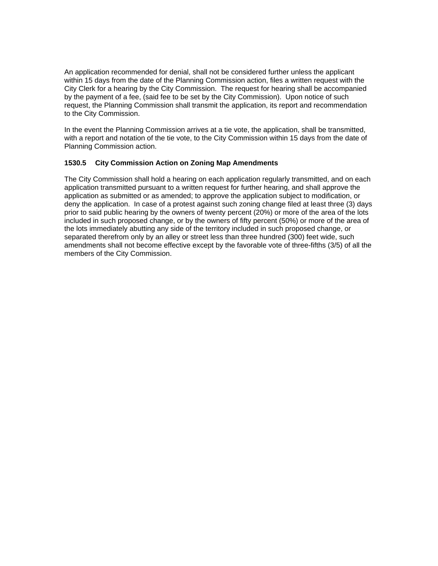An application recommended for denial, shall not be considered further unless the applicant within 15 days from the date of the Planning Commission action, files a written request with the City Clerk for a hearing by the City Commission. The request for hearing shall be accompanied by the payment of a fee, (said fee to be set by the City Commission). Upon notice of such request, the Planning Commission shall transmit the application, its report and recommendation to the City Commission.

In the event the Planning Commission arrives at a tie vote, the application, shall be transmitted, with a report and notation of the tie vote, to the City Commission within 15 days from the date of Planning Commission action.

# **1530.5 City Commission Action on Zoning Map Amendments**

The City Commission shall hold a hearing on each application regularly transmitted, and on each application transmitted pursuant to a written request for further hearing, and shall approve the application as submitted or as amended; to approve the application subject to modification, or deny the application. In case of a protest against such zoning change filed at least three (3) days prior to said public hearing by the owners of twenty percent (20%) or more of the area of the lots included in such proposed change, or by the owners of fifty percent (50%) or more of the area of the lots immediately abutting any side of the territory included in such proposed change, or separated therefrom only by an alley or street less than three hundred (300) feet wide, such amendments shall not become effective except by the favorable vote of three-fifths (3/5) of all the members of the City Commission.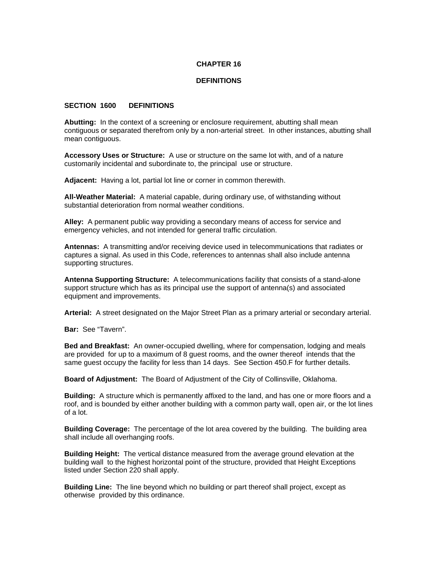### **CHAPTER 16**

#### **DEFINITIONS**

#### **SECTION 1600 DEFINITIONS**

**Abutting:** In the context of a screening or enclosure requirement, abutting shall mean contiguous or separated therefrom only by a non-arterial street. In other instances, abutting shall mean contiguous.

**Accessory Uses or Structure:** A use or structure on the same lot with, and of a nature customarily incidental and subordinate to, the principal use or structure.

**Adjacent:** Having a lot, partial lot line or corner in common therewith.

**All-Weather Material:** A material capable, during ordinary use, of withstanding without substantial deterioration from normal weather conditions.

**Alley:** A permanent public way providing a secondary means of access for service and emergency vehicles, and not intended for general traffic circulation.

**Antennas:** A transmitting and/or receiving device used in telecommunications that radiates or captures a signal. As used in this Code, references to antennas shall also include antenna supporting structures.

**Antenna Supporting Structure:** A telecommunications facility that consists of a stand-alone support structure which has as its principal use the support of antenna(s) and associated equipment and improvements.

**Arterial:** A street designated on the Major Street Plan as a primary arterial or secondary arterial.

**Bar:** See "Tavern".

**Bed and Breakfast:** An owner-occupied dwelling, where for compensation, lodging and meals are provided for up to a maximum of 8 guest rooms, and the owner thereof intends that the same guest occupy the facility for less than 14 days. See Section 450.F for further details.

**Board of Adjustment:** The Board of Adjustment of the City of Collinsville, Oklahoma.

**Building:** A structure which is permanently affixed to the land, and has one or more floors and a roof, and is bounded by either another building with a common party wall, open air, or the lot lines of a lot.

**Building Coverage:** The percentage of the lot area covered by the building. The building area shall include all overhanging roofs.

**Building Height:** The vertical distance measured from the average ground elevation at the building wall to the highest horizontal point of the structure, provided that Height Exceptions listed under Section 220 shall apply.

**Building Line:** The line beyond which no building or part thereof shall project, except as otherwise provided by this ordinance.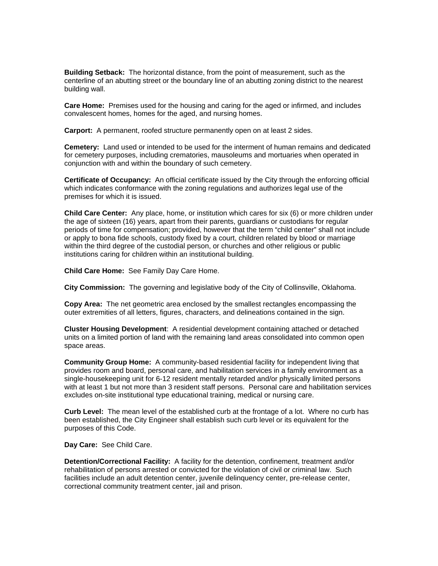**Building Setback:** The horizontal distance, from the point of measurement, such as the centerline of an abutting street or the boundary line of an abutting zoning district to the nearest building wall.

**Care Home:** Premises used for the housing and caring for the aged or infirmed, and includes convalescent homes, homes for the aged, and nursing homes.

**Carport:** A permanent, roofed structure permanently open on at least 2 sides.

**Cemetery:** Land used or intended to be used for the interment of human remains and dedicated for cemetery purposes, including crematories, mausoleums and mortuaries when operated in conjunction with and within the boundary of such cemetery.

**Certificate of Occupancy:** An official certificate issued by the City through the enforcing official which indicates conformance with the zoning regulations and authorizes legal use of the premises for which it is issued.

**Child Care Center:** Any place, home, or institution which cares for six (6) or more children under the age of sixteen (16) years, apart from their parents, guardians or custodians for regular periods of time for compensation; provided, however that the term "child center" shall not include or apply to bona fide schools, custody fixed by a court, children related by blood or marriage within the third degree of the custodial person, or churches and other religious or public institutions caring for children within an institutional building.

**Child Care Home:** See Family Day Care Home.

**City Commission:** The governing and legislative body of the City of Collinsville, Oklahoma.

**Copy Area:** The net geometric area enclosed by the smallest rectangles encompassing the outer extremities of all letters, figures, characters, and delineations contained in the sign.

**Cluster Housing Development**: A residential development containing attached or detached units on a limited portion of land with the remaining land areas consolidated into common open space areas.

**Community Group Home:** A community-based residential facility for independent living that provides room and board, personal care, and habilitation services in a family environment as a single-housekeeping unit for 6-12 resident mentally retarded and/or physically limited persons with at least 1 but not more than 3 resident staff persons. Personal care and habilitation services excludes on-site institutional type educational training, medical or nursing care.

**Curb Level:** The mean level of the established curb at the frontage of a lot. Where no curb has been established, the City Engineer shall establish such curb level or its equivalent for the purposes of this Code.

**Day Care:** See Child Care.

**Detention/Correctional Facility:** A facility for the detention, confinement, treatment and/or rehabilitation of persons arrested or convicted for the violation of civil or criminal law. Such facilities include an adult detention center, juvenile delinquency center, pre-release center, correctional community treatment center, jail and prison.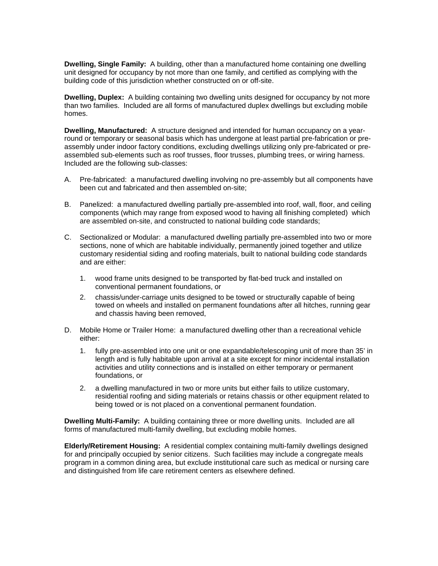**Dwelling, Single Family:** A building, other than a manufactured home containing one dwelling unit designed for occupancy by not more than one family, and certified as complying with the building code of this jurisdiction whether constructed on or off-site.

**Dwelling, Duplex:** A building containing two dwelling units designed for occupancy by not more than two families. Included are all forms of manufactured duplex dwellings but excluding mobile homes.

**Dwelling, Manufactured:** A structure designed and intended for human occupancy on a yearround or temporary or seasonal basis which has undergone at least partial pre-fabrication or preassembly under indoor factory conditions, excluding dwellings utilizing only pre-fabricated or preassembled sub-elements such as roof trusses, floor trusses, plumbing trees, or wiring harness. Included are the following sub-classes:

- A. Pre-fabricated: a manufactured dwelling involving no pre-assembly but all components have been cut and fabricated and then assembled on-site;
- B. Panelized: a manufactured dwelling partially pre-assembled into roof, wall, floor, and ceiling components (which may range from exposed wood to having all finishing completed) which are assembled on-site, and constructed to national building code standards;
- C. Sectionalized or Modular: a manufactured dwelling partially pre-assembled into two or more sections, none of which are habitable individually, permanently joined together and utilize customary residential siding and roofing materials, built to national building code standards and are either:
	- 1. wood frame units designed to be transported by flat-bed truck and installed on conventional permanent foundations, or
	- 2. chassis/under-carriage units designed to be towed or structurally capable of being towed on wheels and installed on permanent foundations after all hitches, running gear and chassis having been removed,
- D. Mobile Home or Trailer Home: a manufactured dwelling other than a recreational vehicle either:
	- 1. fully pre-assembled into one unit or one expandable/telescoping unit of more than 35' in length and is fully habitable upon arrival at a site except for minor incidental installation activities and utility connections and is installed on either temporary or permanent foundations, or
	- 2. a dwelling manufactured in two or more units but either fails to utilize customary, residential roofing and siding materials or retains chassis or other equipment related to being towed or is not placed on a conventional permanent foundation.

**Dwelling Multi-Family:** A building containing three or more dwelling units. Included are all forms of manufactured multi-family dwelling, but excluding mobile homes.

**Elderly/Retirement Housing:** A residential complex containing multi-family dwellings designed for and principally occupied by senior citizens. Such facilities may include a congregate meals program in a common dining area, but exclude institutional care such as medical or nursing care and distinguished from life care retirement centers as elsewhere defined.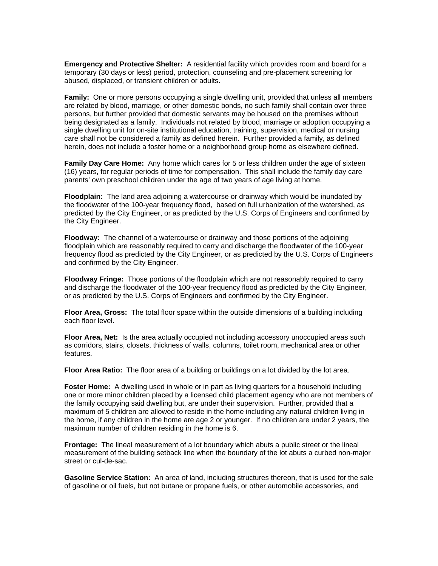**Emergency and Protective Shelter:** A residential facility which provides room and board for a temporary (30 days or less) period, protection, counseling and pre-placement screening for abused, displaced, or transient children or adults.

**Family:** One or more persons occupying a single dwelling unit, provided that unless all members are related by blood, marriage, or other domestic bonds, no such family shall contain over three persons, but further provided that domestic servants may be housed on the premises without being designated as a family. Individuals not related by blood, marriage or adoption occupying a single dwelling unit for on-site institutional education, training, supervision, medical or nursing care shall not be considered a family as defined herein. Further provided a family, as defined herein, does not include a foster home or a neighborhood group home as elsewhere defined.

**Family Day Care Home:** Any home which cares for 5 or less children under the age of sixteen (16) years, for regular periods of time for compensation. This shall include the family day care parents' own preschool children under the age of two years of age living at home.

**Floodplain:** The land area adjoining a watercourse or drainway which would be inundated by the floodwater of the 100-year frequency flood, based on full urbanization of the watershed, as predicted by the City Engineer, or as predicted by the U.S. Corps of Engineers and confirmed by the City Engineer.

**Floodway:** The channel of a watercourse or drainway and those portions of the adjoining floodplain which are reasonably required to carry and discharge the floodwater of the 100-year frequency flood as predicted by the City Engineer, or as predicted by the U.S. Corps of Engineers and confirmed by the City Engineer.

**Floodway Fringe:** Those portions of the floodplain which are not reasonably required to carry and discharge the floodwater of the 100-year frequency flood as predicted by the City Engineer, or as predicted by the U.S. Corps of Engineers and confirmed by the City Engineer.

**Floor Area, Gross:** The total floor space within the outside dimensions of a building including each floor level.

**Floor Area, Net:** Is the area actually occupied not including accessory unoccupied areas such as corridors, stairs, closets, thickness of walls, columns, toilet room, mechanical area or other features.

**Floor Area Ratio:** The floor area of a building or buildings on a lot divided by the lot area.

**Foster Home:** A dwelling used in whole or in part as living quarters for a household including one or more minor children placed by a licensed child placement agency who are not members of the family occupying said dwelling but, are under their supervision. Further, provided that a maximum of 5 children are allowed to reside in the home including any natural children living in the home, if any children in the home are age 2 or younger. If no children are under 2 years, the maximum number of children residing in the home is 6.

**Frontage:** The lineal measurement of a lot boundary which abuts a public street or the lineal measurement of the building setback line when the boundary of the lot abuts a curbed non-major street or cul-de-sac.

**Gasoline Service Station:** An area of land, including structures thereon, that is used for the sale of gasoline or oil fuels, but not butane or propane fuels, or other automobile accessories, and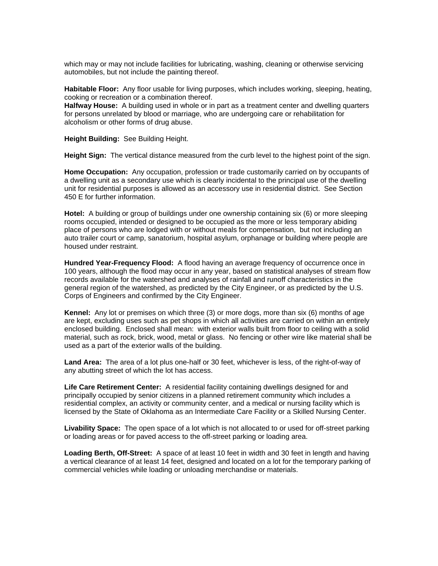which may or may not include facilities for lubricating, washing, cleaning or otherwise servicing automobiles, but not include the painting thereof.

**Habitable Floor:** Any floor usable for living purposes, which includes working, sleeping, heating, cooking or recreation or a combination thereof.

**Halfway House:** A building used in whole or in part as a treatment center and dwelling quarters for persons unrelated by blood or marriage, who are undergoing care or rehabilitation for alcoholism or other forms of drug abuse.

**Height Building:** See Building Height.

**Height Sign:** The vertical distance measured from the curb level to the highest point of the sign.

**Home Occupation:** Any occupation, profession or trade customarily carried on by occupants of a dwelling unit as a secondary use which is clearly incidental to the principal use of the dwelling unit for residential purposes is allowed as an accessory use in residential district. See Section 450 E for further information.

**Hotel:** A building or group of buildings under one ownership containing six (6) or more sleeping rooms occupied, intended or designed to be occupied as the more or less temporary abiding place of persons who are lodged with or without meals for compensation, but not including an auto trailer court or camp, sanatorium, hospital asylum, orphanage or building where people are housed under restraint.

**Hundred Year-Frequency Flood:** A flood having an average frequency of occurrence once in 100 years, although the flood may occur in any year, based on statistical analyses of stream flow records available for the watershed and analyses of rainfall and runoff characteristics in the general region of the watershed, as predicted by the City Engineer, or as predicted by the U.S. Corps of Engineers and confirmed by the City Engineer.

**Kennel:** Any lot or premises on which three (3) or more dogs, more than six (6) months of age are kept, excluding uses such as pet shops in which all activities are carried on within an entirely enclosed building. Enclosed shall mean: with exterior walls built from floor to ceiling with a solid material, such as rock, brick, wood, metal or glass. No fencing or other wire like material shall be used as a part of the exterior walls of the building.

**Land Area:** The area of a lot plus one-half or 30 feet, whichever is less, of the right-of-way of any abutting street of which the lot has access.

**Life Care Retirement Center:** A residential facility containing dwellings designed for and principally occupied by senior citizens in a planned retirement community which includes a residential complex, an activity or community center, and a medical or nursing facility which is licensed by the State of Oklahoma as an Intermediate Care Facility or a Skilled Nursing Center.

**Livability Space:** The open space of a lot which is not allocated to or used for off-street parking or loading areas or for paved access to the off-street parking or loading area.

**Loading Berth, Off-Street:** A space of at least 10 feet in width and 30 feet in length and having a vertical clearance of at least 14 feet, designed and located on a lot for the temporary parking of commercial vehicles while loading or unloading merchandise or materials.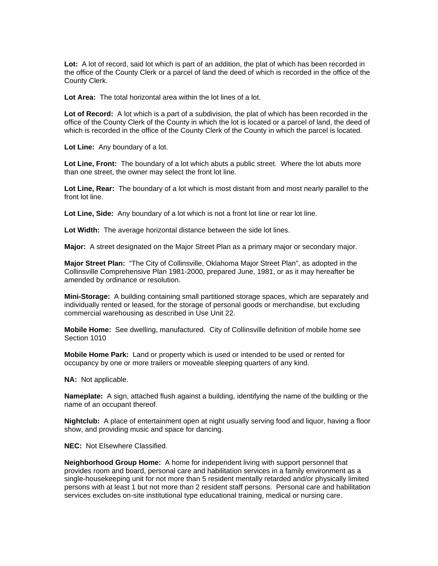Lot: A lot of record, said lot which is part of an addition, the plat of which has been recorded in the office of the County Clerk or a parcel of land the deed of which is recorded in the office of the County Clerk.

**Lot Area:** The total horizontal area within the lot lines of a lot.

**Lot of Record:** A lot which is a part of a subdivision, the plat of which has been recorded in the office of the County Clerk of the County in which the lot is located or a parcel of land, the deed of which is recorded in the office of the County Clerk of the County in which the parcel is located.

**Lot Line:** Any boundary of a lot.

**Lot Line, Front:** The boundary of a lot which abuts a public street. Where the lot abuts more than one street, the owner may select the front lot line.

**Lot Line, Rear:** The boundary of a lot which is most distant from and most nearly parallel to the front lot line.

Lot Line, Side: Any boundary of a lot which is not a front lot line or rear lot line.

**Lot Width:** The average horizontal distance between the side lot lines.

**Major:** A street designated on the Major Street Plan as a primary major or secondary major.

**Major Street Plan:** "The City of Collinsville, Oklahoma Major Street Plan", as adopted in the Collinsville Comprehensive Plan 1981-2000, prepared June, 1981, or as it may hereafter be amended by ordinance or resolution.

**Mini-Storage:** A building containing small partitioned storage spaces, which are separately and individually rented or leased, for the storage of personal goods or merchandise, but excluding commercial warehousing as described in Use Unit 22.

**Mobile Home:** See dwelling, manufactured. City of Collinsville definition of mobile home see Section 1010

**Mobile Home Park:** Land or property which is used or intended to be used or rented for occupancy by one or more trailers or moveable sleeping quarters of any kind.

**NA:** Not applicable.

**Nameplate:** A sign, attached flush against a building, identifying the name of the building or the name of an occupant thereof.

**Nightclub:** A place of entertainment open at night usually serving food and liquor, having a floor show, and providing music and space for dancing.

**NEC:** Not Elsewhere Classified.

**Neighborhood Group Home:** A home for independent living with support personnel that provides room and board, personal care and habilitation services in a family environment as a single-housekeeping unit for not more than 5 resident mentally retarded and/or physically limited persons with at least 1 but not more than 2 resident staff persons. Personal care and habilitation services excludes on-site institutional type educational training, medical or nursing care.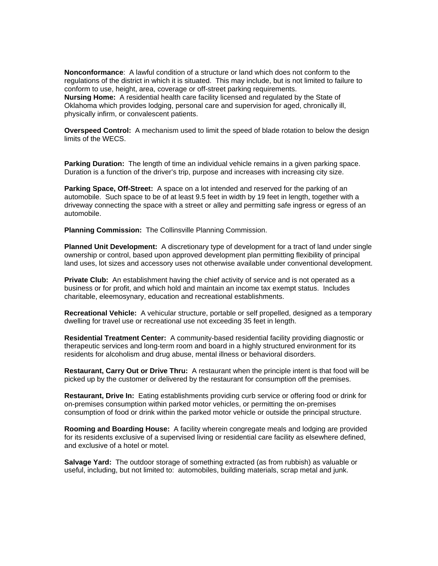**Nonconformance**: A lawful condition of a structure or land which does not conform to the regulations of the district in which it is situated. This may include, but is not limited to failure to conform to use, height, area, coverage or off-street parking requirements. **Nursing Home:** A residential health care facility licensed and regulated by the State of Oklahoma which provides lodging, personal care and supervision for aged, chronically ill, physically infirm, or convalescent patients.

**Overspeed Control:** A mechanism used to limit the speed of blade rotation to below the design limits of the WECS.

**Parking Duration:** The length of time an individual vehicle remains in a given parking space. Duration is a function of the driver's trip, purpose and increases with increasing city size.

**Parking Space, Off-Street:** A space on a lot intended and reserved for the parking of an automobile. Such space to be of at least 9.5 feet in width by 19 feet in length, together with a driveway connecting the space with a street or alley and permitting safe ingress or egress of an automobile.

**Planning Commission:** The Collinsville Planning Commission.

**Planned Unit Development:** A discretionary type of development for a tract of land under single ownership or control, based upon approved development plan permitting flexibility of principal land uses, lot sizes and accessory uses not otherwise available under conventional development.

**Private Club:** An establishment having the chief activity of service and is not operated as a business or for profit, and which hold and maintain an income tax exempt status. Includes charitable, eleemosynary, education and recreational establishments.

**Recreational Vehicle:** A vehicular structure, portable or self propelled, designed as a temporary dwelling for travel use or recreational use not exceeding 35 feet in length.

**Residential Treatment Center:** A community-based residential facility providing diagnostic or therapeutic services and long-term room and board in a highly structured environment for its residents for alcoholism and drug abuse, mental illness or behavioral disorders.

**Restaurant, Carry Out or Drive Thru:** A restaurant when the principle intent is that food will be picked up by the customer or delivered by the restaurant for consumption off the premises.

**Restaurant, Drive In:** Eating establishments providing curb service or offering food or drink for on-premises consumption within parked motor vehicles, or permitting the on-premises consumption of food or drink within the parked motor vehicle or outside the principal structure.

**Rooming and Boarding House:** A facility wherein congregate meals and lodging are provided for its residents exclusive of a supervised living or residential care facility as elsewhere defined, and exclusive of a hotel or motel.

**Salvage Yard:** The outdoor storage of something extracted (as from rubbish) as valuable or useful, including, but not limited to: automobiles, building materials, scrap metal and junk.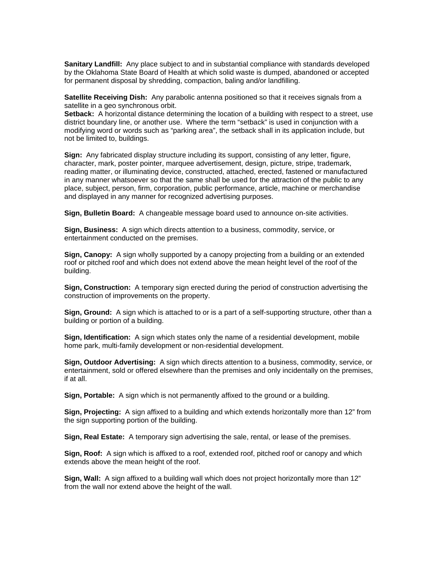**Sanitary Landfill:** Any place subject to and in substantial compliance with standards developed by the Oklahoma State Board of Health at which solid waste is dumped, abandoned or accepted for permanent disposal by shredding, compaction, baling and/or landfilling.

**Satellite Receiving Dish:** Any parabolic antenna positioned so that it receives signals from a satellite in a geo synchronous orbit.

Setback: A horizontal distance determining the location of a building with respect to a street, use district boundary line, or another use. Where the term "setback" is used in conjunction with a modifying word or words such as "parking area", the setback shall in its application include, but not be limited to, buildings.

**Sign:** Any fabricated display structure including its support, consisting of any letter, figure, character, mark, poster pointer, marquee advertisement, design, picture, stripe, trademark, reading matter, or illuminating device, constructed, attached, erected, fastened or manufactured in any manner whatsoever so that the same shall be used for the attraction of the public to any place, subject, person, firm, corporation, public performance, article, machine or merchandise and displayed in any manner for recognized advertising purposes.

**Sign, Bulletin Board:** A changeable message board used to announce on-site activities.

**Sign, Business:** A sign which directs attention to a business, commodity, service, or entertainment conducted on the premises.

**Sign, Canopy:** A sign wholly supported by a canopy projecting from a building or an extended roof or pitched roof and which does not extend above the mean height level of the roof of the building.

**Sign, Construction:** A temporary sign erected during the period of construction advertising the construction of improvements on the property.

**Sign, Ground:** A sign which is attached to or is a part of a self-supporting structure, other than a building or portion of a building.

**Sign, Identification:** A sign which states only the name of a residential development, mobile home park, multi-family development or non-residential development.

**Sign, Outdoor Advertising:** A sign which directs attention to a business, commodity, service, or entertainment, sold or offered elsewhere than the premises and only incidentally on the premises, if at all.

**Sign, Portable:** A sign which is not permanently affixed to the ground or a building.

**Sign, Projecting:** A sign affixed to a building and which extends horizontally more than 12" from the sign supporting portion of the building.

**Sign, Real Estate:** A temporary sign advertising the sale, rental, or lease of the premises.

**Sign, Roof:** A sign which is affixed to a roof, extended roof, pitched roof or canopy and which extends above the mean height of the roof.

**Sign, Wall:** A sign affixed to a building wall which does not project horizontally more than 12" from the wall nor extend above the height of the wall.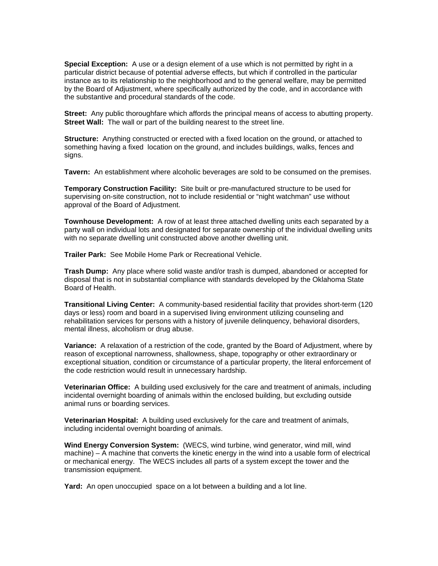**Special Exception:** A use or a design element of a use which is not permitted by right in a particular district because of potential adverse effects, but which if controlled in the particular instance as to its relationship to the neighborhood and to the general welfare, may be permitted by the Board of Adjustment, where specifically authorized by the code, and in accordance with the substantive and procedural standards of the code.

**Street:** Any public thoroughfare which affords the principal means of access to abutting property. **Street Wall:** The wall or part of the building nearest to the street line.

**Structure:** Anything constructed or erected with a fixed location on the ground, or attached to something having a fixed location on the ground, and includes buildings, walks, fences and signs.

**Tavern:** An establishment where alcoholic beverages are sold to be consumed on the premises.

**Temporary Construction Facility:** Site built or pre-manufactured structure to be used for supervising on-site construction, not to include residential or "night watchman" use without approval of the Board of Adjustment.

**Townhouse Development:** A row of at least three attached dwelling units each separated by a party wall on individual lots and designated for separate ownership of the individual dwelling units with no separate dwelling unit constructed above another dwelling unit.

**Trailer Park:** See Mobile Home Park or Recreational Vehicle.

**Trash Dump:** Any place where solid waste and/or trash is dumped, abandoned or accepted for disposal that is not in substantial compliance with standards developed by the Oklahoma State Board of Health.

**Transitional Living Center:** A community-based residential facility that provides short-term (120 days or less) room and board in a supervised living environment utilizing counseling and rehabilitation services for persons with a history of juvenile delinquency, behavioral disorders, mental illness, alcoholism or drug abuse.

**Variance:** A relaxation of a restriction of the code, granted by the Board of Adjustment, where by reason of exceptional narrowness, shallowness, shape, topography or other extraordinary or exceptional situation, condition or circumstance of a particular property, the literal enforcement of the code restriction would result in unnecessary hardship.

**Veterinarian Office:** A building used exclusively for the care and treatment of animals, including incidental overnight boarding of animals within the enclosed building, but excluding outside animal runs or boarding services.

**Veterinarian Hospital:** A building used exclusively for the care and treatment of animals, including incidental overnight boarding of animals.

**Wind Energy Conversion System:** (WECS, wind turbine, wind generator, wind mill, wind machine) – A machine that converts the kinetic energy in the wind into a usable form of electrical or mechanical energy. The WECS includes all parts of a system except the tower and the transmission equipment.

**Yard:** An open unoccupied space on a lot between a building and a lot line.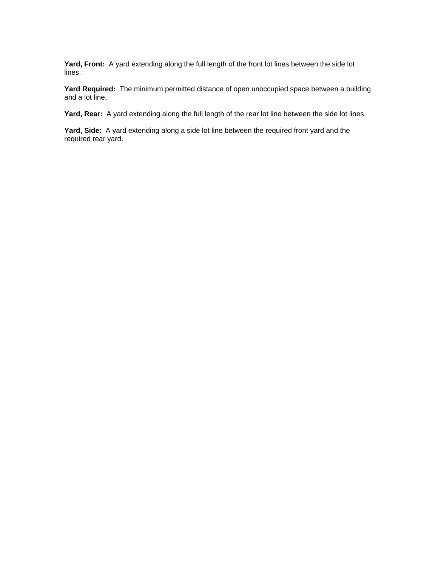**Yard, Front:** A yard extending along the full length of the front lot lines between the side lot lines.

**Yard Required:** The minimum permitted distance of open unoccupied space between a building and a lot line.

**Yard, Rear:** A yard extending along the full length of the rear lot line between the side lot lines.

**Yard, Side:** A yard extending along a side lot line between the required front yard and the required rear yard.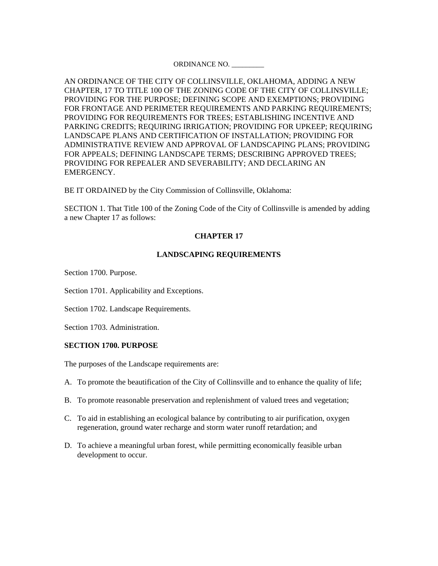## ORDINANCE NO. \_\_\_\_\_\_\_\_\_

AN ORDINANCE OF THE CITY OF COLLINSVILLE, OKLAHOMA, ADDING A NEW CHAPTER, 17 TO TITLE 100 OF THE ZONING CODE OF THE CITY OF COLLINSVILLE; PROVIDING FOR THE PURPOSE; DEFINING SCOPE AND EXEMPTIONS; PROVIDING FOR FRONTAGE AND PERIMETER REQUIREMENTS AND PARKING REQUIREMENTS; PROVIDING FOR REQUIREMENTS FOR TREES; ESTABLISHING INCENTIVE AND PARKING CREDITS; REQUIRING IRRIGATION; PROVIDING FOR UPKEEP; REQUIRING LANDSCAPE PLANS AND CERTIFICATION OF INSTALLATION; PROVIDING FOR ADMINISTRATIVE REVIEW AND APPROVAL OF LANDSCAPING PLANS; PROVIDING FOR APPEALS; DEFINING LANDSCAPE TERMS; DESCRIBING APPROVED TREES; PROVIDING FOR REPEALER AND SEVERABILITY; AND DECLARING AN EMERGENCY.

BE IT ORDAINED by the City Commission of Collinsville, Oklahoma:

SECTION 1. That Title 100 of the Zoning Code of the City of Collinsville is amended by adding a new Chapter 17 as follows:

# **CHAPTER 17**

# **LANDSCAPING REQUIREMENTS**

Section 1700. Purpose.

Section 1701. Applicability and Exceptions.

Section 1702. Landscape Requirements.

Section 1703. Administration.

## **SECTION 1700. PURPOSE**

The purposes of the Landscape requirements are:

- A. To promote the beautification of the City of Collinsville and to enhance the quality of life;
- B. To promote reasonable preservation and replenishment of valued trees and vegetation;
- C. To aid in establishing an ecological balance by contributing to air purification, oxygen regeneration, ground water recharge and storm water runoff retardation; and
- D. To achieve a meaningful urban forest, while permitting economically feasible urban development to occur.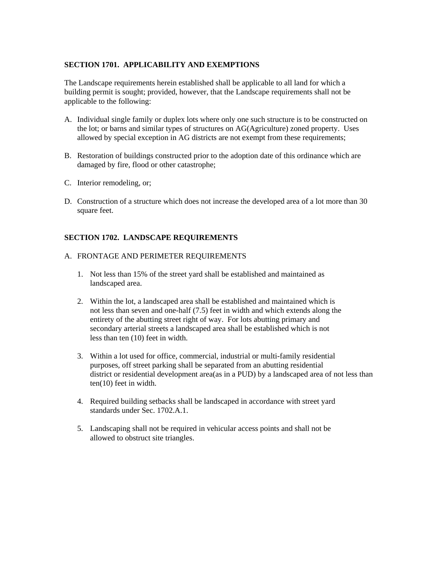# **SECTION 1701. APPLICABILITY AND EXEMPTIONS**

The Landscape requirements herein established shall be applicable to all land for which a building permit is sought; provided, however, that the Landscape requirements shall not be applicable to the following:

- A. Individual single family or duplex lots where only one such structure is to be constructed on the lot; or barns and similar types of structures on AG(Agriculture) zoned property. Uses allowed by special exception in AG districts are not exempt from these requirements;
- B. Restoration of buildings constructed prior to the adoption date of this ordinance which are damaged by fire, flood or other catastrophe;
- C. Interior remodeling, or;
- D. Construction of a structure which does not increase the developed area of a lot more than 30 square feet.

# **SECTION 1702. LANDSCAPE REQUIREMENTS**

# A. FRONTAGE AND PERIMETER REQUIREMENTS

- 1. Not less than 15% of the street yard shall be established and maintained as landscaped area.
- 2. Within the lot, a landscaped area shall be established and maintained which is not less than seven and one-half (7.5) feet in width and which extends along the entirety of the abutting street right of way. For lots abutting primary and secondary arterial streets a landscaped area shall be established which is not less than ten (10) feet in width.
- 3. Within a lot used for office, commercial, industrial or multi-family residential purposes, off street parking shall be separated from an abutting residential district or residential development area(as in a PUD) by a landscaped area of not less than ten(10) feet in width.
- 4. Required building setbacks shall be landscaped in accordance with street yard standards under Sec. 1702.A.1.
- 5. Landscaping shall not be required in vehicular access points and shall not be allowed to obstruct site triangles.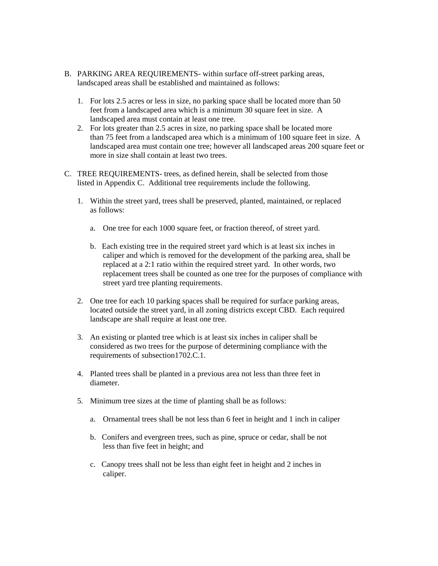- B. PARKING AREA REQUIREMENTS- within surface off-street parking areas, landscaped areas shall be established and maintained as follows:
	- 1. For lots 2.5 acres or less in size, no parking space shall be located more than 50 feet from a landscaped area which is a minimum 30 square feet in size. A landscaped area must contain at least one tree.
	- 2. For lots greater than 2.5 acres in size, no parking space shall be located more than 75 feet from a landscaped area which is a minimum of 100 square feet in size. A landscaped area must contain one tree; however all landscaped areas 200 square feet or more in size shall contain at least two trees.
- C. TREE REQUIREMENTS- trees, as defined herein, shall be selected from those listed in Appendix C. Additional tree requirements include the following.
	- 1. Within the street yard, trees shall be preserved, planted, maintained, or replaced as follows:
		- a. One tree for each 1000 square feet, or fraction thereof, of street yard.
		- b. Each existing tree in the required street yard which is at least six inches in caliper and which is removed for the development of the parking area, shall be replaced at a 2:1 ratio within the required street yard. In other words, two replacement trees shall be counted as one tree for the purposes of compliance with street yard tree planting requirements.
	- 2. One tree for each 10 parking spaces shall be required for surface parking areas, located outside the street yard, in all zoning districts except CBD. Each required landscape are shall require at least one tree.
	- 3. An existing or planted tree which is at least six inches in caliper shall be considered as two trees for the purpose of determining compliance with the requirements of subsection1702.C.1.
	- 4. Planted trees shall be planted in a previous area not less than three feet in diameter.
	- 5. Minimum tree sizes at the time of planting shall be as follows:
		- a. Ornamental trees shall be not less than 6 feet in height and 1 inch in caliper
		- b. Conifers and evergreen trees, such as pine, spruce or cedar, shall be not less than five feet in height; and
		- c. Canopy trees shall not be less than eight feet in height and 2 inches in caliper.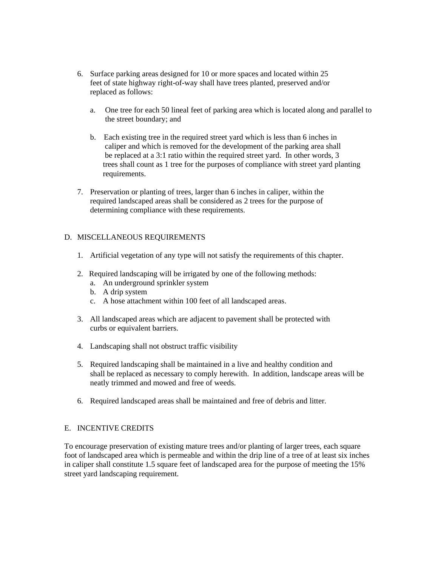- 6. Surface parking areas designed for 10 or more spaces and located within 25 feet of state highway right-of-way shall have trees planted, preserved and/or replaced as follows:
	- a. One tree for each 50 lineal feet of parking area which is located along and parallel to the street boundary; and
	- b. Each existing tree in the required street yard which is less than 6 inches in caliper and which is removed for the development of the parking area shall be replaced at a 3:1 ratio within the required street yard. In other words, 3 trees shall count as 1 tree for the purposes of compliance with street yard planting requirements.
- 7. Preservation or planting of trees, larger than 6 inches in caliper, within the required landscaped areas shall be considered as 2 trees for the purpose of determining compliance with these requirements.

# D. MISCELLANEOUS REQUIREMENTS

- 1. Artificial vegetation of any type will not satisfy the requirements of this chapter.
- 2. Required landscaping will be irrigated by one of the following methods:
	- a. An underground sprinkler system
	- b. A drip system
	- c. A hose attachment within 100 feet of all landscaped areas.
- 3. All landscaped areas which are adjacent to pavement shall be protected with curbs or equivalent barriers.
- 4. Landscaping shall not obstruct traffic visibility
- 5. Required landscaping shall be maintained in a live and healthy condition and shall be replaced as necessary to comply herewith. In addition, landscape areas will be neatly trimmed and mowed and free of weeds.
- 6. Required landscaped areas shall be maintained and free of debris and litter.

# E. INCENTIVE CREDITS

To encourage preservation of existing mature trees and/or planting of larger trees, each square foot of landscaped area which is permeable and within the drip line of a tree of at least six inches in caliper shall constitute 1.5 square feet of landscaped area for the purpose of meeting the 15% street yard landscaping requirement.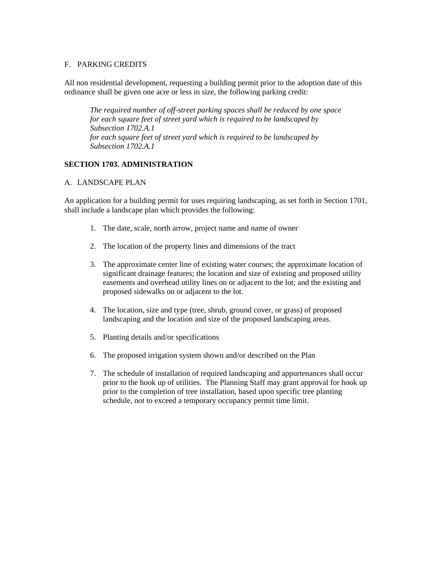# F. PARKING CREDITS

All non residential development, requesting a building permit prior to the adoption date of this ordinance shall be given one acre or less in size, the following parking credit:

*The required number of off-street parking spaces shall be reduced by one space for each square feet of street yard which is required to be landscaped by Subsection 1702.A.1 for each square feet of street yard which is required to be landscaped by Subsection 1702.A.1* 

# **SECTION 1703. ADMINISTRATION**

# A. LANDSCAPE PLAN

An application for a building permit for uses requiring landscaping, as set forth in Section 1701, shall include a landscape plan which provides the following:

- 1. The date, scale, north arrow, project name and name of owner
- 2. The location of the property lines and dimensions of the tract
- 3. The approximate center line of existing water courses; the approximate location of significant drainage features; the location and size of existing and proposed utility easements and overhead utility lines on or adjacent to the lot; and the existing and proposed sidewalks on or adjacent to the lot.
- 4. The location, size and type (tree, shrub, ground cover, or grass) of proposed landscaping and the location and size of the proposed landscaping areas.
- 5. Planting details and/or specifications
- 6. The proposed irrigation system shown and/or described on the Plan
- 7. The schedule of installation of required landscaping and appurtenances shall occur prior to the hook up of utilities. The Planning Staff may grant approval for hook up prior to the completion of tree installation, based upon specific tree planting schedule, not to exceed a temporary occupancy permit time limit.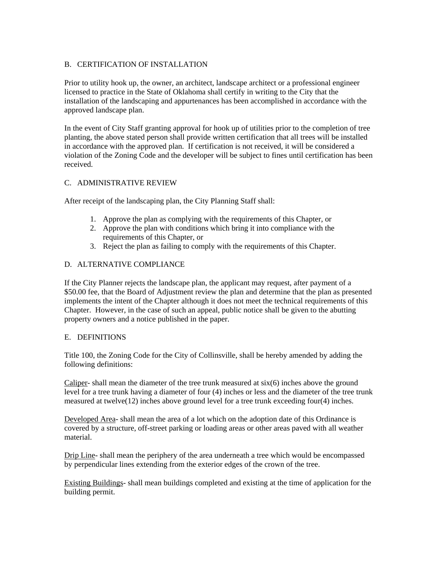# B. CERTIFICATION OF INSTALLATION

Prior to utility hook up, the owner, an architect, landscape architect or a professional engineer licensed to practice in the State of Oklahoma shall certify in writing to the City that the installation of the landscaping and appurtenances has been accomplished in accordance with the approved landscape plan.

In the event of City Staff granting approval for hook up of utilities prior to the completion of tree planting, the above stated person shall provide written certification that all trees will be installed in accordance with the approved plan. If certification is not received, it will be considered a violation of the Zoning Code and the developer will be subject to fines until certification has been received.

# C. ADMINISTRATIVE REVIEW

After receipt of the landscaping plan, the City Planning Staff shall:

- 1. Approve the plan as complying with the requirements of this Chapter, or
- 2. Approve the plan with conditions which bring it into compliance with the requirements of this Chapter, or
- 3. Reject the plan as failing to comply with the requirements of this Chapter.

# D. ALTERNATIVE COMPLIANCE

If the City Planner rejects the landscape plan, the applicant may request, after payment of a \$50.00 fee, that the Board of Adjustment review the plan and determine that the plan as presented implements the intent of the Chapter although it does not meet the technical requirements of this Chapter. However, in the case of such an appeal, public notice shall be given to the abutting property owners and a notice published in the paper.

# E. DEFINITIONS

Title 100, the Zoning Code for the City of Collinsville, shall be hereby amended by adding the following definitions:

Caliper- shall mean the diameter of the tree trunk measured at six(6) inches above the ground level for a tree trunk having a diameter of four (4) inches or less and the diameter of the tree trunk measured at twelve(12) inches above ground level for a tree trunk exceeding four(4) inches.

Developed Area- shall mean the area of a lot which on the adoption date of this Ordinance is covered by a structure, off-street parking or loading areas or other areas paved with all weather material.

Drip Line- shall mean the periphery of the area underneath a tree which would be encompassed by perpendicular lines extending from the exterior edges of the crown of the tree.

Existing Buildings- shall mean buildings completed and existing at the time of application for the building permit.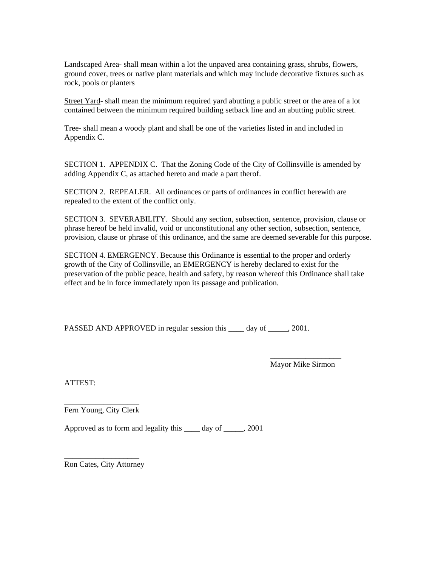Landscaped Area- shall mean within a lot the unpaved area containing grass, shrubs, flowers, ground cover, trees or native plant materials and which may include decorative fixtures such as rock, pools or planters

Street Yard- shall mean the minimum required yard abutting a public street or the area of a lot contained between the minimum required building setback line and an abutting public street.

Tree- shall mean a woody plant and shall be one of the varieties listed in and included in Appendix C.

SECTION 1. APPENDIX C. That the Zoning Code of the City of Collinsville is amended by adding Appendix C, as attached hereto and made a part therof.

SECTION 2. REPEALER. All ordinances or parts of ordinances in conflict herewith are repealed to the extent of the conflict only.

SECTION 3. SEVERABILITY. Should any section, subsection, sentence, provision, clause or phrase hereof be held invalid, void or unconstitutional any other section, subsection, sentence, provision, clause or phrase of this ordinance, and the same are deemed severable for this purpose.

SECTION 4. EMERGENCY. Because this Ordinance is essential to the proper and orderly growth of the City of Collinsville, an EMERGENCY is hereby declared to exist for the preservation of the public peace, health and safety, by reason whereof this Ordinance shall take effect and be in force immediately upon its passage and publication.

PASSED AND APPROVED in regular session this \_\_\_\_\_ day of \_\_\_\_\_, 2001.

 $\overline{\phantom{a}}$  , and the contract of the contract of the contract of the contract of the contract of the contract of the contract of the contract of the contract of the contract of the contract of the contract of the contrac

Mayor Mike Sirmon

ATTEST:

\_\_\_\_\_\_\_\_\_\_\_\_\_\_\_\_\_\_\_ Fern Young, City Clerk

Approved as to form and legality this \_\_\_\_ day of \_\_\_\_\_, 2001

\_\_\_\_\_\_\_\_\_\_\_\_\_\_\_\_\_\_\_ Ron Cates, City Attorney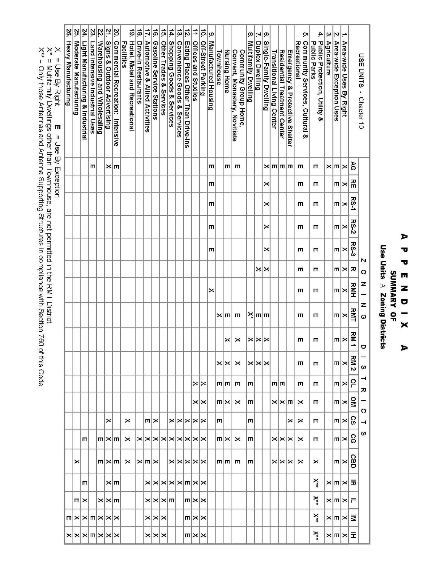# $\blacktriangleright$ Ō  $\overline{\mathbf{v}}$ SUMMARY OF  $\mathbf{m}$ z  $\bullet$  $\overline{\mathbf{x}}$  $\bigcup_{i=1}^{n}$

Use Units A Zoning Districts

| USE UNITS<br>- Chapter 10                                   |                |                       |             |             | N          | $\circ$  | z          | z<br>$\Omega$     | $\sigma$          | w                 | ᅴ<br>观            | O                          | ⊣                                   | S                          |                       |                       |                            |                                     |                                                       |
|-------------------------------------------------------------|----------------|-----------------------|-------------|-------------|------------|----------|------------|-------------------|-------------------|-------------------|-------------------|----------------------------|-------------------------------------|----------------------------|-----------------------|-----------------------|----------------------------|-------------------------------------|-------------------------------------------------------|
|                                                             | 99             | 짂                     | <b>RS-1</b> | <b>RS-2</b> | $R$ S-3    | 观        | RMH        | <b>RMT</b>        | <b>RM1</b>        | RM<br>Z           | ဥ                 | Չ                          | ွ                                   | င္ပ                        | <b>GBD</b>            | ヵ                     |                            | ₹                                   |                                                       |
| l÷<br>Area-wide Uses By Right                               | $\times$       | $\boldsymbol{\times}$ |             | ×           |            | $\times$ |            |                   |                   |                   |                   |                            |                                     |                            | $m \times$            | $\times$ $m$ $\times$ | $\times$ $m \times F$      | $\times$ m $\times$                 | $\times$ $m \times$ $\pm$                             |
| $\overline{\mathsf{N}}$<br>Area-wide Exception Uses         | $ \mathsf{m} $ | m                     | $m \times$  | m           | $m \times$ | m        | $m \times$ | $m \times$        | $m \times$        | $m \times$        | $m \times$        | $m \times$                 | $m \times$                          | $m \times$                 |                       |                       |                            |                                     |                                                       |
| $ \omega $<br>Agriculture                                   | $\times$       |                       |             |             |            |          |            |                   |                   |                   |                   |                            |                                     |                            |                       |                       |                            |                                     |                                                       |
| 4<br>Public Protection, Utility &<br><b>Public Parks</b>    | m              | ш                     | Ш           | ш           | ш          | m        | Ш          | m                 | ш                 | m                 | m                 | m                          | m                                   | m                          | ×                     | $X^*$                 | $X^*$                      | $\times$                            | $X^*$                                                 |
| Ċ.<br>Community Services, Cultural &<br><b>Recreational</b> | m              | m                     | m           | m           | m          | m        | ш          | m                 | ш                 | m                 | ш                 | $\times$                   | ×                                   | $\times$                   | ×                     |                       |                            |                                     |                                                       |
| Emergency & Protective Shelter                              |                |                       |             |             |            |          |            |                   |                   |                   |                   |                            | ×                                   |                            |                       |                       |                            |                                     |                                                       |
| <b>Residential Treatment Center</b>                         | m m m          |                       |             |             |            |          |            |                   |                   |                   |                   | $\times$ $\times$ $\times$ |                                     | $\times$ $\times$ $\times$ | $\times$ $\times$     |                       |                            |                                     |                                                       |
| Transitional Living Center                                  |                |                       |             |             |            |          |            |                   |                   |                   | mm                |                            |                                     |                            |                       |                       |                            |                                     |                                                       |
| Single-Family Dwelling                                      | ×              | ×                     | ×           | ×           | ×          | $\times$ |            |                   |                   |                   |                   |                            |                                     |                            |                       |                       |                            |                                     |                                                       |
| $\mathbb{R}$ ი<br>Duplex Dwelling                           |                |                       |             |             |            |          |            | $\frac{1}{2}$ m m |                   | $\times$ $\times$ |                   |                            |                                     |                            |                       |                       |                            |                                     |                                                       |
| $\infty$<br>Multifamily Dwelling                            |                |                       |             |             |            |          |            |                   | $\times$ $\times$ |                   | m                 | m                          | m                                   | m                          | m                     |                       |                            |                                     |                                                       |
| Convent, Monastery, Novitiate<br>Community Group Home       | m              |                       |             |             |            |          |            | m                 | ×                 | ×                 | m                 | ×                          |                                     | $\times$                   | ш                     |                       |                            |                                     |                                                       |
| Nursing Home                                                | ш              |                       |             |             |            |          |            | $\times$ m        | $\times$          | $\times$ $\times$ | mimi              | $m \times$                 |                                     | $m \times$                 | m m                   |                       |                            |                                     |                                                       |
| Townhouse                                                   |                |                       |             |             |            |          |            |                   |                   |                   |                   |                            | m                                   |                            |                       |                       |                            |                                     |                                                       |
| $\omega$<br>Manufactured Housing                            | ш              | т                     | т           | ш           | ш          |          | ×          |                   |                   |                   |                   |                            |                                     |                            |                       |                       |                            |                                     |                                                       |
| $\vec{p}$<br><b>Off-Street Parking</b>                      |                |                       |             |             |            |          |            |                   |                   |                   | $\times$ $\times$ | $\times$ $\times$          |                                     |                            |                       |                       |                            |                                     |                                                       |
| $\overrightarrow{1}$<br><b>Offices and Studios</b>          |                |                       |             |             |            |          |            |                   |                   |                   |                   |                            | $\times$ $\times$ $\times$ $\times$ |                            | <b>XXXXX</b>          |                       | $m \times \times$          | $m \times \times$                   | $m\times\times$                                       |
| ήż.<br>Eating Places Other Than Drive-Ins                   |                |                       |             |             |            |          |            |                   |                   |                   |                   |                            |                                     |                            |                       |                       |                            |                                     |                                                       |
| $\frac{1}{3}$<br>Convenience Goods & Services               |                |                       |             |             |            |          |            |                   |                   |                   |                   |                            |                                     |                            |                       |                       |                            |                                     |                                                       |
| $\frac{1}{4}$<br>Shopping Goods & Services                  |                |                       |             |             |            |          |            |                   |                   |                   |                   |                            |                                     |                            |                       |                       |                            |                                     |                                                       |
| $\vec{p}$<br>Other Trades & Services                        |                |                       |             |             |            |          |            |                   |                   |                   |                   |                            |                                     |                            |                       |                       |                            |                                     |                                                       |
| $\vec{e}$<br>Gasoline Service Stations                      |                |                       |             |             |            |          |            |                   |                   |                   |                   |                            | $m \times$                          |                            |                       | <b>XXXXXXMXX</b>      | $X$ $X$ $X$ $\Pi$          | $\times$ $\times$ $\times$          | $\times$ $\times$                                     |
| $\overline{11}$<br>Automotive & Allied Activities           |                |                       |             |             |            |          |            |                   |                   |                   |                   |                            |                                     | XXXXXXXXXX                 | $\times$ $m$ $\times$ |                       |                            |                                     |                                                       |
| $\overrightarrow{8}$<br>Drive-In Restaurants                |                |                       |             |             |            |          |            |                   |                   |                   |                   |                            |                                     |                            |                       |                       |                            |                                     |                                                       |
| $\vec{6}$<br>Facilities<br>Hotel, Motel and Recreational    |                |                       |             |             |            |          |            |                   |                   |                   |                   |                            | $\times$                            | $\times$                   | ×                     |                       |                            |                                     |                                                       |
| $\overline{\mathbf{e}}$<br>Commercial Recreation: Intensive | ×∣m            |                       |             |             |            |          |            |                   |                   |                   |                   |                            |                                     |                            |                       | ×m                    |                            |                                     |                                                       |
| $\frac{21}{2}$<br>Signs & Outdoor Advertising               |                |                       |             |             |            |          |            |                   |                   |                   |                   |                            | ×                                   | $m \times m$               | $m \times  m $        |                       | $\times$ $\times$ $\times$ | $m \times \times m \times \times m$ | $\times$ $\times$ $\times$ $\times$ $\times$ $\times$ |
| 22.<br>Warehousing and Wholesaling                          |                |                       |             |             |            |          |            |                   |                   |                   |                   |                            |                                     |                            |                       |                       |                            |                                     |                                                       |
| 23.<br>Land Intensive Industrial Uses                       | ш              |                       |             |             |            |          |            |                   |                   |                   |                   |                            |                                     |                            |                       |                       |                            |                                     |                                                       |
| 24.<br>Light Manufacturing & Industrial                     |                |                       |             |             |            |          |            |                   |                   |                   |                   |                            |                                     | m                          |                       | m                     | $m \times$                 |                                     |                                                       |
| 25.<br>Moderate Manufacturing                               |                |                       |             |             |            |          |            |                   |                   |                   |                   |                            |                                     |                            | $\times$              |                       |                            |                                     |                                                       |
| 56.<br>Heavy Manufacturing                                  |                |                       |             |             |            |          |            |                   |                   |                   |                   |                            |                                     |                            |                       |                       |                            |                                     |                                                       |
| ×<br>= Use Richt<br>П<br>= 1 Vest PX HYP Hour               |                |                       |             |             |            |          |            |                   |                   |                   |                   |                            |                                     |                            |                       |                       |                            |                                     |                                                       |

∧ = Use By Rignu<br>X\* = Multifamily Dwellings other than Townhouse, are not permitted in the RMT District<br>X\*\* = Only those Antennas and Antenna Supporting Structures in compliance with Section 760 of this Code.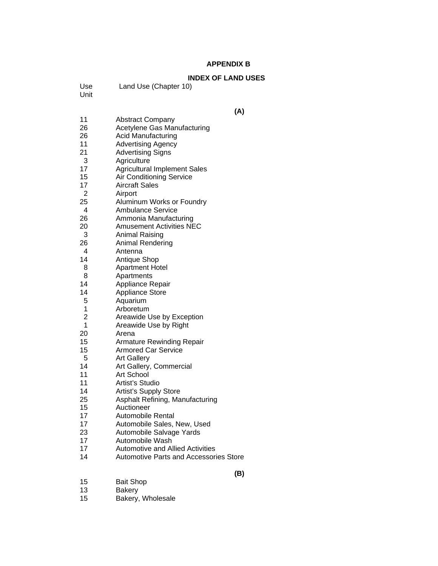### **APPENDIX B**

# **INDEX OF LAND USES**<br>ter 10)

| Use | Land Use (Chapte |
|-----|------------------|
|     |                  |

Unit

| 15 | <b>Bait Shop</b> |
|----|------------------|
| 13 | <b>Bakery</b>    |

- 13 Bakery
- 15 Bakery, Wholesale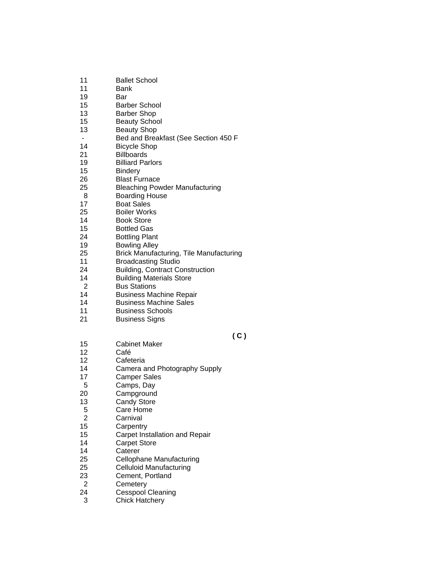| 19<br><b>Billiard Parlors</b><br>15<br><b>Bindery</b><br>26<br><b>Blast Furnace</b><br>25<br><b>Bleaching Powder Manufacturing</b><br>8<br><b>Boarding House</b><br><b>Boat Sales</b><br>17<br>25<br><b>Boiler Works</b><br>14<br><b>Book Store</b><br>15<br><b>Bottled Gas</b><br>24<br><b>Bottling Plant</b><br>19<br><b>Bowling Alley</b><br>25<br><b>Brick Manufacturing, Tile Manufacturing</b><br>11<br><b>Broadcasting Studio</b><br>24<br><b>Building, Contract Construction</b><br><b>Building Materials Store</b><br>14<br>2<br><b>Bus Stations</b><br>14<br><b>Business Machine Repair</b><br>14<br><b>Business Machine Sales</b><br><b>Business Schools</b><br>11 |  |
|-------------------------------------------------------------------------------------------------------------------------------------------------------------------------------------------------------------------------------------------------------------------------------------------------------------------------------------------------------------------------------------------------------------------------------------------------------------------------------------------------------------------------------------------------------------------------------------------------------------------------------------------------------------------------------|--|
| 21<br><b>Business Signs</b>                                                                                                                                                                                                                                                                                                                                                                                                                                                                                                                                                                                                                                                   |  |
| ( C<br>15<br><b>Cabinet Maker</b><br>12<br>Café<br>12<br>Cafeteria<br>14<br>Camera and Photography Supply<br>17<br><b>Camper Sales</b><br>5<br>Camps, Day<br>20<br>Campground<br>13<br><b>Candy Store</b><br>5<br>Care Home<br>$\overline{2}$<br>Carnival                                                                                                                                                                                                                                                                                                                                                                                                                     |  |
| 15<br>Carpentry<br>15<br>Carpet Installation and Repair<br>14<br><b>Carpet Store</b><br>14<br>Caterer<br>25<br>Cellophane Manufacturing<br>25<br><b>Celluloid Manufacturing</b><br>23<br>Cement, Portland<br>2<br>Cemetery                                                                                                                                                                                                                                                                                                                                                                                                                                                    |  |

 **( C )** 

- 24 Cesspool Cleaning
- 3 Chick Hatchery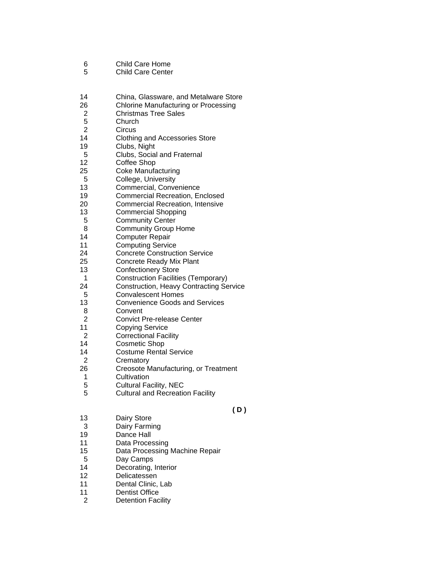- 6 Child Care Home
- 5 Child Care Center
- 14 China, Glassware, and Metalware Store
- 26 Chlorine Manufacturing or Processing
- 2 Christmas Tree Sales
- 5 Church<br>2 Circus
- **Circus**
- 14 Clothing and Accessories Store
- 19 Clubs, Night
- 5 Clubs, Social and Fraternal
- 12 Coffee Shop
- 25 Coke Manufacturing
- 5 College, University
- 13 Commercial, Convenience
- 19 Commercial Recreation, Enclosed
- 20 Commercial Recreation, Intensive
- 13 Commercial Shopping
- 5 Community Center
- 8 Community Group Home
- 14 Computer Repair
- 11 Computing Service
- 24 Concrete Construction Service
- 25 Concrete Ready Mix Plant
- 13 Confectionery Store
- 1 Construction Facilities (Temporary)
- 24 Construction, Heavy Contracting Service
- 5 Convalescent Homes<br>13 Convenience Goods a
- Convenience Goods and Services
- 8 Convent
- 2 Convict Pre-release Center
- 11 Copying Service
- 2 Correctional Facility
- 14 Cosmetic Shop
- 14 Costume Rental Service
- 2 Crematory
- 26 Creosote Manufacturing, or Treatment
- 1 Cultivation
- 5 Cultural Facility, NEC<br>5 Cultural and Recreation
- 5 Cultural and Recreation Facility

#### **( D )**

- 13 Dairy Store
- 3 Dairy Farming
- 19 Dance Hall
- 11 Data Processing
- 15 Data Processing Machine Repair
- 5 Day Camps
- 14 Decorating, Interior
- 12 Delicatessen
- 11 Dental Clinic, Lab
- 11 Dentist Office
- 2 Detention Facility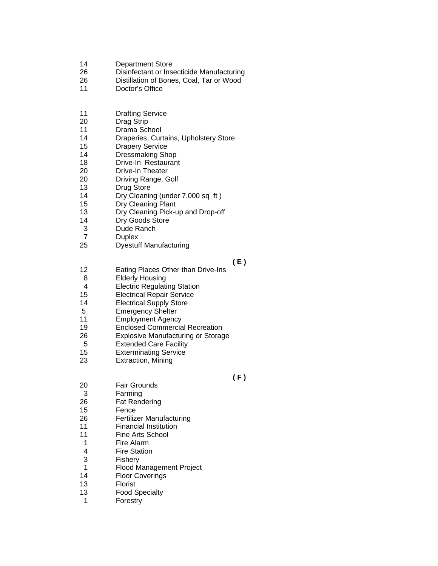- 14 Department Store
- 26 Disinfectant or Insecticide Manufacturing
- 26 Distillation of Bones, Coal, Tar or Wood
- 11 Doctor's Office
- 11 Drafting Service
- 20 Drag Strip
- 11 Drama School
- 14 Draperies, Curtains, Upholstery Store
- 15 Drapery Service
- 14 Dressmaking Shop
- 18 Drive-In Restaurant
- 20 Drive-In Theater
- 20 Driving Range, Golf
- 13 Drug Store
- 14 Dry Cleaning (under 7,000 sq ft )
- 15 Dry Cleaning Plant
- 13 Dry Cleaning Pick-up and Drop-off
- 14 Dry Goods Store
- 3 Dude Ranch
- 7 Duplex
- 25 Dyestuff Manufacturing

#### **( E )**

- 12 Eating Places Other than Drive-Ins
- 8 Elderly Housing
- 4 Electric Regulating Station
- 15 Electrical Repair Service
- 14 Electrical Supply Store
- 5 Emergency Shelter
- 11 Employment Agency
- 19 Enclosed Commercial Recreation
- 26 Explosive Manufacturing or Storage
- 5 Extended Care Facility
- 15 Exterminating Service
- 23 Extraction, Mining

### **( F )**

- 20 Fair Grounds 3 Farming 26 Fat Rendering 15 Fence<br>26 Fertiliz Fertilizer Manufacturing 11 Financial Institution 11 Fine Arts School 1 Fire Alarm 4 Fire Station 3 Fishery 1 Flood Management Project 14 Floor Coverings 13 Florist
- 13 Food Specialty
- 1 Forestry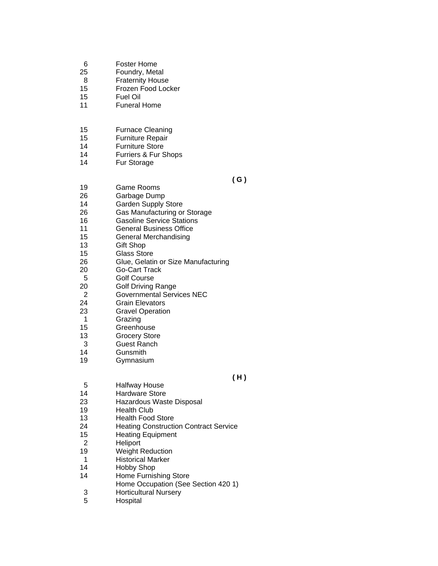- 6 Foster Home
- 25 Foundry, Metal
- 8 Fraternity House
- 15 Frozen Food Locker
- 15 Fuel Oil
- 11 Funeral Home
- 15 Furnace Cleaning
- 15 Furniture Repair
- 14 Furniture Store
- 14 Furriers & Fur Shops
- 14 Fur Storage

 **( G )** 

- 19 Game Rooms
- 26 Garbage Dump
- 14 Garden Supply Store
- 26 Gas Manufacturing or Storage
- 16 Gasoline Service Stations
- 11 General Business Office
- 15 General Merchandising
- 13 Gift Shop
- 15 Glass Store
- 26 Glue, Gelatin or Size Manufacturing
- 20 Go-Cart Track
- 5 Golf Course
- 20 Golf Driving Range
- 2 Governmental Services NEC
- 24 Grain Elevators<br>23 Gravel Operation
- **Gravel Operation**
- 1 Grazing
- 15 Greenhouse
- 13 Grocery Store
- 3 Guest Ranch
- 14 Gunsmith
- 19 Gymnasium

### **( H )**

- 5 Halfway House<br>14 Hardware Store
- Hardware Store
- 23 Hazardous Waste Disposal
- 19 Health Club
- 13 Health Food Store
- 24 Heating Construction Contract Service
- 15 Heating Equipment
- 2 Heliport
- 19 Weight Reduction
- 1 Historical Marker<br>14 Hobby Shop
- Hobby Shop
- 14 Home Furnishing Store
- Home Occupation (See Section 420 1)<br>3 Horticultural Nursery
- **Horticultural Nursery**
- 5 Hospital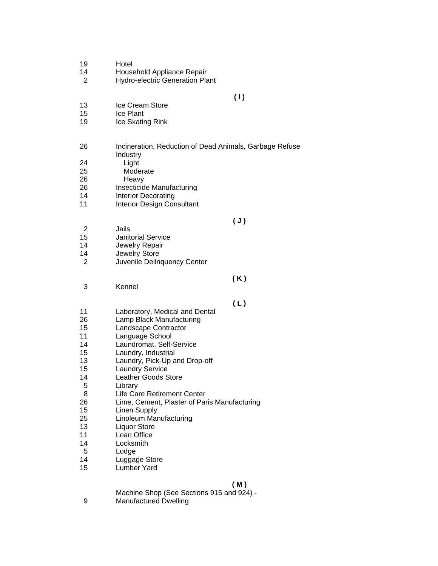| 19<br>14<br>2                                                                              | Hotel<br>Household Appliance Repair<br><b>Hydro-electric Generation Plant</b>                                                                                                                                                                                                                                                                                                                                |                |
|--------------------------------------------------------------------------------------------|--------------------------------------------------------------------------------------------------------------------------------------------------------------------------------------------------------------------------------------------------------------------------------------------------------------------------------------------------------------------------------------------------------------|----------------|
| 13<br>15<br>19                                                                             | Ice Cream Store<br>Ice Plant<br>Ice Skating Rink                                                                                                                                                                                                                                                                                                                                                             | (1)            |
| 26<br>24<br>25<br>26<br>26<br>14<br>11                                                     | Incineration, Reduction of Dead Animals, Garbage Refuse<br>Industry<br>Light<br>Moderate<br>Heavy<br>Insecticide Manufacturing<br><b>Interior Decorating</b><br><b>Interior Design Consultant</b>                                                                                                                                                                                                            |                |
| 2<br>15<br>14<br>14<br>2                                                                   | Jails<br><b>Janitorial Service</b><br>Jewelry Repair<br>Jewelry Store<br>Juvenile Delinquency Center                                                                                                                                                                                                                                                                                                         | $(\mathsf{J})$ |
| 3                                                                                          | Kennel                                                                                                                                                                                                                                                                                                                                                                                                       | (K)            |
| 11<br>26<br>15<br>11<br>14<br>15<br>13<br>15<br>14<br>5<br>8<br>26<br>15<br>25<br>13<br>11 | Laboratory, Medical and Dental<br>Lamp Black Manufacturing<br>Landscape Contractor<br>Language School<br>Laundromat, Self-Service<br>Laundry, Industrial<br>Laundry, Pick-Up and Drop-off<br><b>Laundry Service</b><br>Leather Goods Store<br>Library<br>Life Care Retirement Center<br>Lime, Cement, Plaster of Paris Manufacturing<br><b>Linen Supply</b><br>Linoleum Manufacturing<br><b>Liquor Store</b> | (L)            |

#### **( M )**

Machine Shop (See Sections 915 and 924) -

- 9 Manufactured Dwelling
-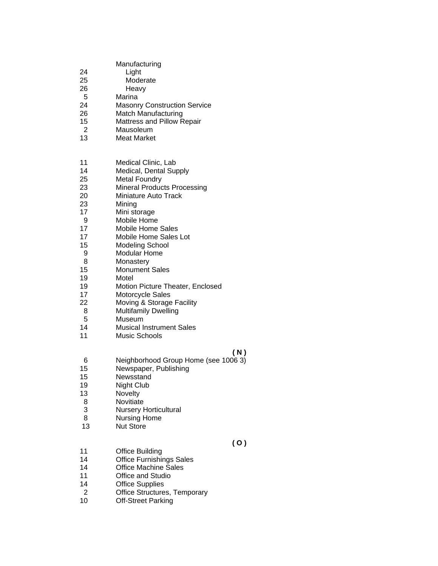| 24<br>25<br>26<br>5<br>24<br>26<br>15<br>2<br>13                                                                            | Manufacturing<br>Light<br>Moderate<br>Heavy<br>Marina<br><b>Masonry Construction Service</b><br>Match Manufacturing<br>Mattress and Pillow Repair<br>Mausoleum<br><b>Meat Market</b>                                                                                                                                                                                                                                                                                                                                              |
|-----------------------------------------------------------------------------------------------------------------------------|-----------------------------------------------------------------------------------------------------------------------------------------------------------------------------------------------------------------------------------------------------------------------------------------------------------------------------------------------------------------------------------------------------------------------------------------------------------------------------------------------------------------------------------|
| 11<br>14<br>25<br>23<br>20<br>23<br>17<br>9<br>17<br>17<br>15<br>9<br>8<br>15<br>19<br>19<br>17<br>22<br>8<br>5<br>14<br>11 | <b>Medical Clinic, Lab</b><br>Medical, Dental Supply<br><b>Metal Foundry</b><br><b>Mineral Products Processing</b><br>Miniature Auto Track<br>Mining<br>Mini storage<br>Mobile Home<br><b>Mobile Home Sales</b><br>Mobile Home Sales Lot<br><b>Modeling School</b><br><b>Modular Home</b><br>Monastery<br><b>Monument Sales</b><br>Motel<br>Motion Picture Theater, Enclosed<br>Motorcycle Sales<br>Moving & Storage Facility<br><b>Multifamily Dwelling</b><br>Museum<br><b>Musical Instrument Sales</b><br><b>Music Schools</b> |
| 6<br>15<br>15<br>19<br>13<br>8<br>3<br>8<br>13                                                                              | (N)<br>Neighborhood Group Home (see 1006 3)<br>Newspaper, Publishing<br>Newsstand<br>Night Club<br>Novelty<br>Novitiate<br><b>Nursery Horticultural</b><br><b>Nursing Home</b><br><b>Nut Store</b>                                                                                                                                                                                                                                                                                                                                |
| 11<br>14<br>14<br>11<br>14<br>2                                                                                             | (0)<br><b>Office Building</b><br><b>Office Furnishings Sales</b><br><b>Office Machine Sales</b><br>Office and Studio<br><b>Office Supplies</b><br>Office Structures, Temporary                                                                                                                                                                                                                                                                                                                                                    |

10 Off-Street Parking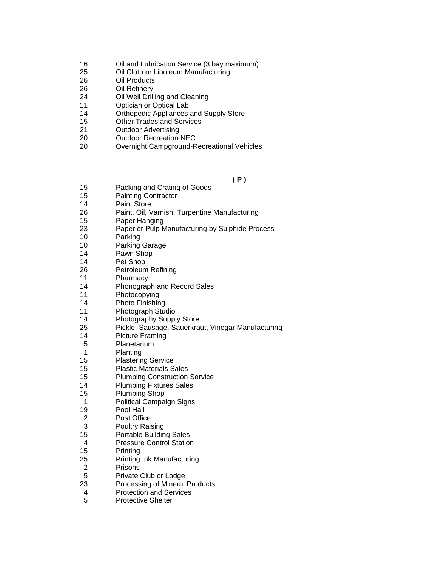- 16 Oil and Lubrication Service (3 bay maximum)
- 25 Oil Cloth or Linoleum Manufacturing
- 26 Oil Products
- 26 Oil Refinery
- 24 Oil Well Drilling and Cleaning
- 11 Optician or Optical Lab
- 14 Orthopedic Appliances and Supply Store
- 15 Other Trades and Services
- 21 Outdoor Advertising
- 20 Outdoor Recreation NEC
- 20 Overnight Campground-Recreational Vehicles

 **( P )** 

- 15 Packing and Crating of Goods
- 15 Painting Contractor
- 14 Paint Store
- 26 Paint, Oil, Varnish, Turpentine Manufacturing
- 15 Paper Hanging
- 23 Paper or Pulp Manufacturing by Sulphide Process
- 10 Parking
- 10 Parking Garage
- 14 Pawn Shop
- 14 Pet Shop
- 26 Petroleum Refining
- 11 Pharmacy
- 14 Phonograph and Record Sales
- 11 Photocopying
- 14 Photo Finishing
- 11 Photograph Studio
- 14 Photography Supply Store
- 25 Pickle, Sausage, Sauerkraut, Vinegar Manufacturing
- 14 Picture Framing
- 5 Planetarium
- 1 Planting
- 15 Plastering Service
- 15 Plastic Materials Sales
- 15 Plumbing Construction Service
- 14 Plumbing Fixtures Sales
- 15 Plumbing Shop
- 1 Political Campaign Signs
- 19 Pool Hall
- 2 Post Office
- 3 Poultry Raising
- 15 Portable Building Sales
- 4 Pressure Control Station
- 15 Printing
- 25 Printing Ink Manufacturing<br>2 Prisons
- **Prisons**
- 5 Private Club or Lodge
- 23 Processing of Mineral Products
- 4 Protection and Services
- 5 Protective Shelter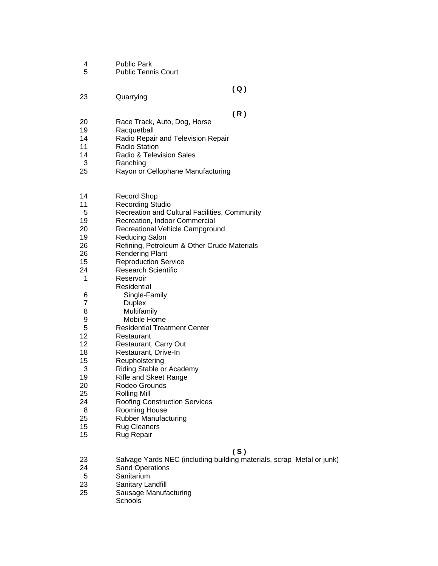- 4 Public Park
- 5 Public Tennis Court

 **( Q )** 

23 Quarrying

- **(R)**<br>20 Race Track. Auto. Dog. Horse **(R)** Race Track, Auto, Dog, Horse
- 19 Racquetball
- 14 Radio Repair and Television Repair<br>11 Radio Station
- Radio Station
- 14 Radio & Television Sales
- 3 Ranching
- 25 Rayon or Cellophane Manufacturing

| 14 | <b>Record Shop</b> |
|----|--------------------|
|----|--------------------|

- 11 Recording Studio
- 5 Recreation and Cultural Facilities, Community
- 19 Recreation, Indoor Commercial
- 20 Recreational Vehicle Campground<br>19 Reducing Salon
- Reducing Salon
- 26 Refining, Petroleum & Other Crude Materials
- 26 Rendering Plant
- 15 Reproduction Service
- 24 Research Scientific
- 1 Reservoir
- **Residential**
- 6 Single-Family
- **Duplex**
- 8 Multifamily
- 9 Mobile Home<br>5 Residential Trea
- 5 Residential Treatment Center
- 12 Restaurant
- 12 Restaurant, Carry Out
- 18 Restaurant, Drive-In
- 15 Reupholstering
- 3 Riding Stable or Academy
- 19 Rifle and Skeet Range
- 20 Rodeo Grounds
- 25 Rolling Mill
- 24 Roofing Construction Services
- 8 Rooming House<br>25 Rubber Manufac
- Rubber Manufacturing
- 15 Rug Cleaners
- 15 Rug Repair

 **( S )** 

- 23 Salvage Yards NEC (including building materials, scrap Metal or junk)
- 24 Sand Operations
- 5 Sanitarium<br>23 Sanitary La
- Sanitary Landfill
- 25 Sausage Manufacturing
	- **Schools**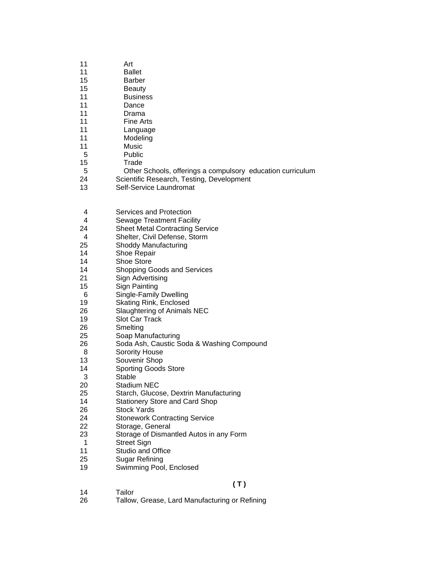- 11 Art
- 11 Ballet
- 15 Barber
- 15 Beauty
- 11 Business
- 11 Dance
- 11 Drama
- 11 Fine Arts
- 11 Language
- 11 Modeling
- 11 Music
- 5 Public
- 15 Trade
- 5 Other Schools, offerings a compulsory education curriculum
- 24 Scientific Research, Testing, Development
- 13 Self-Service Laundromat
- 4 Services and Protection<br>4 Sewage Treatment Facil
- 4 Sewage Treatment Facility<br>24 Sheet Metal Contracting Se
- **Sheet Metal Contracting Service**
- 4 Shelter, Civil Defense, Storm
- 25 Shoddy Manufacturing
- 14 Shoe Repair
- 14 Shoe Store
- 14 Shopping Goods and Services
- 21 Sign Advertising
- 15 Sign Painting
- 
- 6 Single-Family Dwelling Skating Rink, Enclosed
- 26 Slaughtering of Animals NEC
- 19 Slot Car Track
- 26 Smelting
- 25 Soap Manufacturing
- 26 Soda Ash, Caustic Soda & Washing Compound
- 8 Sorority House
- 13 Souvenir Shop
- 14 Sporting Goods Store
- 3 Stable<br>20 Stadiur
- Stadium NEC
- 25 Starch, Glucose, Dextrin Manufacturing
- 14 Stationery Store and Card Shop
- 26 Stock Yards
- 24 Stonework Contracting Service<br>22 Storage General
- Storage, General
- 23 Storage of Dismantled Autos in any Form
- 1 Street Sign
- 11 Studio and Office
- 25 Sugar Refining
- 19 Swimming Pool, Enclosed
- 
- 14 Tailor
- **( T )** 
	-
- 26 Tallow, Grease, Lard Manufacturing or Refining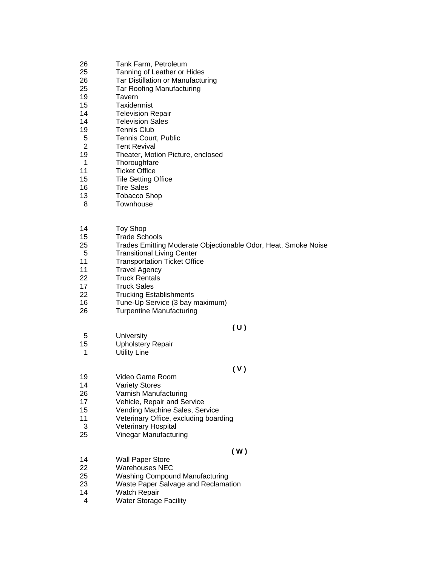- 26 Tank Farm, Petroleum
- 25 Tanning of Leather or Hides
- 26 Tar Distillation or Manufacturing
- 25 Tar Roofing Manufacturing
- 19 Tavern
- 15 Taxidermist
- 14 Television Repair
- 14 Television Sales
- 19 Tennis Club
- 5 Tennis Court, Public
- 2 Tent Revival
- 19 Theater, Motion Picture, enclosed
- 1 Thoroughfare
- 11 Ticket Office
- 15 Tile Setting Office
- 16 Tire Sales
- 13 Tobacco Shop
- 8 Townhouse

#### 14 Toy Shop

- 15 Trade Schools
- 25 Trades Emitting Moderate Objectionable Odor, Heat, Smoke Noise
- 5 Transitional Living Center
- 11 **Transportation Ticket Office**
- 11 Travel Agency
- 22 Truck Rentals
- 17 Truck Sales
- 22 Trucking Establishments
- 16 Tune-Up Service (3 bay maximum)
- 26 Turpentine Manufacturing

### **( U )**

- 5 University
- 15 Upholstery Repair
- 1 Utility Line

### **( V )**

- 19 Video Game Room
- 14 Variety Stores<br>26 Varnish Manuf
- Varnish Manufacturing
- 17 Vehicle, Repair and Service
- 15 Vending Machine Sales, Service
- 11 Veterinary Office, excluding boarding
- 3 Veterinary Hospital
- 25 Vinegar Manufacturing

- **( W )**  14 Wall Paper Store<br>22 Warehouses NEC
- Warehouses NEC
- 25 Washing Compound Manufacturing
- 23 Waste Paper Salvage and Reclamation
- 14 Watch Repair
- 4 Water Storage Facility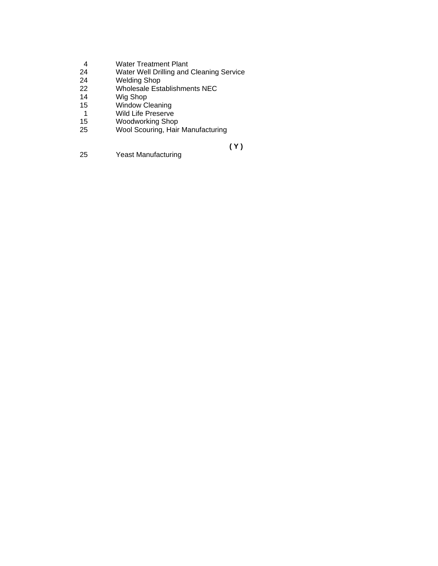- 4 Water Treatment Plant<br>24 Water Well Drilling and
- 24 Water Well Drilling and Cleaning Service<br>24 Welding Shop
- 24 Welding Shop
- 22 Wholesale Establishments NEC
- 14 Wig Shop<br>15 Window Cl
- 15 Window Cleaning
- 1 Wild Life Preserve
- 15 Woodworking Shop<br>25 Wool Scouring, Hair
- Wool Scouring, Hair Manufacturing

**(Y)**<br>25 Yeast Manufacturing **(Y)** Yeast Manufacturing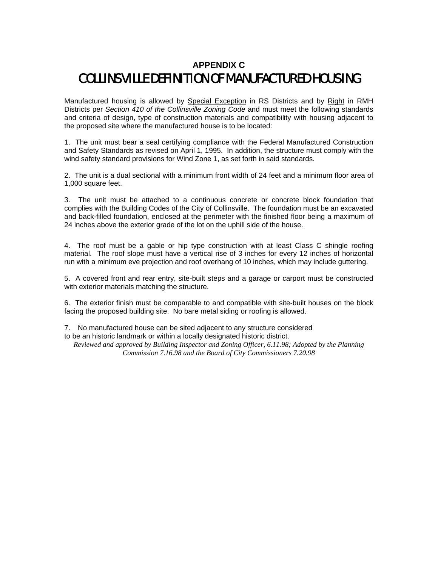# **APPENDIX C**  COLLINSVILLE DEFINITION OF MANUFACTURED HOUSING

Manufactured housing is allowed by Special Exception in RS Districts and by Right in RMH Districts per *Section 410 of the Collinsville Zoning Code* and must meet the following standards and criteria of design, type of construction materials and compatibility with housing adjacent to the proposed site where the manufactured house is to be located:

1. The unit must bear a seal certifying compliance with the Federal Manufactured Construction and Safety Standards as revised on April 1, 1995. In addition, the structure must comply with the wind safety standard provisions for Wind Zone 1, as set forth in said standards.

2. The unit is a dual sectional with a minimum front width of 24 feet and a minimum floor area of 1,000 square feet.

3. The unit must be attached to a continuous concrete or concrete block foundation that complies with the Building Codes of the City of Collinsville. The foundation must be an excavated and back-filled foundation, enclosed at the perimeter with the finished floor being a maximum of 24 inches above the exterior grade of the lot on the uphill side of the house.

4. The roof must be a gable or hip type construction with at least Class C shingle roofing material. The roof slope must have a vertical rise of 3 inches for every 12 inches of horizontal run with a minimum eve projection and roof overhang of 10 inches, which may include guttering.

5. A covered front and rear entry, site-built steps and a garage or carport must be constructed with exterior materials matching the structure.

6. The exterior finish must be comparable to and compatible with site-built houses on the block facing the proposed building site. No bare metal siding or roofing is allowed.

7. No manufactured house can be sited adjacent to any structure considered

to be an historic landmark or within a locally designated historic district.

*Reviewed and approved by Building Inspector and Zoning Officer, 6.11.98; Adopted by the Planning Commission 7.16.98 and the Board of City Commissioners 7.20.98*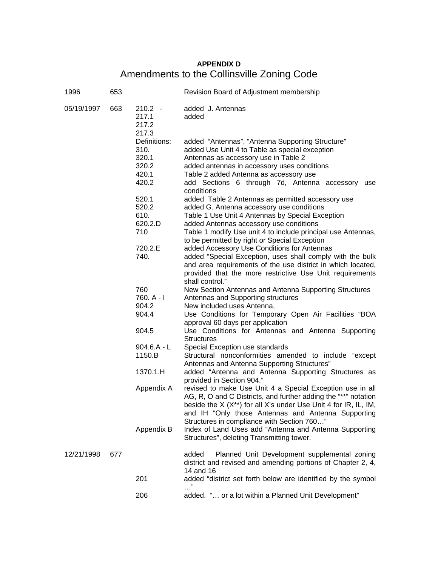# **APPENDIX D**  Amendments to the Collinsville Zoning Code

| 1996       | 653 |                                                          | Revision Board of Adjustment membership                                                                                                                                                                                                                                                                        |
|------------|-----|----------------------------------------------------------|----------------------------------------------------------------------------------------------------------------------------------------------------------------------------------------------------------------------------------------------------------------------------------------------------------------|
| 05/19/1997 | 663 | $210.2 -$<br>217.1<br>217.2<br>217.3                     | added J. Antennas<br>added                                                                                                                                                                                                                                                                                     |
|            |     | Definitions:<br>310.<br>320.1<br>320.2<br>420.1<br>420.2 | added "Antennas", "Antenna Supporting Structure"<br>added Use Unit 4 to Table as special exception<br>Antennas as accessory use in Table 2<br>added antennas in accessory uses conditions<br>Table 2 added Antenna as accessory use<br>add Sections 6 through 7d, Antenna accessory use<br>conditions          |
|            |     | 520.1<br>520.2<br>610.<br>620.2.D<br>710                 | added Table 2 Antennas as permitted accessory use<br>added G. Antenna accessory use conditions<br>Table 1 Use Unit 4 Antennas by Special Exception<br>added Antennas accessory use conditions<br>Table 1 modify Use unit 4 to include principal use Antennas,                                                  |
|            |     | 720.2.E<br>740.                                          | to be permitted by right or Special Exception<br>added Accessory Use Conditions for Antennas<br>added "Special Exception, uses shall comply with the bulk<br>and area requirements of the use district in which located,<br>provided that the more restrictive Use Unit requirements<br>shall control."        |
|            |     | 760<br>$760. A - I$<br>904.2<br>904.4                    | New Section Antennas and Antenna Supporting Structures<br>Antennas and Supporting structures<br>New included uses Antenna,<br>Use Conditions for Temporary Open Air Facilities "BOA                                                                                                                            |
|            |     | 904.5                                                    | approval 60 days per application<br>Use Conditions for Antennas and Antenna Supporting<br><b>Structures</b>                                                                                                                                                                                                    |
|            |     | $904.6.A - L$<br>1150.B                                  | Special Exception use standards<br>Structural nonconformities amended to include "except<br>Antennas and Antenna Supporting Structures"                                                                                                                                                                        |
|            |     | 1370.1.H                                                 | added "Antenna and Antenna Supporting Structures as<br>provided in Section 904."                                                                                                                                                                                                                               |
|            |     | Appendix A                                               | revised to make Use Unit 4 a Special Exception use in all<br>AG, R, O and C Districts, and further adding the "**" notation<br>beside the $X$ ( $X^{**}$ ) for all $X$ 's under Use Unit 4 for IR, IL, IM,<br>and IH "Only those Antennas and Antenna Supporting<br>Structures in compliance with Section 760" |
|            |     | Appendix B                                               | Index of Land Uses add "Antenna and Antenna Supporting<br>Structures", deleting Transmitting tower.                                                                                                                                                                                                            |
| 12/21/1998 | 677 |                                                          | Planned Unit Development supplemental zoning<br>added<br>district and revised and amending portions of Chapter 2, 4,<br>14 and 16                                                                                                                                                                              |
|            |     | 201                                                      | added "district set forth below are identified by the symbol                                                                                                                                                                                                                                                   |
|            |     | 206                                                      | added. " or a lot within a Planned Unit Development"                                                                                                                                                                                                                                                           |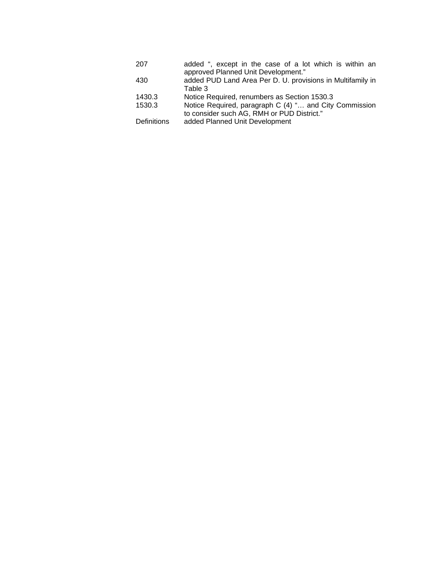| 207                | added ", except in the case of a lot which is within an    |
|--------------------|------------------------------------------------------------|
|                    | approved Planned Unit Development."                        |
| 430                | added PUD Land Area Per D. U. provisions in Multifamily in |
|                    | Table 3                                                    |
| 1430.3             | Notice Required, renumbers as Section 1530.3               |
| 1530.3             | Notice Required, paragraph C (4) " and City Commission     |
|                    | to consider such AG, RMH or PUD District."                 |
| <b>Definitions</b> | added Planned Unit Development                             |
|                    |                                                            |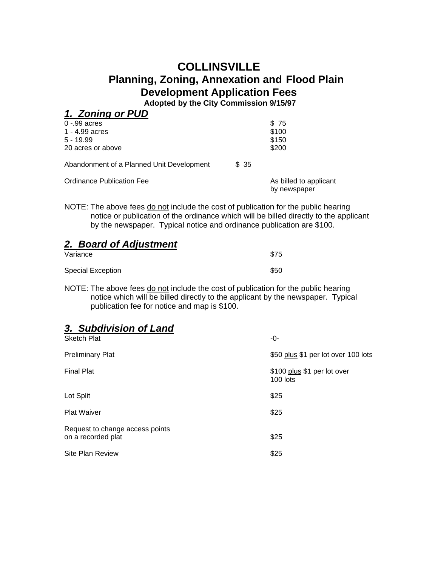# **COLLINSVILLE Planning, Zoning, Annexation and Flood Plain Development Application Fees**

**Adopted by the City Commission 9/15/97**

| 1. Zoning or PUD                          |       |                        |
|-------------------------------------------|-------|------------------------|
| $0 - 99$ acres                            |       | \$75                   |
| 1 - 4.99 acres                            |       | \$100                  |
| $5 - 19.99$                               |       | \$150                  |
| 20 acres or above                         |       | \$200                  |
| Abandonment of a Planned Unit Development | \$ 35 |                        |
| Ordinance Publication Fee                 |       | As billed to applicant |

NOTE: The above fees do not include the cost of publication for the public hearing notice or publication of the ordinance which will be billed directly to the applicant by the newspaper. Typical notice and ordinance publication are \$100.

by newspaper

| Variance          | \$75 |
|-------------------|------|
| Special Exception | \$50 |

NOTE: The above fees do not include the cost of publication for the public hearing notice which will be billed directly to the applicant by the newspaper. Typical publication fee for notice and map is \$100.

# *3. Subdivision of Land*

| <b>Sketch Plat</b>                                    | -0-                                     |
|-------------------------------------------------------|-----------------------------------------|
| <b>Preliminary Plat</b>                               | \$50 plus \$1 per lot over 100 lots     |
| <b>Final Plat</b>                                     | \$100 plus \$1 per lot over<br>100 lots |
| Lot Split                                             | \$25                                    |
| <b>Plat Waiver</b>                                    | \$25                                    |
| Request to change access points<br>on a recorded plat | \$25                                    |
| <b>Site Plan Review</b>                               | \$25                                    |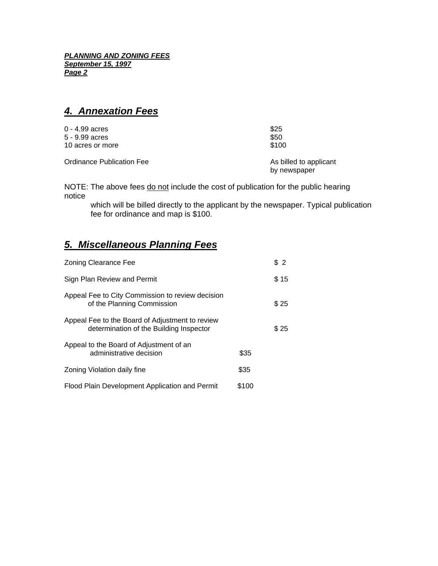*PLANNING AND ZONING FEES September 15, 1997 Page 2*

## *4. Annexation Fees*

| $0 - 4.99$ acres | \$25  |
|------------------|-------|
| 5 - 9.99 acres   | \$50  |
| 10 acres or more | \$100 |
|                  |       |

Ordinance Publication Fee As billed to applicant

by newspaper

NOTE: The above fees do not include the cost of publication for the public hearing notice

 which will be billed directly to the applicant by the newspaper. Typical publication fee for ordinance and map is \$100.

# *5. Miscellaneous Planning Fees*

| <b>Zoning Clearance Fee</b>                                                                |       | \$2  |
|--------------------------------------------------------------------------------------------|-------|------|
| Sign Plan Review and Permit                                                                |       | \$15 |
| Appeal Fee to City Commission to review decision<br>of the Planning Commission             |       | \$25 |
| Appeal Fee to the Board of Adjustment to review<br>determination of the Building Inspector |       | \$25 |
| Appeal to the Board of Adjustment of an<br>administrative decision                         | \$35  |      |
| Zoning Violation daily fine                                                                | \$35  |      |
| Flood Plain Development Application and Permit                                             | \$100 |      |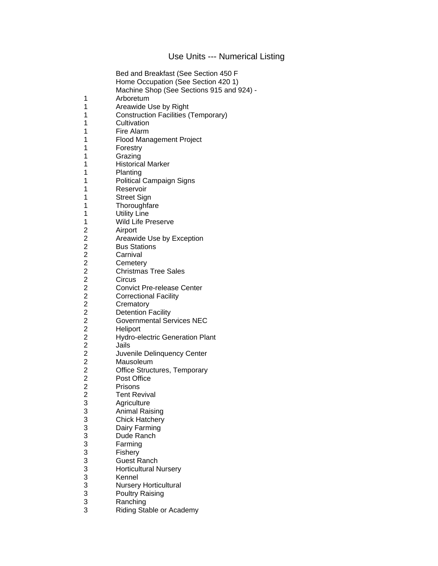## Use Units --- Numerical Listing

|                                   | Bed and Breakfast (See Section 450 F       |
|-----------------------------------|--------------------------------------------|
|                                   | Home Occupation (See Section 420 1)        |
|                                   | Machine Shop (See Sections 915 and 924) -  |
| 1                                 | Arboretum                                  |
| 1                                 | Areawide Use by Right                      |
| 1                                 | <b>Construction Facilities (Temporary)</b> |
| 1                                 | Cultivation                                |
| 1                                 | Fire Alarm                                 |
| 1                                 | Flood Management Project                   |
| 1                                 |                                            |
|                                   | Forestry                                   |
| 1                                 | Grazing                                    |
| 1                                 | <b>Historical Marker</b>                   |
| 1                                 | Planting                                   |
| 1                                 | <b>Political Campaign Signs</b>            |
| 1                                 | Reservoir                                  |
| 1                                 | <b>Street Sign</b>                         |
| 1                                 | Thoroughfare                               |
| 1                                 | <b>Utility Line</b>                        |
| 1                                 | <b>Wild Life Preserve</b>                  |
| $\overline{\mathbf{c}}$           | Airport                                    |
| 2 2 2 2 2 2 2 2 2 2 2 2 2 2 2 2 2 | Areawide Use by Exception                  |
|                                   | <b>Bus Stations</b>                        |
|                                   | Carnival                                   |
|                                   | Cemetery                                   |
|                                   | <b>Christmas Tree Sales</b>                |
|                                   | Circus                                     |
|                                   | <b>Convict Pre-release Center</b>          |
|                                   | <b>Correctional Facility</b>               |
|                                   | Crematory                                  |
|                                   | <b>Detention Facility</b>                  |
|                                   | <b>Governmental Services NEC</b>           |
|                                   | Heliport                                   |
|                                   | Hydro-electric Generation Plant            |
|                                   | Jails                                      |
|                                   |                                            |
|                                   | Juvenile Delinquency Center                |
|                                   | Mausoleum                                  |
|                                   | <b>Office Structures, Temporary</b>        |
|                                   | Post Office                                |
| $\overline{2}$                    | Prisons                                    |
|                                   | <b>Tent Revival</b>                        |
|                                   | Agriculture                                |
|                                   | <b>Animal Raising</b>                      |
|                                   | <b>Chick Hatchery</b>                      |
|                                   | Dairy Farming                              |
|                                   | Dude Ranch                                 |
|                                   | Farming                                    |
|                                   | Fishery                                    |
|                                   | <b>Guest Ranch</b>                         |
|                                   | <b>Horticultural Nursery</b>               |
|                                   | Kennel                                     |
|                                   | <b>Nursery Horticultural</b>               |
|                                   | <b>Poultry Raising</b>                     |
| 2 3 3 3 3 3 3 3 3 3 3 3 3 3 3 3 3 | Ranching                                   |
|                                   | Riding Stable or Academy                   |
|                                   |                                            |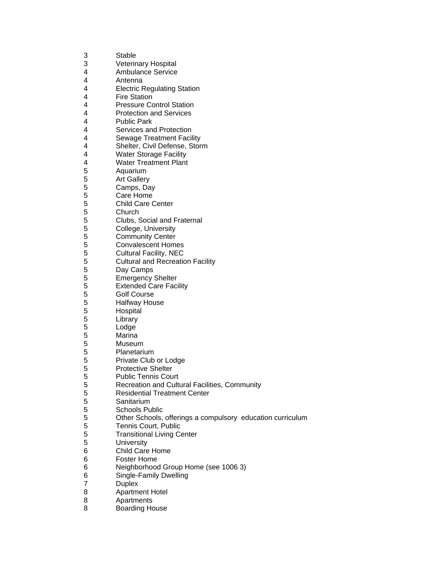| 3 | Stable                                                     |
|---|------------------------------------------------------------|
| 3 | <b>Veterinary Hospital</b>                                 |
| 4 | <b>Ambulance Service</b>                                   |
| 4 | Antenna                                                    |
| 4 | <b>Electric Regulating Station</b>                         |
| 4 | <b>Fire Station</b>                                        |
| 4 | <b>Pressure Control Station</b>                            |
| 4 | <b>Protection and Services</b>                             |
| 4 | <b>Public Park</b>                                         |
| 4 | Services and Protection                                    |
| 4 | <b>Sewage Treatment Facility</b>                           |
| 4 | Shelter, Civil Defense, Storm                              |
| 4 | <b>Water Storage Facility</b>                              |
| 4 | <b>Water Treatment Plant</b>                               |
|   |                                                            |
| 5 | Aquarium                                                   |
| 5 | <b>Art Gallery</b>                                         |
| 5 | Camps, Day                                                 |
| 5 | Care Home                                                  |
| 5 | <b>Child Care Center</b>                                   |
| 5 | Church                                                     |
| 5 | Clubs, Social and Fraternal                                |
| 5 | College, University                                        |
| 5 | <b>Community Center</b>                                    |
| 5 | <b>Convalescent Homes</b>                                  |
| 5 | <b>Cultural Facility, NEC</b>                              |
| 5 | <b>Cultural and Recreation Facility</b>                    |
| 5 | Day Camps                                                  |
| 5 | <b>Emergency Shelter</b>                                   |
| 5 | <b>Extended Care Facility</b>                              |
| 5 | <b>Golf Course</b>                                         |
| 5 | <b>Halfway House</b>                                       |
| 5 | Hospital                                                   |
| 5 | Library                                                    |
| 5 | Lodge                                                      |
| 5 | Marina                                                     |
| 5 | Museum                                                     |
| 5 | Planetarium                                                |
| 5 | Private Club or Lodge                                      |
| 5 | <b>Protective Shelter</b>                                  |
| 5 | <b>Public Tennis Court</b>                                 |
| 5 | Recreation and Cultural Facilities, Community              |
| 5 | <b>Residential Treatment Center</b>                        |
| 5 | Sanitarium                                                 |
| 5 | <b>Schools Public</b>                                      |
| 5 | Other Schools, offerings a compulsory education curriculum |
| 5 | Tennis Court, Public                                       |
| 5 | <b>Transitional Living Center</b>                          |
| 5 | <b>University</b>                                          |
| 6 | Child Care Home                                            |
| 6 | <b>Foster Home</b>                                         |
| 6 | Neighborhood Group Home (see 1006 3)                       |
| 6 | Single-Family Dwelling                                     |
| 7 | <b>Duplex</b>                                              |
| 8 | <b>Apartment Hotel</b>                                     |
| 8 | Apartments                                                 |
| 8 | <b>Boarding House</b>                                      |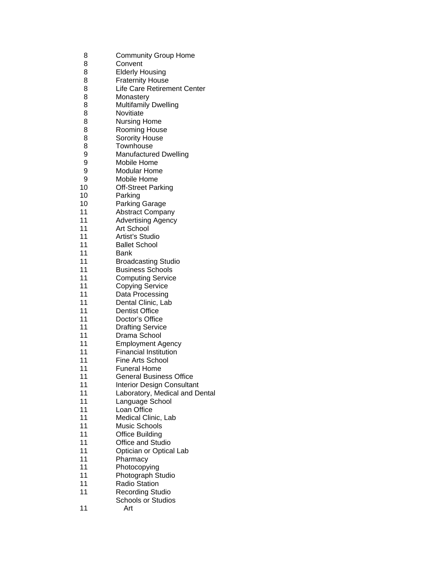| 8        | <b>Community Group Home</b>             |
|----------|-----------------------------------------|
| 8        | Convent                                 |
| 8        | <b>Elderly Housing</b>                  |
| 8        | <b>Fraternity House</b>                 |
| 8        | Life Care Retirement Center             |
| 8        | Monastery                               |
| 8        | <b>Multifamily Dwelling</b>             |
| 8        | Novitiate                               |
| 8        | <b>Nursing Home</b>                     |
| 8        | <b>Rooming House</b>                    |
| 8        | Sorority House                          |
| 8        | Townhouse                               |
| 9        | <b>Manufactured Dwelling</b>            |
| 9        | Mobile Home                             |
| 9        | <b>Modular Home</b>                     |
| 9        | <b>Mobile Home</b>                      |
| 10       | Off-Street Parking                      |
| 10       | Parking                                 |
| 10       | Parking Garage                          |
| 11       | <b>Abstract Company</b>                 |
| 11       | <b>Advertising Agency</b>               |
| 11       | <b>Art School</b>                       |
| 11       | Artist's Studio                         |
| 11       | <b>Ballet School</b>                    |
| 11       | Bank                                    |
| 11       | <b>Broadcasting Studio</b>              |
| 11       | <b>Business Schools</b>                 |
| 11       | <b>Computing Service</b>                |
| 11       | <b>Copying Service</b>                  |
| 11       | Data Processing                         |
| 11       | Dental Clinic, Lab                      |
| 11       | <b>Dentist Office</b>                   |
| 11       |                                         |
| 11       | Doctor's Office                         |
| 11       | <b>Drafting Service</b><br>Drama School |
|          |                                         |
| 11       | <b>Employment Agency</b>                |
| 11<br>11 | <b>Financial Institution</b>            |
|          | Fine Arts School                        |
| 11       | <b>Funeral Home</b>                     |
| 11       | <b>General Business Office</b>          |
| 11       | <b>Interior Design Consultant</b>       |
| 11       | Laboratory, Medical and Dental          |
| 11       | Language School                         |
| 11       | Loan Office                             |
| 11       | Medical Clinic, Lab                     |
| 11       | <b>Music Schools</b>                    |
| 11       | Office Building                         |
| 11       | <b>Office and Studio</b>                |
| 11       | Optician or Optical Lab                 |
| 11       | Pharmacy                                |
| 11       | Photocopying                            |
| 11       | Photograph Studio                       |
| 11       | <b>Radio Station</b>                    |
| 11       | <b>Recording Studio</b>                 |
|          | <b>Schools or Studios</b>               |
| 11       | Art                                     |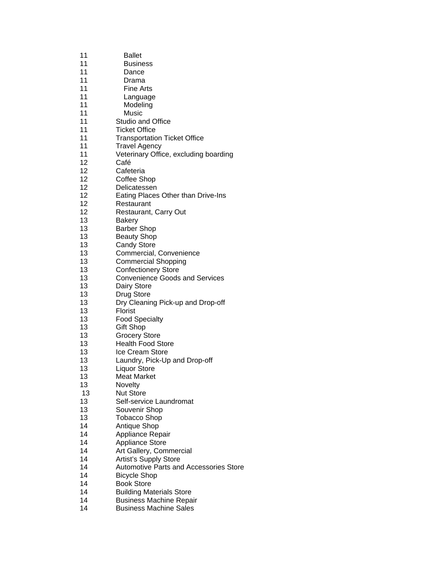| 11 | <b>Ballet</b>                                 |
|----|-----------------------------------------------|
| 11 | <b>Business</b>                               |
| 11 | Dance                                         |
| 11 | Drama                                         |
| 11 | <b>Fine Arts</b>                              |
| 11 | Language                                      |
| 11 | Modeling                                      |
| 11 | Music                                         |
| 11 | Studio and Office                             |
| 11 | <b>Ticket Office</b>                          |
| 11 | <b>Transportation Ticket Office</b>           |
| 11 | <b>Travel Agency</b>                          |
| 11 | Veterinary Office, excluding boarding         |
| 12 | Café                                          |
| 12 | Cafeteria                                     |
| 12 | Coffee Shop                                   |
| 12 | Delicatessen                                  |
| 12 | Eating Places Other than Drive-Ins            |
| 12 | Restaurant                                    |
| 12 | Restaurant, Carry Out                         |
| 13 | <b>Bakery</b>                                 |
| 13 | <b>Barber Shop</b>                            |
| 13 | <b>Beauty Shop</b>                            |
| 13 | <b>Candy Store</b>                            |
| 13 | Commercial, Convenience                       |
| 13 | <b>Commercial Shopping</b>                    |
| 13 | <b>Confectionery Store</b>                    |
| 13 | <b>Convenience Goods and Services</b>         |
| 13 | Dairy Store                                   |
| 13 | Drug Store                                    |
| 13 | Dry Cleaning Pick-up and Drop-off             |
| 13 | Florist                                       |
| 13 | <b>Food Specialty</b>                         |
| 13 | <b>Gift Shop</b>                              |
| 13 | <b>Grocery Store</b>                          |
| 13 | <b>Health Food Store</b>                      |
| 13 | Ice Cream Store                               |
| 13 | Laundry, Pick-Up and Drop-off                 |
| 13 | Liquor Store                                  |
| 13 | <b>Meat Market</b>                            |
| 13 | Novelty                                       |
| 13 | <b>Nut Store</b>                              |
| 13 | Self-service Laundromat                       |
| 13 | Souvenir Shop                                 |
| 13 | <b>Tobacco Shop</b>                           |
| 14 | Antique Shop                                  |
| 14 | Appliance Repair                              |
| 14 | Appliance Store                               |
| 14 | Art Gallery, Commercial                       |
| 14 | <b>Artist's Supply Store</b>                  |
| 14 | <b>Automotive Parts and Accessories Store</b> |
| 14 | <b>Bicycle Shop</b>                           |
| 14 | <b>Book Store</b>                             |
| 14 | <b>Building Materials Store</b>               |
| 14 | <b>Business Machine Repair</b>                |
| 14 | <b>Business Machine Sales</b>                 |
|    |                                               |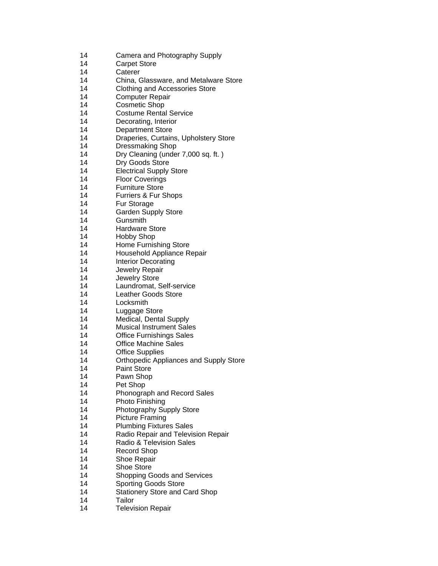| 14 | Camera and Photography Supply |
|----|-------------------------------|
|----|-------------------------------|

- 14 Carpet Store
- 14 Caterer
- 14 China, Glassware, and Metalware Store
- 14 Clothing and Accessories Store
- 14 Computer Repair
- 14 Cosmetic Shop
- 14 Costume Rental Service
- 14 Decorating, Interior
- 14 Department Store
- 14 Draperies, Curtains, Upholstery Store
- 14 Dressmaking Shop
- 14 Dry Cleaning (under 7,000 sq. ft. )
- 14 Dry Goods Store
- 14 Electrical Supply Store
- 14 Floor Coverings
- 14 Furniture Store
- 14 Furriers & Fur Shops
- 14 Fur Storage
- 14 Garden Supply Store
- 14 Gunsmith
- 14 Hardware Store
- 14 Hobby Shop
- 14 Home Furnishing Store
- 14 Household Appliance Repair
- 14 Interior Decorating
- 14 Jewelry Repair
- 14 Jewelry Store
- 14 Laundromat, Self-service
- 14 Leather Goods Store
- 14 Locksmith
- 14 Luggage Store
- 14 Medical, Dental Supply
- 14 Musical Instrument Sales
- 14 Office Furnishings Sales
- 14 Office Machine Sales
- 14 Office Supplies
- 14 Orthopedic Appliances and Supply Store
- 14 Paint Store
- 14 Pawn Shop
- 14 Pet Shop
- 14 Phonograph and Record Sales
- 14 Photo Finishing
- 14 Photography Supply Store
- 14 Picture Framing
- 14 Plumbing Fixtures Sales
- 14 Radio Repair and Television Repair
- 14 Radio & Television Sales
- 14 Record Shop
- 14 Shoe Repair
- 14 Shoe Store
- 14 Shopping Goods and Services
- 14 Sporting Goods Store
- 14 Stationery Store and Card Shop
- 14 Tailor
- 14 Television Repair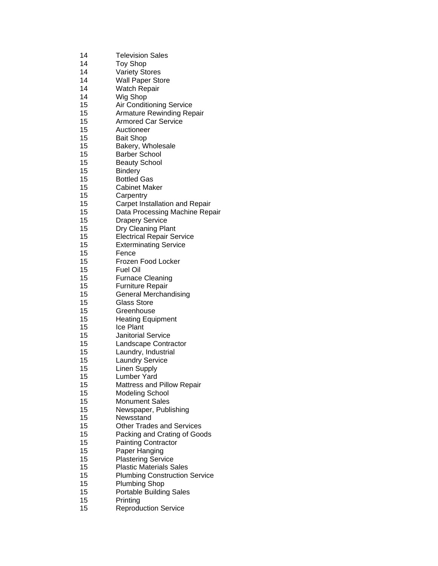| 14 | <b>Television Sales</b>              |
|----|--------------------------------------|
| 14 | <b>Toy Shop</b>                      |
| 14 | <b>Variety Stores</b>                |
| 14 | <b>Wall Paper Store</b>              |
| 14 | <b>Watch Repair</b>                  |
| 14 | Wig Shop                             |
| 15 | <b>Air Conditioning Service</b>      |
| 15 | <b>Armature Rewinding Repair</b>     |
| 15 | <b>Armored Car Service</b>           |
| 15 | Auctioneer                           |
| 15 | <b>Bait Shop</b>                     |
| 15 | Bakery, Wholesale                    |
| 15 | <b>Barber School</b>                 |
| 15 | <b>Beauty School</b>                 |
| 15 | <b>Bindery</b>                       |
| 15 | <b>Bottled Gas</b>                   |
| 15 | <b>Cabinet Maker</b>                 |
| 15 | Carpentry                            |
| 15 | Carpet Installation and Repair       |
| 15 | Data Processing Machine Repair       |
| 15 | <b>Drapery Service</b>               |
| 15 | Dry Cleaning Plant                   |
| 15 | <b>Electrical Repair Service</b>     |
| 15 | <b>Exterminating Service</b>         |
| 15 | Fence                                |
| 15 | Frozen Food Locker                   |
| 15 | Fuel Oil                             |
| 15 | <b>Furnace Cleaning</b>              |
| 15 | <b>Furniture Repair</b>              |
| 15 | <b>General Merchandising</b>         |
| 15 | <b>Glass Store</b>                   |
| 15 | Greenhouse                           |
| 15 | <b>Heating Equipment</b>             |
| 15 | Ice Plant                            |
| 15 | <b>Janitorial Service</b>            |
| 15 | Landscape Contractor                 |
| 15 | Laundry, Industrial                  |
| 15 | <b>Laundry Service</b>               |
| 15 | <b>Linen Supply</b>                  |
| 15 | <b>Lumber Yard</b>                   |
| 15 | Mattress and Pillow Repair           |
| 15 | <b>Modeling School</b>               |
| 15 | <b>Monument Sales</b>                |
| 15 | Newspaper, Publishing                |
| 15 | Newsstand                            |
| 15 | <b>Other Trades and Services</b>     |
| 15 | Packing and Crating of Goods         |
| 15 | <b>Painting Contractor</b>           |
| 15 | Paper Hanging                        |
| 15 | <b>Plastering Service</b>            |
| 15 | <b>Plastic Materials Sales</b>       |
| 15 | <b>Plumbing Construction Service</b> |
| 15 | <b>Plumbing Shop</b>                 |
| 15 | <b>Portable Building Sales</b>       |
| 15 | Printing                             |
| 15 | <b>Reproduction Service</b>          |
|    |                                      |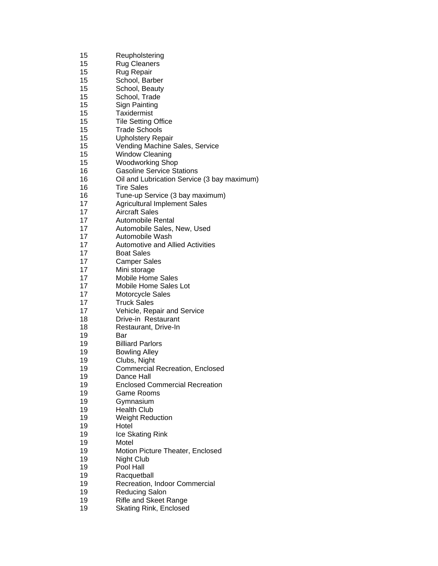| 15 | Reupholstering                              |
|----|---------------------------------------------|
| 15 | <b>Rug Cleaners</b>                         |
| 15 | Rug Repair                                  |
| 15 | School, Barber                              |
| 15 | School, Beauty                              |
| 15 | School, Trade                               |
| 15 | <b>Sign Painting</b>                        |
| 15 | Taxidermist                                 |
| 15 | <b>Tile Setting Office</b>                  |
| 15 | <b>Trade Schools</b>                        |
| 15 | <b>Upholstery Repair</b>                    |
| 15 |                                             |
| 15 | Vending Machine Sales, Service              |
| 15 | <b>Window Cleaning</b>                      |
|    | <b>Woodworking Shop</b>                     |
| 16 | <b>Gasoline Service Stations</b>            |
| 16 | Oil and Lubrication Service (3 bay maximum) |
| 16 | <b>Tire Sales</b>                           |
| 16 | Tune-up Service (3 bay maximum)             |
| 17 | <b>Agricultural Implement Sales</b>         |
| 17 | <b>Aircraft Sales</b>                       |
| 17 | Automobile Rental                           |
| 17 | Automobile Sales, New, Used                 |
| 17 | Automobile Wash                             |
| 17 | <b>Automotive and Allied Activities</b>     |
| 17 | <b>Boat Sales</b>                           |
| 17 | <b>Camper Sales</b>                         |
| 17 | Mini storage                                |
| 17 | <b>Mobile Home Sales</b>                    |
| 17 | Mobile Home Sales Lot                       |
| 17 | Motorcycle Sales                            |
| 17 | <b>Truck Sales</b>                          |
| 17 | Vehicle, Repair and Service                 |
| 18 | Drive-in Restaurant                         |
| 18 | Restaurant, Drive-In                        |
| 19 | Bar                                         |
| 19 | <b>Billiard Parlors</b>                     |
| 19 | <b>Bowling Alley</b>                        |
| 19 | Clubs, Night                                |
| 19 | <b>Commercial Recreation, Enclosed</b>      |
| 19 | Dance Hall                                  |
| 19 | <b>Enclosed Commercial Recreation</b>       |
| 19 | <b>Game Rooms</b>                           |
|    |                                             |
| 19 | Gymnasium                                   |
| 19 | <b>Health Club</b>                          |
| 19 | <b>Weight Reduction</b>                     |
| 19 | Hotel                                       |
| 19 | Ice Skating Rink                            |
| 19 | Motel                                       |
| 19 | Motion Picture Theater, Enclosed            |
| 19 | Night Club                                  |
| 19 | Pool Hall                                   |
| 19 | Racquetball                                 |
| 19 | Recreation, Indoor Commercial               |
| 19 | <b>Reducing Salon</b>                       |
| 19 | <b>Rifle and Skeet Range</b>                |
| 19 | <b>Skating Rink, Enclosed</b>               |
|    |                                             |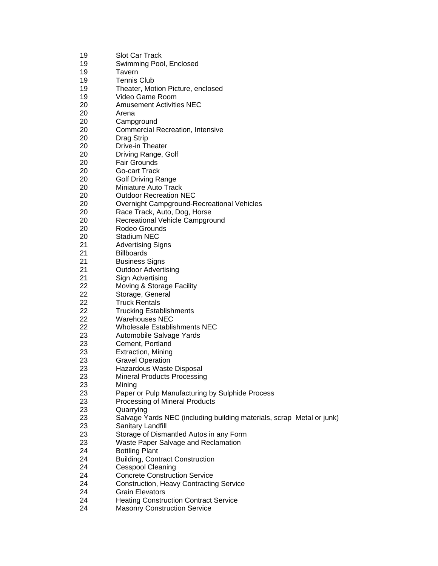| 19 | <b>Slot Car Track</b>                                                 |
|----|-----------------------------------------------------------------------|
| 19 |                                                                       |
|    | Swimming Pool, Enclosed                                               |
| 19 | Tavern                                                                |
| 19 | <b>Tennis Club</b>                                                    |
| 19 | Theater, Motion Picture, enclosed                                     |
| 19 | Video Game Room                                                       |
| 20 | <b>Amusement Activities NEC</b>                                       |
| 20 | Arena                                                                 |
| 20 | Campground                                                            |
| 20 | Commercial Recreation, Intensive                                      |
| 20 | Drag Strip                                                            |
| 20 | Drive-in Theater                                                      |
| 20 | Driving Range, Golf                                                   |
| 20 | <b>Fair Grounds</b>                                                   |
| 20 | Go-cart Track                                                         |
| 20 |                                                                       |
|    | <b>Golf Driving Range</b><br>Miniature Auto Track                     |
| 20 | <b>Outdoor Recreation NEC</b>                                         |
| 20 |                                                                       |
| 20 | <b>Overnight Campground-Recreational Vehicles</b>                     |
| 20 | Race Track, Auto, Dog, Horse                                          |
| 20 | Recreational Vehicle Campground                                       |
| 20 | Rodeo Grounds                                                         |
| 20 | Stadium NEC                                                           |
| 21 | <b>Advertising Signs</b>                                              |
| 21 | <b>Billboards</b>                                                     |
| 21 | <b>Business Signs</b>                                                 |
| 21 | <b>Outdoor Advertising</b>                                            |
| 21 | Sign Advertising                                                      |
| 22 | Moving & Storage Facility                                             |
| 22 | Storage, General                                                      |
| 22 | <b>Truck Rentals</b>                                                  |
| 22 | <b>Trucking Establishments</b>                                        |
| 22 | <b>Warehouses NEC</b>                                                 |
| 22 | <b>Wholesale Establishments NEC</b>                                   |
| 23 | Automobile Salvage Yards                                              |
| 23 | Cement, Portland                                                      |
| 23 | Extraction, Mining                                                    |
| 23 | <b>Gravel Operation</b>                                               |
| 23 | Hazardous Waste Disposal                                              |
| 23 | <b>Mineral Products Processing</b>                                    |
| 23 |                                                                       |
| 23 | Mining                                                                |
|    | Paper or Pulp Manufacturing by Sulphide Process                       |
| 23 | Processing of Mineral Products                                        |
| 23 | Quarrying                                                             |
| 23 | Salvage Yards NEC (including building materials, scrap Metal or junk) |
| 23 | Sanitary Landfill                                                     |
| 23 | Storage of Dismantled Autos in any Form                               |
| 23 | Waste Paper Salvage and Reclamation                                   |
| 24 | <b>Bottling Plant</b>                                                 |
| 24 | <b>Building, Contract Construction</b>                                |
| 24 | <b>Cesspool Cleaning</b>                                              |
| 24 | <b>Concrete Construction Service</b>                                  |
| 24 | <b>Construction, Heavy Contracting Service</b>                        |
| 24 | <b>Grain Elevators</b>                                                |
| 24 | <b>Heating Construction Contract Service</b>                          |
| 24 | <b>Masonry Construction Service</b>                                   |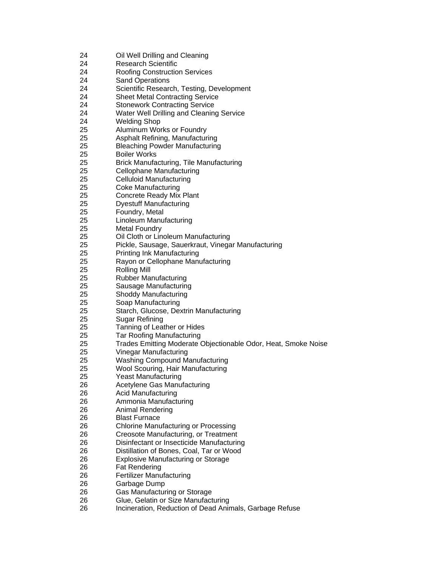| 24 | Oil Well Drilling and Cleaning                                 |
|----|----------------------------------------------------------------|
| 24 | <b>Research Scientific</b>                                     |
| 24 | <b>Roofing Construction Services</b>                           |
| 24 | <b>Sand Operations</b>                                         |
| 24 | Scientific Research, Testing, Development                      |
| 24 | <b>Sheet Metal Contracting Service</b>                         |
| 24 | <b>Stonework Contracting Service</b>                           |
| 24 | Water Well Drilling and Cleaning Service                       |
| 24 | <b>Welding Shop</b>                                            |
| 25 | Aluminum Works or Foundry                                      |
| 25 | Asphalt Refining, Manufacturing                                |
| 25 | <b>Bleaching Powder Manufacturing</b>                          |
| 25 | <b>Boiler Works</b>                                            |
| 25 | <b>Brick Manufacturing, Tile Manufacturing</b>                 |
| 25 | <b>Cellophane Manufacturing</b>                                |
| 25 | <b>Celluloid Manufacturing</b>                                 |
| 25 | <b>Coke Manufacturing</b>                                      |
| 25 | Concrete Ready Mix Plant                                       |
| 25 | <b>Dyestuff Manufacturing</b>                                  |
| 25 | Foundry, Metal                                                 |
| 25 | Linoleum Manufacturing                                         |
| 25 | <b>Metal Foundry</b>                                           |
| 25 | Oil Cloth or Linoleum Manufacturing                            |
| 25 | Pickle, Sausage, Sauerkraut, Vinegar Manufacturing             |
| 25 | <b>Printing Ink Manufacturing</b>                              |
| 25 | Rayon or Cellophane Manufacturing                              |
| 25 | <b>Rolling Mill</b>                                            |
| 25 | <b>Rubber Manufacturing</b>                                    |
| 25 | Sausage Manufacturing                                          |
| 25 | Shoddy Manufacturing                                           |
| 25 | Soap Manufacturing                                             |
| 25 | Starch, Glucose, Dextrin Manufacturing                         |
| 25 | Sugar Refining                                                 |
| 25 | Tanning of Leather or Hides                                    |
| 25 | <b>Tar Roofing Manufacturing</b>                               |
| 25 | Trades Emitting Moderate Objectionable Odor, Heat, Smoke Noise |
| 25 | Vinegar Manufacturing                                          |
| 25 | <b>Washing Compound Manufacturing</b>                          |
| 25 | Wool Scouring, Hair Manufacturing                              |
| 25 | <b>Yeast Manufacturing</b>                                     |
| 26 | Acetylene Gas Manufacturing                                    |
| 26 | <b>Acid Manufacturing</b>                                      |
| 26 | Ammonia Manufacturing                                          |
| 26 | <b>Animal Rendering</b>                                        |
| 26 | <b>Blast Furnace</b>                                           |
| 26 | <b>Chlorine Manufacturing or Processing</b>                    |
| 26 | Creosote Manufacturing, or Treatment                           |
| 26 | Disinfectant or Insecticide Manufacturing                      |
| 26 | Distillation of Bones, Coal, Tar or Wood                       |
| 26 | <b>Explosive Manufacturing or Storage</b>                      |
| 26 | <b>Fat Rendering</b>                                           |
| 26 | <b>Fertilizer Manufacturing</b>                                |
| 26 | Garbage Dump                                                   |
| 26 | Gas Manufacturing or Storage                                   |
| 26 | Glue, Gelatin or Size Manufacturing                            |
| 26 | Incineration, Reduction of Dead Animals, Garbage Refuse        |